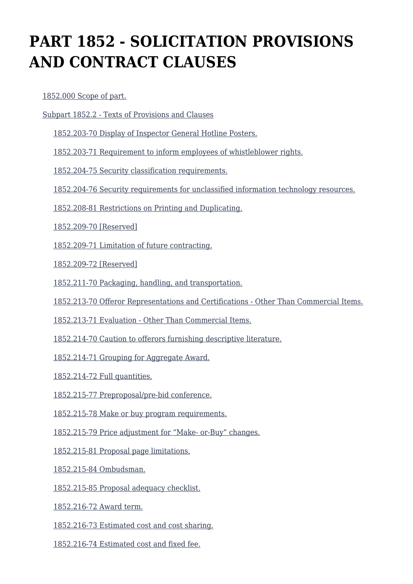# **PART 1852 - SOLICITATION PROVISIONS AND CONTRACT CLAUSES**

[1852.000 Scope of part.](https://login.acquisition.gov/%5Brp:link:nfs-part-1852%5D#Section_1852_000_T48_6042344011)

[Subpart 1852.2 - Texts of Provisions and Clauses](https://login.acquisition.gov/%5Brp:link:nfs-part-1852%5D#Subpart_1852_2_T48_60423441)

[1852.203-70 Display of Inspector General Hotline Posters.](https://login.acquisition.gov/%5Brp:link:nfs-part-1852%5D#Section_1852_203_70_T48_6042344111)

[1852.203-71 Requirement to inform employees of whistleblower rights.](https://login.acquisition.gov/%5Brp:link:nfs-part-1852%5D#Section_1852_203_71_T48_6042344112)

[1852.204-75 Security classification requirements.](https://login.acquisition.gov/%5Brp:link:nfs-part-1852%5D#Section_1852_204_75_T48_6042344113)

[1852.204-76 Security requirements for unclassified information technology resources.](https://login.acquisition.gov/%5Brp:link:nfs-part-1852%5D#Section_1852_204_76_T48_6042344114)

[1852.208-81 Restrictions on Printing and Duplicating.](https://login.acquisition.gov/%5Brp:link:nfs-part-1852%5D#Section_1852_208_81_T48_6042344115)

[1852.209-70 \[Reserved\]](https://login.acquisition.gov/%5Brp:link:nfs-part-1852%5D#Section_1852_209_70_T48_6042344116)

[1852.209-71 Limitation of future contracting.](https://login.acquisition.gov/%5Brp:link:nfs-part-1852%5D#Section_1852_209_71_T48_6042344117)

[1852.209-72 \[Reserved\]](https://login.acquisition.gov/%5Brp:link:nfs-part-1852%5D#Section_1852_209_72_T48_6042344118)

[1852.211-70 Packaging, handling, and transportation.](https://login.acquisition.gov/%5Brp:link:nfs-part-1852%5D#Section_1852_211_70_T48_6042344119)

[1852.213-70 Offeror Representations and Certifications - Other Than Commercial Items.](https://login.acquisition.gov/%5Brp:link:nfs-part-1852%5D#Section_1852_213_70_T48_60423441110)

[1852.213-71 Evaluation - Other Than Commercial Items.](https://login.acquisition.gov/%5Brp:link:nfs-part-1852%5D#Section_1852_213_71_T48_60423441111)

[1852.214-70 Caution to offerors furnishing descriptive literature.](https://login.acquisition.gov/%5Brp:link:nfs-part-1852%5D#Section_1852_214_70_T48_60423441112)

[1852.214-71 Grouping for Aggregate Award.](https://login.acquisition.gov/%5Brp:link:nfs-part-1852%5D#Section_1852_214_71_T48_60423441113)

[1852.214-72 Full quantities.](https://login.acquisition.gov/%5Brp:link:nfs-part-1852%5D#Section_1852_214_72_T48_60423441114)

[1852.215-77 Preproposal/pre-bid conference.](https://login.acquisition.gov/%5Brp:link:nfs-part-1852%5D#Section_1852_215_77_T48_60423441115)

[1852.215-78 Make or buy program requirements.](https://login.acquisition.gov/%5Brp:link:nfs-part-1852%5D#Section_1852_215_78_T48_60423441116)

[1852.215-79 Price adjustment for "Make- or-Buy" changes.](https://login.acquisition.gov/%5Brp:link:nfs-part-1852%5D#Section_1852_215_79_T48_60423441117)

[1852.215-81 Proposal page limitations.](https://login.acquisition.gov/%5Brp:link:nfs-part-1852%5D#Section_1852_215_81_T48_60423441118)

[1852.215-84 Ombudsman.](https://login.acquisition.gov/%5Brp:link:nfs-part-1852%5D#Section_1852_215_84_T48_60423441119)

[1852.215-85 Proposal adequacy checklist.](https://login.acquisition.gov/%5Brp:link:nfs-part-1852%5D#Section_1852_215_85_T48_60423441120)

[1852.216-72 Award term.](https://login.acquisition.gov/%5Brp:link:nfs-part-1852%5D#Section_1852_216_72_T48_60423441121)

[1852.216-73 Estimated cost and cost sharing.](https://login.acquisition.gov/%5Brp:link:nfs-part-1852%5D#Section_1852_216_73_T48_60423441122)

[1852.216-74 Estimated cost and fixed fee.](https://login.acquisition.gov/%5Brp:link:nfs-part-1852%5D#Section_1852_216_74_T48_60423441123)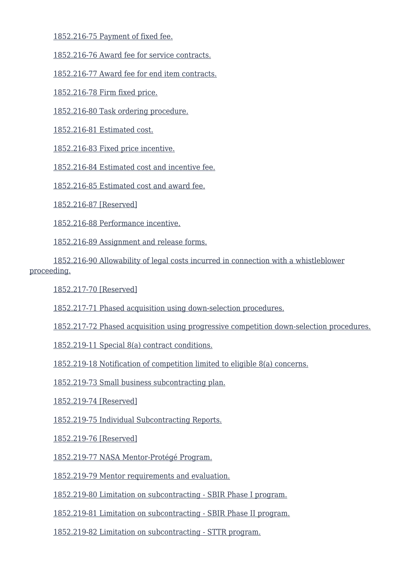[1852.216-75 Payment of fixed fee.](https://login.acquisition.gov/%5Brp:link:nfs-part-1852%5D#Section_1852_216_75_T48_60423441124)

[1852.216-76 Award fee for service contracts.](https://login.acquisition.gov/%5Brp:link:nfs-part-1852%5D#Section_1852_216_76_T48_60423441125)

[1852.216-77 Award fee for end item contracts.](https://login.acquisition.gov/%5Brp:link:nfs-part-1852%5D#Section_1852_216_77_T48_60423441126)

[1852.216-78 Firm fixed price.](https://login.acquisition.gov/%5Brp:link:nfs-part-1852%5D#Section_1852_216_78_T48_60423441127)

[1852.216-80 Task ordering procedure.](https://login.acquisition.gov/%5Brp:link:nfs-part-1852%5D#Section_1852_216_80_T48_60423441128)

[1852.216-81 Estimated cost.](https://login.acquisition.gov/%5Brp:link:nfs-part-1852%5D#Section_1852_216_81_T48_60423441129)

[1852.216-83 Fixed price incentive.](https://login.acquisition.gov/%5Brp:link:nfs-part-1852%5D#Section_1852_216_83_T48_60423441130)

[1852.216-84 Estimated cost and incentive fee.](https://login.acquisition.gov/%5Brp:link:nfs-part-1852%5D#Section_1852_216_84_T48_60423441131)

[1852.216-85 Estimated cost and award fee.](https://login.acquisition.gov/%5Brp:link:nfs-part-1852%5D#Section_1852_216_85_T48_60423441132)

[1852.216-87 \[Reserved\]](https://login.acquisition.gov/%5Brp:link:nfs-part-1852%5D#Section_1852_216_87_T48_60423441133)

[1852.216-88 Performance incentive.](https://login.acquisition.gov/%5Brp:link:nfs-part-1852%5D#Section_1852_216_88_T48_60423441134)

[1852.216-89 Assignment and release forms.](https://login.acquisition.gov/%5Brp:link:nfs-part-1852%5D#Section_1852_216_89_T48_60423441135)

 [1852.216-90 Allowability of legal costs incurred in connection with a whistleblower](https://login.acquisition.gov/%5Brp:link:nfs-part-1852%5D#Section_1852_216_90_T48_60423441136) [proceeding.](https://login.acquisition.gov/%5Brp:link:nfs-part-1852%5D#Section_1852_216_90_T48_60423441136)

[1852.217-70 \[Reserved\]](https://login.acquisition.gov/%5Brp:link:nfs-part-1852%5D#Section_1852_217_70_T48_60423441137)

[1852.217-71 Phased acquisition using down-selection procedures.](https://login.acquisition.gov/%5Brp:link:nfs-part-1852%5D#Section_1852_217_71_T48_60423441138)

[1852.217-72 Phased acquisition using progressive competition down-selection procedures.](https://login.acquisition.gov/%5Brp:link:nfs-part-1852%5D#Section_1852_217_72_T48_60423441139)

[1852.219-11 Special 8\(a\) contract conditions.](https://login.acquisition.gov/%5Brp:link:nfs-part-1852%5D#Section_1852_219_11_T48_60423441140)

[1852.219-18 Notification of competition limited to eligible 8\(a\) concerns.](https://login.acquisition.gov/%5Brp:link:nfs-part-1852%5D#Section_1852_219_18_T48_60423441141)

[1852.219-73 Small business subcontracting plan.](https://login.acquisition.gov/%5Brp:link:nfs-part-1852%5D#Section_1852_219_73_T48_60423441142)

[1852.219-74 \[Reserved\]](https://login.acquisition.gov/%5Brp:link:nfs-part-1852%5D#Section_1852_219_74_T48_60423441143)

[1852.219-75 Individual Subcontracting Reports.](https://login.acquisition.gov/%5Brp:link:nfs-part-1852%5D#Section_1852_219_75_T48_60423441144)

[1852.219-76 \[Reserved\]](https://login.acquisition.gov/%5Brp:link:nfs-part-1852%5D#Section_1852_219_76_T48_60423441145)

[1852.219-77 NASA Mentor-Protégé Program.](https://login.acquisition.gov/%5Brp:link:nfs-part-1852%5D#Section_1852_219_77_T48_60423441146)

[1852.219-79 Mentor requirements and evaluation.](https://login.acquisition.gov/%5Brp:link:nfs-part-1852%5D#Section_1852_219_79_T48_60423441147)

[1852.219-80 Limitation on subcontracting - SBIR Phase I program.](https://login.acquisition.gov/%5Brp:link:nfs-part-1852%5D#Section_1852_219_80_T48_60423441148)

[1852.219-81 Limitation on subcontracting - SBIR Phase II program.](https://login.acquisition.gov/%5Brp:link:nfs-part-1852%5D#Section_1852_219_81_T48_60423441149)

[1852.219-82 Limitation on subcontracting - STTR program.](https://login.acquisition.gov/%5Brp:link:nfs-part-1852%5D#Section_1852_219_82_T48_60423441150)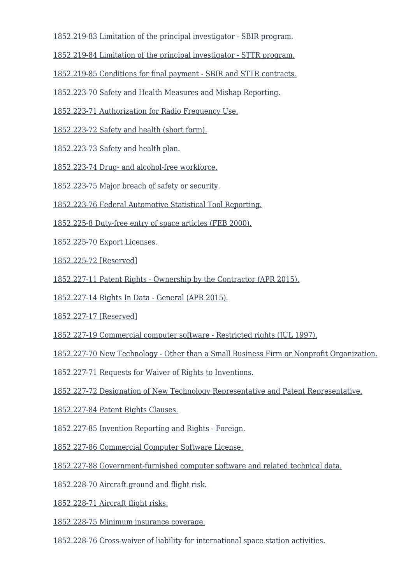[1852.219-83 Limitation of the principal investigator - SBIR program.](https://login.acquisition.gov/%5Brp:link:nfs-part-1852%5D#Section_1852_219_83_T48_60423441151)

[1852.219-84 Limitation of the principal investigator - STTR program.](https://login.acquisition.gov/%5Brp:link:nfs-part-1852%5D#Section_1852_219_84_T48_60423441152)

[1852.219-85 Conditions for final payment - SBIR and STTR contracts.](https://login.acquisition.gov/%5Brp:link:nfs-part-1852%5D#Section_1852_219_85_T48_60423441153)

[1852.223-70 Safety and Health Measures and Mishap Reporting.](https://login.acquisition.gov/%5Brp:link:nfs-part-1852%5D#Section_1852_223_70_T48_60423441154)

[1852.223-71 Authorization for Radio Frequency Use.](https://login.acquisition.gov/%5Brp:link:nfs-part-1852%5D#Section_1852_223_71_T48_60423441155)

[1852.223-72 Safety and health \(short form\).](https://login.acquisition.gov/%5Brp:link:nfs-part-1852%5D#Section_1852_223_72_T48_60423441156)

[1852.223-73 Safety and health plan.](https://login.acquisition.gov/%5Brp:link:nfs-part-1852%5D#Section_1852_223_73_T48_60423441157)

[1852.223-74 Drug- and alcohol-free workforce.](https://login.acquisition.gov/%5Brp:link:nfs-part-1852%5D#Section_1852_223_74_T48_60423441158)

[1852.223-75 Major breach of safety or security.](https://login.acquisition.gov/%5Brp:link:nfs-part-1852%5D#Section_1852_223_75_T48_60423441159)

[1852.223-76 Federal Automotive Statistical Tool Reporting.](https://login.acquisition.gov/%5Brp:link:nfs-part-1852%5D#Section_1852_223_76_T48_60423441160)

[1852.225-8 Duty-free entry of space articles \(FEB 2000\).](https://login.acquisition.gov/%5Brp:link:nfs-part-1852%5D#Section_1852_225_8_T48_60423441161)

[1852.225-70 Export Licenses.](https://login.acquisition.gov/%5Brp:link:nfs-part-1852%5D#Section_1852_225_70_T48_60423441162)

[1852.225-72 \[Reserved\]](https://login.acquisition.gov/%5Brp:link:nfs-part-1852%5D#Section_1852_225_72_T48_60423441163)

[1852.227-11 Patent Rights - Ownership by the Contractor \(APR 2015\).](https://login.acquisition.gov/%5Brp:link:nfs-part-1852%5D#Section_1852_227_11_T48_60423441164)

[1852.227-14 Rights In Data - General \(APR 2015\).](https://login.acquisition.gov/%5Brp:link:nfs-part-1852%5D#Section_1852_227_14_T48_60423441165)

[1852.227-17 \[Reserved\]](https://login.acquisition.gov/%5Brp:link:nfs-part-1852%5D#Section_1852_227_17_T48_60423441166)

[1852.227-19 Commercial computer software - Restricted rights \(JUL 1997\).](https://login.acquisition.gov/%5Brp:link:nfs-part-1852%5D#Section_1852_227_19_T48_60423441167)

[1852.227-70 New Technology - Other than a Small Business Firm or Nonprofit Organization.](https://login.acquisition.gov/%5Brp:link:nfs-part-1852%5D#Section_1852_227_70_T48_60423441168)

[1852.227-71 Requests for Waiver of Rights to Inventions.](https://login.acquisition.gov/%5Brp:link:nfs-part-1852%5D#Section_1852_227_71_T48_60423441169)

[1852.227-72 Designation of New Technology Representative and Patent Representative.](https://login.acquisition.gov/%5Brp:link:nfs-part-1852%5D#Section_1852_227_72_T48_60423441170)

[1852.227-84 Patent Rights Clauses.](https://login.acquisition.gov/%5Brp:link:nfs-part-1852%5D#Section_1852_227_84_T48_60423441171)

[1852.227-85 Invention Reporting and Rights - Foreign.](https://login.acquisition.gov/%5Brp:link:nfs-part-1852%5D#Section_1852_227_85_T48_60423441172)

[1852.227-86 Commercial Computer Software License.](https://login.acquisition.gov/%5Brp:link:nfs-part-1852%5D#Section_1852_227_86_T48_60423441173)

[1852.227-88 Government-furnished computer software and related technical data.](https://login.acquisition.gov/%5Brp:link:nfs-part-1852%5D#Section_1852_227_88_T48_60423441174)

[1852.228-70 Aircraft ground and flight risk.](https://login.acquisition.gov/%5Brp:link:nfs-part-1852%5D#Section_1852_228_70_T48_60423441175)

[1852.228-71 Aircraft flight risks.](https://login.acquisition.gov/%5Brp:link:nfs-part-1852%5D#Section_1852_228_71_T48_60423441176)

[1852.228-75 Minimum insurance coverage.](https://login.acquisition.gov/%5Brp:link:nfs-part-1852%5D#Section_1852_228_75_T48_60423441177)

[1852.228-76 Cross-waiver of liability for international space station activities.](https://login.acquisition.gov/%5Brp:link:nfs-part-1852%5D#Section_1852_228_76_T48_60423441178)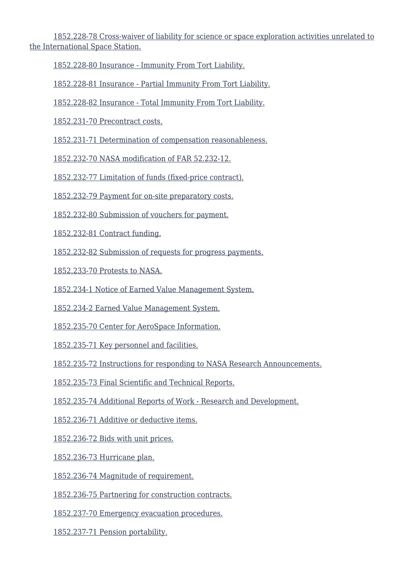[1852.228-78 Cross-waiver of liability for science or space exploration activities unrelated to](https://login.acquisition.gov/%5Brp:link:nfs-part-1852%5D#Section_1852_228_78_T48_60423441179) [the International Space Station.](https://login.acquisition.gov/%5Brp:link:nfs-part-1852%5D#Section_1852_228_78_T48_60423441179)

[1852.228-80 Insurance - Immunity From Tort Liability.](https://login.acquisition.gov/%5Brp:link:nfs-part-1852%5D#Section_1852_228_80_T48_60423441180)

[1852.228-81 Insurance - Partial Immunity From Tort Liability.](https://login.acquisition.gov/%5Brp:link:nfs-part-1852%5D#Section_1852_228_81_T48_60423441181)

[1852.228-82 Insurance - Total Immunity From Tort Liability.](https://login.acquisition.gov/%5Brp:link:nfs-part-1852%5D#Section_1852_228_82_T48_60423441182)

[1852.231-70 Precontract costs.](https://login.acquisition.gov/%5Brp:link:nfs-part-1852%5D#Section_1852_231_70_T48_60423441183)

[1852.231-71 Determination of compensation reasonableness.](https://login.acquisition.gov/%5Brp:link:nfs-part-1852%5D#Section_1852_231_71_T48_60423441184)

[1852.232-70 NASA modification of FAR 52.232-12.](https://login.acquisition.gov/%5Brp:link:nfs-part-1852%5D#Section_1852_232_70_T48_60423441185)

[1852.232-77 Limitation of funds \(fixed-price contract\).](https://login.acquisition.gov/%5Brp:link:nfs-part-1852%5D#Section_1852_232_77_T48_60423441186)

[1852.232-79 Payment for on-site preparatory costs.](https://login.acquisition.gov/%5Brp:link:nfs-part-1852%5D#Section_1852_232_79_T48_60423441187)

[1852.232-80 Submission of vouchers for payment.](https://login.acquisition.gov/%5Brp:link:nfs-part-1852%5D#Section_1852_232_80_T48_60423441188)

[1852.232-81 Contract funding.](https://login.acquisition.gov/%5Brp:link:nfs-part-1852%5D#Section_1852_232_81_T48_60423441189)

[1852.232-82 Submission of requests for progress payments.](https://login.acquisition.gov/%5Brp:link:nfs-part-1852%5D#Section_1852_232_82_T48_60423441190)

[1852.233-70 Protests to NASA.](https://login.acquisition.gov/%5Brp:link:nfs-part-1852%5D#Section_1852_233_70_T48_60423441191)

[1852.234-1 Notice of Earned Value Management System.](https://login.acquisition.gov/%5Brp:link:nfs-part-1852%5D#Section_1852_234_1_T48_60423441192)

[1852.234-2 Earned Value Management System.](https://login.acquisition.gov/%5Brp:link:nfs-part-1852%5D#Section_1852_234_2_T48_60423441193)

[1852.235-70 Center for AeroSpace Information.](https://login.acquisition.gov/%5Brp:link:nfs-part-1852%5D#Section_1852_235_70_T48_60423441194)

[1852.235-71 Key personnel and facilities.](https://login.acquisition.gov/%5Brp:link:nfs-part-1852%5D#Section_1852_235_71_T48_60423441195)

[1852.235-72 Instructions for responding to NASA Research Announcements.](https://login.acquisition.gov/%5Brp:link:nfs-part-1852%5D#Section_1852_235_72_T48_60423441196)

[1852.235-73 Final Scientific and Technical Reports.](https://login.acquisition.gov/%5Brp:link:nfs-part-1852%5D#Section_1852_235_73_T48_60423441197)

[1852.235-74 Additional Reports of Work - Research and Development.](https://login.acquisition.gov/%5Brp:link:nfs-part-1852%5D#Section_1852_235_74_T48_60423441198)

[1852.236-71 Additive or deductive items.](https://login.acquisition.gov/%5Brp:link:nfs-part-1852%5D#Section_1852_236_71_T48_60423441199)

[1852.236-72 Bids with unit prices.](https://login.acquisition.gov/%5Brp:link:nfs-part-1852%5D#Section_1852_236_72_T48_604234411100)

[1852.236-73 Hurricane plan.](https://login.acquisition.gov/%5Brp:link:nfs-part-1852%5D#Section_1852_236_73_T48_604234411101)

[1852.236-74 Magnitude of requirement.](https://login.acquisition.gov/%5Brp:link:nfs-part-1852%5D#Section_1852_236_74_T48_604234411102)

[1852.236-75 Partnering for construction contracts.](https://login.acquisition.gov/%5Brp:link:nfs-part-1852%5D#Section_1852_236_75_T48_604234411103)

[1852.237-70 Emergency evacuation procedures.](https://login.acquisition.gov/%5Brp:link:nfs-part-1852%5D#Section_1852_237_70_T48_604234411104)

[1852.237-71 Pension portability.](https://login.acquisition.gov/%5Brp:link:nfs-part-1852%5D#Section_1852_237_71_T48_604234411105)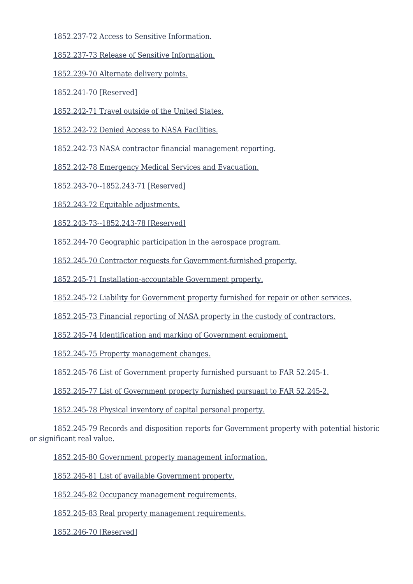[1852.237-72 Access to Sensitive Information.](https://login.acquisition.gov/%5Brp:link:nfs-part-1852%5D#Section_1852_237_72_T48_604234411106)

[1852.237-73 Release of Sensitive Information.](https://login.acquisition.gov/%5Brp:link:nfs-part-1852%5D#Section_1852_237_73_T48_604234411107)

[1852.239-70 Alternate delivery points.](https://login.acquisition.gov/%5Brp:link:nfs-part-1852%5D#Section_1852_239_70_T48_604234411108)

[1852.241-70 \[Reserved\]](https://login.acquisition.gov/%5Brp:link:nfs-part-1852%5D#Section_1852_241_70_T48_604234411109)

[1852.242-71 Travel outside of the United States.](https://login.acquisition.gov/%5Brp:link:nfs-part-1852%5D#Section_1852_242_71_T48_604234411110)

[1852.242-72 Denied Access to NASA Facilities.](https://login.acquisition.gov/%5Brp:link:nfs-part-1852%5D#Section_1852_242_72_T48_604234411111)

[1852.242-73 NASA contractor financial management reporting.](https://login.acquisition.gov/%5Brp:link:nfs-part-1852%5D#Section_1852_242_73_T48_604234411112)

[1852.242-78 Emergency Medical Services and Evacuation.](https://login.acquisition.gov/%5Brp:link:nfs-part-1852%5D#Section_1852_242_78_T48_604234411113)

[1852.243-70--1852.243-71 \[Reserved\]](https://login.acquisition.gov/%5Brp:link:nfs-part-1852%5D#Section_1852_243_70_1852_243_71_T48_604234411114)

[1852.243-72 Equitable adjustments.](https://login.acquisition.gov/%5Brp:link:nfs-part-1852%5D#Section_1852_243_72_T48_604234411115)

[1852.243-73--1852.243-78 \[Reserved\]](https://login.acquisition.gov/%5Brp:link:nfs-part-1852%5D#Section_1852_243_73_1852_243_78_T48_604234411116)

[1852.244-70 Geographic participation in the aerospace program.](https://login.acquisition.gov/%5Brp:link:nfs-part-1852%5D#Section_1852_244_70_T48_604234411117)

[1852.245-70 Contractor requests for Government-furnished property.](https://login.acquisition.gov/%5Brp:link:nfs-part-1852%5D#Section_1852_245_70_T48_604234411118)

[1852.245-71 Installation-accountable Government property.](https://login.acquisition.gov/%5Brp:link:nfs-part-1852%5D#Section_1852_245_71_T48_604234411119)

[1852.245-72 Liability for Government property furnished for repair or other services.](https://login.acquisition.gov/%5Brp:link:nfs-part-1852%5D#Section_1852_245_72_T48_604234411120)

[1852.245-73 Financial reporting of NASA property in the custody of contractors.](https://login.acquisition.gov/%5Brp:link:nfs-part-1852%5D#Section_1852_245_73_T48_604234411121)

[1852.245-74 Identification and marking of Government equipment.](https://login.acquisition.gov/%5Brp:link:nfs-part-1852%5D#Section_1852_245_74_T48_604234411122)

[1852.245-75 Property management changes.](https://login.acquisition.gov/%5Brp:link:nfs-part-1852%5D#Section_1852_245_75_T48_604234411123)

[1852.245-76 List of Government property furnished pursuant to FAR 52.245-1.](https://login.acquisition.gov/%5Brp:link:nfs-part-1852%5D#Section_1852_245_76_T48_604234411124)

[1852.245-77 List of Government property furnished pursuant to FAR 52.245-2.](https://login.acquisition.gov/%5Brp:link:nfs-part-1852%5D#Section_1852_245_77_T48_604234411125)

[1852.245-78 Physical inventory of capital personal property.](https://login.acquisition.gov/%5Brp:link:nfs-part-1852%5D#Section_1852_245_78_T48_604234411126)

 [1852.245-79 Records and disposition reports for Government property with potential historic](https://login.acquisition.gov/%5Brp:link:nfs-part-1852%5D#Section_1852_245_79_T48_604234411127) [or significant real value.](https://login.acquisition.gov/%5Brp:link:nfs-part-1852%5D#Section_1852_245_79_T48_604234411127)

[1852.245-80 Government property management information.](https://login.acquisition.gov/%5Brp:link:nfs-part-1852%5D#Section_1852_245_80_T48_604234411128)

[1852.245-81 List of available Government property.](https://login.acquisition.gov/%5Brp:link:nfs-part-1852%5D#Section_1852_245_81_T48_604234411129)

[1852.245-82 Occupancy management requirements.](https://login.acquisition.gov/%5Brp:link:nfs-part-1852%5D#Section_1852_245_82_T48_604234411130)

[1852.245-83 Real property management requirements.](https://login.acquisition.gov/%5Brp:link:nfs-part-1852%5D#Section_1852_245_83_T48_604234411131)

[1852.246-70 \[Reserved\]](https://login.acquisition.gov/%5Brp:link:nfs-part-1852%5D#Section_1852_246_70_T48_604234411132)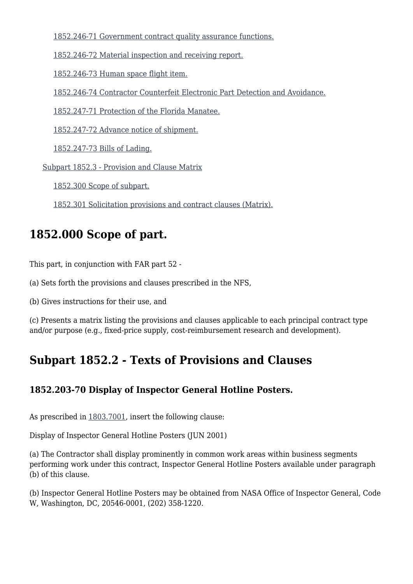[1852.246-71 Government contract quality assurance functions.](https://login.acquisition.gov/%5Brp:link:nfs-part-1852%5D#Section_1852_246_71_T48_604234411133)

[1852.246-72 Material inspection and receiving report.](https://login.acquisition.gov/%5Brp:link:nfs-part-1852%5D#Section_1852_246_72_T48_604234411134)

[1852.246-73 Human space flight item.](https://login.acquisition.gov/%5Brp:link:nfs-part-1852%5D#Section_1852_246_73_T48_604234411135)

[1852.246-74 Contractor Counterfeit Electronic Part Detection and Avoidance.](https://login.acquisition.gov/%5Brp:link:nfs-part-1852%5D#Section_1852_246_74_T48_604234411136)

[1852.247-71 Protection of the Florida Manatee.](https://login.acquisition.gov/%5Brp:link:nfs-part-1852%5D#Section_1852_247_71_T48_604234411137)

[1852.247-72 Advance notice of shipment.](https://login.acquisition.gov/%5Brp:link:nfs-part-1852%5D#Section_1852_247_72_T48_604234411138)

[1852.247-73 Bills of Lading.](https://login.acquisition.gov/%5Brp:link:nfs-part-1852%5D#Section_1852_247_73_T48_604234411139)

[Subpart 1852.3 - Provision and Clause Matrix](https://login.acquisition.gov/%5Brp:link:nfs-part-1852%5D#Subpart_1852_3_T48_60423442)

[1852.300 Scope of subpart.](https://login.acquisition.gov/%5Brp:link:nfs-part-1852%5D#Section_1852_300_T48_6042344211)

[1852.301 Solicitation provisions and contract clauses \(Matrix\).](https://login.acquisition.gov/%5Brp:link:nfs-part-1852%5D#Section_1852_301_T48_6042344212)

# **1852.000 Scope of part.**

This part, in conjunction with FAR part 52 -

(a) Sets forth the provisions and clauses prescribed in the NFS,

(b) Gives instructions for their use, and

(c) Presents a matrix listing the provisions and clauses applicable to each principal contract type and/or purpose (e.g., fixed-price supply, cost-reimbursement research and development).

# **Subpart 1852.2 - Texts of Provisions and Clauses**

#### **1852.203-70 Display of Inspector General Hotline Posters.**

As prescribed in [1803.7001](https://login.acquisition.gov/%5Brp:link:nfs-part-1803%5D#Section_1803_7001_T48_604163312), insert the following clause:

Display of Inspector General Hotline Posters (JUN 2001)

(a) The Contractor shall display prominently in common work areas within business segments performing work under this contract, Inspector General Hotline Posters available under paragraph (b) of this clause.

(b) Inspector General Hotline Posters may be obtained from NASA Office of Inspector General, Code W, Washington, DC, 20546-0001, (202) 358-1220.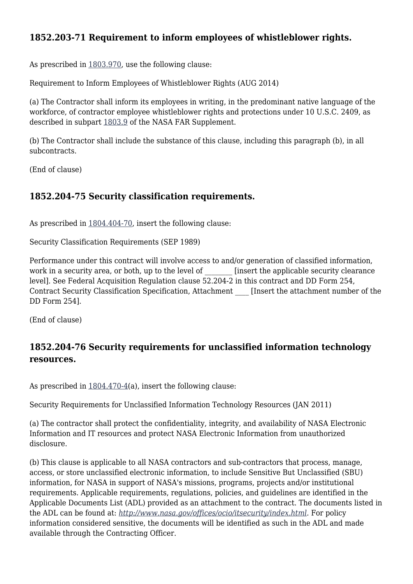#### **1852.203-71 Requirement to inform employees of whistleblower rights.**

As prescribed in [1803.970,](https://login.acquisition.gov/%5Brp:link:nfs-part-1803%5D#Section_1803_970_T48_604163218) use the following clause:

Requirement to Inform Employees of Whistleblower Rights (AUG 2014)

(a) The Contractor shall inform its employees in writing, in the predominant native language of the workforce, of contractor employee whistleblower rights and protections under 10 U.S.C. 2409, as described in subpart [1803.9](https://login.acquisition.gov/%5Brp:link:nfs-part-1803%5D#Subpart_1803_9_T48_6041632) of the NASA FAR Supplement.

(b) The Contractor shall include the substance of this clause, including this paragraph (b), in all subcontracts.

(End of clause)

#### **1852.204-75 Security classification requirements.**

As prescribed in [1804.404-70,](https://login.acquisition.gov/%5Brp:link:nfs-part-1804%5D#Section_1804_404_70_T48_604164211) insert the following clause:

Security Classification Requirements (SEP 1989)

Performance under this contract will involve access to and/or generation of classified information, work in a security area, or both, up to the level of **Langlery** [insert the applicable security clearance level]. See Federal Acquisition Regulation clause 52.204-2 in this contract and DD Form 254, Contract Security Classification Specification, Attachment \_\_\_\_ [Insert the attachment number of the DD Form 254].

(End of clause)

#### **1852.204-76 Security requirements for unclassified information technology resources.**

As prescribed in [1804.470-4\(](https://login.acquisition.gov/%5Brp:link:nfs-part-1804%5D#Section_1804_470_4_T48_604164216)a), insert the following clause:

Security Requirements for Unclassified Information Technology Resources (JAN 2011)

(a) The contractor shall protect the confidentiality, integrity, and availability of NASA Electronic Information and IT resources and protect NASA Electronic Information from unauthorized disclosure.

(b) This clause is applicable to all NASA contractors and sub-contractors that process, manage, access, or store unclassified electronic information, to include Sensitive But Unclassified (SBU) information, for NASA in support of NASA's missions, programs, projects and/or institutional requirements. Applicable requirements, regulations, policies, and guidelines are identified in the Applicable Documents List (ADL) provided as an attachment to the contract. The documents listed in the ADL can be found at: *<http://www.nasa.gov/offices/ocio/itsecurity/index.html>.* For policy information considered sensitive, the documents will be identified as such in the ADL and made available through the Contracting Officer.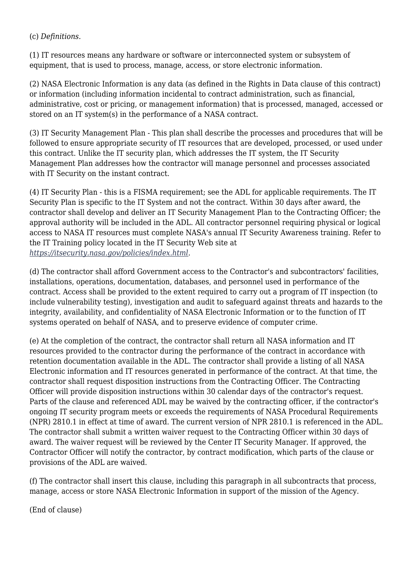#### (c) *Definitions.*

(1) IT resources means any hardware or software or interconnected system or subsystem of equipment, that is used to process, manage, access, or store electronic information.

(2) NASA Electronic Information is any data (as defined in the Rights in Data clause of this contract) or information (including information incidental to contract administration, such as financial, administrative, cost or pricing, or management information) that is processed, managed, accessed or stored on an IT system(s) in the performance of a NASA contract.

(3) IT Security Management Plan - This plan shall describe the processes and procedures that will be followed to ensure appropriate security of IT resources that are developed, processed, or used under this contract. Unlike the IT security plan, which addresses the IT system, the IT Security Management Plan addresses how the contractor will manage personnel and processes associated with IT Security on the instant contract.

(4) IT Security Plan - this is a FISMA requirement; see the ADL for applicable requirements. The IT Security Plan is specific to the IT System and not the contract. Within 30 days after award, the contractor shall develop and deliver an IT Security Management Plan to the Contracting Officer; the approval authority will be included in the ADL. All contractor personnel requiring physical or logical access to NASA IT resources must complete NASA's annual IT Security Awareness training. Refer to the IT Training policy located in the IT Security Web site at *<https://itsecurity.nasa.gov/policies/index.html>.*

(d) The contractor shall afford Government access to the Contractor's and subcontractors' facilities, installations, operations, documentation, databases, and personnel used in performance of the contract. Access shall be provided to the extent required to carry out a program of IT inspection (to include vulnerability testing), investigation and audit to safeguard against threats and hazards to the integrity, availability, and confidentiality of NASA Electronic Information or to the function of IT systems operated on behalf of NASA, and to preserve evidence of computer crime.

(e) At the completion of the contract, the contractor shall return all NASA information and IT resources provided to the contractor during the performance of the contract in accordance with retention documentation available in the ADL. The contractor shall provide a listing of all NASA Electronic information and IT resources generated in performance of the contract. At that time, the contractor shall request disposition instructions from the Contracting Officer. The Contracting Officer will provide disposition instructions within 30 calendar days of the contractor's request. Parts of the clause and referenced ADL may be waived by the contracting officer, if the contractor's ongoing IT security program meets or exceeds the requirements of NASA Procedural Requirements (NPR) 2810.1 in effect at time of award. The current version of NPR 2810.1 is referenced in the ADL. The contractor shall submit a written waiver request to the Contracting Officer within 30 days of award. The waiver request will be reviewed by the Center IT Security Manager. If approved, the Contractor Officer will notify the contractor, by contract modification, which parts of the clause or provisions of the ADL are waived.

(f) The contractor shall insert this clause, including this paragraph in all subcontracts that process, manage, access or store NASA Electronic Information in support of the mission of the Agency.

(End of clause)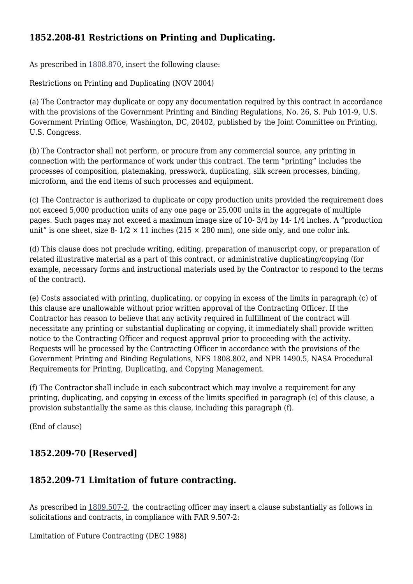## **1852.208-81 Restrictions on Printing and Duplicating.**

As prescribed in [1808.870,](https://login.acquisition.gov/%5Brp:link:nfs-part-1808%5D#Section_1808_870_T48_604178111) insert the following clause:

Restrictions on Printing and Duplicating (NOV 2004)

(a) The Contractor may duplicate or copy any documentation required by this contract in accordance with the provisions of the Government Printing and Binding Regulations, No. 26, S. Pub 101-9, U.S. Government Printing Office, Washington, DC, 20402, published by the Joint Committee on Printing, U.S. Congress.

(b) The Contractor shall not perform, or procure from any commercial source, any printing in connection with the performance of work under this contract. The term "printing" includes the processes of composition, platemaking, presswork, duplicating, silk screen processes, binding, microform, and the end items of such processes and equipment.

(c) The Contractor is authorized to duplicate or copy production units provided the requirement does not exceed 5,000 production units of any one page or 25,000 units in the aggregate of multiple pages. Such pages may not exceed a maximum image size of 10- 3/4 by 14- 1/4 inches. A "production unit" is one sheet, size 8-  $1/2 \times 11$  inches (215  $\times$  280 mm), one side only, and one color ink.

(d) This clause does not preclude writing, editing, preparation of manuscript copy, or preparation of related illustrative material as a part of this contract, or administrative duplicating/copying (for example, necessary forms and instructional materials used by the Contractor to respond to the terms of the contract).

(e) Costs associated with printing, duplicating, or copying in excess of the limits in paragraph (c) of this clause are unallowable without prior written approval of the Contracting Officer. If the Contractor has reason to believe that any activity required in fulfillment of the contract will necessitate any printing or substantial duplicating or copying, it immediately shall provide written notice to the Contracting Officer and request approval prior to proceeding with the activity. Requests will be processed by the Contracting Officer in accordance with the provisions of the Government Printing and Binding Regulations, NFS 1808.802, and NPR 1490.5, NASA Procedural Requirements for Printing, Duplicating, and Copying Management.

(f) The Contractor shall include in each subcontract which may involve a requirement for any printing, duplicating, and copying in excess of the limits specified in paragraph (c) of this clause, a provision substantially the same as this clause, including this paragraph (f).

(End of clause)

#### **1852.209-70 [Reserved]**

#### **1852.209-71 Limitation of future contracting.**

As prescribed in [1809.507-2,](https://login.acquisition.gov/%5Brp:link:nfs-part-1809%5D#Section_1809_507_2_T48_604179413) the contracting officer may insert a clause substantially as follows in solicitations and contracts, in compliance with FAR 9.507-2:

Limitation of Future Contracting (DEC 1988)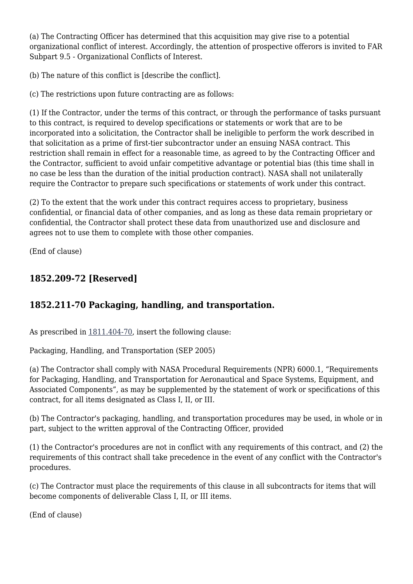(a) The Contracting Officer has determined that this acquisition may give rise to a potential organizational conflict of interest. Accordingly, the attention of prospective offerors is invited to FAR Subpart 9.5 - Organizational Conflicts of Interest.

(b) The nature of this conflict is [describe the conflict].

(c) The restrictions upon future contracting are as follows:

(1) If the Contractor, under the terms of this contract, or through the performance of tasks pursuant to this contract, is required to develop specifications or statements or work that are to be incorporated into a solicitation, the Contractor shall be ineligible to perform the work described in that solicitation as a prime of first-tier subcontractor under an ensuing NASA contract. This restriction shall remain in effect for a reasonable time, as agreed to by the Contracting Officer and the Contractor, sufficient to avoid unfair competitive advantage or potential bias (this time shall in no case be less than the duration of the initial production contract). NASA shall not unilaterally require the Contractor to prepare such specifications or statements of work under this contract.

(2) To the extent that the work under this contract requires access to proprietary, business confidential, or financial data of other companies, and as long as these data remain proprietary or confidential, the Contractor shall protect these data from unauthorized use and disclosure and agrees not to use them to complete with those other companies.

(End of clause)

## **1852.209-72 [Reserved]**

# **1852.211-70 Packaging, handling, and transportation.**

As prescribed in [1811.404-70,](https://login.acquisition.gov/%5Brp:link:nfs-part-1811%5D#Section_1811_404_70_T48_6041710111) insert the following clause:

Packaging, Handling, and Transportation (SEP 2005)

(a) The Contractor shall comply with NASA Procedural Requirements (NPR) 6000.1, "Requirements for Packaging, Handling, and Transportation for Aeronautical and Space Systems, Equipment, and Associated Components", as may be supplemented by the statement of work or specifications of this contract, for all items designated as Class I, II, or III.

(b) The Contractor's packaging, handling, and transportation procedures may be used, in whole or in part, subject to the written approval of the Contracting Officer, provided

(1) the Contractor's procedures are not in conflict with any requirements of this contract, and (2) the requirements of this contract shall take precedence in the event of any conflict with the Contractor's procedures.

(c) The Contractor must place the requirements of this clause in all subcontracts for items that will become components of deliverable Class I, II, or III items.

(End of clause)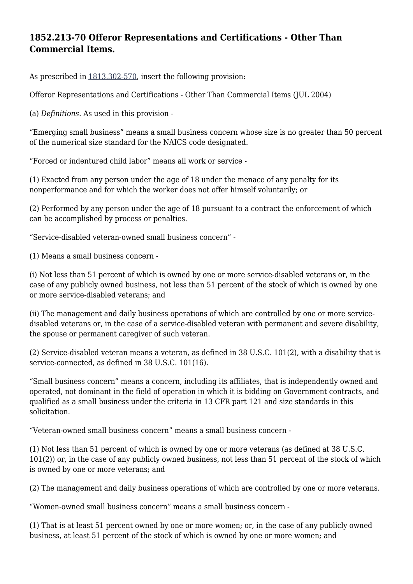#### **1852.213-70 Offeror Representations and Certifications - Other Than Commercial Items.**

As prescribed in [1813.302-570](https://login.acquisition.gov/%5Brp:link:nfs-part-1813%5D#Section_1813_302_570_T48_6041812111), insert the following provision:

Offeror Representations and Certifications - Other Than Commercial Items (JUL 2004)

(a) *Definitions.* As used in this provision -

"Emerging small business" means a small business concern whose size is no greater than 50 percent of the numerical size standard for the NAICS code designated.

"Forced or indentured child labor" means all work or service -

(1) Exacted from any person under the age of 18 under the menace of any penalty for its nonperformance and for which the worker does not offer himself voluntarily; or

(2) Performed by any person under the age of 18 pursuant to a contract the enforcement of which can be accomplished by process or penalties.

"Service-disabled veteran-owned small business concern" -

(1) Means a small business concern -

(i) Not less than 51 percent of which is owned by one or more service-disabled veterans or, in the case of any publicly owned business, not less than 51 percent of the stock of which is owned by one or more service-disabled veterans; and

(ii) The management and daily business operations of which are controlled by one or more servicedisabled veterans or, in the case of a service-disabled veteran with permanent and severe disability, the spouse or permanent caregiver of such veteran.

(2) Service-disabled veteran means a veteran, as defined in 38 U.S.C. 101(2), with a disability that is service-connected, as defined in 38 U.S.C. 101(16).

"Small business concern" means a concern, including its affiliates, that is independently owned and operated, not dominant in the field of operation in which it is bidding on Government contracts, and qualified as a small business under the criteria in 13 CFR part 121 and size standards in this solicitation.

"Veteran-owned small business concern" means a small business concern -

(1) Not less than 51 percent of which is owned by one or more veterans (as defined at 38 U.S.C. 101(2)) or, in the case of any publicly owned business, not less than 51 percent of the stock of which is owned by one or more veterans; and

(2) The management and daily business operations of which are controlled by one or more veterans.

"Women-owned small business concern" means a small business concern -

(1) That is at least 51 percent owned by one or more women; or, in the case of any publicly owned business, at least 51 percent of the stock of which is owned by one or more women; and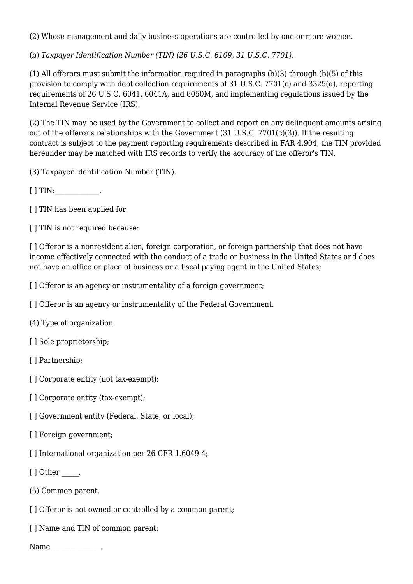(2) Whose management and daily business operations are controlled by one or more women.

(b) *Taxpayer Identification Number (TIN) (26 U.S.C. 6109, 31 U.S.C. 7701).*

(1) All offerors must submit the information required in paragraphs (b)(3) through (b)(5) of this provision to comply with debt collection requirements of 31 U.S.C. 7701(c) and 3325(d), reporting requirements of 26 U.S.C. 6041, 6041A, and 6050M, and implementing regulations issued by the Internal Revenue Service (IRS).

(2) The TIN may be used by the Government to collect and report on any delinquent amounts arising out of the offeror's relationships with the Government (31 U.S.C. 7701(c)(3)). If the resulting contract is subject to the payment reporting requirements described in FAR 4.904, the TIN provided hereunder may be matched with IRS records to verify the accuracy of the offeror's TIN.

(3) Taxpayer Identification Number (TIN).

[ ] TIN: \_\_\_\_\_\_\_\_\_\_\_.

[  $\vert$  TIN has been applied for.

[  $\vert$  TIN is not required because:

[] Offeror is a nonresident alien, foreign corporation, or foreign partnership that does not have income effectively connected with the conduct of a trade or business in the United States and does not have an office or place of business or a fiscal paying agent in the United States;

[] Offeror is an agency or instrumentality of a foreign government;

[] Offeror is an agency or instrumentality of the Federal Government.

(4) Type of organization.

[ ] Sole proprietorship;

[ ] Partnership;

[ ] Corporate entity (not tax-exempt);

[ ] Corporate entity (tax-exempt);

[] Government entity (Federal, State, or local);

[ ] Foreign government;

[ ] International organization per 26 CFR 1.6049-4:

[ ] Other \_\_\_\_\_.

(5) Common parent.

[] Offeror is not owned or controlled by a common parent;

[ ] Name and TIN of common parent:

Name \_\_\_\_\_\_\_\_\_\_\_\_\_\_.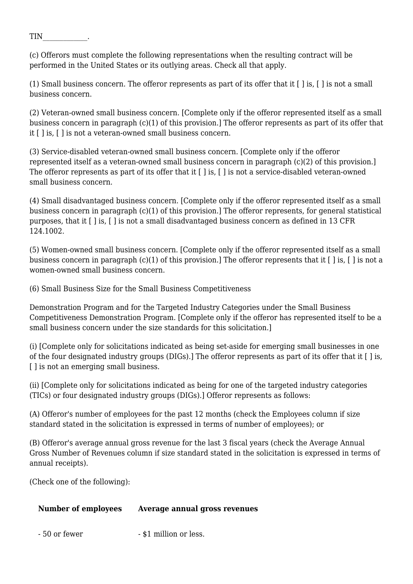TIN\_\_\_\_\_\_\_\_\_\_\_\_\_.

(c) Offerors must complete the following representations when the resulting contract will be performed in the United States or its outlying areas. Check all that apply.

(1) Small business concern. The offeror represents as part of its offer that it [ ] is, [ ] is not a small business concern.

(2) Veteran-owned small business concern. [Complete only if the offeror represented itself as a small business concern in paragraph (c)(1) of this provision.] The offeror represents as part of its offer that it [ ] is, [ ] is not a veteran-owned small business concern.

(3) Service-disabled veteran-owned small business concern. [Complete only if the offeror represented itself as a veteran-owned small business concern in paragraph (c)(2) of this provision.] The offeror represents as part of its offer that it [ ] is, [ ] is not a service-disabled veteran-owned small business concern.

(4) Small disadvantaged business concern. [Complete only if the offeror represented itself as a small business concern in paragraph (c)(1) of this provision.] The offeror represents, for general statistical purposes, that it [ ] is, [ ] is not a small disadvantaged business concern as defined in 13 CFR 124.1002.

(5) Women-owned small business concern. [Complete only if the offeror represented itself as a small business concern in paragraph (c)(1) of this provision.] The offeror represents that it [ ] is, [ ] is not a women-owned small business concern.

(6) Small Business Size for the Small Business Competitiveness

Demonstration Program and for the Targeted Industry Categories under the Small Business Competitiveness Demonstration Program. [Complete only if the offeror has represented itself to be a small business concern under the size standards for this solicitation.]

(i) [Complete only for solicitations indicated as being set-aside for emerging small businesses in one of the four designated industry groups (DIGs).] The offeror represents as part of its offer that it [ ] is, [ ] is not an emerging small business.

(ii) [Complete only for solicitations indicated as being for one of the targeted industry categories (TICs) or four designated industry groups (DIGs).] Offeror represents as follows:

(A) Offeror's number of employees for the past 12 months (check the Employees column if size standard stated in the solicitation is expressed in terms of number of employees); or

(B) Offeror's average annual gross revenue for the last 3 fiscal years (check the Average Annual Gross Number of Revenues column if size standard stated in the solicitation is expressed in terms of annual receipts).

(Check one of the following):

#### **Number of employees Average annual gross revenues**

- 50 or fewer - \$1 million or less.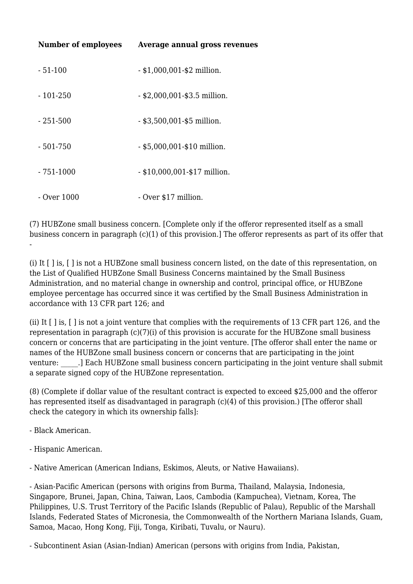| Number of employees | Average annual gross revenues  |
|---------------------|--------------------------------|
| - 51-100            | $-$ \$1,000,001-\$2 million.   |
| $-101-250$          | $-$ \$2,000,001-\$3.5 million. |
| - 251-500           | $-$ \$3,500,001-\$5 million.   |
| - 501-750           | $-$ \$5,000,001-\$10 million.  |
| $-751-1000$         | $-$ \$10,000,001-\$17 million. |
| - Over 1000         | - Over \$17 million.           |

(7) HUBZone small business concern. [Complete only if the offeror represented itself as a small business concern in paragraph (c)(1) of this provision.] The offeror represents as part of its offer that

(i) It [ ] is, [ ] is not a HUBZone small business concern listed, on the date of this representation, on the List of Qualified HUBZone Small Business Concerns maintained by the Small Business Administration, and no material change in ownership and control, principal office, or HUBZone employee percentage has occurred since it was certified by the Small Business Administration in accordance with 13 CFR part 126; and

(ii) It [ ] is, [ ] is not a joint venture that complies with the requirements of 13 CFR part 126, and the representation in paragraph (c)(7)(i) of this provision is accurate for the HUBZone small business concern or concerns that are participating in the joint venture. [The offeror shall enter the name or names of the HUBZone small business concern or concerns that are participating in the joint venture: \_\_\_\_\_.] Each HUBZone small business concern participating in the joint venture shall submit a separate signed copy of the HUBZone representation.

(8) (Complete if dollar value of the resultant contract is expected to exceed \$25,000 and the offeror has represented itself as disadvantaged in paragraph (c)(4) of this provision.) [The offeror shall check the category in which its ownership falls]:

- Black American.

-

- Hispanic American.
- Native American (American Indians, Eskimos, Aleuts, or Native Hawaiians).

- Asian-Pacific American (persons with origins from Burma, Thailand, Malaysia, Indonesia, Singapore, Brunei, Japan, China, Taiwan, Laos, Cambodia (Kampuchea), Vietnam, Korea, The Philippines, U.S. Trust Territory of the Pacific Islands (Republic of Palau), Republic of the Marshall Islands, Federated States of Micronesia, the Commonwealth of the Northern Mariana Islands, Guam, Samoa, Macao, Hong Kong, Fiji, Tonga, Kiribati, Tuvalu, or Nauru).

- Subcontinent Asian (Asian-Indian) American (persons with origins from India, Pakistan,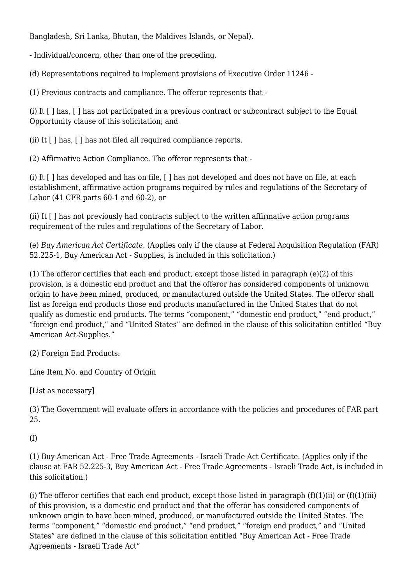Bangladesh, Sri Lanka, Bhutan, the Maldives Islands, or Nepal).

- Individual/concern, other than one of the preceding.

(d) Representations required to implement provisions of Executive Order 11246 -

(1) Previous contracts and compliance. The offeror represents that -

(i) It [ ] has, [ ] has not participated in a previous contract or subcontract subject to the Equal Opportunity clause of this solicitation; and

(ii) It [ ] has, [ ] has not filed all required compliance reports.

(2) Affirmative Action Compliance. The offeror represents that -

(i) It [ ] has developed and has on file, [ ] has not developed and does not have on file, at each establishment, affirmative action programs required by rules and regulations of the Secretary of Labor (41 CFR parts 60-1 and 60-2), or

(ii) It [ ] has not previously had contracts subject to the written affirmative action programs requirement of the rules and regulations of the Secretary of Labor.

(e) *Buy American Act Certificate.* (Applies only if the clause at Federal Acquisition Regulation (FAR) 52.225-1, Buy American Act - Supplies, is included in this solicitation.)

(1) The offeror certifies that each end product, except those listed in paragraph (e)(2) of this provision, is a domestic end product and that the offeror has considered components of unknown origin to have been mined, produced, or manufactured outside the United States. The offeror shall list as foreign end products those end products manufactured in the United States that do not qualify as domestic end products. The terms "component," "domestic end product," "end product," "foreign end product," and "United States" are defined in the clause of this solicitation entitled "Buy American Act-Supplies."

(2) Foreign End Products:

Line Item No. and Country of Origin

[List as necessary]

(3) The Government will evaluate offers in accordance with the policies and procedures of FAR part 25.

(f)

(1) Buy American Act - Free Trade Agreements - Israeli Trade Act Certificate. (Applies only if the clause at FAR 52.225-3, Buy American Act - Free Trade Agreements - Israeli Trade Act, is included in this solicitation.)

(i) The offeror certifies that each end product, except those listed in paragraph  $(f)(1)(ii)$  or  $(f)(1)(iii)$ of this provision, is a domestic end product and that the offeror has considered components of unknown origin to have been mined, produced, or manufactured outside the United States. The terms "component," "domestic end product," "end product," "foreign end product," and "United States" are defined in the clause of this solicitation entitled "Buy American Act - Free Trade Agreements - Israeli Trade Act"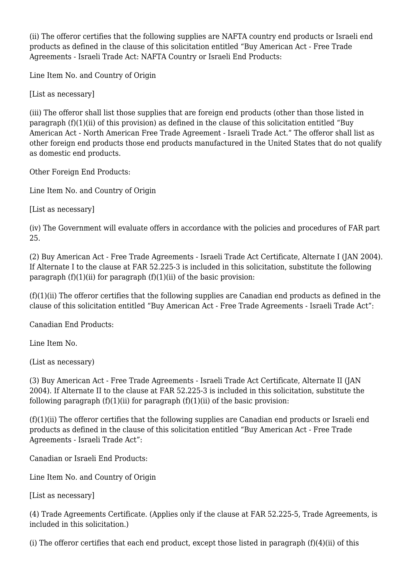(ii) The offeror certifies that the following supplies are NAFTA country end products or Israeli end products as defined in the clause of this solicitation entitled "Buy American Act - Free Trade Agreements - Israeli Trade Act: NAFTA Country or Israeli End Products:

Line Item No. and Country of Origin

[List as necessary]

(iii) The offeror shall list those supplies that are foreign end products (other than those listed in paragraph  $(f)(1)(ii)$  of this provision) as defined in the clause of this solicitation entitled "Buy American Act - North American Free Trade Agreement - Israeli Trade Act." The offeror shall list as other foreign end products those end products manufactured in the United States that do not qualify as domestic end products.

Other Foreign End Products:

Line Item No. and Country of Origin

[List as necessary]

(iv) The Government will evaluate offers in accordance with the policies and procedures of FAR part 25.

(2) Buy American Act - Free Trade Agreements - Israeli Trade Act Certificate, Alternate I (JAN 2004). If Alternate I to the clause at FAR 52.225-3 is included in this solicitation, substitute the following paragraph  $(f)(1)(ii)$  for paragraph  $(f)(1)(ii)$  of the basic provision:

 $(f)(1)(ii)$  The offeror certifies that the following supplies are Canadian end products as defined in the clause of this solicitation entitled "Buy American Act - Free Trade Agreements - Israeli Trade Act":

Canadian End Products:

Line Item No.

(List as necessary)

(3) Buy American Act - Free Trade Agreements - Israeli Trade Act Certificate, Alternate II (JAN 2004). If Alternate II to the clause at FAR 52.225-3 is included in this solicitation, substitute the following paragraph  $(f)(1)(ii)$  for paragraph  $(f)(1)(ii)$  of the basic provision:

 $(f)(1)(ii)$  The offeror certifies that the following supplies are Canadian end products or Israeli end products as defined in the clause of this solicitation entitled "Buy American Act - Free Trade Agreements - Israeli Trade Act":

Canadian or Israeli End Products:

Line Item No. and Country of Origin

[List as necessary]

(4) Trade Agreements Certificate. (Applies only if the clause at FAR 52.225-5, Trade Agreements, is included in this solicitation.)

(i) The offeror certifies that each end product, except those listed in paragraph (f)(4)(ii) of this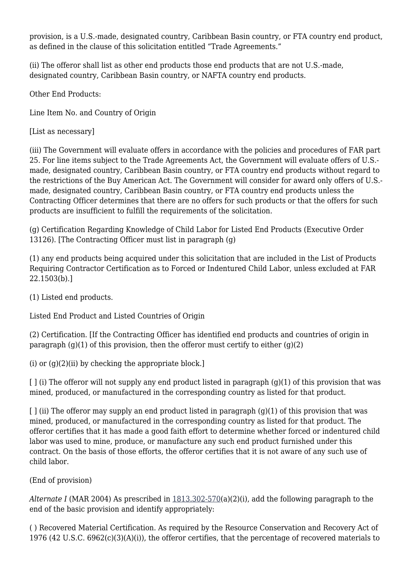provision, is a U.S.-made, designated country, Caribbean Basin country, or FTA country end product, as defined in the clause of this solicitation entitled "Trade Agreements."

(ii) The offeror shall list as other end products those end products that are not U.S.-made, designated country, Caribbean Basin country, or NAFTA country end products.

Other End Products:

Line Item No. and Country of Origin

[List as necessary]

(iii) The Government will evaluate offers in accordance with the policies and procedures of FAR part 25. For line items subject to the Trade Agreements Act, the Government will evaluate offers of U.S. made, designated country, Caribbean Basin country, or FTA country end products without regard to the restrictions of the Buy American Act. The Government will consider for award only offers of U.S. made, designated country, Caribbean Basin country, or FTA country end products unless the Contracting Officer determines that there are no offers for such products or that the offers for such products are insufficient to fulfill the requirements of the solicitation.

(g) Certification Regarding Knowledge of Child Labor for Listed End Products (Executive Order 13126). [The Contracting Officer must list in paragraph (g)

(1) any end products being acquired under this solicitation that are included in the List of Products Requiring Contractor Certification as to Forced or Indentured Child Labor, unless excluded at FAR 22.1503(b).]

(1) Listed end products.

Listed End Product and Listed Countries of Origin

(2) Certification. [If the Contracting Officer has identified end products and countries of origin in paragraph  $(g)(1)$  of this provision, then the offeror must certify to either  $(g)(2)$ 

(i) or  $(g)(2)(ii)$  by checking the appropriate block.]

 $\lbrack$   $\lbrack$   $\lbrack$  (i) The offeror will not supply any end product listed in paragraph (g)(1) of this provision that was mined, produced, or manufactured in the corresponding country as listed for that product.

 $\lbrack$   $\lbrack$   $\lbrack$  (ii) The offeror may supply an end product listed in paragraph (g)(1) of this provision that was mined, produced, or manufactured in the corresponding country as listed for that product. The offeror certifies that it has made a good faith effort to determine whether forced or indentured child labor was used to mine, produce, or manufacture any such end product furnished under this contract. On the basis of those efforts, the offeror certifies that it is not aware of any such use of child labor.

(End of provision)

*Alternate I* (MAR 2004) As prescribed in [1813.302-570](https://login.acquisition.gov/%5Brp:link:nfs-part-1813%5D#Section_1813_302_570_T48_6041812111)(a)(2)(i), add the following paragraph to the end of the basic provision and identify appropriately:

( ) Recovered Material Certification. As required by the Resource Conservation and Recovery Act of 1976 (42 U.S.C. 6962(c)(3)(A)(i)), the offeror certifies, that the percentage of recovered materials to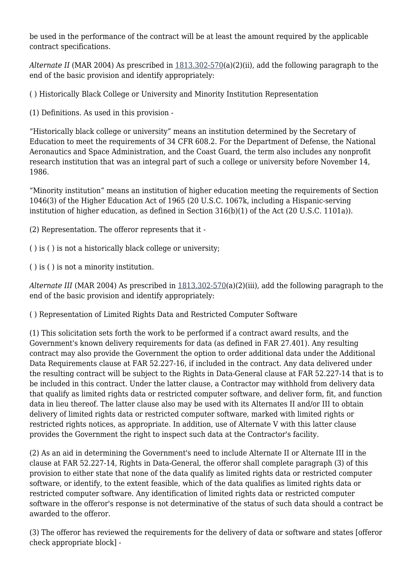be used in the performance of the contract will be at least the amount required by the applicable contract specifications.

*Alternate II* (MAR 2004) As prescribed in [1813.302-570](https://login.acquisition.gov/%5Brp:link:nfs-part-1813%5D#Section_1813_302_570_T48_6041812111)(a)(2)(ii), add the following paragraph to the end of the basic provision and identify appropriately:

( ) Historically Black College or University and Minority Institution Representation

(1) Definitions. As used in this provision -

"Historically black college or university" means an institution determined by the Secretary of Education to meet the requirements of 34 CFR 608.2. For the Department of Defense, the National Aeronautics and Space Administration, and the Coast Guard, the term also includes any nonprofit research institution that was an integral part of such a college or university before November 14, 1986.

"Minority institution" means an institution of higher education meeting the requirements of Section 1046(3) of the Higher Education Act of 1965 (20 U.S.C. 1067k, including a Hispanic-serving institution of higher education, as defined in Section 316(b)(1) of the Act (20 U.S.C. 1101a)).

(2) Representation. The offeror represents that it -

( ) is ( ) is not a historically black college or university;

( ) is ( ) is not a minority institution.

*Alternate III* (MAR 2004) As prescribed in [1813.302-570\(](https://login.acquisition.gov/%5Brp:link:nfs-part-1813%5D#Section_1813_302_570_T48_6041812111)a)(2)(iii), add the following paragraph to the end of the basic provision and identify appropriately:

( ) Representation of Limited Rights Data and Restricted Computer Software

(1) This solicitation sets forth the work to be performed if a contract award results, and the Government's known delivery requirements for data (as defined in FAR 27.401). Any resulting contract may also provide the Government the option to order additional data under the Additional Data Requirements clause at FAR 52.227-16, if included in the contract. Any data delivered under the resulting contract will be subject to the Rights in Data-General clause at FAR 52.227-14 that is to be included in this contract. Under the latter clause, a Contractor may withhold from delivery data that qualify as limited rights data or restricted computer software, and deliver form, fit, and function data in lieu thereof. The latter clause also may be used with its Alternates II and/or III to obtain delivery of limited rights data or restricted computer software, marked with limited rights or restricted rights notices, as appropriate. In addition, use of Alternate V with this latter clause provides the Government the right to inspect such data at the Contractor's facility.

(2) As an aid in determining the Government's need to include Alternate II or Alternate III in the clause at FAR 52.227-14, Rights in Data-General, the offeror shall complete paragraph (3) of this provision to either state that none of the data qualify as limited rights data or restricted computer software, or identify, to the extent feasible, which of the data qualifies as limited rights data or restricted computer software. Any identification of limited rights data or restricted computer software in the offeror's response is not determinative of the status of such data should a contract be awarded to the offeror.

(3) The offeror has reviewed the requirements for the delivery of data or software and states [offeror check appropriate block] -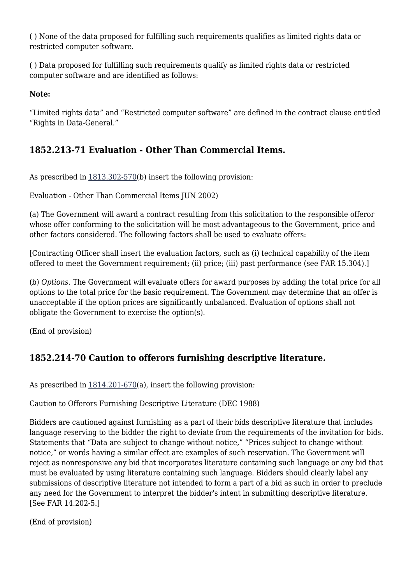( ) None of the data proposed for fulfilling such requirements qualifies as limited rights data or restricted computer software.

( ) Data proposed for fulfilling such requirements qualify as limited rights data or restricted computer software and are identified as follows:

**Note:**

"Limited rights data" and "Restricted computer software" are defined in the contract clause entitled "Rights in Data-General."

## **1852.213-71 Evaluation - Other Than Commercial Items.**

As prescribed in [1813.302-570](https://login.acquisition.gov/%5Brp:link:nfs-part-1813%5D#Section_1813_302_570_T48_6041812111)(b) insert the following provision:

Evaluation - Other Than Commercial Items JUN 2002)

(a) The Government will award a contract resulting from this solicitation to the responsible offeror whose offer conforming to the solicitation will be most advantageous to the Government, price and other factors considered. The following factors shall be used to evaluate offers:

[Contracting Officer shall insert the evaluation factors, such as (i) technical capability of the item offered to meet the Government requirement; (ii) price; (iii) past performance (see FAR 15.304).]

(b) *Options.* The Government will evaluate offers for award purposes by adding the total price for all options to the total price for the basic requirement. The Government may determine that an offer is unacceptable if the option prices are significantly unbalanced. Evaluation of options shall not obligate the Government to exercise the option(s).

(End of provision)

# **1852.214-70 Caution to offerors furnishing descriptive literature.**

As prescribed in [1814.201-670](https://login.acquisition.gov/%5Brp:link:nfs-part-1814%5D#Section_1814_201_670_T48_6041813112)(a), insert the following provision:

Caution to Offerors Furnishing Descriptive Literature (DEC 1988)

Bidders are cautioned against furnishing as a part of their bids descriptive literature that includes language reserving to the bidder the right to deviate from the requirements of the invitation for bids. Statements that "Data are subject to change without notice," "Prices subject to change without notice," or words having a similar effect are examples of such reservation. The Government will reject as nonresponsive any bid that incorporates literature containing such language or any bid that must be evaluated by using literature containing such language. Bidders should clearly label any submissions of descriptive literature not intended to form a part of a bid as such in order to preclude any need for the Government to interpret the bidder's intent in submitting descriptive literature. [See FAR 14.202-5.]

(End of provision)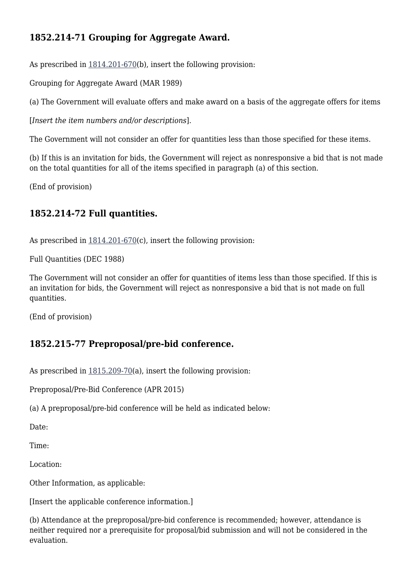#### **1852.214-71 Grouping for Aggregate Award.**

As prescribed in [1814.201-670](https://login.acquisition.gov/%5Brp:link:nfs-part-1814%5D#Section_1814_201_670_T48_6041813112)(b), insert the following provision:

Grouping for Aggregate Award (MAR 1989)

(a) The Government will evaluate offers and make award on a basis of the aggregate offers for items

[*Insert the item numbers and/or descriptions*].

The Government will not consider an offer for quantities less than those specified for these items.

(b) If this is an invitation for bids, the Government will reject as nonresponsive a bid that is not made on the total quantities for all of the items specified in paragraph (a) of this section.

(End of provision)

#### **1852.214-72 Full quantities.**

As prescribed in [1814.201-670](https://login.acquisition.gov/%5Brp:link:nfs-part-1814%5D#Section_1814_201_670_T48_6041813112)(c), insert the following provision:

Full Quantities (DEC 1988)

The Government will not consider an offer for quantities of items less than those specified. If this is an invitation for bids, the Government will reject as nonresponsive a bid that is not made on full quantities.

(End of provision)

#### **1852.215-77 Preproposal/pre-bid conference.**

As prescribed in [1815.209-70\(](https://login.acquisition.gov/%5Brp:link:nfs-part-1815%5D#Section_1815_209_70_T48_6041814117)a), insert the following provision:

Preproposal/Pre-Bid Conference (APR 2015)

(a) A preproposal/pre-bid conference will be held as indicated below:

Date:

Time:

Location:

Other Information, as applicable:

[Insert the applicable conference information.]

(b) Attendance at the preproposal/pre-bid conference is recommended; however, attendance is neither required nor a prerequisite for proposal/bid submission and will not be considered in the evaluation.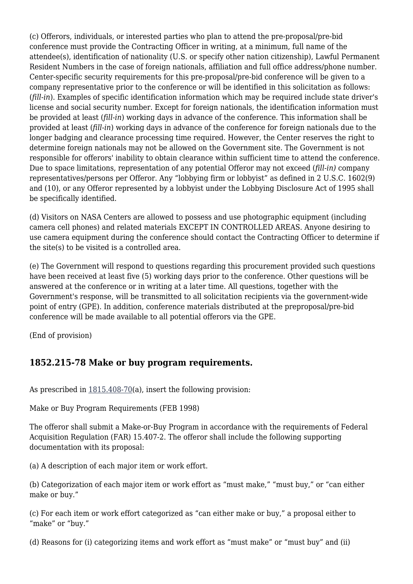(c) Offerors, individuals, or interested parties who plan to attend the pre-proposal/pre-bid conference must provide the Contracting Officer in writing, at a minimum, full name of the attendee(s), identification of nationality (U.S. or specify other nation citizenship), Lawful Permanent Resident Numbers in the case of foreign nationals, affiliation and full office address/phone number. Center-specific security requirements for this pre-proposal/pre-bid conference will be given to a company representative prior to the conference or will be identified in this solicitation as follows: (*fill-in*). Examples of specific identification information which may be required include state driver's license and social security number. Except for foreign nationals, the identification information must be provided at least (*fill-in*) working days in advance of the conference. This information shall be provided at least (*fill-in*) working days in advance of the conference for foreign nationals due to the longer badging and clearance processing time required. However, the Center reserves the right to determine foreign nationals may not be allowed on the Government site. The Government is not responsible for offerors' inability to obtain clearance within sufficient time to attend the conference. Due to space limitations, representation of any potential Offeror may not exceed (*fill-in)* company representatives/persons per Offeror. Any "lobbying firm or lobbyist" as defined in 2 U.S.C. 1602(9) and (10), or any Offeror represented by a lobbyist under the Lobbying Disclosure Act of 1995 shall be specifically identified.

(d) Visitors on NASA Centers are allowed to possess and use photographic equipment (including camera cell phones) and related materials EXCEPT IN CONTROLLED AREAS. Anyone desiring to use camera equipment during the conference should contact the Contracting Officer to determine if the site(s) to be visited is a controlled area.

(e) The Government will respond to questions regarding this procurement provided such questions have been received at least five (5) working days prior to the conference. Other questions will be answered at the conference or in writing at a later time. All questions, together with the Government's response, will be transmitted to all solicitation recipients via the government-wide point of entry (GPE). In addition, conference materials distributed at the preproposal/pre-bid conference will be made available to all potential offerors via the GPE.

(End of provision)

#### **1852.215-78 Make or buy program requirements.**

As prescribed in  $1815.408-70$ (a), insert the following provision:

Make or Buy Program Requirements (FEB 1998)

The offeror shall submit a Make-or-Buy Program in accordance with the requirements of Federal Acquisition Regulation (FAR) 15.407-2. The offeror shall include the following supporting documentation with its proposal:

(a) A description of each major item or work effort.

(b) Categorization of each major item or work effort as "must make," "must buy," or "can either make or buy."

(c) For each item or work effort categorized as "can either make or buy," a proposal either to "make" or "buy."

(d) Reasons for (i) categorizing items and work effort as "must make" or "must buy" and (ii)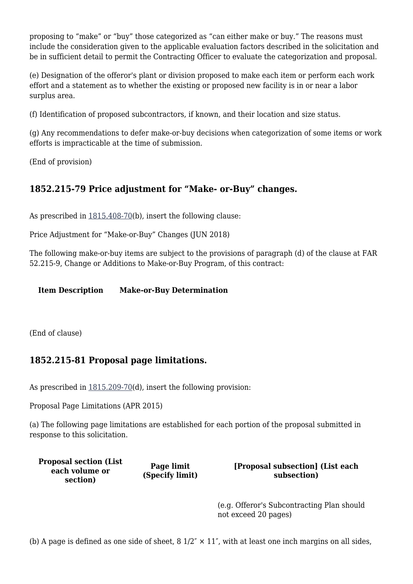proposing to "make" or "buy" those categorized as "can either make or buy." The reasons must include the consideration given to the applicable evaluation factors described in the solicitation and be in sufficient detail to permit the Contracting Officer to evaluate the categorization and proposal.

(e) Designation of the offeror's plant or division proposed to make each item or perform each work effort and a statement as to whether the existing or proposed new facility is in or near a labor surplus area.

(f) Identification of proposed subcontractors, if known, and their location and size status.

(g) Any recommendations to defer make-or-buy decisions when categorization of some items or work efforts is impracticable at the time of submission.

(End of provision)

## **1852.215-79 Price adjustment for "Make- or-Buy" changes.**

As prescribed in  $1815.408-70(b)$  $1815.408-70(b)$ , insert the following clause:

Price Adjustment for "Make-or-Buy" Changes (JUN 2018)

The following make-or-buy items are subject to the provisions of paragraph (d) of the clause at FAR 52.215-9, Change or Additions to Make-or-Buy Program, of this contract:

**Item Description Make-or-Buy Determination**

(End of clause)

#### **1852.215-81 Proposal page limitations.**

As prescribed in  $1815.209-70(d)$  $1815.209-70(d)$ , insert the following provision:

Proposal Page Limitations (APR 2015)

(a) The following page limitations are established for each portion of the proposal submitted in response to this solicitation.

**Proposal section (List each volume or section)**

**Page limit (Specify limit)** **[Proposal subsection] (List each subsection)**

(e.g. Offeror's Subcontracting Plan should not exceed 20 pages)

(b) A page is defined as one side of sheet,  $8\frac{1}{2}$  ×  $11$ ", with at least one inch margins on all sides,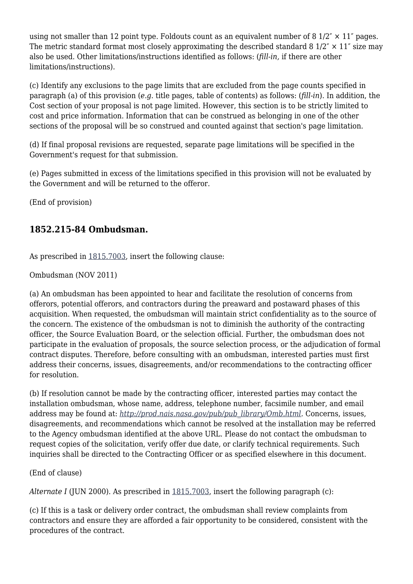using not smaller than 12 point type. Foldouts count as an equivalent number of 8  $1/2^r \times 11^r$  pages. The metric standard format most closely approximating the described standard 8  $1/2$ "  $\times$  11" size may also be used. Other limitations/instructions identified as follows: (*fill-in,* if there are other limitations/instructions).

(c) Identify any exclusions to the page limits that are excluded from the page counts specified in paragraph (a) of this provision (*e.g.* title pages, table of contents) as follows: (*fill-in*). In addition, the Cost section of your proposal is not page limited. However, this section is to be strictly limited to cost and price information. Information that can be construed as belonging in one of the other sections of the proposal will be so construed and counted against that section's page limitation.

(d) If final proposal revisions are requested, separate page limitations will be specified in the Government's request for that submission.

(e) Pages submitted in excess of the limitations specified in this provision will not be evaluated by the Government and will be returned to the offeror.

(End of provision)

#### **1852.215-84 Ombudsman.**

As prescribed in [1815.7003](https://login.acquisition.gov/%5Brp:link:nfs-part-1815%5D#Section_1815_7003_T48_6041814612), insert the following clause:

Ombudsman (NOV 2011)

(a) An ombudsman has been appointed to hear and facilitate the resolution of concerns from offerors, potential offerors, and contractors during the preaward and postaward phases of this acquisition. When requested, the ombudsman will maintain strict confidentiality as to the source of the concern. The existence of the ombudsman is not to diminish the authority of the contracting officer, the Source Evaluation Board, or the selection official. Further, the ombudsman does not participate in the evaluation of proposals, the source selection process, or the adjudication of formal contract disputes. Therefore, before consulting with an ombudsman, interested parties must first address their concerns, issues, disagreements, and/or recommendations to the contracting officer for resolution.

(b) If resolution cannot be made by the contracting officer, interested parties may contact the installation ombudsman, whose name, address, telephone number, facsimile number, and email address may be found at: *[http://prod.nais.nasa.gov/pub/pub\\_library/Omb.html](http://prod.nais.nasa.gov/pub/pub_library/Omb.html).* Concerns, issues, disagreements, and recommendations which cannot be resolved at the installation may be referred to the Agency ombudsman identified at the above URL. Please do not contact the ombudsman to request copies of the solicitation, verify offer due date, or clarify technical requirements. Such inquiries shall be directed to the Contracting Officer or as specified elsewhere in this document.

(End of clause)

*Alternate I* (JUN 2000). As prescribed in [1815.7003,](https://login.acquisition.gov/%5Brp:link:nfs-part-1815%5D#Section_1815_7003_T48_6041814612) insert the following paragraph (c):

(c) If this is a task or delivery order contract, the ombudsman shall review complaints from contractors and ensure they are afforded a fair opportunity to be considered, consistent with the procedures of the contract.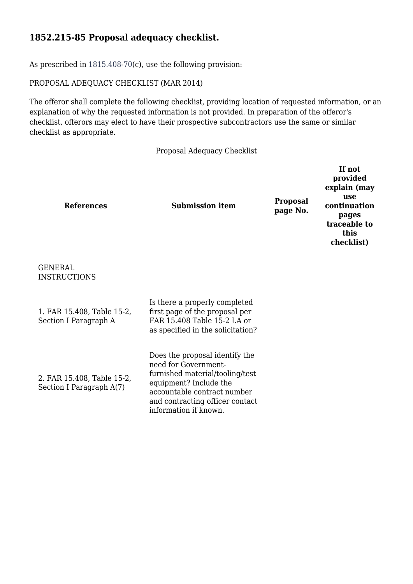#### **1852.215-85 Proposal adequacy checklist.**

As prescribed in  $1815.408-70(c)$  $1815.408-70(c)$ , use the following provision:

PROPOSAL ADEQUACY CHECKLIST (MAR 2014)

The offeror shall complete the following checklist, providing location of requested information, or an explanation of why the requested information is not provided. In preparation of the offeror's checklist, offerors may elect to have their prospective subcontractors use the same or similar checklist as appropriate.

Proposal Adequacy Checklist

| <b>References</b>                                      | <b>Submission item</b>                                                                                                                                                                                         | <b>Proposal</b><br>page No. | If not<br>provided<br>explain (may<br>use<br>continuation<br>pages<br>traceable to<br>this<br>checklist) |
|--------------------------------------------------------|----------------------------------------------------------------------------------------------------------------------------------------------------------------------------------------------------------------|-----------------------------|----------------------------------------------------------------------------------------------------------|
| <b>GENERAL</b><br><b>INSTRUCTIONS</b>                  |                                                                                                                                                                                                                |                             |                                                                                                          |
| 1. FAR 15.408, Table 15-2,<br>Section I Paragraph A    | Is there a properly completed<br>first page of the proposal per<br>FAR 15.408 Table 15-2 I.A or<br>as specified in the solicitation?                                                                           |                             |                                                                                                          |
| 2. FAR 15.408, Table 15-2,<br>Section I Paragraph A(7) | Does the proposal identify the<br>need for Government-<br>furnished material/tooling/test<br>equipment? Include the<br>accountable contract number<br>and contracting officer contact<br>information if known. |                             |                                                                                                          |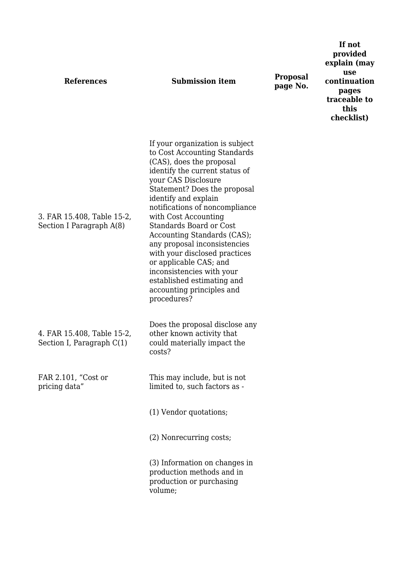| <b>References</b>                                       | <b>Submission item</b>                                                                                                                                                                                                                                                                                                                                                                                                                                                                                                                    | <b>Proposal</b><br>page No. | If not<br>provided<br>explain (may<br>use<br>continuation<br>pages<br>traceable to<br>this<br>checklist) |
|---------------------------------------------------------|-------------------------------------------------------------------------------------------------------------------------------------------------------------------------------------------------------------------------------------------------------------------------------------------------------------------------------------------------------------------------------------------------------------------------------------------------------------------------------------------------------------------------------------------|-----------------------------|----------------------------------------------------------------------------------------------------------|
| 3. FAR 15.408, Table 15-2,<br>Section I Paragraph A(8)  | If your organization is subject<br>to Cost Accounting Standards<br>(CAS), does the proposal<br>identify the current status of<br>your CAS Disclosure<br>Statement? Does the proposal<br>identify and explain<br>notifications of noncompliance<br>with Cost Accounting<br><b>Standards Board or Cost</b><br>Accounting Standards (CAS);<br>any proposal inconsistencies<br>with your disclosed practices<br>or applicable CAS; and<br>inconsistencies with your<br>established estimating and<br>accounting principles and<br>procedures? |                             |                                                                                                          |
| 4. FAR 15.408, Table 15-2,<br>Section I, Paragraph C(1) | Does the proposal disclose any<br>other known activity that<br>could materially impact the<br>costs?                                                                                                                                                                                                                                                                                                                                                                                                                                      |                             |                                                                                                          |
| FAR 2.101, "Cost or<br>pricing data"                    | This may include, but is not<br>limited to, such factors as -                                                                                                                                                                                                                                                                                                                                                                                                                                                                             |                             |                                                                                                          |
|                                                         | (1) Vendor quotations;                                                                                                                                                                                                                                                                                                                                                                                                                                                                                                                    |                             |                                                                                                          |
|                                                         | (2) Nonrecurring costs;                                                                                                                                                                                                                                                                                                                                                                                                                                                                                                                   |                             |                                                                                                          |
|                                                         | (3) Information on changes in<br>production methods and in<br>production or purchasing<br>volume;                                                                                                                                                                                                                                                                                                                                                                                                                                         |                             |                                                                                                          |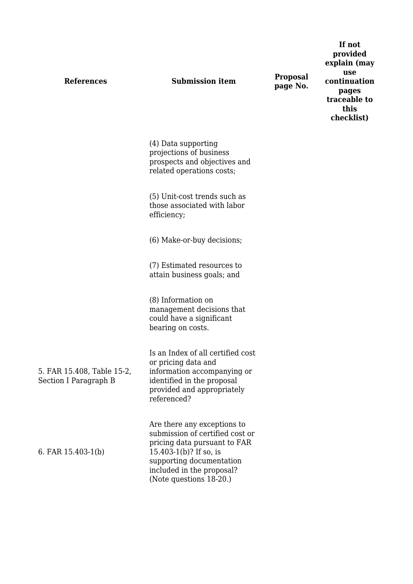| <b>References</b>                                   | <b>Submission item</b>                                                                                                                                                                                       | <b>Proposal</b><br>page No. | provided<br>explain (may<br>use<br>continuation<br>pages<br>traceable to<br>this<br>checklist) |
|-----------------------------------------------------|--------------------------------------------------------------------------------------------------------------------------------------------------------------------------------------------------------------|-----------------------------|------------------------------------------------------------------------------------------------|
|                                                     | (4) Data supporting<br>projections of business<br>prospects and objectives and<br>related operations costs;                                                                                                  |                             |                                                                                                |
|                                                     | (5) Unit-cost trends such as<br>those associated with labor<br>efficiency;                                                                                                                                   |                             |                                                                                                |
|                                                     | (6) Make-or-buy decisions;                                                                                                                                                                                   |                             |                                                                                                |
|                                                     | (7) Estimated resources to<br>attain business goals; and                                                                                                                                                     |                             |                                                                                                |
|                                                     | (8) Information on<br>management decisions that<br>could have a significant<br>bearing on costs.                                                                                                             |                             |                                                                                                |
| 5. FAR 15.408, Table 15-2,<br>Section I Paragraph B | Is an Index of all certified cost<br>or pricing data and<br>information accompanying or<br>identified in the proposal<br>provided and appropriately<br>referenced?                                           |                             |                                                                                                |
| 6. FAR $15.403-1(b)$                                | Are there any exceptions to<br>submission of certified cost or<br>pricing data pursuant to FAR<br>15.403-1(b)? If so, is<br>supporting documentation<br>included in the proposal?<br>(Note questions 18-20.) |                             |                                                                                                |

**If not**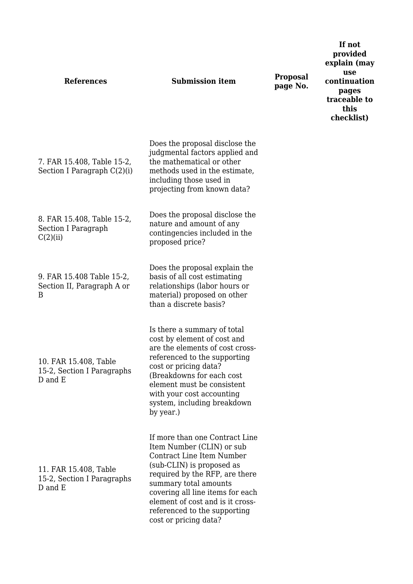| <b>References</b>                                              | <b>Submission item</b>                                                                                                                                                                                                                                                                                            | <b>Proposal</b><br>page No. | If not<br>provided<br>explain (may<br>use<br>continuation<br>pages<br>traceable to<br>this<br>checklist) |
|----------------------------------------------------------------|-------------------------------------------------------------------------------------------------------------------------------------------------------------------------------------------------------------------------------------------------------------------------------------------------------------------|-----------------------------|----------------------------------------------------------------------------------------------------------|
| 7. FAR 15.408, Table 15-2,<br>Section I Paragraph C(2)(i)      | Does the proposal disclose the<br>judgmental factors applied and<br>the mathematical or other<br>methods used in the estimate,<br>including those used in<br>projecting from known data?                                                                                                                          |                             |                                                                                                          |
| 8. FAR 15.408, Table 15-2,<br>Section I Paragraph<br>C(2)(ii)  | Does the proposal disclose the<br>nature and amount of any<br>contingencies included in the<br>proposed price?                                                                                                                                                                                                    |                             |                                                                                                          |
| 9. FAR 15.408 Table 15-2,<br>Section II, Paragraph A or<br>B   | Does the proposal explain the<br>basis of all cost estimating<br>relationships (labor hours or<br>material) proposed on other<br>than a discrete basis?                                                                                                                                                           |                             |                                                                                                          |
| 10. FAR 15.408, Table<br>15-2, Section I Paragraphs<br>D and E | Is there a summary of total<br>cost by element of cost and<br>are the elements of cost cross-<br>referenced to the supporting<br>cost or pricing data?<br>(Breakdowns for each cost<br>element must be consistent<br>with your cost accounting<br>system, including breakdown<br>by year.)                        |                             |                                                                                                          |
| 11. FAR 15.408, Table<br>15-2, Section I Paragraphs<br>D and E | If more than one Contract Line<br>Item Number (CLIN) or sub<br>Contract Line Item Number<br>(sub-CLIN) is proposed as<br>required by the RFP, are there<br>summary total amounts<br>covering all line items for each<br>element of cost and is it cross-<br>referenced to the supporting<br>cost or pricing data? |                             |                                                                                                          |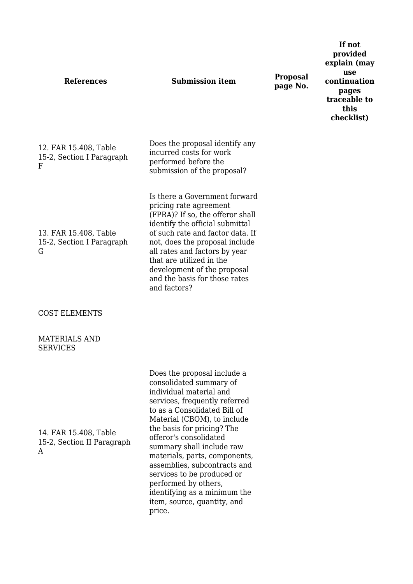**References Submission item Proposal** 12. FAR 15.408, Table 15-2, Section I Paragraph F Does the proposal identify any incurred costs for work performed before the submission of the proposal? 13. FAR 15.408, Table 15-2, Section I Paragraph G Is there a Government forward pricing rate agreement (FPRA)? If so, the offeror shall identify the official submittal of such rate and factor data. If not, does the proposal include all rates and factors by year that are utilized in the development of the proposal and the basis for those rates and factors? COST ELEMENTS MATERIALS AND **SERVICES** 14. FAR 15.408, Table 15-2, Section II Paragraph A Does the proposal include a consolidated summary of individual material and services, frequently referred to as a Consolidated Bill of Material (CBOM), to include the basis for pricing? The offeror's consolidated summary shall include raw materials, parts, components, assemblies, subcontracts and services to be produced or performed by others, identifying as a minimum the item, source, quantity, and price.

**page No.**

**If not provided explain (may use continuation pages traceable to this checklist)**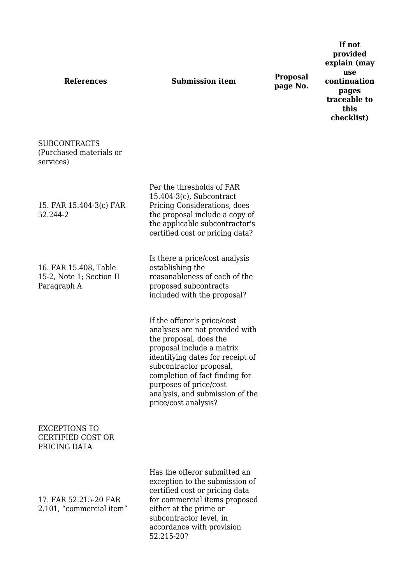# **References Submission item Proposal**

Per the thresholds of FAR 15.404-3(c), Subcontract Pricing Considerations, does the proposal include a copy of the applicable subcontractor's certified cost or pricing data?

Is there a price/cost analysis

analyses are not provided with

analysis, and submission of the

the proposal, does the proposal include a matrix identifying dates for receipt of

subcontractor proposal, completion of fact finding for

purposes of price/cost

price/cost analysis?

establishing the

**page No.**

**If not provided explain (may use continuation pages traceable to this checklist)**

SUBCONTRACTS (Purchased materials or services)

15. FAR 15.404-3(c) FAR 52.244-2

16. FAR 15.408, Table 15-2, Note 1; Section II Paragraph A

reasonableness of each of the proposed subcontracts included with the proposal? If the offeror's price/cost

EXCEPTIONS TO CERTIFIED COST OR PRICING DATA

17. FAR 52.215-20 FAR 2.101, "commercial item" Has the offeror submitted an exception to the submission of certified cost or pricing data for commercial items proposed either at the prime or subcontractor level, in accordance with provision 52.215-20?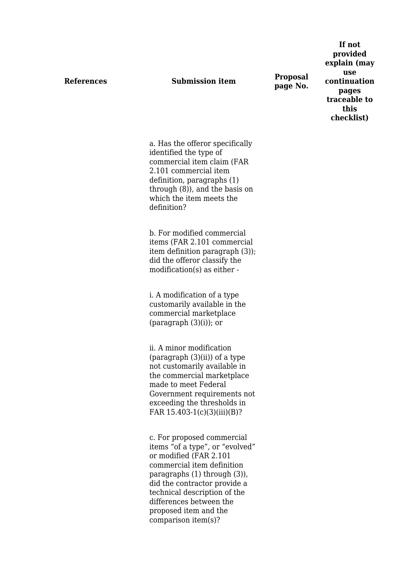**References Submission item Proposal page No.**

**If not provided explain (may use continuation pages traceable to this checklist)**

a. Has the offeror specifically identified the type of commercial item claim (FAR 2.101 commercial item definition, paragraphs (1) through (8)), and the basis on which the item meets the definition?

b. For modified commercial items (FAR 2.101 commercial item definition paragraph (3)); did the offeror classify the modification(s) as either -

i. A modification of a type customarily available in the commercial marketplace (paragraph  $(3)(i)$ ); or

ii. A minor modification  $\frac{1}{2}$  (paragraph  $(3)(ii)$ ) of a type not customarily available in the commercial marketplace made to meet Federal Government requirements not exceeding the thresholds in FAR 15.403-1(c)(3)(iii)(B)?

c. For proposed commercial items "of a type", or "evolved" or modified (FAR 2.101 commercial item definition paragraphs (1) through (3)), did the contractor provide a technical description of the differences between the proposed item and the comparison item(s)?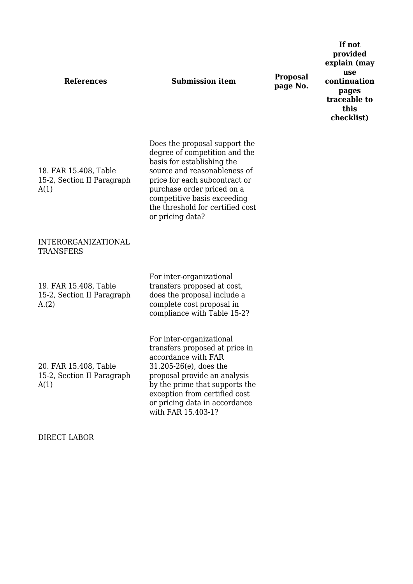| <b>References</b>                                           | <b>Submission item</b>                                                                                                                                                                                                                                                             | <b>Proposal</b><br>page No. | provided<br>explain (may<br>use<br>continuation<br>pages<br>traceable to<br>this<br>checklist) |
|-------------------------------------------------------------|------------------------------------------------------------------------------------------------------------------------------------------------------------------------------------------------------------------------------------------------------------------------------------|-----------------------------|------------------------------------------------------------------------------------------------|
| 18. FAR 15.408, Table<br>15-2, Section II Paragraph<br>A(1) | Does the proposal support the<br>degree of competition and the<br>basis for establishing the<br>source and reasonableness of<br>price for each subcontract or<br>purchase order priced on a<br>competitive basis exceeding<br>the threshold for certified cost<br>or pricing data? |                             |                                                                                                |
| <b>INTERORGANIZATIONAL</b><br><b>TRANSFERS</b>              |                                                                                                                                                                                                                                                                                    |                             |                                                                                                |
| 19. FAR 15.408, Table<br>15-2, Section II Paragraph<br>A(2) | For inter-organizational<br>transfers proposed at cost,<br>does the proposal include a<br>complete cost proposal in<br>compliance with Table 15-2?                                                                                                                                 |                             |                                                                                                |
| 20. FAR 15.408, Table<br>15-2, Section II Paragraph<br>A(1) | For inter-organizational<br>transfers proposed at price in<br>accordance with FAR<br>$31.205 - 26(e)$ , does the<br>proposal provide an analysis<br>by the prime that supports the<br>exception from certified cost<br>or pricing data in accordance<br>with FAR 15.403-1?         |                             |                                                                                                |

**If not**

DIRECT LABOR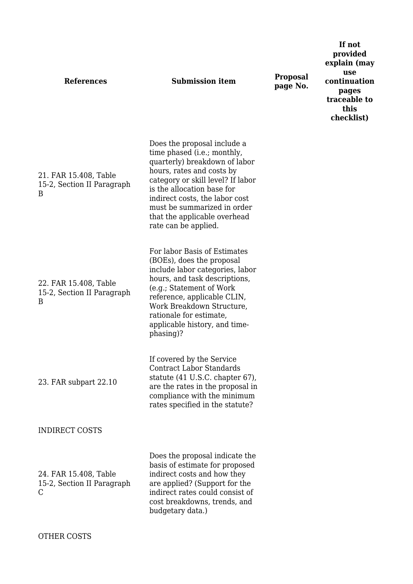| <b>References</b>                                        | <b>Submission item</b>                                                                                                                                                                                                                                                                                               | <b>Proposal</b><br>page No. | provided<br>explain (may<br>use<br>continuation<br>pages<br>traceable to<br>this<br>checklist) |
|----------------------------------------------------------|----------------------------------------------------------------------------------------------------------------------------------------------------------------------------------------------------------------------------------------------------------------------------------------------------------------------|-----------------------------|------------------------------------------------------------------------------------------------|
| 21. FAR 15.408, Table<br>15-2, Section II Paragraph<br>B | Does the proposal include a<br>time phased (i.e.; monthly,<br>quarterly) breakdown of labor<br>hours, rates and costs by<br>category or skill level? If labor<br>is the allocation base for<br>indirect costs, the labor cost<br>must be summarized in order<br>that the applicable overhead<br>rate can be applied. |                             |                                                                                                |
| 22. FAR 15.408, Table<br>15-2, Section II Paragraph<br>B | For labor Basis of Estimates<br>(BOEs), does the proposal<br>include labor categories, labor<br>hours, and task descriptions,<br>(e.g.; Statement of Work<br>reference, applicable CLIN,<br>Work Breakdown Structure,<br>rationale for estimate,<br>applicable history, and time-<br>phasing)?                       |                             |                                                                                                |
| 23. FAR subpart 22.10                                    | If covered by the Service<br><b>Contract Labor Standards</b><br>statute (41 U.S.C. chapter 67),<br>are the rates in the proposal in<br>compliance with the minimum<br>rates specified in the statute?                                                                                                                |                             |                                                                                                |
| <b>INDIRECT COSTS</b>                                    |                                                                                                                                                                                                                                                                                                                      |                             |                                                                                                |
| 24. FAR 15.408, Table<br>15-2, Section II Paragraph<br>C | Does the proposal indicate the<br>basis of estimate for proposed<br>indirect costs and how they<br>are applied? (Support for the<br>indirect rates could consist of<br>cost breakdowns, trends, and<br>budgetary data.)                                                                                              |                             |                                                                                                |

**If not**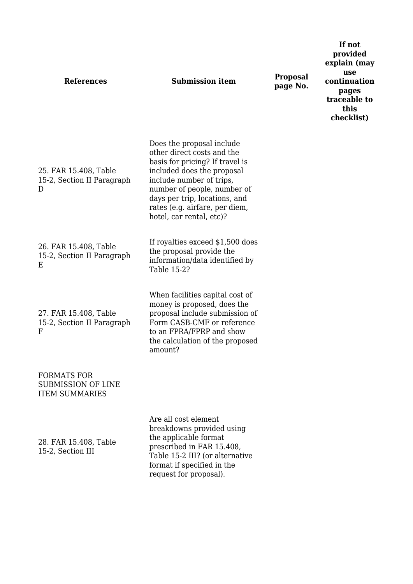| <b>References</b>                                                 | <b>Submission item</b>                                                                                                                                                                                                                                                             | Proposal<br>page No. |
|-------------------------------------------------------------------|------------------------------------------------------------------------------------------------------------------------------------------------------------------------------------------------------------------------------------------------------------------------------------|----------------------|
| 25. FAR 15.408, Table<br>15-2, Section II Paragraph<br>D          | Does the proposal include<br>other direct costs and the<br>basis for pricing? If travel is<br>included does the proposal<br>include number of trips,<br>number of people, number of<br>days per trip, locations, and<br>rates (e.g. airfare, per diem,<br>hotel, car rental, etc)? |                      |
| 26. FAR 15.408, Table<br>15-2, Section II Paragraph<br>Ε          | If royalties exceed \$1,500 does<br>the proposal provide the<br>information/data identified by<br>Table 15-2?                                                                                                                                                                      |                      |
| 27. FAR 15.408, Table<br>15-2, Section II Paragraph<br>F          | When facilities capital cost of<br>money is proposed, does the<br>proposal include submission of<br>Form CASB-CMF or reference<br>to an FPRA/FPRP and show<br>the calculation of the proposed<br>amount?                                                                           |                      |
| FORMATS FOR<br><b>SUBMISSION OF LINE</b><br><b>ITEM SUMMARIES</b> |                                                                                                                                                                                                                                                                                    |                      |
| 28. FAR 15.408, Table<br>15-2, Section III                        | Are all cost element<br>breakdowns provided using<br>the applicable format<br>prescribed in FAR 15.408,<br>Table 15-2 III? (or alternative<br>format if specified in the<br>request for proposal).                                                                                 |                      |

**If not provided explain (may use continuation pages traceable to this checklist)**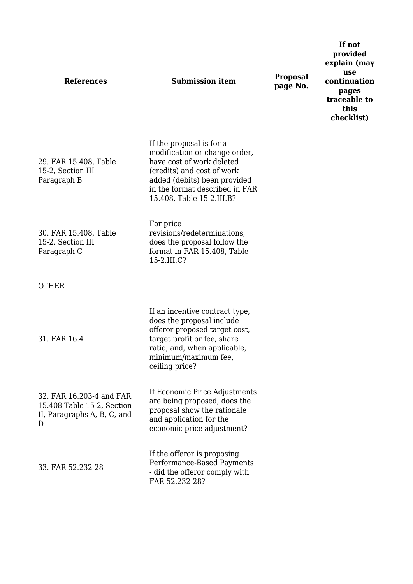| <b>References</b>                                                                          | <b>Submission item</b>                                                                                                                                                                                              | <b>Proposal</b><br>page No. | If not<br>provided<br>explain (may<br>use<br>continuation<br>pages<br>traceable to<br>this<br>checklist) |
|--------------------------------------------------------------------------------------------|---------------------------------------------------------------------------------------------------------------------------------------------------------------------------------------------------------------------|-----------------------------|----------------------------------------------------------------------------------------------------------|
| 29. FAR 15.408, Table<br>15-2, Section III<br>Paragraph B                                  | If the proposal is for a<br>modification or change order,<br>have cost of work deleted<br>(credits) and cost of work<br>added (debits) been provided<br>in the format described in FAR<br>15.408, Table 15-2.III.B? |                             |                                                                                                          |
| 30. FAR 15.408, Table<br>15-2, Section III<br>Paragraph C                                  | For price<br>revisions/redeterminations,<br>does the proposal follow the<br>format in FAR 15.408, Table<br>15-2.III.C?                                                                                              |                             |                                                                                                          |
| <b>OTHER</b>                                                                               |                                                                                                                                                                                                                     |                             |                                                                                                          |
| 31. FAR 16.4                                                                               | If an incentive contract type,<br>does the proposal include<br>offeror proposed target cost,<br>target profit or fee, share<br>ratio, and, when applicable,<br>minimum/maximum fee,<br>ceiling price?               |                             |                                                                                                          |
| 32. FAR 16.203-4 and FAR<br>15.408 Table 15-2, Section<br>II, Paragraphs A, B, C, and<br>D | If Economic Price Adjustments<br>are being proposed, does the<br>proposal show the rationale<br>and application for the<br>economic price adjustment?                                                               |                             |                                                                                                          |
| 33. FAR 52.232-28                                                                          | If the offeror is proposing<br>Performance-Based Payments<br>- did the offeror comply with<br>FAR 52.232-28?                                                                                                        |                             |                                                                                                          |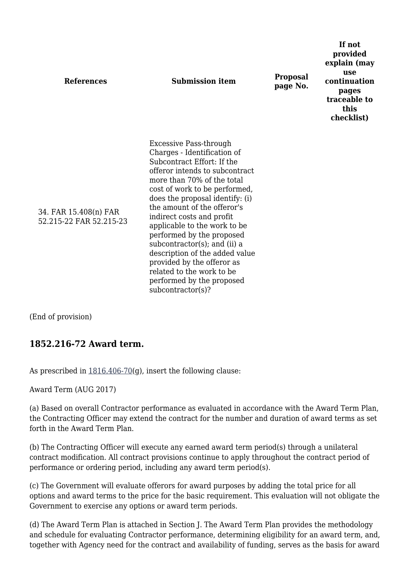| <b>References</b>                                | <b>Submission item</b>                                                                                                                                                                                                                                                                                                                                                                                                                                                                                                             | <b>Proposal</b><br>page No. | If not<br>provided<br>explain (may<br>use<br>continuation<br>pages<br>traceable to<br>this<br>checklist) |
|--------------------------------------------------|------------------------------------------------------------------------------------------------------------------------------------------------------------------------------------------------------------------------------------------------------------------------------------------------------------------------------------------------------------------------------------------------------------------------------------------------------------------------------------------------------------------------------------|-----------------------------|----------------------------------------------------------------------------------------------------------|
| 34. FAR 15.408(n) FAR<br>52.215-22 FAR 52.215-23 | Excessive Pass-through<br>Charges - Identification of<br>Subcontract Effort: If the<br>offeror intends to subcontract<br>more than 70% of the total<br>cost of work to be performed,<br>does the proposal identify: (i)<br>the amount of the offeror's<br>indirect costs and profit<br>applicable to the work to be<br>performed by the proposed<br>subcontractor(s); and (ii) a<br>description of the added value<br>provided by the offeror as<br>related to the work to be<br>performed by the proposed<br>$subcontractor(s)$ ? |                             |                                                                                                          |

(End of provision)

#### **1852.216-72 Award term.**

As prescribed in  $1816.406-70(q)$  $1816.406-70(q)$ , insert the following clause:

Award Term (AUG 2017)

(a) Based on overall Contractor performance as evaluated in accordance with the Award Term Plan, the Contracting Officer may extend the contract for the number and duration of award terms as set forth in the Award Term Plan.

(b) The Contracting Officer will execute any earned award term period(s) through a unilateral contract modification. All contract provisions continue to apply throughout the contract period of performance or ordering period, including any award term period(s).

(c) The Government will evaluate offerors for award purposes by adding the total price for all options and award terms to the price for the basic requirement. This evaluation will not obligate the Government to exercise any options or award term periods.

(d) The Award Term Plan is attached in Section J. The Award Term Plan provides the methodology and schedule for evaluating Contractor performance, determining eligibility for an award term, and, together with Agency need for the contract and availability of funding, serves as the basis for award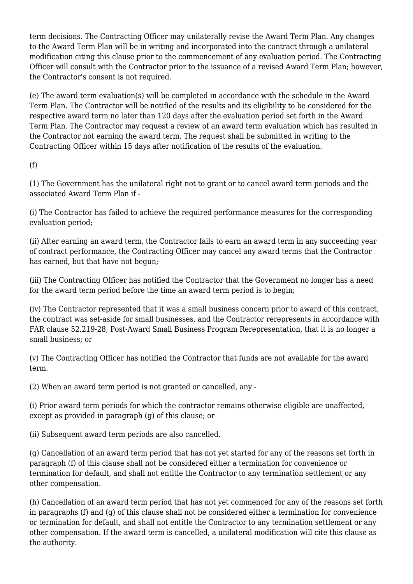term decisions. The Contracting Officer may unilaterally revise the Award Term Plan. Any changes to the Award Term Plan will be in writing and incorporated into the contract through a unilateral modification citing this clause prior to the commencement of any evaluation period. The Contracting Officer will consult with the Contractor prior to the issuance of a revised Award Term Plan; however, the Contractor's consent is not required.

(e) The award term evaluation(s) will be completed in accordance with the schedule in the Award Term Plan. The Contractor will be notified of the results and its eligibility to be considered for the respective award term no later than 120 days after the evaluation period set forth in the Award Term Plan. The Contractor may request a review of an award term evaluation which has resulted in the Contractor not earning the award term. The request shall be submitted in writing to the Contracting Officer within 15 days after notification of the results of the evaluation.

(f)

(1) The Government has the unilateral right not to grant or to cancel award term periods and the associated Award Term Plan if -

(i) The Contractor has failed to achieve the required performance measures for the corresponding evaluation period;

(ii) After earning an award term, the Contractor fails to earn an award term in any succeeding year of contract performance, the Contracting Officer may cancel any award terms that the Contractor has earned, but that have not begun;

(iii) The Contracting Officer has notified the Contractor that the Government no longer has a need for the award term period before the time an award term period is to begin;

(iv) The Contractor represented that it was a small business concern prior to award of this contract, the contract was set-aside for small businesses, and the Contractor rerepresents in accordance with FAR clause 52.219-28, Post-Award Small Business Program Rerepresentation, that it is no longer a small business; or

(v) The Contracting Officer has notified the Contractor that funds are not available for the award term.

(2) When an award term period is not granted or cancelled, any -

(i) Prior award term periods for which the contractor remains otherwise eligible are unaffected, except as provided in paragraph (g) of this clause; or

(ii) Subsequent award term periods are also cancelled.

(g) Cancellation of an award term period that has not yet started for any of the reasons set forth in paragraph (f) of this clause shall not be considered either a termination for convenience or termination for default, and shall not entitle the Contractor to any termination settlement or any other compensation.

(h) Cancellation of an award term period that has not yet commenced for any of the reasons set forth in paragraphs (f) and (g) of this clause shall not be considered either a termination for convenience or termination for default, and shall not entitle the Contractor to any termination settlement or any other compensation. If the award term is cancelled, a unilateral modification will cite this clause as the authority.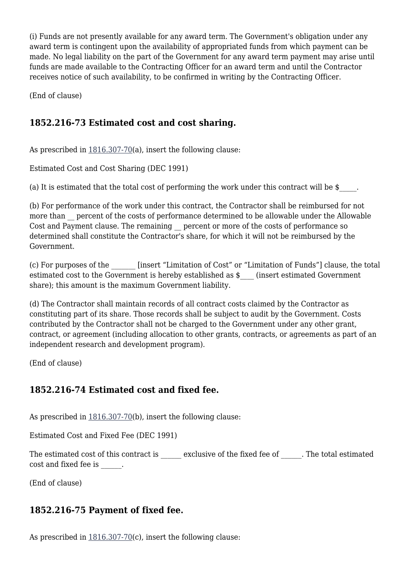(i) Funds are not presently available for any award term. The Government's obligation under any award term is contingent upon the availability of appropriated funds from which payment can be made. No legal liability on the part of the Government for any award term payment may arise until funds are made available to the Contracting Officer for an award term and until the Contractor receives notice of such availability, to be confirmed in writing by the Contracting Officer.

(End of clause)

# **1852.216-73 Estimated cost and cost sharing.**

As prescribed in  $1816.307-70(a)$  $1816.307-70(a)$ , insert the following clause:

Estimated Cost and Cost Sharing (DEC 1991)

(a) It is estimated that the total cost of performing the work under this contract will be  $\frac{1}{2}$ .

(b) For performance of the work under this contract, the Contractor shall be reimbursed for not more than percent of the costs of performance determined to be allowable under the Allowable Cost and Payment clause. The remaining percent or more of the costs of performance so determined shall constitute the Contractor's share, for which it will not be reimbursed by the Government.

(c) For purposes of the \_\_\_\_\_\_\_ [insert "Limitation of Cost" or "Limitation of Funds"] clause, the total estimated cost to the Government is hereby established as  $\frac{1}{2}$  (insert estimated Government share); this amount is the maximum Government liability.

(d) The Contractor shall maintain records of all contract costs claimed by the Contractor as constituting part of its share. Those records shall be subject to audit by the Government. Costs contributed by the Contractor shall not be charged to the Government under any other grant, contract, or agreement (including allocation to other grants, contracts, or agreements as part of an independent research and development program).

(End of clause)

# **1852.216-74 Estimated cost and fixed fee.**

As prescribed in  $1816.307-70(b)$  $1816.307-70(b)$ , insert the following clause:

Estimated Cost and Fixed Fee (DEC 1991)

The estimated cost of this contract is exclusive of the fixed fee of The total estimated cost and fixed fee is  $\qquad \qquad .$ 

(End of clause)

# **1852.216-75 Payment of fixed fee.**

As prescribed in  $1816.307-70(c)$  $1816.307-70(c)$ , insert the following clause: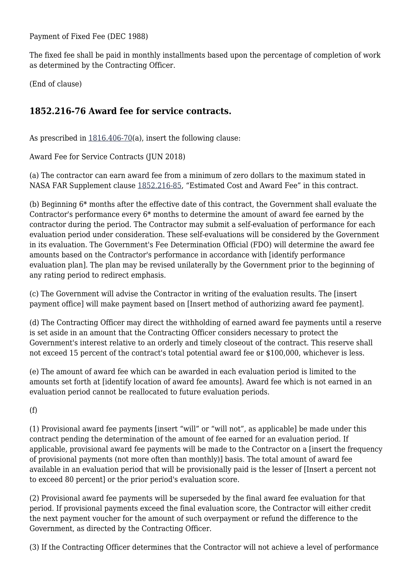Payment of Fixed Fee (DEC 1988)

The fixed fee shall be paid in monthly installments based upon the percentage of completion of work as determined by the Contracting Officer.

(End of clause)

# **1852.216-76 Award fee for service contracts.**

As prescribed in [1816.406-70\(](https://login.acquisition.gov/%5Brp:link:nfs-part-1816%5D#Section_1816_406_70_T48_60418153116)a), insert the following clause:

Award Fee for Service Contracts (JUN 2018)

(a) The contractor can earn award fee from a minimum of zero dollars to the maximum stated in NASA FAR Supplement clause [1852.216-85,](https://login.acquisition.gov/%5Brp:link:nfs-part-1852%5D#Section_1852_216_85_T48_60423441132) "Estimated Cost and Award Fee" in this contract.

(b) Beginning 6\* months after the effective date of this contract, the Government shall evaluate the Contractor's performance every 6\* months to determine the amount of award fee earned by the contractor during the period. The Contractor may submit a self-evaluation of performance for each evaluation period under consideration. These self-evaluations will be considered by the Government in its evaluation. The Government's Fee Determination Official (FDO) will determine the award fee amounts based on the Contractor's performance in accordance with [identify performance evaluation plan]. The plan may be revised unilaterally by the Government prior to the beginning of any rating period to redirect emphasis.

(c) The Government will advise the Contractor in writing of the evaluation results. The [insert payment office] will make payment based on [Insert method of authorizing award fee payment].

(d) The Contracting Officer may direct the withholding of earned award fee payments until a reserve is set aside in an amount that the Contracting Officer considers necessary to protect the Government's interest relative to an orderly and timely closeout of the contract. This reserve shall not exceed 15 percent of the contract's total potential award fee or \$100,000, whichever is less.

(e) The amount of award fee which can be awarded in each evaluation period is limited to the amounts set forth at [identify location of award fee amounts]. Award fee which is not earned in an evaluation period cannot be reallocated to future evaluation periods.

(f)

(1) Provisional award fee payments [insert "will" or "will not", as applicable] be made under this contract pending the determination of the amount of fee earned for an evaluation period. If applicable, provisional award fee payments will be made to the Contractor on a [insert the frequency of provisional payments (not more often than monthly)] basis. The total amount of award fee available in an evaluation period that will be provisionally paid is the lesser of [Insert a percent not to exceed 80 percent] or the prior period's evaluation score.

(2) Provisional award fee payments will be superseded by the final award fee evaluation for that period. If provisional payments exceed the final evaluation score, the Contractor will either credit the next payment voucher for the amount of such overpayment or refund the difference to the Government, as directed by the Contracting Officer.

(3) If the Contracting Officer determines that the Contractor will not achieve a level of performance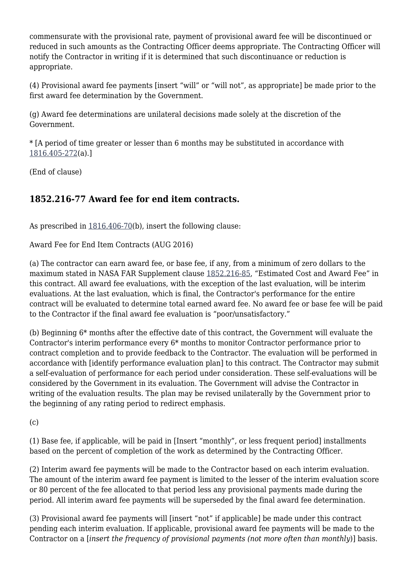commensurate with the provisional rate, payment of provisional award fee will be discontinued or reduced in such amounts as the Contracting Officer deems appropriate. The Contracting Officer will notify the Contractor in writing if it is determined that such discontinuance or reduction is appropriate.

(4) Provisional award fee payments [insert "will" or "will not", as appropriate] be made prior to the first award fee determination by the Government.

(g) Award fee determinations are unilateral decisions made solely at the discretion of the Government.

\* [A period of time greater or lesser than 6 months may be substituted in accordance with [1816.405-272\(](https://login.acquisition.gov/%5Brp:link:nfs-part-1816%5D#Section_1816_405_272_T48_6041815319)a).]

(End of clause)

# **1852.216-77 Award fee for end item contracts.**

As prescribed in  $1816.406-70(b)$  $1816.406-70(b)$ , insert the following clause:

Award Fee for End Item Contracts (AUG 2016)

(a) The contractor can earn award fee, or base fee, if any, from a minimum of zero dollars to the maximum stated in NASA FAR Supplement clause [1852.216-85](https://login.acquisition.gov/%5Brp:link:nfs-part-1852%5D#Section_1852_216_85_T48_60423441132), "Estimated Cost and Award Fee" in this contract. All award fee evaluations, with the exception of the last evaluation, will be interim evaluations. At the last evaluation, which is final, the Contractor's performance for the entire contract will be evaluated to determine total earned award fee. No award fee or base fee will be paid to the Contractor if the final award fee evaluation is "poor/unsatisfactory."

(b) Beginning 6\* months after the effective date of this contract, the Government will evaluate the Contractor's interim performance every 6\* months to monitor Contractor performance prior to contract completion and to provide feedback to the Contractor. The evaluation will be performed in accordance with [identify performance evaluation plan] to this contract. The Contractor may submit a self-evaluation of performance for each period under consideration. These self-evaluations will be considered by the Government in its evaluation. The Government will advise the Contractor in writing of the evaluation results. The plan may be revised unilaterally by the Government prior to the beginning of any rating period to redirect emphasis.

 $(c)$ 

(1) Base fee, if applicable, will be paid in [Insert "monthly", or less frequent period] installments based on the percent of completion of the work as determined by the Contracting Officer.

(2) Interim award fee payments will be made to the Contractor based on each interim evaluation. The amount of the interim award fee payment is limited to the lesser of the interim evaluation score or 80 percent of the fee allocated to that period less any provisional payments made during the period. All interim award fee payments will be superseded by the final award fee determination.

(3) Provisional award fee payments will [insert "not" if applicable] be made under this contract pending each interim evaluation. If applicable, provisional award fee payments will be made to the Contractor on a [*insert the frequency of provisional payments (not more often than monthly*)] basis.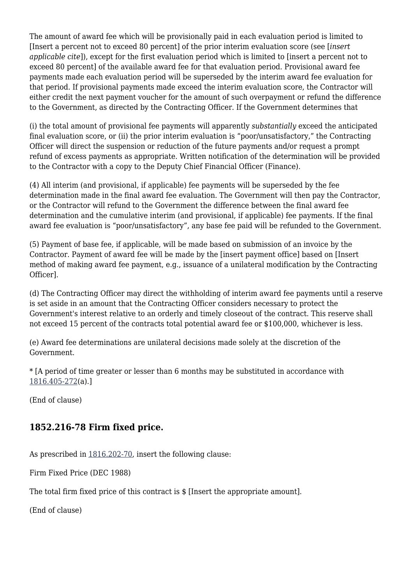The amount of award fee which will be provisionally paid in each evaluation period is limited to [Insert a percent not to exceed 80 percent] of the prior interim evaluation score (see [*insert applicable cite*]), except for the first evaluation period which is limited to [insert a percent not to exceed 80 percent] of the available award fee for that evaluation period. Provisional award fee payments made each evaluation period will be superseded by the interim award fee evaluation for that period. If provisional payments made exceed the interim evaluation score, the Contractor will either credit the next payment voucher for the amount of such overpayment or refund the difference to the Government, as directed by the Contracting Officer. If the Government determines that

(i) the total amount of provisional fee payments will apparently *substantially* exceed the anticipated final evaluation score, or (ii) the prior interim evaluation is "poor/unsatisfactory," the Contracting Officer will direct the suspension or reduction of the future payments and/or request a prompt refund of excess payments as appropriate. Written notification of the determination will be provided to the Contractor with a copy to the Deputy Chief Financial Officer (Finance).

(4) All interim (and provisional, if applicable) fee payments will be superseded by the fee determination made in the final award fee evaluation. The Government will then pay the Contractor, or the Contractor will refund to the Government the difference between the final award fee determination and the cumulative interim (and provisional, if applicable) fee payments. If the final award fee evaluation is "poor/unsatisfactory", any base fee paid will be refunded to the Government.

(5) Payment of base fee, if applicable, will be made based on submission of an invoice by the Contractor. Payment of award fee will be made by the [insert payment office] based on [Insert method of making award fee payment, e.g., issuance of a unilateral modification by the Contracting Officer].

(d) The Contracting Officer may direct the withholding of interim award fee payments until a reserve is set aside in an amount that the Contracting Officer considers necessary to protect the Government's interest relative to an orderly and timely closeout of the contract. This reserve shall not exceed 15 percent of the contracts total potential award fee or \$100,000, whichever is less.

(e) Award fee determinations are unilateral decisions made solely at the discretion of the Government.

\* [A period of time greater or lesser than 6 months may be substituted in accordance with [1816.405-272\(](https://login.acquisition.gov/%5Brp:link:nfs-part-1816%5D#Section_1816_405_272_T48_6041815319)a).]

(End of clause)

# **1852.216-78 Firm fixed price.**

As prescribed in [1816.202-70,](https://login.acquisition.gov/%5Brp:link:nfs-part-1816%5D#Section_1816_202_70_T48_6041815112) insert the following clause:

Firm Fixed Price (DEC 1988)

The total firm fixed price of this contract is \$ [Insert the appropriate amount].

(End of clause)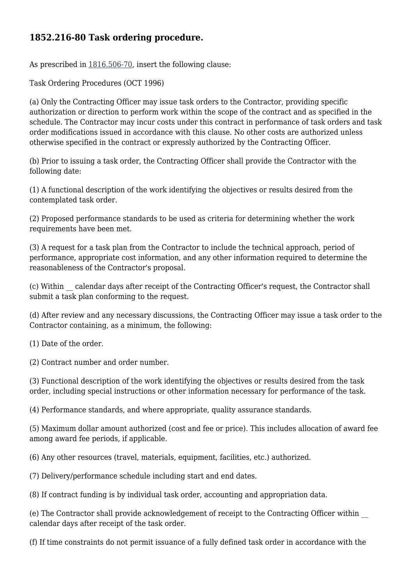## **1852.216-80 Task ordering procedure.**

As prescribed in [1816.506-70,](https://login.acquisition.gov/%5Brp:link:nfs-part-1816%5D#Section_1816_506_70_T48_6041815411) insert the following clause:

Task Ordering Procedures (OCT 1996)

(a) Only the Contracting Officer may issue task orders to the Contractor, providing specific authorization or direction to perform work within the scope of the contract and as specified in the schedule. The Contractor may incur costs under this contract in performance of task orders and task order modifications issued in accordance with this clause. No other costs are authorized unless otherwise specified in the contract or expressly authorized by the Contracting Officer.

(b) Prior to issuing a task order, the Contracting Officer shall provide the Contractor with the following date:

(1) A functional description of the work identifying the objectives or results desired from the contemplated task order.

(2) Proposed performance standards to be used as criteria for determining whether the work requirements have been met.

(3) A request for a task plan from the Contractor to include the technical approach, period of performance, appropriate cost information, and any other information required to determine the reasonableness of the Contractor's proposal.

(c) Within \_\_ calendar days after receipt of the Contracting Officer's request, the Contractor shall submit a task plan conforming to the request.

(d) After review and any necessary discussions, the Contracting Officer may issue a task order to the Contractor containing, as a minimum, the following:

(1) Date of the order.

(2) Contract number and order number.

(3) Functional description of the work identifying the objectives or results desired from the task order, including special instructions or other information necessary for performance of the task.

(4) Performance standards, and where appropriate, quality assurance standards.

(5) Maximum dollar amount authorized (cost and fee or price). This includes allocation of award fee among award fee periods, if applicable.

(6) Any other resources (travel, materials, equipment, facilities, etc.) authorized.

(7) Delivery/performance schedule including start and end dates.

(8) If contract funding is by individual task order, accounting and appropriation data.

(e) The Contractor shall provide acknowledgement of receipt to the Contracting Officer within \_\_ calendar days after receipt of the task order.

(f) If time constraints do not permit issuance of a fully defined task order in accordance with the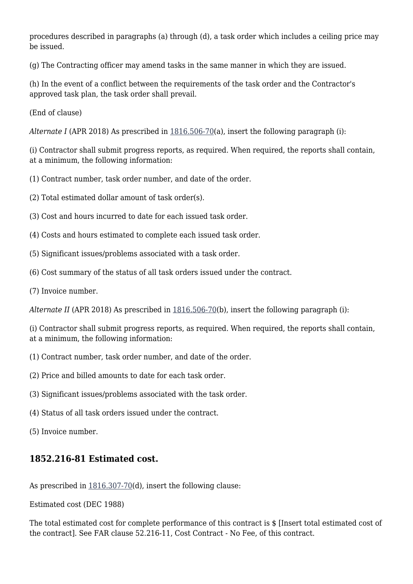procedures described in paragraphs (a) through (d), a task order which includes a ceiling price may be issued.

(g) The Contracting officer may amend tasks in the same manner in which they are issued.

(h) In the event of a conflict between the requirements of the task order and the Contractor's approved task plan, the task order shall prevail.

(End of clause)

*Alternate I* (APR 2018) As prescribed in [1816.506-70](https://login.acquisition.gov/%5Brp:link:nfs-part-1816%5D#Section_1816_506_70_T48_6041815411)(a), insert the following paragraph (i):

(i) Contractor shall submit progress reports, as required. When required, the reports shall contain, at a minimum, the following information:

(1) Contract number, task order number, and date of the order.

(2) Total estimated dollar amount of task order(s).

- (3) Cost and hours incurred to date for each issued task order.
- (4) Costs and hours estimated to complete each issued task order.
- (5) Significant issues/problems associated with a task order.
- (6) Cost summary of the status of all task orders issued under the contract.
- (7) Invoice number.

*Alternate II* (APR 2018) As prescribed in [1816.506-70](https://login.acquisition.gov/%5Brp:link:nfs-part-1816%5D#Section_1816_506_70_T48_6041815411)(b), insert the following paragraph (i):

(i) Contractor shall submit progress reports, as required. When required, the reports shall contain, at a minimum, the following information:

- (1) Contract number, task order number, and date of the order.
- (2) Price and billed amounts to date for each task order.
- (3) Significant issues/problems associated with the task order.
- (4) Status of all task orders issued under the contract.
- (5) Invoice number.

# **1852.216-81 Estimated cost.**

As prescribed in [1816.307-70\(](https://login.acquisition.gov/%5Brp:link:nfs-part-1816%5D#Section_1816_307_70_T48_6041815213)d), insert the following clause:

Estimated cost (DEC 1988)

The total estimated cost for complete performance of this contract is \$ [Insert total estimated cost of the contract]. See FAR clause 52.216-11, Cost Contract - No Fee, of this contract.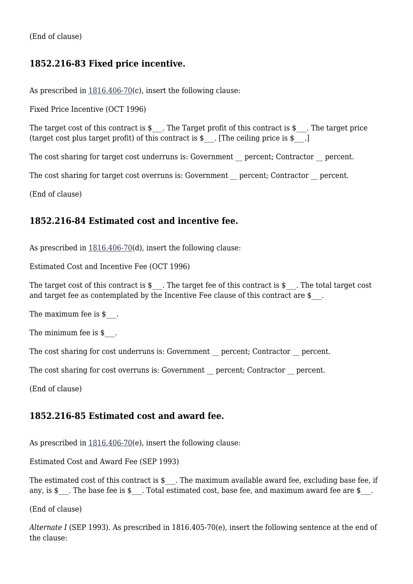(End of clause)

### **1852.216-83 Fixed price incentive.**

As prescribed in  $1816.406-70(c)$  $1816.406-70(c)$ , insert the following clause:

Fixed Price Incentive (OCT 1996)

The target cost of this contract is  $\$ . The Target profit of this contract is  $\$ . The target price (target cost plus target profit) of this contract is  $\$ [The ceiling price is  $\$ .]

The cost sharing for target cost underruns is: Government \_\_ percent; Contractor \_\_ percent.

The cost sharing for target cost overruns is: Government \_\_ percent; Contractor \_\_ percent.

(End of clause)

#### **1852.216-84 Estimated cost and incentive fee.**

As prescribed in  $1816.406-70(d)$  $1816.406-70(d)$ , insert the following clause:

Estimated Cost and Incentive Fee (OCT 1996)

The target cost of this contract is  $\frac{1}{2}$ . The target fee of this contract is  $\frac{1}{2}$ . The total target cost and target fee as contemplated by the Incentive Fee clause of this contract are \$\_\_\_.

The maximum fee is \$.

The minimum fee is  $\frac{1}{2}$ .

The cost sharing for cost underruns is: Government \_\_ percent; Contractor \_\_ percent.

The cost sharing for cost overruns is: Government \_\_ percent; Contractor \_\_ percent.

(End of clause)

#### **1852.216-85 Estimated cost and award fee.**

As prescribed in  $1816.406-70(e)$  $1816.406-70(e)$ , insert the following clause:

Estimated Cost and Award Fee (SEP 1993)

The estimated cost of this contract is  $\frac{1}{2}$ . The maximum available award fee, excluding base fee, if any, is \$ . The base fee is \$ . Total estimated cost, base fee, and maximum award fee are \$.

(End of clause)

*Alternate I* (SEP 1993). As prescribed in 1816.405-70(e), insert the following sentence at the end of the clause: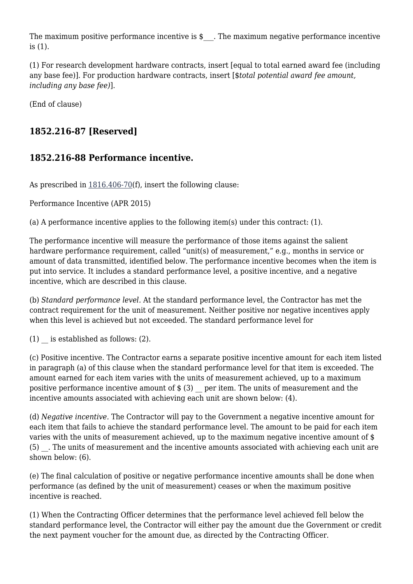The maximum positive performance incentive is \$ \_\_. The maximum negative performance incentive is (1).

(1) For research development hardware contracts, insert [equal to total earned award fee (including any base fee)]. For production hardware contracts, insert [\$*total potential award fee amount, including any base fee)*].

(End of clause)

# **1852.216-87 [Reserved]**

# **1852.216-88 Performance incentive.**

As prescribed in  $1816.406-70(f)$  $1816.406-70(f)$ , insert the following clause:

Performance Incentive (APR 2015)

(a) A performance incentive applies to the following item(s) under this contract: (1).

The performance incentive will measure the performance of those items against the salient hardware performance requirement, called "unit(s) of measurement," e.g., months in service or amount of data transmitted, identified below. The performance incentive becomes when the item is put into service. It includes a standard performance level, a positive incentive, and a negative incentive, which are described in this clause.

(b) *Standard performance level.* At the standard performance level, the Contractor has met the contract requirement for the unit of measurement. Neither positive nor negative incentives apply when this level is achieved but not exceeded. The standard performance level for

 $(1)$  is established as follows:  $(2)$ .

(c) Positive incentive. The Contractor earns a separate positive incentive amount for each item listed in paragraph (a) of this clause when the standard performance level for that item is exceeded. The amount earned for each item varies with the units of measurement achieved, up to a maximum positive performance incentive amount of  $\frac{1}{2}$  (3) per item. The units of measurement and the incentive amounts associated with achieving each unit are shown below: (4).

(d) *Negative incentive.* The Contractor will pay to the Government a negative incentive amount for each item that fails to achieve the standard performance level. The amount to be paid for each item varies with the units of measurement achieved, up to the maximum negative incentive amount of \$ (5) \_\_. The units of measurement and the incentive amounts associated with achieving each unit are shown below: (6).

(e) The final calculation of positive or negative performance incentive amounts shall be done when performance (as defined by the unit of measurement) ceases or when the maximum positive incentive is reached.

(1) When the Contracting Officer determines that the performance level achieved fell below the standard performance level, the Contractor will either pay the amount due the Government or credit the next payment voucher for the amount due, as directed by the Contracting Officer.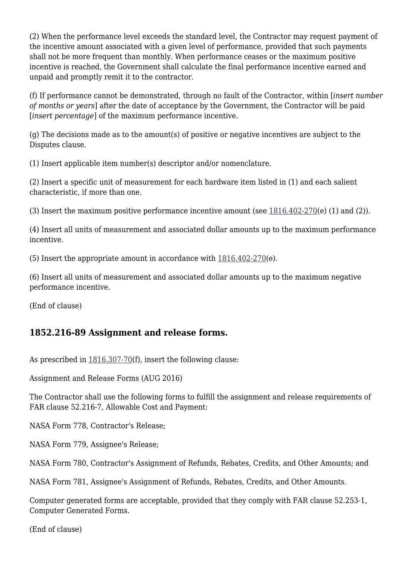(2) When the performance level exceeds the standard level, the Contractor may request payment of the incentive amount associated with a given level of performance, provided that such payments shall not be more frequent than monthly. When performance ceases or the maximum positive incentive is reached, the Government shall calculate the final performance incentive earned and unpaid and promptly remit it to the contractor.

(f) If performance cannot be demonstrated, through no fault of the Contractor, within [*insert number of months or years*] after the date of acceptance by the Government, the Contractor will be paid [*insert percentage*] of the maximum performance incentive.

(g) The decisions made as to the amount(s) of positive or negative incentives are subject to the Disputes clause.

(1) Insert applicable item number(s) descriptor and/or nomenclature.

(2) Insert a specific unit of measurement for each hardware item listed in (1) and each salient characteristic, if more than one.

(3) Insert the maximum positive performance incentive amount (see [1816.402-270](https://login.acquisition.gov/%5Brp:link:nfs-part-1816%5D#Section_1816_402_270_T48_6041815313)(e) (1) and (2)).

(4) Insert all units of measurement and associated dollar amounts up to the maximum performance incentive.

(5) Insert the appropriate amount in accordance with [1816.402-270\(](https://login.acquisition.gov/%5Brp:link:nfs-part-1816%5D#Section_1816_402_270_T48_6041815313)e).

(6) Insert all units of measurement and associated dollar amounts up to the maximum negative performance incentive.

(End of clause)

### **1852.216-89 Assignment and release forms.**

As prescribed in  $1816.307-70(f)$  $1816.307-70(f)$ , insert the following clause:

Assignment and Release Forms (AUG 2016)

The Contractor shall use the following forms to fulfill the assignment and release requirements of FAR clause 52.216-7, Allowable Cost and Payment:

NASA Form 778, Contractor's Release;

NASA Form 779, Assignee's Release;

NASA Form 780, Contractor's Assignment of Refunds, Rebates, Credits, and Other Amounts; and

NASA Form 781, Assignee's Assignment of Refunds, Rebates, Credits, and Other Amounts.

Computer generated forms are acceptable, provided that they comply with FAR clause 52.253-1, Computer Generated Forms.

(End of clause)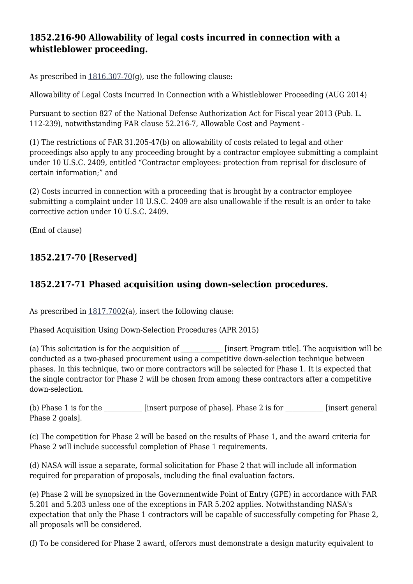# **1852.216-90 Allowability of legal costs incurred in connection with a whistleblower proceeding.**

As prescribed in  $1816.307-70(q)$  $1816.307-70(q)$ , use the following clause:

Allowability of Legal Costs Incurred In Connection with a Whistleblower Proceeding (AUG 2014)

Pursuant to section 827 of the National Defense Authorization Act for Fiscal year 2013 (Pub. L. 112-239), notwithstanding FAR clause 52.216-7, Allowable Cost and Payment -

(1) The restrictions of FAR 31.205-47(b) on allowability of costs related to legal and other proceedings also apply to any proceeding brought by a contractor employee submitting a complaint under 10 U.S.C. 2409, entitled "Contractor employees: protection from reprisal for disclosure of certain information;" and

(2) Costs incurred in connection with a proceeding that is brought by a contractor employee submitting a complaint under 10 U.S.C. 2409 are also unallowable if the result is an order to take corrective action under 10 U.S.C. 2409.

(End of clause)

# **1852.217-70 [Reserved]**

# **1852.217-71 Phased acquisition using down-selection procedures.**

As prescribed in  $1817.7002(a)$  $1817.7002(a)$ , insert the following clause:

Phased Acquisition Using Down-Selection Procedures (APR 2015)

(a) This solicitation is for the acquisition of  $\qquad \qquad$  [insert Program title]. The acquisition will be conducted as a two-phased procurement using a competitive down-selection technique between phases. In this technique, two or more contractors will be selected for Phase 1. It is expected that the single contractor for Phase 2 will be chosen from among these contractors after a competitive down-selection.

(b) Phase 1 is for the  $[insert purpose of phase]$ . Phase 2 is for  $[insert general]$ Phase 2 goals].

(c) The competition for Phase 2 will be based on the results of Phase 1, and the award criteria for Phase 2 will include successful completion of Phase 1 requirements.

(d) NASA will issue a separate, formal solicitation for Phase 2 that will include all information required for preparation of proposals, including the final evaluation factors.

(e) Phase 2 will be synopsized in the Governmentwide Point of Entry (GPE) in accordance with FAR 5.201 and 5.203 unless one of the exceptions in FAR 5.202 applies. Notwithstanding NASA's expectation that only the Phase 1 contractors will be capable of successfully competing for Phase 2, all proposals will be considered.

(f) To be considered for Phase 2 award, offerors must demonstrate a design maturity equivalent to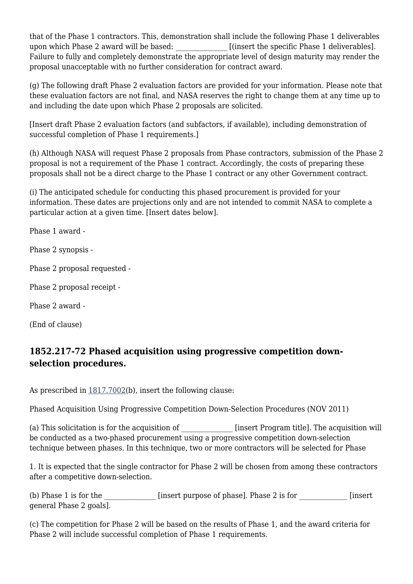that of the Phase 1 contractors. This, demonstration shall include the following Phase 1 deliverables upon which Phase 2 award will be based: <br> [(insert the specific Phase 1 deliverables]. Failure to fully and completely demonstrate the appropriate level of design maturity may render the proposal unacceptable with no further consideration for contract award.

(g) The following draft Phase 2 evaluation factors are provided for your information. Please note that these evaluation factors are not final, and NASA reserves the right to change them at any time up to and including the date upon which Phase 2 proposals are solicited.

[Insert draft Phase 2 evaluation factors (and subfactors, if available), including demonstration of successful completion of Phase 1 requirements.]

(h) Although NASA will request Phase 2 proposals from Phase contractors, submission of the Phase 2 proposal is not a requirement of the Phase 1 contract. Accordingly, the costs of preparing these proposals shall not be a direct charge to the Phase 1 contract or any other Government contract.

(i) The anticipated schedule for conducting this phased procurement is provided for your information. These dates are projections only and are not intended to commit NASA to complete a particular action at a given time. [Insert dates below].

Phase 1 award -

Phase 2 synopsis -

Phase 2 proposal requested -

Phase 2 proposal receipt -

Phase 2 award -

(End of clause)

## **1852.217-72 Phased acquisition using progressive competition downselection procedures.**

As prescribed in  $1817.7002(b)$  $1817.7002(b)$ , insert the following clause:

Phased Acquisition Using Progressive Competition Down-Selection Procedures (NOV 2011)

(a) This solicitation is for the acquisition of \_\_\_\_\_\_\_\_\_\_\_\_\_\_\_ [insert Program title]. The acquisition will be conducted as a two-phased procurement using a progressive competition down-selection technique between phases. In this technique, two or more contractors will be selected for Phase

1. It is expected that the single contractor for Phase 2 will be chosen from among these contractors after a competitive down-selection.

(b) Phase 1 is for the  $\frac{1}{\sqrt{2\pi}}$  [insert purpose of phase]. Phase 2 is for  $\frac{1}{\sqrt{2\pi}}$  [insert general Phase 2 goals].

(c) The competition for Phase 2 will be based on the results of Phase 1, and the award criteria for Phase 2 will include successful completion of Phase 1 requirements.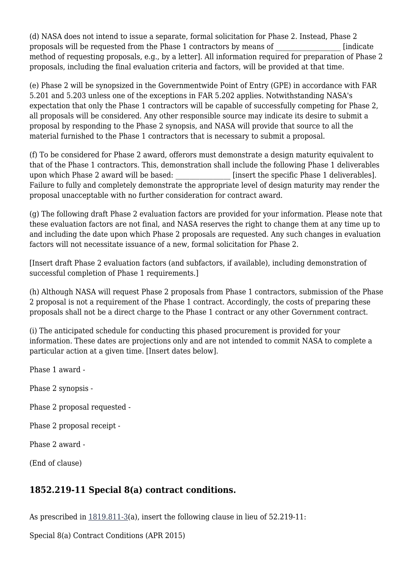(d) NASA does not intend to issue a separate, formal solicitation for Phase 2. Instead, Phase 2 proposals will be requested from the Phase 1 contractors by means of  $\Box$  [indicate method of requesting proposals, e.g., by a letter]. All information required for preparation of Phase 2 proposals, including the final evaluation criteria and factors, will be provided at that time.

(e) Phase 2 will be synopsized in the Governmentwide Point of Entry (GPE) in accordance with FAR 5.201 and 5.203 unless one of the exceptions in FAR 5.202 applies. Notwithstanding NASA's expectation that only the Phase 1 contractors will be capable of successfully competing for Phase 2, all proposals will be considered. Any other responsible source may indicate its desire to submit a proposal by responding to the Phase 2 synopsis, and NASA will provide that source to all the material furnished to the Phase 1 contractors that is necessary to submit a proposal.

(f) To be considered for Phase 2 award, offerors must demonstrate a design maturity equivalent to that of the Phase 1 contractors. This, demonstration shall include the following Phase 1 deliverables upon which Phase 2 award will be based:  $\qquad$  [insert the specific Phase 1 deliverables]. Failure to fully and completely demonstrate the appropriate level of design maturity may render the proposal unacceptable with no further consideration for contract award.

(g) The following draft Phase 2 evaluation factors are provided for your information. Please note that these evaluation factors are not final, and NASA reserves the right to change them at any time up to and including the date upon which Phase 2 proposals are requested. Any such changes in evaluation factors will not necessitate issuance of a new, formal solicitation for Phase 2.

[Insert draft Phase 2 evaluation factors (and subfactors, if available), including demonstration of successful completion of Phase 1 requirements.]

(h) Although NASA will request Phase 2 proposals from Phase 1 contractors, submission of the Phase 2 proposal is not a requirement of the Phase 1 contract. Accordingly, the costs of preparing these proposals shall not be a direct charge to the Phase 1 contract or any other Government contract.

(i) The anticipated schedule for conducting this phased procurement is provided for your information. These dates are projections only and are not intended to commit NASA to complete a particular action at a given time. [Insert dates below].

Phase 1 award -

Phase 2 synopsis -

Phase 2 proposal requested -

Phase 2 proposal receipt -

Phase 2 award -

(End of clause)

### **1852.219-11 Special 8(a) contract conditions.**

As prescribed in [1819.811-3\(](https://login.acquisition.gov/%5Brp:link:nfs-part-1819%5D#Section_1819_811_3_T48_6041917213)a), insert the following clause in lieu of 52.219-11:

Special 8(a) Contract Conditions (APR 2015)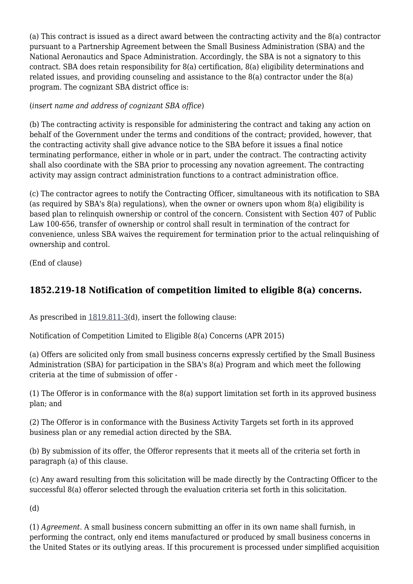(a) This contract is issued as a direct award between the contracting activity and the 8(a) contractor pursuant to a Partnership Agreement between the Small Business Administration (SBA) and the National Aeronautics and Space Administration. Accordingly, the SBA is not a signatory to this contract. SBA does retain responsibility for 8(a) certification, 8(a) eligibility determinations and related issues, and providing counseling and assistance to the 8(a) contractor under the 8(a) program. The cognizant SBA district office is:

#### (*insert name and address of cognizant SBA office*)

(b) The contracting activity is responsible for administering the contract and taking any action on behalf of the Government under the terms and conditions of the contract; provided, however, that the contracting activity shall give advance notice to the SBA before it issues a final notice terminating performance, either in whole or in part, under the contract. The contracting activity shall also coordinate with the SBA prior to processing any novation agreement. The contracting activity may assign contract administration functions to a contract administration office.

(c) The contractor agrees to notify the Contracting Officer, simultaneous with its notification to SBA (as required by SBA's 8(a) regulations), when the owner or owners upon whom 8(a) eligibility is based plan to relinquish ownership or control of the concern. Consistent with Section 407 of Public Law 100-656, transfer of ownership or control shall result in termination of the contract for convenience, unless SBA waives the requirement for termination prior to the actual relinquishing of ownership and control.

(End of clause)

# **1852.219-18 Notification of competition limited to eligible 8(a) concerns.**

As prescribed in [1819.811-3\(](https://login.acquisition.gov/%5Brp:link:nfs-part-1819%5D#Section_1819_811_3_T48_6041917213)d), insert the following clause:

Notification of Competition Limited to Eligible 8(a) Concerns (APR 2015)

(a) Offers are solicited only from small business concerns expressly certified by the Small Business Administration (SBA) for participation in the SBA's 8(a) Program and which meet the following criteria at the time of submission of offer -

(1) The Offeror is in conformance with the 8(a) support limitation set forth in its approved business plan; and

(2) The Offeror is in conformance with the Business Activity Targets set forth in its approved business plan or any remedial action directed by the SBA.

(b) By submission of its offer, the Offeror represents that it meets all of the criteria set forth in paragraph (a) of this clause.

(c) Any award resulting from this solicitation will be made directly by the Contracting Officer to the successful 8(a) offeror selected through the evaluation criteria set forth in this solicitation.

(d)

(1) *Agreement.* A small business concern submitting an offer in its own name shall furnish, in performing the contract, only end items manufactured or produced by small business concerns in the United States or its outlying areas. If this procurement is processed under simplified acquisition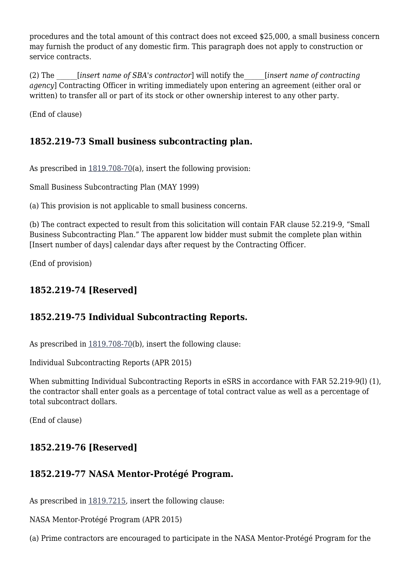procedures and the total amount of this contract does not exceed \$25,000, a small business concern may furnish the product of any domestic firm. This paragraph does not apply to construction or service contracts.

(2) The \_\_\_\_\_\_[*insert name of SBA's contractor*] will notify the\_\_\_\_\_\_[*insert name of contracting agency*] Contracting Officer in writing immediately upon entering an agreement (either oral or written) to transfer all or part of its stock or other ownership interest to any other party.

(End of clause)

## **1852.219-73 Small business subcontracting plan.**

As prescribed in [1819.708-70\(](https://login.acquisition.gov/%5Brp:link:nfs-part-1819%5D#Section_1819_708_70_T48_6041917212)a), insert the following provision:

Small Business Subcontracting Plan (MAY 1999)

(a) This provision is not applicable to small business concerns.

(b) The contract expected to result from this solicitation will contain FAR clause 52.219-9, "Small Business Subcontracting Plan." The apparent low bidder must submit the complete plan within [Insert number of days] calendar days after request by the Contracting Officer.

(End of provision)

# **1852.219-74 [Reserved]**

# **1852.219-75 Individual Subcontracting Reports.**

As prescribed in  $1819.708-70(b)$  $1819.708-70(b)$ , insert the following clause:

Individual Subcontracting Reports (APR 2015)

When submitting Individual Subcontracting Reports in eSRS in accordance with FAR 52.219-9(l) (1), the contractor shall enter goals as a percentage of total contract value as well as a percentage of total subcontract dollars.

(End of clause)

# **1852.219-76 [Reserved]**

# **1852.219-77 NASA Mentor-Protégé Program.**

As prescribed in [1819.7215](https://login.acquisition.gov/%5Brp:link:nfs-part-1819%5D#Section_1819_7215_T48_6041917519), insert the following clause:

NASA Mentor-Protégé Program (APR 2015)

(a) Prime contractors are encouraged to participate in the NASA Mentor-Protégé Program for the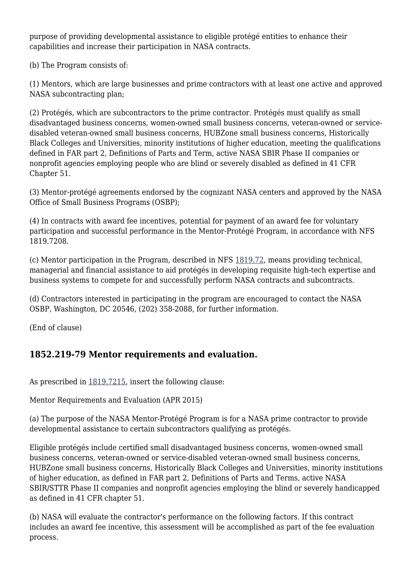purpose of providing developmental assistance to eligible protégé entities to enhance their capabilities and increase their participation in NASA contracts.

(b) The Program consists of:

(1) Mentors, which are large businesses and prime contractors with at least one active and approved NASA subcontracting plan;

(2) Protégés, which are subcontractors to the prime contractor. Protégés must qualify as small disadvantaged business concerns, women-owned small business concerns, veteran-owned or servicedisabled veteran-owned small business concerns, HUBZone small business concerns, Historically Black Colleges and Universities, minority institutions of higher education, meeting the qualifications defined in FAR part 2, Definitions of Parts and Term, active NASA SBIR Phase II companies or nonprofit agencies employing people who are blind or severely disabled as defined in 41 CFR Chapter 51.

(3) Mentor-protégé agreements endorsed by the cognizant NASA centers and approved by the NASA Office of Small Business Programs (OSBP);

(4) In contracts with award fee incentives, potential for payment of an award fee for voluntary participation and successful performance in the Mentor-Protégé Program, in accordance with NFS 1819.7208.

(c) Mentor participation in the Program, described in NFS [1819.72](https://login.acquisition.gov/%5Brp:link:nfs-part-1819%5D#Subpart_1819_72_T48_60419175), means providing technical, managerial and financial assistance to aid protégés in developing requisite high-tech expertise and business systems to compete for and successfully perform NASA contracts and subcontracts.

(d) Contractors interested in participating in the program are encouraged to contact the NASA OSBP, Washington, DC 20546, (202) 358-2088, for further information.

(End of clause)

### **1852.219-79 Mentor requirements and evaluation.**

As prescribed in [1819.7215](https://login.acquisition.gov/%5Brp:link:nfs-part-1819%5D#Section_1819_7215_T48_6041917519), insert the following clause:

Mentor Requirements and Evaluation (APR 2015)

(a) The purpose of the NASA Mentor-Protégé Program is for a NASA prime contractor to provide developmental assistance to certain subcontractors qualifying as protégés.

Eligible protégés include certified small disadvantaged business concerns, women-owned small business concerns, veteran-owned or service-disabled veteran-owned small business concerns, HUBZone small business concerns, Historically Black Colleges and Universities, minority institutions of higher education, as defined in FAR part 2, Definitions of Parts and Terms, active NASA SBIR/STTR Phase II companies and nonprofit agencies employing the blind or severely handicapped as defined in 41 CFR chapter 51.

(b) NASA will evaluate the contractor's performance on the following factors. If this contract includes an award fee incentive, this assessment will be accomplished as part of the fee evaluation process.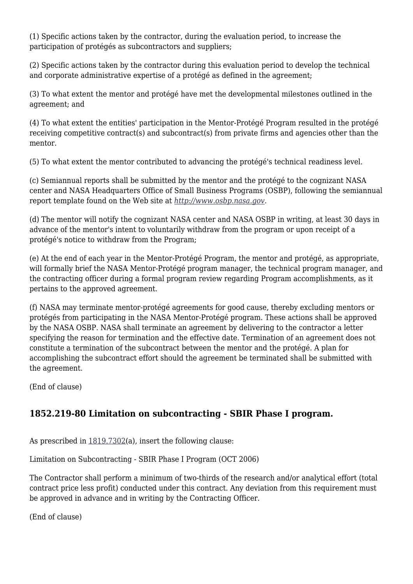(1) Specific actions taken by the contractor, during the evaluation period, to increase the participation of protégés as subcontractors and suppliers;

(2) Specific actions taken by the contractor during this evaluation period to develop the technical and corporate administrative expertise of a protégé as defined in the agreement;

(3) To what extent the mentor and protégé have met the developmental milestones outlined in the agreement; and

(4) To what extent the entities' participation in the Mentor-Protégé Program resulted in the protégé receiving competitive contract(s) and subcontract(s) from private firms and agencies other than the mentor.

(5) To what extent the mentor contributed to advancing the protégé's technical readiness level.

(c) Semiannual reports shall be submitted by the mentor and the protégé to the cognizant NASA center and NASA Headquarters Office of Small Business Programs (OSBP), following the semiannual report template found on the Web site at *[http://www.osbp.nasa.gov.](http://www.osbp.nasa.gov)*

(d) The mentor will notify the cognizant NASA center and NASA OSBP in writing, at least 30 days in advance of the mentor's intent to voluntarily withdraw from the program or upon receipt of a protégé's notice to withdraw from the Program;

(e) At the end of each year in the Mentor-Protégé Program, the mentor and protégé, as appropriate, will formally brief the NASA Mentor-Protégé program manager, the technical program manager, and the contracting officer during a formal program review regarding Program accomplishments, as it pertains to the approved agreement.

(f) NASA may terminate mentor-protégé agreements for good cause, thereby excluding mentors or protégés from participating in the NASA Mentor-Protégé program. These actions shall be approved by the NASA OSBP. NASA shall terminate an agreement by delivering to the contractor a letter specifying the reason for termination and the effective date. Termination of an agreement does not constitute a termination of the subcontract between the mentor and the protégé. A plan for accomplishing the subcontract effort should the agreement be terminated shall be submitted with the agreement.

(End of clause)

# **1852.219-80 Limitation on subcontracting - SBIR Phase I program.**

As prescribed in [1819.7302](https://login.acquisition.gov/%5Brp:link:nfs-part-1819%5D#Section_1819_7302_T48_6041917612)(a), insert the following clause:

Limitation on Subcontracting - SBIR Phase I Program (OCT 2006)

The Contractor shall perform a minimum of two-thirds of the research and/or analytical effort (total contract price less profit) conducted under this contract. Any deviation from this requirement must be approved in advance and in writing by the Contracting Officer.

(End of clause)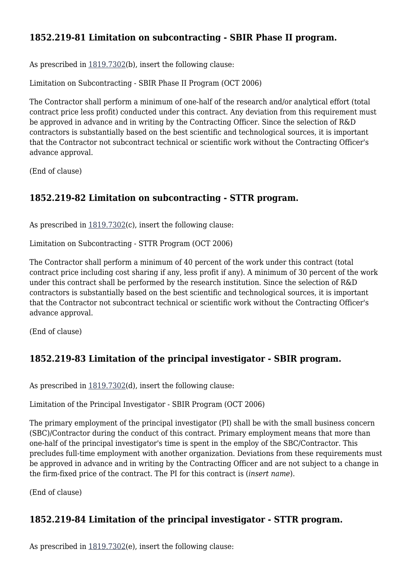# **1852.219-81 Limitation on subcontracting - SBIR Phase II program.**

As prescribed in [1819.7302](https://login.acquisition.gov/%5Brp:link:nfs-part-1819%5D#Section_1819_7302_T48_6041917612)(b), insert the following clause:

Limitation on Subcontracting - SBIR Phase II Program (OCT 2006)

The Contractor shall perform a minimum of one-half of the research and/or analytical effort (total contract price less profit) conducted under this contract. Any deviation from this requirement must be approved in advance and in writing by the Contracting Officer. Since the selection of R&D contractors is substantially based on the best scientific and technological sources, it is important that the Contractor not subcontract technical or scientific work without the Contracting Officer's advance approval.

(End of clause)

### **1852.219-82 Limitation on subcontracting - STTR program.**

As prescribed in [1819.7302](https://login.acquisition.gov/%5Brp:link:nfs-part-1819%5D#Section_1819_7302_T48_6041917612)(c), insert the following clause:

Limitation on Subcontracting - STTR Program (OCT 2006)

The Contractor shall perform a minimum of 40 percent of the work under this contract (total contract price including cost sharing if any, less profit if any). A minimum of 30 percent of the work under this contract shall be performed by the research institution. Since the selection of R&D contractors is substantially based on the best scientific and technological sources, it is important that the Contractor not subcontract technical or scientific work without the Contracting Officer's advance approval.

(End of clause)

# **1852.219-83 Limitation of the principal investigator - SBIR program.**

As prescribed in [1819.7302](https://login.acquisition.gov/%5Brp:link:nfs-part-1819%5D#Section_1819_7302_T48_6041917612)(d), insert the following clause:

Limitation of the Principal Investigator - SBIR Program (OCT 2006)

The primary employment of the principal investigator (PI) shall be with the small business concern (SBC)/Contractor during the conduct of this contract. Primary employment means that more than one-half of the principal investigator's time is spent in the employ of the SBC/Contractor. This precludes full-time employment with another organization. Deviations from these requirements must be approved in advance and in writing by the Contracting Officer and are not subject to a change in the firm-fixed price of the contract. The PI for this contract is (*insert name*).

(End of clause)

### **1852.219-84 Limitation of the principal investigator - STTR program.**

As prescribed in  $1819.7302(e)$  $1819.7302(e)$ , insert the following clause: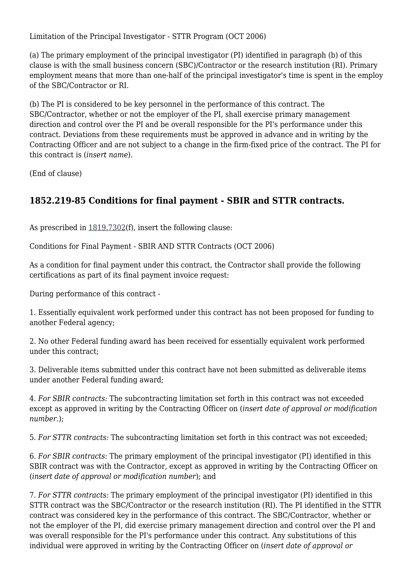Limitation of the Principal Investigator - STTR Program (OCT 2006)

(a) The primary employment of the principal investigator (PI) identified in paragraph (b) of this clause is with the small business concern (SBC)/Contractor or the research institution (RI). Primary employment means that more than one-half of the principal investigator's time is spent in the employ of the SBC/Contractor or RI.

(b) The PI is considered to be key personnel in the performance of this contract. The SBC/Contractor, whether or not the employer of the PI, shall exercise primary management direction and control over the PI and be overall responsible for the PI's performance under this contract. Deviations from these requirements must be approved in advance and in writing by the Contracting Officer and are not subject to a change in the firm-fixed price of the contract. The PI for this contract is (*insert name*).

(End of clause)

# **1852.219-85 Conditions for final payment - SBIR and STTR contracts.**

As prescribed in [1819.7302](https://login.acquisition.gov/%5Brp:link:nfs-part-1819%5D#Section_1819_7302_T48_6041917612)(f), insert the following clause:

Conditions for Final Payment - SBIR AND STTR Contracts (OCT 2006)

As a condition for final payment under this contract, the Contractor shall provide the following certifications as part of its final payment invoice request:

During performance of this contract -

1. Essentially equivalent work performed under this contract has not been proposed for funding to another Federal agency;

2. No other Federal funding award has been received for essentially equivalent work performed under this contract;

3. Deliverable items submitted under this contract have not been submitted as deliverable items under another Federal funding award;

4. *For SBIR contracts:* The subcontracting limitation set forth in this contract was not exceeded except as approved in writing by the Contracting Officer on (*insert date of approval or modification number.*);

5. *For STTR contracts:* The subcontracting limitation set forth in this contract was not exceeded;

6. *For SBIR contracts:* The primary employment of the principal investigator (PI) identified in this SBIR contract was with the Contractor, except as approved in writing by the Contracting Officer on (*insert date of approval or modification number*); and

7. *For STTR contracts:* The primary employment of the principal investigator (PI) identified in this STTR contract was the SBC/Contractor or the research institution (RI). The PI identified in the STTR contract was considered key in the performance of this contract. The SBC/Contractor, whether or not the employer of the PI, did exercise primary management direction and control over the PI and was overall responsible for the PI's performance under this contract. Any substitutions of this individual were approved in writing by the Contracting Officer on (*insert date of approval or*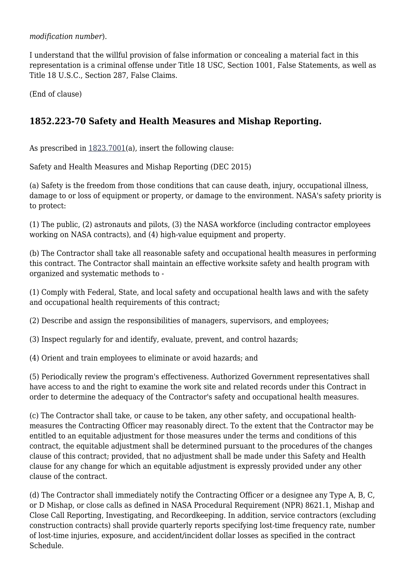*modification number*).

I understand that the willful provision of false information or concealing a material fact in this representation is a criminal offense under Title 18 USC, Section 1001, False Statements, as well as Title 18 U.S.C., Section 287, False Claims.

(End of clause)

# **1852.223-70 Safety and Health Measures and Mishap Reporting.**

As prescribed in [1823.7001](https://login.acquisition.gov/%5Brp:link:nfs-part-1823%5D#Section_1823_7001_T48_6041919311)(a), insert the following clause:

Safety and Health Measures and Mishap Reporting (DEC 2015)

(a) Safety is the freedom from those conditions that can cause death, injury, occupational illness, damage to or loss of equipment or property, or damage to the environment. NASA's safety priority is to protect:

(1) The public, (2) astronauts and pilots, (3) the NASA workforce (including contractor employees working on NASA contracts), and (4) high-value equipment and property.

(b) The Contractor shall take all reasonable safety and occupational health measures in performing this contract. The Contractor shall maintain an effective worksite safety and health program with organized and systematic methods to -

(1) Comply with Federal, State, and local safety and occupational health laws and with the safety and occupational health requirements of this contract;

(2) Describe and assign the responsibilities of managers, supervisors, and employees;

(3) Inspect regularly for and identify, evaluate, prevent, and control hazards;

(4) Orient and train employees to eliminate or avoid hazards; and

(5) Periodically review the program's effectiveness. Authorized Government representatives shall have access to and the right to examine the work site and related records under this Contract in order to determine the adequacy of the Contractor's safety and occupational health measures.

(c) The Contractor shall take, or cause to be taken, any other safety, and occupational healthmeasures the Contracting Officer may reasonably direct. To the extent that the Contractor may be entitled to an equitable adjustment for those measures under the terms and conditions of this contract, the equitable adjustment shall be determined pursuant to the procedures of the changes clause of this contract; provided, that no adjustment shall be made under this Safety and Health clause for any change for which an equitable adjustment is expressly provided under any other clause of the contract.

(d) The Contractor shall immediately notify the Contracting Officer or a designee any Type A, B, C, or D Mishap, or close calls as defined in NASA Procedural Requirement (NPR) 8621.1, Mishap and Close Call Reporting, Investigating, and Recordkeeping. In addition, service contractors (excluding construction contracts) shall provide quarterly reports specifying lost-time frequency rate, number of lost-time injuries, exposure, and accident/incident dollar losses as specified in the contract Schedule.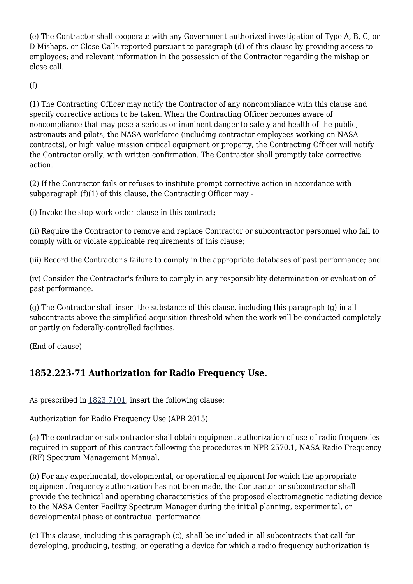(e) The Contractor shall cooperate with any Government-authorized investigation of Type A, B, C, or D Mishaps, or Close Calls reported pursuant to paragraph (d) of this clause by providing access to employees; and relevant information in the possession of the Contractor regarding the mishap or close call.

(f)

(1) The Contracting Officer may notify the Contractor of any noncompliance with this clause and specify corrective actions to be taken. When the Contracting Officer becomes aware of noncompliance that may pose a serious or imminent danger to safety and health of the public, astronauts and pilots, the NASA workforce (including contractor employees working on NASA contracts), or high value mission critical equipment or property, the Contracting Officer will notify the Contractor orally, with written confirmation. The Contractor shall promptly take corrective action.

(2) If the Contractor fails or refuses to institute prompt corrective action in accordance with subparagraph (f)(1) of this clause, the Contracting Officer may -

(i) Invoke the stop-work order clause in this contract;

(ii) Require the Contractor to remove and replace Contractor or subcontractor personnel who fail to comply with or violate applicable requirements of this clause;

(iii) Record the Contractor's failure to comply in the appropriate databases of past performance; and

(iv) Consider the Contractor's failure to comply in any responsibility determination or evaluation of past performance.

(g) The Contractor shall insert the substance of this clause, including this paragraph (g) in all subcontracts above the simplified acquisition threshold when the work will be conducted completely or partly on federally-controlled facilities.

(End of clause)

# **1852.223-71 Authorization for Radio Frequency Use.**

As prescribed in [1823.7101](https://login.acquisition.gov/%5Brp:link:nfs-part-1823%5D#Section_1823_7101_T48_6041919411), insert the following clause:

Authorization for Radio Frequency Use (APR 2015)

(a) The contractor or subcontractor shall obtain equipment authorization of use of radio frequencies required in support of this contract following the procedures in NPR 2570.1, NASA Radio Frequency (RF) Spectrum Management Manual.

(b) For any experimental, developmental, or operational equipment for which the appropriate equipment frequency authorization has not been made, the Contractor or subcontractor shall provide the technical and operating characteristics of the proposed electromagnetic radiating device to the NASA Center Facility Spectrum Manager during the initial planning, experimental, or developmental phase of contractual performance.

(c) This clause, including this paragraph (c), shall be included in all subcontracts that call for developing, producing, testing, or operating a device for which a radio frequency authorization is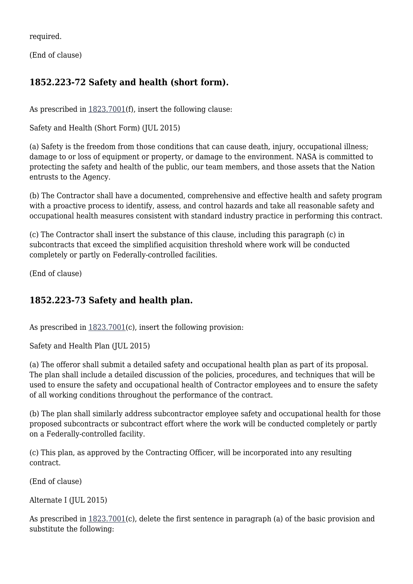required.

(End of clause)

# **1852.223-72 Safety and health (short form).**

As prescribed in  $1823.7001(f)$  $1823.7001(f)$ , insert the following clause:

Safety and Health (Short Form) (JUL 2015)

(a) Safety is the freedom from those conditions that can cause death, injury, occupational illness; damage to or loss of equipment or property, or damage to the environment. NASA is committed to protecting the safety and health of the public, our team members, and those assets that the Nation entrusts to the Agency.

(b) The Contractor shall have a documented, comprehensive and effective health and safety program with a proactive process to identify, assess, and control hazards and take all reasonable safety and occupational health measures consistent with standard industry practice in performing this contract.

(c) The Contractor shall insert the substance of this clause, including this paragraph (c) in subcontracts that exceed the simplified acquisition threshold where work will be conducted completely or partly on Federally-controlled facilities.

(End of clause)

# **1852.223-73 Safety and health plan.**

As prescribed in  $1823.7001(c)$  $1823.7001(c)$ , insert the following provision:

Safety and Health Plan (JUL 2015)

(a) The offeror shall submit a detailed safety and occupational health plan as part of its proposal. The plan shall include a detailed discussion of the policies, procedures, and techniques that will be used to ensure the safety and occupational health of Contractor employees and to ensure the safety of all working conditions throughout the performance of the contract.

(b) The plan shall similarly address subcontractor employee safety and occupational health for those proposed subcontracts or subcontract effort where the work will be conducted completely or partly on a Federally-controlled facility.

(c) This plan, as approved by the Contracting Officer, will be incorporated into any resulting contract.

(End of clause)

Alternate I (JUL 2015)

As prescribed in [1823.7001](https://login.acquisition.gov/%5Brp:link:nfs-part-1823%5D#Section_1823_7001_T48_6041919311)(c), delete the first sentence in paragraph (a) of the basic provision and substitute the following: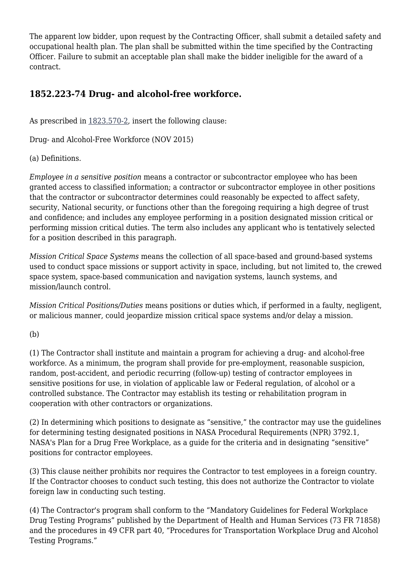The apparent low bidder, upon request by the Contracting Officer, shall submit a detailed safety and occupational health plan. The plan shall be submitted within the time specified by the Contracting Officer. Failure to submit an acceptable plan shall make the bidder ineligible for the award of a contract.

# **1852.223-74 Drug- and alcohol-free workforce.**

As prescribed in [1823.570-2,](https://login.acquisition.gov/%5Brp:link:nfs-part-1823%5D#Section_1823_570_2_T48_6041919213) insert the following clause:

Drug- and Alcohol-Free Workforce (NOV 2015)

(a) Definitions.

*Employee in a sensitive position* means a contractor or subcontractor employee who has been granted access to classified information; a contractor or subcontractor employee in other positions that the contractor or subcontractor determines could reasonably be expected to affect safety, security, National security, or functions other than the foregoing requiring a high degree of trust and confidence; and includes any employee performing in a position designated mission critical or performing mission critical duties. The term also includes any applicant who is tentatively selected for a position described in this paragraph.

*Mission Critical Space Systems* means the collection of all space-based and ground-based systems used to conduct space missions or support activity in space, including, but not limited to, the crewed space system, space-based communication and navigation systems, launch systems, and mission/launch control.

*Mission Critical Positions/Duties* means positions or duties which, if performed in a faulty, negligent, or malicious manner, could jeopardize mission critical space systems and/or delay a mission.

#### (b)

(1) The Contractor shall institute and maintain a program for achieving a drug- and alcohol-free workforce. As a minimum, the program shall provide for pre-employment, reasonable suspicion, random, post-accident, and periodic recurring (follow-up) testing of contractor employees in sensitive positions for use, in violation of applicable law or Federal regulation, of alcohol or a controlled substance. The Contractor may establish its testing or rehabilitation program in cooperation with other contractors or organizations.

(2) In determining which positions to designate as "sensitive," the contractor may use the guidelines for determining testing designated positions in NASA Procedural Requirements (NPR) 3792.1, NASA's Plan for a Drug Free Workplace, as a guide for the criteria and in designating "sensitive" positions for contractor employees.

(3) This clause neither prohibits nor requires the Contractor to test employees in a foreign country. If the Contractor chooses to conduct such testing, this does not authorize the Contractor to violate foreign law in conducting such testing.

(4) The Contractor's program shall conform to the "Mandatory Guidelines for Federal Workplace Drug Testing Programs" published by the Department of Health and Human Services (73 FR 71858) and the procedures in 49 CFR part 40, "Procedures for Transportation Workplace Drug and Alcohol Testing Programs."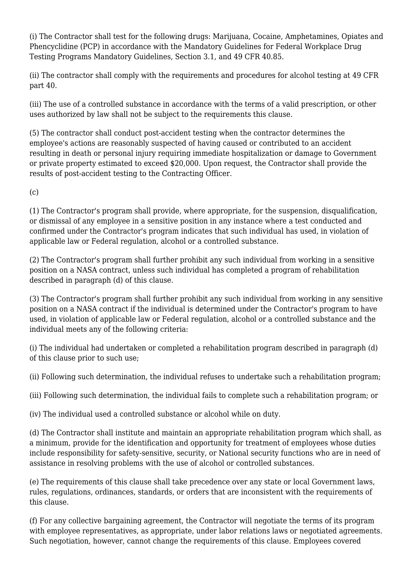(i) The Contractor shall test for the following drugs: Marijuana, Cocaine, Amphetamines, Opiates and Phencyclidine (PCP) in accordance with the Mandatory Guidelines for Federal Workplace Drug Testing Programs Mandatory Guidelines, Section 3.1, and 49 CFR 40.85.

(ii) The contractor shall comply with the requirements and procedures for alcohol testing at 49 CFR part 40.

(iii) The use of a controlled substance in accordance with the terms of a valid prescription, or other uses authorized by law shall not be subject to the requirements this clause.

(5) The contractor shall conduct post-accident testing when the contractor determines the employee's actions are reasonably suspected of having caused or contributed to an accident resulting in death or personal injury requiring immediate hospitalization or damage to Government or private property estimated to exceed \$20,000. Upon request, the Contractor shall provide the results of post-accident testing to the Contracting Officer.

(c)

(1) The Contractor's program shall provide, where appropriate, for the suspension, disqualification, or dismissal of any employee in a sensitive position in any instance where a test conducted and confirmed under the Contractor's program indicates that such individual has used, in violation of applicable law or Federal regulation, alcohol or a controlled substance.

(2) The Contractor's program shall further prohibit any such individual from working in a sensitive position on a NASA contract, unless such individual has completed a program of rehabilitation described in paragraph (d) of this clause.

(3) The Contractor's program shall further prohibit any such individual from working in any sensitive position on a NASA contract if the individual is determined under the Contractor's program to have used, in violation of applicable law or Federal regulation, alcohol or a controlled substance and the individual meets any of the following criteria:

(i) The individual had undertaken or completed a rehabilitation program described in paragraph (d) of this clause prior to such use;

(ii) Following such determination, the individual refuses to undertake such a rehabilitation program;

(iii) Following such determination, the individual fails to complete such a rehabilitation program; or

(iv) The individual used a controlled substance or alcohol while on duty.

(d) The Contractor shall institute and maintain an appropriate rehabilitation program which shall, as a minimum, provide for the identification and opportunity for treatment of employees whose duties include responsibility for safety-sensitive, security, or National security functions who are in need of assistance in resolving problems with the use of alcohol or controlled substances.

(e) The requirements of this clause shall take precedence over any state or local Government laws, rules, regulations, ordinances, standards, or orders that are inconsistent with the requirements of this clause.

(f) For any collective bargaining agreement, the Contractor will negotiate the terms of its program with employee representatives, as appropriate, under labor relations laws or negotiated agreements. Such negotiation, however, cannot change the requirements of this clause. Employees covered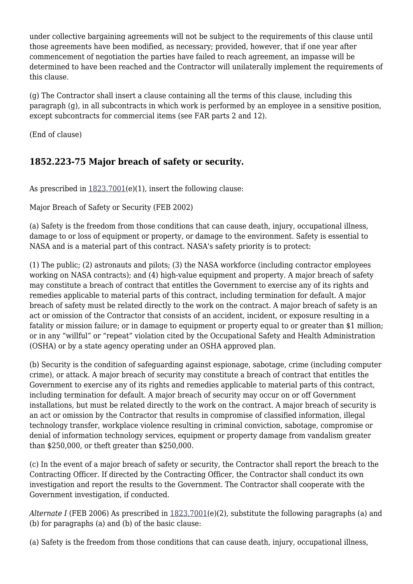under collective bargaining agreements will not be subject to the requirements of this clause until those agreements have been modified, as necessary; provided, however, that if one year after commencement of negotiation the parties have failed to reach agreement, an impasse will be determined to have been reached and the Contractor will unilaterally implement the requirements of this clause.

(g) The Contractor shall insert a clause containing all the terms of this clause, including this paragraph (g), in all subcontracts in which work is performed by an employee in a sensitive position, except subcontracts for commercial items (see FAR parts 2 and 12).

(End of clause)

# **1852.223-75 Major breach of safety or security.**

As prescribed in  $1823.7001(e)(1)$  $1823.7001(e)(1)$ , insert the following clause:

Major Breach of Safety or Security (FEB 2002)

(a) Safety is the freedom from those conditions that can cause death, injury, occupational illness, damage to or loss of equipment or property, or damage to the environment. Safety is essential to NASA and is a material part of this contract. NASA's safety priority is to protect:

(1) The public; (2) astronauts and pilots; (3) the NASA workforce (including contractor employees working on NASA contracts); and (4) high-value equipment and property. A major breach of safety may constitute a breach of contract that entitles the Government to exercise any of its rights and remedies applicable to material parts of this contract, including termination for default. A major breach of safety must be related directly to the work on the contract. A major breach of safety is an act or omission of the Contractor that consists of an accident, incident, or exposure resulting in a fatality or mission failure; or in damage to equipment or property equal to or greater than \$1 million; or in any "willful" or "repeat" violation cited by the Occupational Safety and Health Administration (OSHA) or by a state agency operating under an OSHA approved plan.

(b) Security is the condition of safeguarding against espionage, sabotage, crime (including computer crime), or attack. A major breach of security may constitute a breach of contract that entitles the Government to exercise any of its rights and remedies applicable to material parts of this contract, including termination for default. A major breach of security may occur on or off Government installations, but must be related directly to the work on the contract. A major breach of security is an act or omission by the Contractor that results in compromise of classified information, illegal technology transfer, workplace violence resulting in criminal conviction, sabotage, compromise or denial of information technology services, equipment or property damage from vandalism greater than \$250,000, or theft greater than \$250,000.

(c) In the event of a major breach of safety or security, the Contractor shall report the breach to the Contracting Officer. If directed by the Contracting Officer, the Contractor shall conduct its own investigation and report the results to the Government. The Contractor shall cooperate with the Government investigation, if conducted.

*Alternate I* (FEB 2006) As prescribed in [1823.7001\(](https://login.acquisition.gov/%5Brp:link:nfs-part-1823%5D#Section_1823_7001_T48_6041919311)e)(2), substitute the following paragraphs (a) and (b) for paragraphs (a) and (b) of the basic clause:

(a) Safety is the freedom from those conditions that can cause death, injury, occupational illness,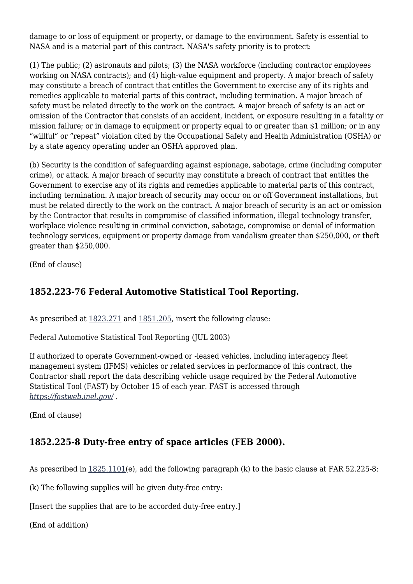damage to or loss of equipment or property, or damage to the environment. Safety is essential to NASA and is a material part of this contract. NASA's safety priority is to protect:

(1) The public; (2) astronauts and pilots; (3) the NASA workforce (including contractor employees working on NASA contracts); and (4) high-value equipment and property. A major breach of safety may constitute a breach of contract that entitles the Government to exercise any of its rights and remedies applicable to material parts of this contract, including termination. A major breach of safety must be related directly to the work on the contract. A major breach of safety is an act or omission of the Contractor that consists of an accident, incident, or exposure resulting in a fatality or mission failure; or in damage to equipment or property equal to or greater than \$1 million; or in any "willful" or "repeat" violation cited by the Occupational Safety and Health Administration (OSHA) or by a state agency operating under an OSHA approved plan.

(b) Security is the condition of safeguarding against espionage, sabotage, crime (including computer crime), or attack. A major breach of security may constitute a breach of contract that entitles the Government to exercise any of its rights and remedies applicable to material parts of this contract, including termination. A major breach of security may occur on or off Government installations, but must be related directly to the work on the contract. A major breach of security is an act or omission by the Contractor that results in compromise of classified information, illegal technology transfer, workplace violence resulting in criminal conviction, sabotage, compromise or denial of information technology services, equipment or property damage from vandalism greater than \$250,000, or theft greater than \$250,000.

(End of clause)

# **1852.223-76 Federal Automotive Statistical Tool Reporting.**

As prescribed at [1823.271](https://login.acquisition.gov/%5Brp:link:nfs-part-1823%5D#Section_1823_271_T48_6041919111) and [1851.205](https://login.acquisition.gov/%5Brp:link:nfs-part-1851%5D#Section_1851_205_T48_6042243111), insert the following clause:

Federal Automotive Statistical Tool Reporting (JUL 2003)

If authorized to operate Government-owned or -leased vehicles, including interagency fleet management system (IFMS) vehicles or related services in performance of this contract, the Contractor shall report the data describing vehicle usage required by the Federal Automotive Statistical Tool (FAST) by October 15 of each year. FAST is accessed through *<https://fastweb.inel.gov/>.*

(End of clause)

# **1852.225-8 Duty-free entry of space articles (FEB 2000).**

As prescribed in [1825.1101](https://login.acquisition.gov/%5Brp:link:nfs-part-1825%5D#Section_1825_1101_T48_6041921411)(e), add the following paragraph (k) to the basic clause at FAR 52.225-8:

(k) The following supplies will be given duty-free entry:

[Insert the supplies that are to be accorded duty-free entry.]

(End of addition)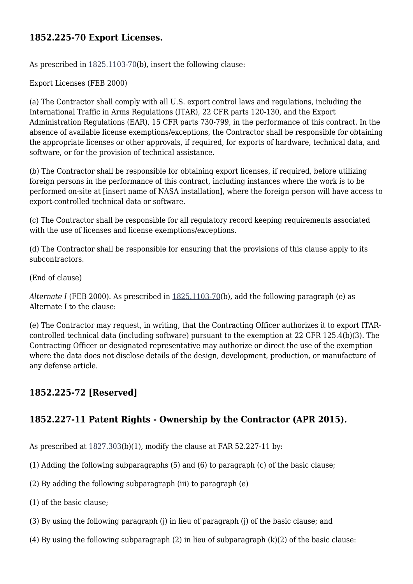#### **1852.225-70 Export Licenses.**

As prescribed in [1825.1103-70](https://login.acquisition.gov/%5Brp:link:nfs-part-1825%5D#Section_1825_1103_70_T48_6041921413)(b), insert the following clause:

Export Licenses (FEB 2000)

(a) The Contractor shall comply with all U.S. export control laws and regulations, including the International Traffic in Arms Regulations (ITAR), 22 CFR parts 120-130, and the Export Administration Regulations (EAR), 15 CFR parts 730-799, in the performance of this contract. In the absence of available license exemptions/exceptions, the Contractor shall be responsible for obtaining the appropriate licenses or other approvals, if required, for exports of hardware, technical data, and software, or for the provision of technical assistance.

(b) The Contractor shall be responsible for obtaining export licenses, if required, before utilizing foreign persons in the performance of this contract, including instances where the work is to be performed on-site at [insert name of NASA installation], where the foreign person will have access to export-controlled technical data or software.

(c) The Contractor shall be responsible for all regulatory record keeping requirements associated with the use of licenses and license exemptions/exceptions.

(d) The Contractor shall be responsible for ensuring that the provisions of this clause apply to its subcontractors.

(End of clause)

*Alternate I* (FEB 2000). As prescribed in [1825.1103-70\(](https://login.acquisition.gov/%5Brp:link:nfs-part-1825%5D#Section_1825_1103_70_T48_6041921413)b), add the following paragraph (e) as Alternate I to the clause:

(e) The Contractor may request, in writing, that the Contracting Officer authorizes it to export ITARcontrolled technical data (including software) pursuant to the exemption at 22 CFR 125.4(b)(3). The Contracting Officer or designated representative may authorize or direct the use of the exemption where the data does not disclose details of the design, development, production, or manufacture of any defense article.

### **1852.225-72 [Reserved]**

### **1852.227-11 Patent Rights - Ownership by the Contractor (APR 2015).**

As prescribed at [1827.303](https://login.acquisition.gov/%5Brp:link:nfs-part-1827%5D#Section_1827_303_T48_6042022113)(b)(1), modify the clause at FAR 52.227-11 by:

- (1) Adding the following subparagraphs (5) and (6) to paragraph (c) of the basic clause;
- (2) By adding the following subparagraph (iii) to paragraph (e)
- (1) of the basic clause;
- (3) By using the following paragraph (j) in lieu of paragraph (j) of the basic clause; and
- (4) By using the following subparagraph (2) in lieu of subparagraph (k)(2) of the basic clause: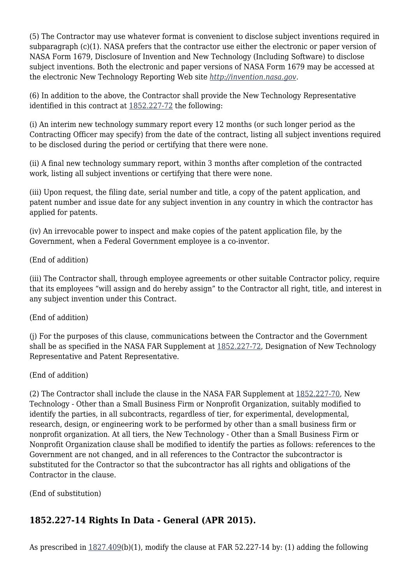(5) The Contractor may use whatever format is convenient to disclose subject inventions required in subparagraph (c)(1). NASA prefers that the contractor use either the electronic or paper version of NASA Form 1679, Disclosure of Invention and New Technology (Including Software) to disclose subject inventions. Both the electronic and paper versions of NASA Form 1679 may be accessed at the electronic New Technology Reporting Web site *<http://invention.nasa.gov>.*

(6) In addition to the above, the Contractor shall provide the New Technology Representative identified in this contract at [1852.227-72](https://login.acquisition.gov/%5Brp:link:nfs-part-1852%5D#Section_1852_227_72_T48_60423441170) the following:

(i) An interim new technology summary report every 12 months (or such longer period as the Contracting Officer may specify) from the date of the contract, listing all subject inventions required to be disclosed during the period or certifying that there were none.

(ii) A final new technology summary report, within 3 months after completion of the contracted work, listing all subject inventions or certifying that there were none.

(iii) Upon request, the filing date, serial number and title, a copy of the patent application, and patent number and issue date for any subject invention in any country in which the contractor has applied for patents.

(iv) An irrevocable power to inspect and make copies of the patent application file, by the Government, when a Federal Government employee is a co-inventor.

(End of addition)

(iii) The Contractor shall, through employee agreements or other suitable Contractor policy, require that its employees "will assign and do hereby assign" to the Contractor all right, title, and interest in any subject invention under this Contract.

(End of addition)

(j) For the purposes of this clause, communications between the Contractor and the Government shall be as specified in the NASA FAR Supplement at [1852.227-72](https://login.acquisition.gov/%5Brp:link:nfs-part-1852%5D#Section_1852_227_72_T48_60423441170), Designation of New Technology Representative and Patent Representative.

(End of addition)

(2) The Contractor shall include the clause in the NASA FAR Supplement at [1852.227-70,](https://login.acquisition.gov/%5Brp:link:nfs-part-1852%5D#Section_1852_227_70_T48_60423441168) New Technology - Other than a Small Business Firm or Nonprofit Organization, suitably modified to identify the parties, in all subcontracts, regardless of tier, for experimental, developmental, research, design, or engineering work to be performed by other than a small business firm or nonprofit organization. At all tiers, the New Technology - Other than a Small Business Firm or Nonprofit Organization clause shall be modified to identify the parties as follows: references to the Government are not changed, and in all references to the Contractor the subcontractor is substituted for the Contractor so that the subcontractor has all rights and obligations of the Contractor in the clause.

(End of substitution)

# **1852.227-14 Rights In Data - General (APR 2015).**

As prescribed in [1827.409\(](https://login.acquisition.gov/%5Brp:link:nfs-part-1827%5D#Section_1827_409_T48_6042022213)b)(1), modify the clause at FAR 52.227-14 by: (1) adding the following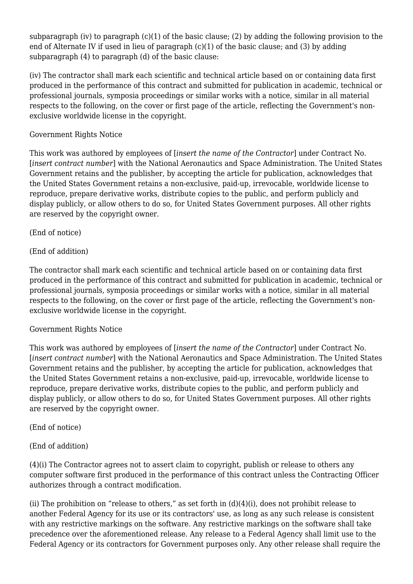subparagraph (iv) to paragraph  $(c)(1)$  of the basic clause; (2) by adding the following provision to the end of Alternate IV if used in lieu of paragraph (c)(1) of the basic clause; and (3) by adding subparagraph (4) to paragraph (d) of the basic clause:

(iv) The contractor shall mark each scientific and technical article based on or containing data first produced in the performance of this contract and submitted for publication in academic, technical or professional journals, symposia proceedings or similar works with a notice, similar in all material respects to the following, on the cover or first page of the article, reflecting the Government's nonexclusive worldwide license in the copyright.

#### Government Rights Notice

This work was authored by employees of [*insert the name of the Contractor*] under Contract No. [*insert contract number*] with the National Aeronautics and Space Administration. The United States Government retains and the publisher, by accepting the article for publication, acknowledges that the United States Government retains a non-exclusive, paid-up, irrevocable, worldwide license to reproduce, prepare derivative works, distribute copies to the public, and perform publicly and display publicly, or allow others to do so, for United States Government purposes. All other rights are reserved by the copyright owner.

#### (End of notice)

#### (End of addition)

The contractor shall mark each scientific and technical article based on or containing data first produced in the performance of this contract and submitted for publication in academic, technical or professional journals, symposia proceedings or similar works with a notice, similar in all material respects to the following, on the cover or first page of the article, reflecting the Government's nonexclusive worldwide license in the copyright.

#### Government Rights Notice

This work was authored by employees of [*insert the name of the Contractor*] under Contract No. [*insert contract number*] with the National Aeronautics and Space Administration. The United States Government retains and the publisher, by accepting the article for publication, acknowledges that the United States Government retains a non-exclusive, paid-up, irrevocable, worldwide license to reproduce, prepare derivative works, distribute copies to the public, and perform publicly and display publicly, or allow others to do so, for United States Government purposes. All other rights are reserved by the copyright owner.

#### (End of notice)

(End of addition)

(4)(i) The Contractor agrees not to assert claim to copyright, publish or release to others any computer software first produced in the performance of this contract unless the Contracting Officer authorizes through a contract modification.

(ii) The prohibition on "release to others," as set forth in  $(d)(4)(i)$ , does not prohibit release to another Federal Agency for its use or its contractors' use, as long as any such release is consistent with any restrictive markings on the software. Any restrictive markings on the software shall take precedence over the aforementioned release. Any release to a Federal Agency shall limit use to the Federal Agency or its contractors for Government purposes only. Any other release shall require the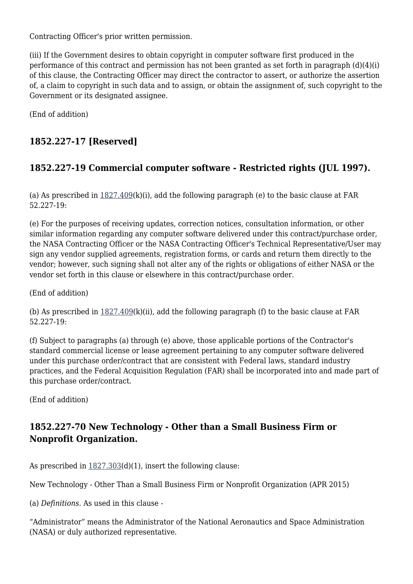Contracting Officer's prior written permission.

(iii) If the Government desires to obtain copyright in computer software first produced in the performance of this contract and permission has not been granted as set forth in paragraph (d)(4)(i) of this clause, the Contracting Officer may direct the contractor to assert, or authorize the assertion of, a claim to copyright in such data and to assign, or obtain the assignment of, such copyright to the Government or its designated assignee.

(End of addition)

# **1852.227-17 [Reserved]**

# **1852.227-19 Commercial computer software - Restricted rights (JUL 1997).**

(a) As prescribed in  $1827.409(k)(i)$ , add the following paragraph (e) to the basic clause at FAR 52.227-19:

(e) For the purposes of receiving updates, correction notices, consultation information, or other similar information regarding any computer software delivered under this contract/purchase order, the NASA Contracting Officer or the NASA Contracting Officer's Technical Representative/User may sign any vendor supplied agreements, registration forms, or cards and return them directly to the vendor; however, such signing shall not alter any of the rights or obligations of either NASA or the vendor set forth in this clause or elsewhere in this contract/purchase order.

(End of addition)

(b) As prescribed in  $1827.409(k)(ii)$  $1827.409(k)(ii)$ , add the following paragraph (f) to the basic clause at FAR 52.227-19:

(f) Subject to paragraphs (a) through (e) above, those applicable portions of the Contractor's standard commercial license or lease agreement pertaining to any computer software delivered under this purchase order/contract that are consistent with Federal laws, standard industry practices, and the Federal Acquisition Regulation (FAR) shall be incorporated into and made part of this purchase order/contract.

(End of addition)

## **1852.227-70 New Technology - Other than a Small Business Firm or Nonprofit Organization.**

As prescribed in  $1827.303(d)(1)$  $1827.303(d)(1)$ , insert the following clause:

New Technology - Other Than a Small Business Firm or Nonprofit Organization (APR 2015)

(a) *Definitions.* As used in this clause -

"Administrator" means the Administrator of the National Aeronautics and Space Administration (NASA) or duly authorized representative.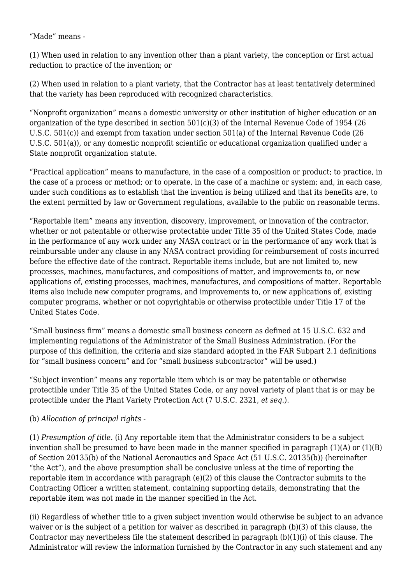"Made" means -

(1) When used in relation to any invention other than a plant variety, the conception or first actual reduction to practice of the invention; or

(2) When used in relation to a plant variety, that the Contractor has at least tentatively determined that the variety has been reproduced with recognized characteristics.

"Nonprofit organization" means a domestic university or other institution of higher education or an organization of the type described in section 501(c)(3) of the Internal Revenue Code of 1954 (26 U.S.C. 501(c)) and exempt from taxation under section 501(a) of the Internal Revenue Code (26 U.S.C. 501(a)), or any domestic nonprofit scientific or educational organization qualified under a State nonprofit organization statute.

"Practical application" means to manufacture, in the case of a composition or product; to practice, in the case of a process or method; or to operate, in the case of a machine or system; and, in each case, under such conditions as to establish that the invention is being utilized and that its benefits are, to the extent permitted by law or Government regulations, available to the public on reasonable terms.

"Reportable item" means any invention, discovery, improvement, or innovation of the contractor, whether or not patentable or otherwise protectable under Title 35 of the United States Code, made in the performance of any work under any NASA contract or in the performance of any work that is reimbursable under any clause in any NASA contract providing for reimbursement of costs incurred before the effective date of the contract. Reportable items include, but are not limited to, new processes, machines, manufactures, and compositions of matter, and improvements to, or new applications of, existing processes, machines, manufactures, and compositions of matter. Reportable items also include new computer programs, and improvements to, or new applications of, existing computer programs, whether or not copyrightable or otherwise protectible under Title 17 of the United States Code.

"Small business firm" means a domestic small business concern as defined at 15 U.S.C. 632 and implementing regulations of the Administrator of the Small Business Administration. (For the purpose of this definition, the criteria and size standard adopted in the FAR Subpart 2.1 definitions for "small business concern" and for "small business subcontractor" will be used.)

"Subject invention" means any reportable item which is or may be patentable or otherwise protectible under Title 35 of the United States Code, or any novel variety of plant that is or may be protectible under the Plant Variety Protection Act (7 U.S.C. 2321, *et seq.*).

#### (b) *Allocation of principal rights* -

(1) *Presumption of title.* (i) Any reportable item that the Administrator considers to be a subject invention shall be presumed to have been made in the manner specified in paragraph  $(1)(A)$  or  $(1)(B)$ of Section 20135(b) of the National Aeronautics and Space Act (51 U.S.C. 20135(b)) (hereinafter "the Act"), and the above presumption shall be conclusive unless at the time of reporting the reportable item in accordance with paragraph (e)(2) of this clause the Contractor submits to the Contracting Officer a written statement, containing supporting details, demonstrating that the reportable item was not made in the manner specified in the Act.

(ii) Regardless of whether title to a given subject invention would otherwise be subject to an advance waiver or is the subject of a petition for waiver as described in paragraph (b)(3) of this clause, the Contractor may nevertheless file the statement described in paragraph (b)(1)(i) of this clause. The Administrator will review the information furnished by the Contractor in any such statement and any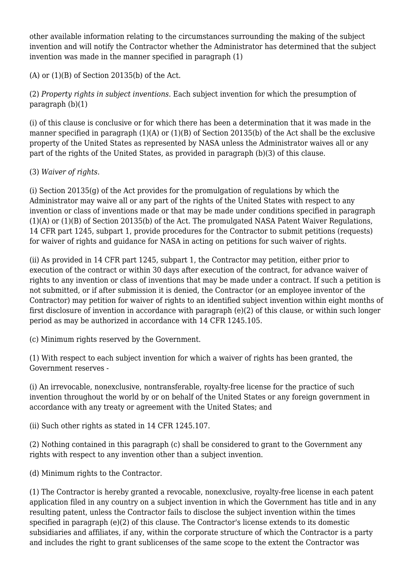other available information relating to the circumstances surrounding the making of the subject invention and will notify the Contractor whether the Administrator has determined that the subject invention was made in the manner specified in paragraph (1)

 $(A)$  or  $(1)(B)$  of Section 20135(b) of the Act.

(2) *Property rights in subject inventions.* Each subject invention for which the presumption of paragraph (b)(1)

(i) of this clause is conclusive or for which there has been a determination that it was made in the manner specified in paragraph (1)(A) or (1)(B) of Section 20135(b) of the Act shall be the exclusive property of the United States as represented by NASA unless the Administrator waives all or any part of the rights of the United States, as provided in paragraph (b)(3) of this clause.

(3) *Waiver of rights.*

(i) Section 20135(g) of the Act provides for the promulgation of regulations by which the Administrator may waive all or any part of the rights of the United States with respect to any invention or class of inventions made or that may be made under conditions specified in paragraph (1)(A) or (1)(B) of Section 20135(b) of the Act. The promulgated NASA Patent Waiver Regulations, 14 CFR part 1245, subpart 1, provide procedures for the Contractor to submit petitions (requests) for waiver of rights and guidance for NASA in acting on petitions for such waiver of rights.

(ii) As provided in 14 CFR part 1245, subpart 1, the Contractor may petition, either prior to execution of the contract or within 30 days after execution of the contract, for advance waiver of rights to any invention or class of inventions that may be made under a contract. If such a petition is not submitted, or if after submission it is denied, the Contractor (or an employee inventor of the Contractor) may petition for waiver of rights to an identified subject invention within eight months of first disclosure of invention in accordance with paragraph (e)(2) of this clause, or within such longer period as may be authorized in accordance with 14 CFR 1245.105.

(c) Minimum rights reserved by the Government.

(1) With respect to each subject invention for which a waiver of rights has been granted, the Government reserves -

(i) An irrevocable, nonexclusive, nontransferable, royalty-free license for the practice of such invention throughout the world by or on behalf of the United States or any foreign government in accordance with any treaty or agreement with the United States; and

(ii) Such other rights as stated in 14 CFR 1245.107.

(2) Nothing contained in this paragraph (c) shall be considered to grant to the Government any rights with respect to any invention other than a subject invention.

(d) Minimum rights to the Contractor.

(1) The Contractor is hereby granted a revocable, nonexclusive, royalty-free license in each patent application filed in any country on a subject invention in which the Government has title and in any resulting patent, unless the Contractor fails to disclose the subject invention within the times specified in paragraph (e)(2) of this clause. The Contractor's license extends to its domestic subsidiaries and affiliates, if any, within the corporate structure of which the Contractor is a party and includes the right to grant sublicenses of the same scope to the extent the Contractor was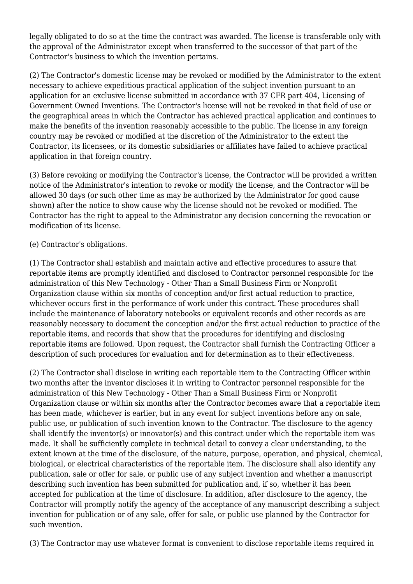legally obligated to do so at the time the contract was awarded. The license is transferable only with the approval of the Administrator except when transferred to the successor of that part of the Contractor's business to which the invention pertains.

(2) The Contractor's domestic license may be revoked or modified by the Administrator to the extent necessary to achieve expeditious practical application of the subject invention pursuant to an application for an exclusive license submitted in accordance with 37 CFR part 404, Licensing of Government Owned Inventions. The Contractor's license will not be revoked in that field of use or the geographical areas in which the Contractor has achieved practical application and continues to make the benefits of the invention reasonably accessible to the public. The license in any foreign country may be revoked or modified at the discretion of the Administrator to the extent the Contractor, its licensees, or its domestic subsidiaries or affiliates have failed to achieve practical application in that foreign country.

(3) Before revoking or modifying the Contractor's license, the Contractor will be provided a written notice of the Administrator's intention to revoke or modify the license, and the Contractor will be allowed 30 days (or such other time as may be authorized by the Administrator for good cause shown) after the notice to show cause why the license should not be revoked or modified. The Contractor has the right to appeal to the Administrator any decision concerning the revocation or modification of its license.

#### (e) Contractor's obligations.

(1) The Contractor shall establish and maintain active and effective procedures to assure that reportable items are promptly identified and disclosed to Contractor personnel responsible for the administration of this New Technology - Other Than a Small Business Firm or Nonprofit Organization clause within six months of conception and/or first actual reduction to practice, whichever occurs first in the performance of work under this contract. These procedures shall include the maintenance of laboratory notebooks or equivalent records and other records as are reasonably necessary to document the conception and/or the first actual reduction to practice of the reportable items, and records that show that the procedures for identifying and disclosing reportable items are followed. Upon request, the Contractor shall furnish the Contracting Officer a description of such procedures for evaluation and for determination as to their effectiveness.

(2) The Contractor shall disclose in writing each reportable item to the Contracting Officer within two months after the inventor discloses it in writing to Contractor personnel responsible for the administration of this New Technology - Other Than a Small Business Firm or Nonprofit Organization clause or within six months after the Contractor becomes aware that a reportable item has been made, whichever is earlier, but in any event for subject inventions before any on sale, public use, or publication of such invention known to the Contractor. The disclosure to the agency shall identify the inventor(s) or innovator(s) and this contract under which the reportable item was made. It shall be sufficiently complete in technical detail to convey a clear understanding, to the extent known at the time of the disclosure, of the nature, purpose, operation, and physical, chemical, biological, or electrical characteristics of the reportable item. The disclosure shall also identify any publication, sale or offer for sale, or public use of any subject invention and whether a manuscript describing such invention has been submitted for publication and, if so, whether it has been accepted for publication at the time of disclosure. In addition, after disclosure to the agency, the Contractor will promptly notify the agency of the acceptance of any manuscript describing a subject invention for publication or of any sale, offer for sale, or public use planned by the Contractor for such invention.

(3) The Contractor may use whatever format is convenient to disclose reportable items required in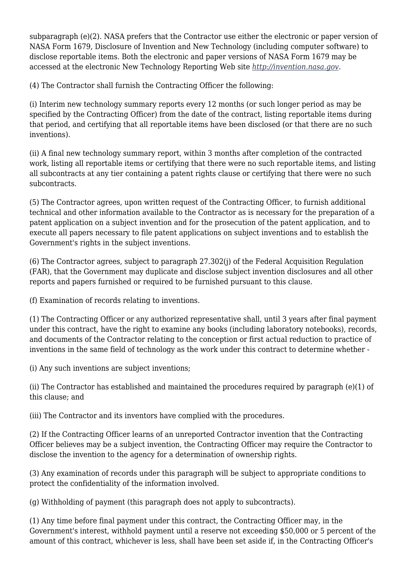subparagraph (e)(2). NASA prefers that the Contractor use either the electronic or paper version of NASA Form 1679, Disclosure of Invention and New Technology (including computer software) to disclose reportable items. Both the electronic and paper versions of NASA Form 1679 may be accessed at the electronic New Technology Reporting Web site *[http://invention.nasa.gov.](http://invention.nasa.gov)*

(4) The Contractor shall furnish the Contracting Officer the following:

(i) Interim new technology summary reports every 12 months (or such longer period as may be specified by the Contracting Officer) from the date of the contract, listing reportable items during that period, and certifying that all reportable items have been disclosed (or that there are no such inventions).

(ii) A final new technology summary report, within 3 months after completion of the contracted work, listing all reportable items or certifying that there were no such reportable items, and listing all subcontracts at any tier containing a patent rights clause or certifying that there were no such subcontracts.

(5) The Contractor agrees, upon written request of the Contracting Officer, to furnish additional technical and other information available to the Contractor as is necessary for the preparation of a patent application on a subject invention and for the prosecution of the patent application, and to execute all papers necessary to file patent applications on subject inventions and to establish the Government's rights in the subject inventions.

(6) The Contractor agrees, subject to paragraph 27.302(j) of the Federal Acquisition Regulation (FAR), that the Government may duplicate and disclose subject invention disclosures and all other reports and papers furnished or required to be furnished pursuant to this clause.

(f) Examination of records relating to inventions.

(1) The Contracting Officer or any authorized representative shall, until 3 years after final payment under this contract, have the right to examine any books (including laboratory notebooks), records, and documents of the Contractor relating to the conception or first actual reduction to practice of inventions in the same field of technology as the work under this contract to determine whether -

(i) Any such inventions are subject inventions;

(ii) The Contractor has established and maintained the procedures required by paragraph (e)(1) of this clause; and

(iii) The Contractor and its inventors have complied with the procedures.

(2) If the Contracting Officer learns of an unreported Contractor invention that the Contracting Officer believes may be a subject invention, the Contracting Officer may require the Contractor to disclose the invention to the agency for a determination of ownership rights.

(3) Any examination of records under this paragraph will be subject to appropriate conditions to protect the confidentiality of the information involved.

(g) Withholding of payment (this paragraph does not apply to subcontracts).

(1) Any time before final payment under this contract, the Contracting Officer may, in the Government's interest, withhold payment until a reserve not exceeding \$50,000 or 5 percent of the amount of this contract, whichever is less, shall have been set aside if, in the Contracting Officer's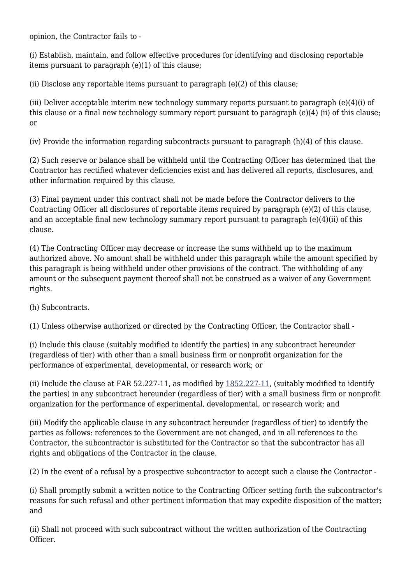opinion, the Contractor fails to -

(i) Establish, maintain, and follow effective procedures for identifying and disclosing reportable items pursuant to paragraph (e)(1) of this clause;

(ii) Disclose any reportable items pursuant to paragraph (e)(2) of this clause;

(iii) Deliver acceptable interim new technology summary reports pursuant to paragraph (e)(4)(i) of this clause or a final new technology summary report pursuant to paragraph (e)(4) (ii) of this clause; or

(iv) Provide the information regarding subcontracts pursuant to paragraph (h)(4) of this clause.

(2) Such reserve or balance shall be withheld until the Contracting Officer has determined that the Contractor has rectified whatever deficiencies exist and has delivered all reports, disclosures, and other information required by this clause.

(3) Final payment under this contract shall not be made before the Contractor delivers to the Contracting Officer all disclosures of reportable items required by paragraph (e)(2) of this clause, and an acceptable final new technology summary report pursuant to paragraph  $(e)(4)(ii)$  of this clause.

(4) The Contracting Officer may decrease or increase the sums withheld up to the maximum authorized above. No amount shall be withheld under this paragraph while the amount specified by this paragraph is being withheld under other provisions of the contract. The withholding of any amount or the subsequent payment thereof shall not be construed as a waiver of any Government rights.

(h) Subcontracts.

(1) Unless otherwise authorized or directed by the Contracting Officer, the Contractor shall -

(i) Include this clause (suitably modified to identify the parties) in any subcontract hereunder (regardless of tier) with other than a small business firm or nonprofit organization for the performance of experimental, developmental, or research work; or

(ii) Include the clause at FAR 52.227-11, as modified by [1852.227-11,](https://login.acquisition.gov/%5Brp:link:nfs-part-1852%5D#Section_1852_227_11_T48_60423441164) (suitably modified to identify the parties) in any subcontract hereunder (regardless of tier) with a small business firm or nonprofit organization for the performance of experimental, developmental, or research work; and

(iii) Modify the applicable clause in any subcontract hereunder (regardless of tier) to identify the parties as follows: references to the Government are not changed, and in all references to the Contractor, the subcontractor is substituted for the Contractor so that the subcontractor has all rights and obligations of the Contractor in the clause.

(2) In the event of a refusal by a prospective subcontractor to accept such a clause the Contractor -

(i) Shall promptly submit a written notice to the Contracting Officer setting forth the subcontractor's reasons for such refusal and other pertinent information that may expedite disposition of the matter; and

(ii) Shall not proceed with such subcontract without the written authorization of the Contracting Officer.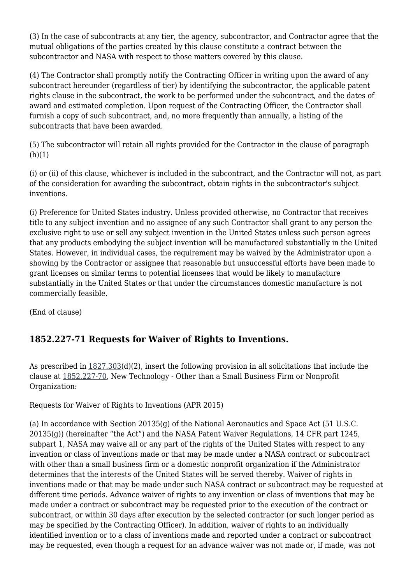(3) In the case of subcontracts at any tier, the agency, subcontractor, and Contractor agree that the mutual obligations of the parties created by this clause constitute a contract between the subcontractor and NASA with respect to those matters covered by this clause.

(4) The Contractor shall promptly notify the Contracting Officer in writing upon the award of any subcontract hereunder (regardless of tier) by identifying the subcontractor, the applicable patent rights clause in the subcontract, the work to be performed under the subcontract, and the dates of award and estimated completion. Upon request of the Contracting Officer, the Contractor shall furnish a copy of such subcontract, and, no more frequently than annually, a listing of the subcontracts that have been awarded.

(5) The subcontractor will retain all rights provided for the Contractor in the clause of paragraph  $(h)(1)$ 

(i) or (ii) of this clause, whichever is included in the subcontract, and the Contractor will not, as part of the consideration for awarding the subcontract, obtain rights in the subcontractor's subject inventions.

(i) Preference for United States industry. Unless provided otherwise, no Contractor that receives title to any subject invention and no assignee of any such Contractor shall grant to any person the exclusive right to use or sell any subject invention in the United States unless such person agrees that any products embodying the subject invention will be manufactured substantially in the United States. However, in individual cases, the requirement may be waived by the Administrator upon a showing by the Contractor or assignee that reasonable but unsuccessful efforts have been made to grant licenses on similar terms to potential licensees that would be likely to manufacture substantially in the United States or that under the circumstances domestic manufacture is not commercially feasible.

(End of clause)

# **1852.227-71 Requests for Waiver of Rights to Inventions.**

As prescribed in [1827.303\(](https://login.acquisition.gov/%5Brp:link:nfs-part-1827%5D#Section_1827_303_T48_6042022113)d)(2), insert the following provision in all solicitations that include the clause at [1852.227-70,](https://login.acquisition.gov/%5Brp:link:nfs-part-1852%5D#Section_1852_227_70_T48_60423441168) New Technology - Other than a Small Business Firm or Nonprofit Organization:

Requests for Waiver of Rights to Inventions (APR 2015)

(a) In accordance with Section 20135(g) of the National Aeronautics and Space Act (51 U.S.C. 20135(g)) (hereinafter "the Act") and the NASA Patent Waiver Regulations, 14 CFR part 1245, subpart 1, NASA may waive all or any part of the rights of the United States with respect to any invention or class of inventions made or that may be made under a NASA contract or subcontract with other than a small business firm or a domestic nonprofit organization if the Administrator determines that the interests of the United States will be served thereby. Waiver of rights in inventions made or that may be made under such NASA contract or subcontract may be requested at different time periods. Advance waiver of rights to any invention or class of inventions that may be made under a contract or subcontract may be requested prior to the execution of the contract or subcontract, or within 30 days after execution by the selected contractor (or such longer period as may be specified by the Contracting Officer). In addition, waiver of rights to an individually identified invention or to a class of inventions made and reported under a contract or subcontract may be requested, even though a request for an advance waiver was not made or, if made, was not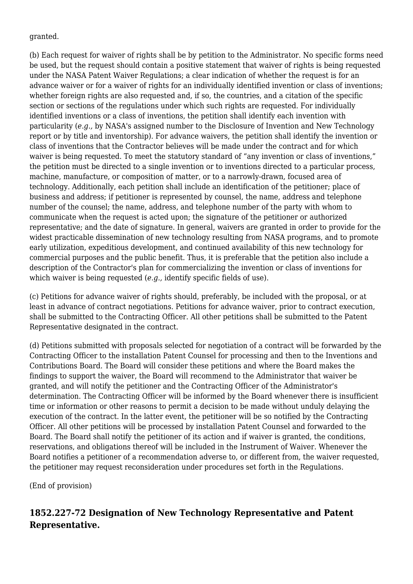granted.

(b) Each request for waiver of rights shall be by petition to the Administrator. No specific forms need be used, but the request should contain a positive statement that waiver of rights is being requested under the NASA Patent Waiver Regulations; a clear indication of whether the request is for an advance waiver or for a waiver of rights for an individually identified invention or class of inventions; whether foreign rights are also requested and, if so, the countries, and a citation of the specific section or sections of the regulations under which such rights are requested. For individually identified inventions or a class of inventions, the petition shall identify each invention with particularity (*e.g.,* by NASA's assigned number to the Disclosure of Invention and New Technology report or by title and inventorship). For advance waivers, the petition shall identify the invention or class of inventions that the Contractor believes will be made under the contract and for which waiver is being requested. To meet the statutory standard of "any invention or class of inventions," the petition must be directed to a single invention or to inventions directed to a particular process, machine, manufacture, or composition of matter, or to a narrowly-drawn, focused area of technology. Additionally, each petition shall include an identification of the petitioner; place of business and address; if petitioner is represented by counsel, the name, address and telephone number of the counsel; the name, address, and telephone number of the party with whom to communicate when the request is acted upon; the signature of the petitioner or authorized representative; and the date of signature. In general, waivers are granted in order to provide for the widest practicable dissemination of new technology resulting from NASA programs, and to promote early utilization, expeditious development, and continued availability of this new technology for commercial purposes and the public benefit. Thus, it is preferable that the petition also include a description of the Contractor's plan for commercializing the invention or class of inventions for which waiver is being requested (*e.g.*, identify specific fields of use).

(c) Petitions for advance waiver of rights should, preferably, be included with the proposal, or at least in advance of contract negotiations. Petitions for advance waiver, prior to contract execution, shall be submitted to the Contracting Officer. All other petitions shall be submitted to the Patent Representative designated in the contract.

(d) Petitions submitted with proposals selected for negotiation of a contract will be forwarded by the Contracting Officer to the installation Patent Counsel for processing and then to the Inventions and Contributions Board. The Board will consider these petitions and where the Board makes the findings to support the waiver, the Board will recommend to the Administrator that waiver be granted, and will notify the petitioner and the Contracting Officer of the Administrator's determination. The Contracting Officer will be informed by the Board whenever there is insufficient time or information or other reasons to permit a decision to be made without unduly delaying the execution of the contract. In the latter event, the petitioner will be so notified by the Contracting Officer. All other petitions will be processed by installation Patent Counsel and forwarded to the Board. The Board shall notify the petitioner of its action and if waiver is granted, the conditions, reservations, and obligations thereof will be included in the Instrument of Waiver. Whenever the Board notifies a petitioner of a recommendation adverse to, or different from, the waiver requested, the petitioner may request reconsideration under procedures set forth in the Regulations.

(End of provision)

# **1852.227-72 Designation of New Technology Representative and Patent Representative.**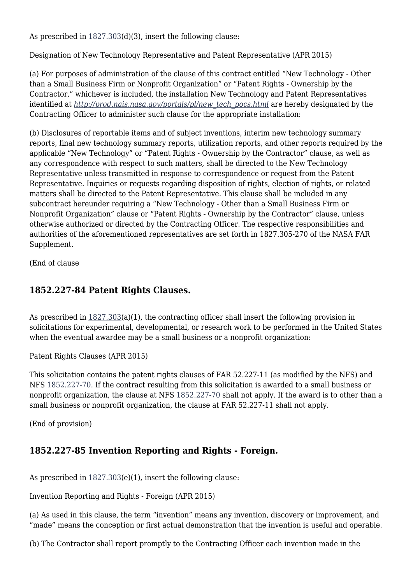As prescribed in [1827.303\(](https://login.acquisition.gov/%5Brp:link:nfs-part-1827%5D#Section_1827_303_T48_6042022113)d)(3), insert the following clause:

Designation of New Technology Representative and Patent Representative (APR 2015)

(a) For purposes of administration of the clause of this contract entitled "New Technology - Other than a Small Business Firm or Nonprofit Organization" or "Patent Rights - Ownership by the Contractor," whichever is included, the installation New Technology and Patent Representatives identified at *[http://prod.nais.nasa.gov/portals/pl/new\\_tech\\_pocs.html](http://prod.nais.nasa.gov/portals/pl/new_tech_pocs.html)* are hereby designated by the Contracting Officer to administer such clause for the appropriate installation:

(b) Disclosures of reportable items and of subject inventions, interim new technology summary reports, final new technology summary reports, utilization reports, and other reports required by the applicable "New Technology" or "Patent Rights - Ownership by the Contractor" clause, as well as any correspondence with respect to such matters, shall be directed to the New Technology Representative unless transmitted in response to correspondence or request from the Patent Representative. Inquiries or requests regarding disposition of rights, election of rights, or related matters shall be directed to the Patent Representative. This clause shall be included in any subcontract hereunder requiring a "New Technology - Other than a Small Business Firm or Nonprofit Organization" clause or "Patent Rights - Ownership by the Contractor" clause, unless otherwise authorized or directed by the Contracting Officer. The respective responsibilities and authorities of the aforementioned representatives are set forth in 1827.305-270 of the NASA FAR Supplement.

(End of clause

### **1852.227-84 Patent Rights Clauses.**

As prescribed in [1827.303\(](https://login.acquisition.gov/%5Brp:link:nfs-part-1827%5D#Section_1827_303_T48_6042022113)a)(1), the contracting officer shall insert the following provision in solicitations for experimental, developmental, or research work to be performed in the United States when the eventual awardee may be a small business or a nonprofit organization:

Patent Rights Clauses (APR 2015)

This solicitation contains the patent rights clauses of FAR 52.227-11 (as modified by the NFS) and NFS [1852.227-70](https://login.acquisition.gov/%5Brp:link:nfs-part-1852%5D#Section_1852_227_70_T48_60423441168). If the contract resulting from this solicitation is awarded to a small business or nonprofit organization, the clause at NFS [1852.227-70](https://login.acquisition.gov/%5Brp:link:nfs-part-1852%5D#Section_1852_227_70_T48_60423441168) shall not apply. If the award is to other than a small business or nonprofit organization, the clause at FAR 52.227-11 shall not apply.

(End of provision)

## **1852.227-85 Invention Reporting and Rights - Foreign.**

As prescribed in  $1827.303(e)(1)$  $1827.303(e)(1)$ , insert the following clause:

Invention Reporting and Rights - Foreign (APR 2015)

(a) As used in this clause, the term "invention" means any invention, discovery or improvement, and "made" means the conception or first actual demonstration that the invention is useful and operable.

(b) The Contractor shall report promptly to the Contracting Officer each invention made in the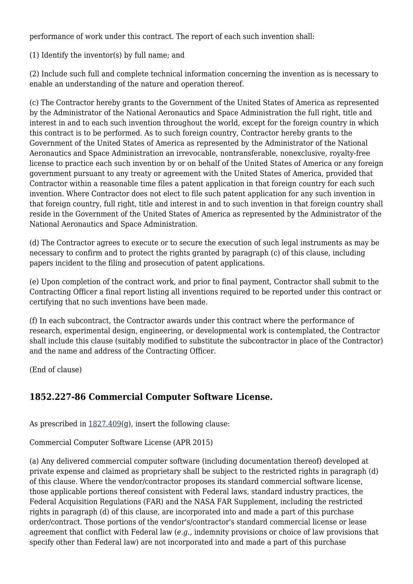performance of work under this contract. The report of each such invention shall:

(1) Identify the inventor(s) by full name; and

(2) Include such full and complete technical information concerning the invention as is necessary to enable an understanding of the nature and operation thereof.

(c) The Contractor hereby grants to the Government of the United States of America as represented by the Administrator of the National Aeronautics and Space Administration the full right, title and interest in and to each such invention throughout the world, except for the foreign country in which this contract is to be performed. As to such foreign country, Contractor hereby grants to the Government of the United States of America as represented by the Administrator of the National Aeronautics and Space Administration an irrevocable, nontransferable, nonexclusive, royalty-free license to practice each such invention by or on behalf of the United States of America or any foreign government pursuant to any treaty or agreement with the United States of America, provided that Contractor within a reasonable time files a patent application in that foreign country for each such invention. Where Contractor does not elect to file such patent application for any such invention in that foreign country, full right, title and interest in and to such invention in that foreign country shall reside in the Government of the United States of America as represented by the Administrator of the National Aeronautics and Space Administration.

(d) The Contractor agrees to execute or to secure the execution of such legal instruments as may be necessary to confirm and to protect the rights granted by paragraph (c) of this clause, including papers incident to the filing and prosecution of patent applications.

(e) Upon completion of the contract work, and prior to final payment, Contractor shall submit to the Contracting Officer a final report listing all inventions required to be reported under this contract or certifying that no such inventions have been made.

(f) In each subcontract, the Contractor awards under this contract where the performance of research, experimental design, engineering, or developmental work is contemplated, the Contractor shall include this clause (suitably modified to substitute the subcontractor in place of the Contractor) and the name and address of the Contracting Officer.

(End of clause)

## **1852.227-86 Commercial Computer Software License.**

As prescribed in  $1827.409(g)$  $1827.409(g)$ , insert the following clause:

Commercial Computer Software License (APR 2015)

(a) Any delivered commercial computer software (including documentation thereof) developed at private expense and claimed as proprietary shall be subject to the restricted rights in paragraph (d) of this clause. Where the vendor/contractor proposes its standard commercial software license, those applicable portions thereof consistent with Federal laws, standard industry practices, the Federal Acquisition Regulations (FAR) and the NASA FAR Supplement, including the restricted rights in paragraph (d) of this clause, are incorporated into and made a part of this purchase order/contract. Those portions of the vendor's/contractor's standard commercial license or lease agreement that conflict with Federal law (*e.g.,* indemnity provisions or choice of law provisions that specify other than Federal law) are not incorporated into and made a part of this purchase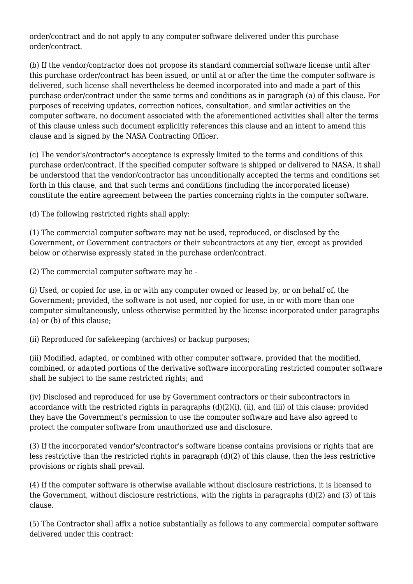order/contract and do not apply to any computer software delivered under this purchase order/contract.

(b) If the vendor/contractor does not propose its standard commercial software license until after this purchase order/contract has been issued, or until at or after the time the computer software is delivered, such license shall nevertheless be deemed incorporated into and made a part of this purchase order/contract under the same terms and conditions as in paragraph (a) of this clause. For purposes of receiving updates, correction notices, consultation, and similar activities on the computer software, no document associated with the aforementioned activities shall alter the terms of this clause unless such document explicitly references this clause and an intent to amend this clause and is signed by the NASA Contracting Officer.

(c) The vendor's/contractor's acceptance is expressly limited to the terms and conditions of this purchase order/contract. If the specified computer software is shipped or delivered to NASA, it shall be understood that the vendor/contractor has unconditionally accepted the terms and conditions set forth in this clause, and that such terms and conditions (including the incorporated license) constitute the entire agreement between the parties concerning rights in the computer software.

(d) The following restricted rights shall apply:

(1) The commercial computer software may not be used, reproduced, or disclosed by the Government, or Government contractors or their subcontractors at any tier, except as provided below or otherwise expressly stated in the purchase order/contract.

(2) The commercial computer software may be -

(i) Used, or copied for use, in or with any computer owned or leased by, or on behalf of, the Government; provided, the software is not used, nor copied for use, in or with more than one computer simultaneously, unless otherwise permitted by the license incorporated under paragraphs (a) or (b) of this clause;

(ii) Reproduced for safekeeping (archives) or backup purposes;

(iii) Modified, adapted, or combined with other computer software, provided that the modified, combined, or adapted portions of the derivative software incorporating restricted computer software shall be subject to the same restricted rights; and

(iv) Disclosed and reproduced for use by Government contractors or their subcontractors in accordance with the restricted rights in paragraphs (d)(2)(i), (ii), and (iii) of this clause; provided they have the Government's permission to use the computer software and have also agreed to protect the computer software from unauthorized use and disclosure.

(3) If the incorporated vendor's/contractor's software license contains provisions or rights that are less restrictive than the restricted rights in paragraph (d)(2) of this clause, then the less restrictive provisions or rights shall prevail.

(4) If the computer software is otherwise available without disclosure restrictions, it is licensed to the Government, without disclosure restrictions, with the rights in paragraphs (d)(2) and (3) of this clause.

(5) The Contractor shall affix a notice substantially as follows to any commercial computer software delivered under this contract: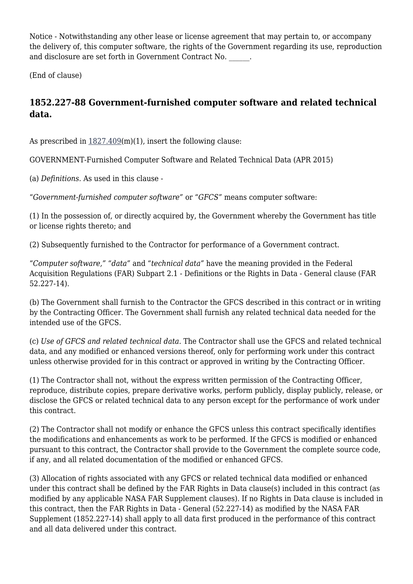Notice - Notwithstanding any other lease or license agreement that may pertain to, or accompany the delivery of, this computer software, the rights of the Government regarding its use, reproduction and disclosure are set forth in Government Contract No.

(End of clause)

# **1852.227-88 Government-furnished computer software and related technical data.**

As prescribed in  $1827.409(m)(1)$  $1827.409(m)(1)$ , insert the following clause:

GOVERNMENT-Furnished Computer Software and Related Technical Data (APR 2015)

(a) *Definitions.* As used in this clause -

"*Government-furnished computer software"* or "*GFCS"* means computer software:

(1) In the possession of, or directly acquired by, the Government whereby the Government has title or license rights thereto; and

(2) Subsequently furnished to the Contractor for performance of a Government contract.

"*Computer software,"* "*data"* and "*technical data"* have the meaning provided in the Federal Acquisition Regulations (FAR) Subpart 2.1 - Definitions or the Rights in Data - General clause (FAR 52.227-14).

(b) The Government shall furnish to the Contractor the GFCS described in this contract or in writing by the Contracting Officer. The Government shall furnish any related technical data needed for the intended use of the GFCS.

(c) *Use of GFCS and related technical data.* The Contractor shall use the GFCS and related technical data, and any modified or enhanced versions thereof, only for performing work under this contract unless otherwise provided for in this contract or approved in writing by the Contracting Officer.

(1) The Contractor shall not, without the express written permission of the Contracting Officer, reproduce, distribute copies, prepare derivative works, perform publicly, display publicly, release, or disclose the GFCS or related technical data to any person except for the performance of work under this contract.

(2) The Contractor shall not modify or enhance the GFCS unless this contract specifically identifies the modifications and enhancements as work to be performed. If the GFCS is modified or enhanced pursuant to this contract, the Contractor shall provide to the Government the complete source code, if any, and all related documentation of the modified or enhanced GFCS.

(3) Allocation of rights associated with any GFCS or related technical data modified or enhanced under this contract shall be defined by the FAR Rights in Data clause(s) included in this contract (as modified by any applicable NASA FAR Supplement clauses). If no Rights in Data clause is included in this contract, then the FAR Rights in Data - General (52.227-14) as modified by the NASA FAR Supplement (1852.227-14) shall apply to all data first produced in the performance of this contract and all data delivered under this contract.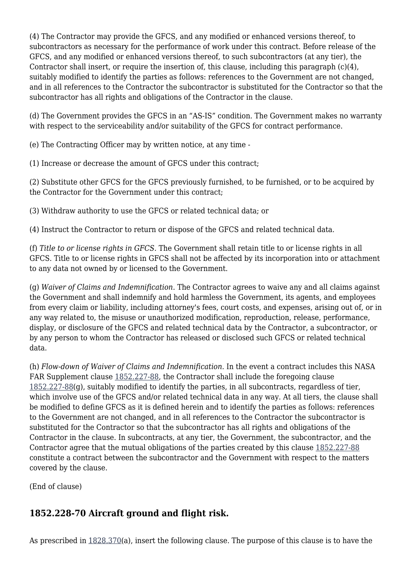(4) The Contractor may provide the GFCS, and any modified or enhanced versions thereof, to subcontractors as necessary for the performance of work under this contract. Before release of the GFCS, and any modified or enhanced versions thereof, to such subcontractors (at any tier), the Contractor shall insert, or require the insertion of, this clause, including this paragraph (c)(4), suitably modified to identify the parties as follows: references to the Government are not changed, and in all references to the Contractor the subcontractor is substituted for the Contractor so that the subcontractor has all rights and obligations of the Contractor in the clause.

(d) The Government provides the GFCS in an "AS-IS" condition. The Government makes no warranty with respect to the serviceability and/or suitability of the GFCS for contract performance.

(e) The Contracting Officer may by written notice, at any time -

(1) Increase or decrease the amount of GFCS under this contract;

(2) Substitute other GFCS for the GFCS previously furnished, to be furnished, or to be acquired by the Contractor for the Government under this contract;

(3) Withdraw authority to use the GFCS or related technical data; or

(4) Instruct the Contractor to return or dispose of the GFCS and related technical data.

(f) *Title to or license rights in GFCS.* The Government shall retain title to or license rights in all GFCS. Title to or license rights in GFCS shall not be affected by its incorporation into or attachment to any data not owned by or licensed to the Government.

(g) *Waiver of Claims and Indemnification.* The Contractor agrees to waive any and all claims against the Government and shall indemnify and hold harmless the Government, its agents, and employees from every claim or liability, including attorney's fees, court costs, and expenses, arising out of, or in any way related to, the misuse or unauthorized modification, reproduction, release, performance, display, or disclosure of the GFCS and related technical data by the Contractor, a subcontractor, or by any person to whom the Contractor has released or disclosed such GFCS or related technical data.

(h) *Flow-down of Waiver of Claims and Indemnification.* In the event a contract includes this NASA FAR Supplement clause [1852.227-88,](https://login.acquisition.gov/%5Brp:link:nfs-part-1852%5D#Section_1852_227_88_T48_60423441174) the Contractor shall include the foregoing clause [1852.227-88\(](https://login.acquisition.gov/%5Brp:link:nfs-part-1852%5D#Section_1852_227_88_T48_60423441174)g), suitably modified to identify the parties, in all subcontracts, regardless of tier, which involve use of the GFCS and/or related technical data in any way. At all tiers, the clause shall be modified to define GFCS as it is defined herein and to identify the parties as follows: references to the Government are not changed, and in all references to the Contractor the subcontractor is substituted for the Contractor so that the subcontractor has all rights and obligations of the Contractor in the clause. In subcontracts, at any tier, the Government, the subcontractor, and the Contractor agree that the mutual obligations of the parties created by this clause [1852.227-88](https://login.acquisition.gov/%5Brp:link:nfs-part-1852%5D#Section_1852_227_88_T48_60423441174) constitute a contract between the subcontractor and the Government with respect to the matters covered by the clause.

(End of clause)

# **1852.228-70 Aircraft ground and flight risk.**

As prescribed in [1828.370\(](https://login.acquisition.gov/%5Brp:link:nfs-part-1828%5D#Section_1828_370_T48_6042023115)a), insert the following clause. The purpose of this clause is to have the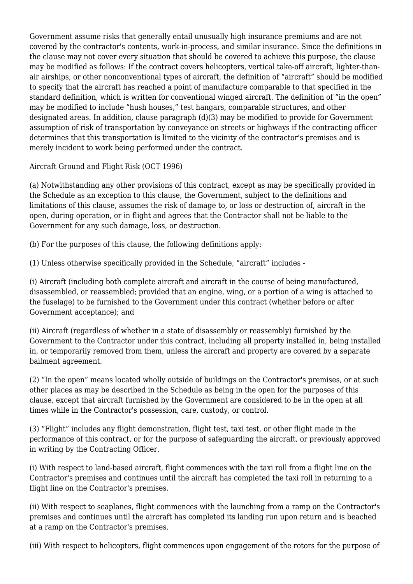Government assume risks that generally entail unusually high insurance premiums and are not covered by the contractor's contents, work-in-process, and similar insurance. Since the definitions in the clause may not cover every situation that should be covered to achieve this purpose, the clause may be modified as follows: If the contract covers helicopters, vertical take-off aircraft, lighter-thanair airships, or other nonconventional types of aircraft, the definition of "aircraft" should be modified to specify that the aircraft has reached a point of manufacture comparable to that specified in the standard definition, which is written for conventional winged aircraft. The definition of "in the open" may be modified to include "hush houses," test hangars, comparable structures, and other designated areas. In addition, clause paragraph (d)(3) may be modified to provide for Government assumption of risk of transportation by conveyance on streets or highways if the contracting officer determines that this transportation is limited to the vicinity of the contractor's premises and is merely incident to work being performed under the contract.

Aircraft Ground and Flight Risk (OCT 1996)

(a) Notwithstanding any other provisions of this contract, except as may be specifically provided in the Schedule as an exception to this clause, the Government, subject to the definitions and limitations of this clause, assumes the risk of damage to, or loss or destruction of, aircraft in the open, during operation, or in flight and agrees that the Contractor shall not be liable to the Government for any such damage, loss, or destruction.

(b) For the purposes of this clause, the following definitions apply:

(1) Unless otherwise specifically provided in the Schedule, "aircraft" includes -

(i) Aircraft (including both complete aircraft and aircraft in the course of being manufactured, disassembled, or reassembled; provided that an engine, wing, or a portion of a wing is attached to the fuselage) to be furnished to the Government under this contract (whether before or after Government acceptance); and

(ii) Aircraft (regardless of whether in a state of disassembly or reassembly) furnished by the Government to the Contractor under this contract, including all property installed in, being installed in, or temporarily removed from them, unless the aircraft and property are covered by a separate bailment agreement.

(2) "In the open" means located wholly outside of buildings on the Contractor's premises, or at such other places as may be described in the Schedule as being in the open for the purposes of this clause, except that aircraft furnished by the Government are considered to be in the open at all times while in the Contractor's possession, care, custody, or control.

(3) "Flight" includes any flight demonstration, flight test, taxi test, or other flight made in the performance of this contract, or for the purpose of safeguarding the aircraft, or previously approved in writing by the Contracting Officer.

(i) With respect to land-based aircraft, flight commences with the taxi roll from a flight line on the Contractor's premises and continues until the aircraft has completed the taxi roll in returning to a flight line on the Contractor's premises.

(ii) With respect to seaplanes, flight commences with the launching from a ramp on the Contractor's premises and continues until the aircraft has completed its landing run upon return and is beached at a ramp on the Contractor's premises.

(iii) With respect to helicopters, flight commences upon engagement of the rotors for the purpose of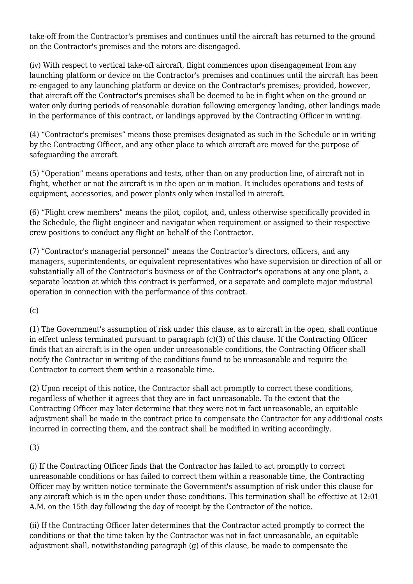take-off from the Contractor's premises and continues until the aircraft has returned to the ground on the Contractor's premises and the rotors are disengaged.

(iv) With respect to vertical take-off aircraft, flight commences upon disengagement from any launching platform or device on the Contractor's premises and continues until the aircraft has been re-engaged to any launching platform or device on the Contractor's premises; provided, however, that aircraft off the Contractor's premises shall be deemed to be in flight when on the ground or water only during periods of reasonable duration following emergency landing, other landings made in the performance of this contract, or landings approved by the Contracting Officer in writing.

(4) "Contractor's premises" means those premises designated as such in the Schedule or in writing by the Contracting Officer, and any other place to which aircraft are moved for the purpose of safeguarding the aircraft.

(5) "Operation" means operations and tests, other than on any production line, of aircraft not in flight, whether or not the aircraft is in the open or in motion. It includes operations and tests of equipment, accessories, and power plants only when installed in aircraft.

(6) "Flight crew members" means the pilot, copilot, and, unless otherwise specifically provided in the Schedule, the flight engineer and navigator when requirement or assigned to their respective crew positions to conduct any flight on behalf of the Contractor.

(7) "Contractor's managerial personnel" means the Contractor's directors, officers, and any managers, superintendents, or equivalent representatives who have supervision or direction of all or substantially all of the Contractor's business or of the Contractor's operations at any one plant, a separate location at which this contract is performed, or a separate and complete major industrial operation in connection with the performance of this contract.

(c)

(1) The Government's assumption of risk under this clause, as to aircraft in the open, shall continue in effect unless terminated pursuant to paragraph (c)(3) of this clause. If the Contracting Officer finds that an aircraft is in the open under unreasonable conditions, the Contracting Officer shall notify the Contractor in writing of the conditions found to be unreasonable and require the Contractor to correct them within a reasonable time.

(2) Upon receipt of this notice, the Contractor shall act promptly to correct these conditions, regardless of whether it agrees that they are in fact unreasonable. To the extent that the Contracting Officer may later determine that they were not in fact unreasonable, an equitable adjustment shall be made in the contract price to compensate the Contractor for any additional costs incurred in correcting them, and the contract shall be modified in writing accordingly.

(3)

(i) If the Contracting Officer finds that the Contractor has failed to act promptly to correct unreasonable conditions or has failed to correct them within a reasonable time, the Contracting Officer may by written notice terminate the Government's assumption of risk under this clause for any aircraft which is in the open under those conditions. This termination shall be effective at 12:01 A.M. on the 15th day following the day of receipt by the Contractor of the notice.

(ii) If the Contracting Officer later determines that the Contractor acted promptly to correct the conditions or that the time taken by the Contractor was not in fact unreasonable, an equitable adjustment shall, notwithstanding paragraph (g) of this clause, be made to compensate the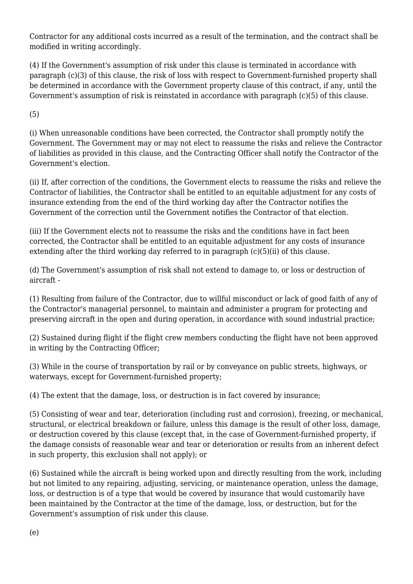Contractor for any additional costs incurred as a result of the termination, and the contract shall be modified in writing accordingly.

(4) If the Government's assumption of risk under this clause is terminated in accordance with paragraph (c)(3) of this clause, the risk of loss with respect to Government-furnished property shall be determined in accordance with the Government property clause of this contract, if any, until the Government's assumption of risk is reinstated in accordance with paragraph (c)(5) of this clause.

(5)

(i) When unreasonable conditions have been corrected, the Contractor shall promptly notify the Government. The Government may or may not elect to reassume the risks and relieve the Contractor of liabilities as provided in this clause, and the Contracting Officer shall notify the Contractor of the Government's election.

(ii) If, after correction of the conditions, the Government elects to reassume the risks and relieve the Contractor of liabilities, the Contractor shall be entitled to an equitable adjustment for any costs of insurance extending from the end of the third working day after the Contractor notifies the Government of the correction until the Government notifies the Contractor of that election.

(iii) If the Government elects not to reassume the risks and the conditions have in fact been corrected, the Contractor shall be entitled to an equitable adjustment for any costs of insurance extending after the third working day referred to in paragraph (c)(5)(ii) of this clause.

(d) The Government's assumption of risk shall not extend to damage to, or loss or destruction of aircraft -

(1) Resulting from failure of the Contractor, due to willful misconduct or lack of good faith of any of the Contractor's managerial personnel, to maintain and administer a program for protecting and preserving aircraft in the open and during operation, in accordance with sound industrial practice;

(2) Sustained during flight if the flight crew members conducting the flight have not been approved in writing by the Contracting Officer;

(3) While in the course of transportation by rail or by conveyance on public streets, highways, or waterways, except for Government-furnished property;

(4) The extent that the damage, loss, or destruction is in fact covered by insurance;

(5) Consisting of wear and tear, deterioration (including rust and corrosion), freezing, or mechanical, structural, or electrical breakdown or failure, unless this damage is the result of other loss, damage, or destruction covered by this clause (except that, in the case of Government-furnished property, if the damage consists of reasonable wear and tear or deterioration or results from an inherent defect in such property, this exclusion shall not apply); or

(6) Sustained while the aircraft is being worked upon and directly resulting from the work, including but not limited to any repairing, adjusting, servicing, or maintenance operation, unless the damage, loss, or destruction is of a type that would be covered by insurance that would customarily have been maintained by the Contractor at the time of the damage, loss, or destruction, but for the Government's assumption of risk under this clause.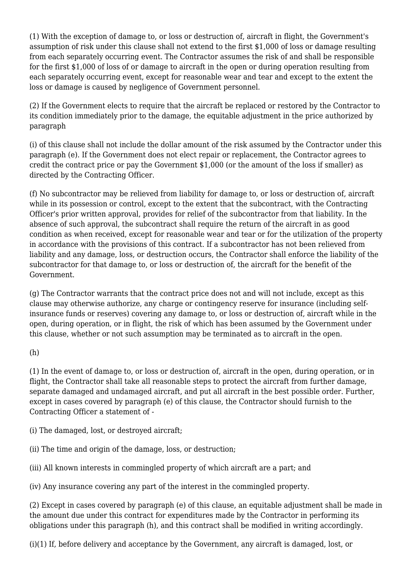(1) With the exception of damage to, or loss or destruction of, aircraft in flight, the Government's assumption of risk under this clause shall not extend to the first \$1,000 of loss or damage resulting from each separately occurring event. The Contractor assumes the risk of and shall be responsible for the first \$1,000 of loss of or damage to aircraft in the open or during operation resulting from each separately occurring event, except for reasonable wear and tear and except to the extent the loss or damage is caused by negligence of Government personnel.

(2) If the Government elects to require that the aircraft be replaced or restored by the Contractor to its condition immediately prior to the damage, the equitable adjustment in the price authorized by paragraph

(i) of this clause shall not include the dollar amount of the risk assumed by the Contractor under this paragraph (e). If the Government does not elect repair or replacement, the Contractor agrees to credit the contract price or pay the Government \$1,000 (or the amount of the loss if smaller) as directed by the Contracting Officer.

(f) No subcontractor may be relieved from liability for damage to, or loss or destruction of, aircraft while in its possession or control, except to the extent that the subcontract, with the Contracting Officer's prior written approval, provides for relief of the subcontractor from that liability. In the absence of such approval, the subcontract shall require the return of the aircraft in as good condition as when received, except for reasonable wear and tear or for the utilization of the property in accordance with the provisions of this contract. If a subcontractor has not been relieved from liability and any damage, loss, or destruction occurs, the Contractor shall enforce the liability of the subcontractor for that damage to, or loss or destruction of, the aircraft for the benefit of the Government.

(g) The Contractor warrants that the contract price does not and will not include, except as this clause may otherwise authorize, any charge or contingency reserve for insurance (including selfinsurance funds or reserves) covering any damage to, or loss or destruction of, aircraft while in the open, during operation, or in flight, the risk of which has been assumed by the Government under this clause, whether or not such assumption may be terminated as to aircraft in the open.

#### (h)

(1) In the event of damage to, or loss or destruction of, aircraft in the open, during operation, or in flight, the Contractor shall take all reasonable steps to protect the aircraft from further damage, separate damaged and undamaged aircraft, and put all aircraft in the best possible order. Further, except in cases covered by paragraph (e) of this clause, the Contractor should furnish to the Contracting Officer a statement of -

(i) The damaged, lost, or destroyed aircraft;

(ii) The time and origin of the damage, loss, or destruction;

(iii) All known interests in commingled property of which aircraft are a part; and

(iv) Any insurance covering any part of the interest in the commingled property.

(2) Except in cases covered by paragraph (e) of this clause, an equitable adjustment shall be made in the amount due under this contract for expenditures made by the Contractor in performing its obligations under this paragraph (h), and this contract shall be modified in writing accordingly.

(i)(1) If, before delivery and acceptance by the Government, any aircraft is damaged, lost, or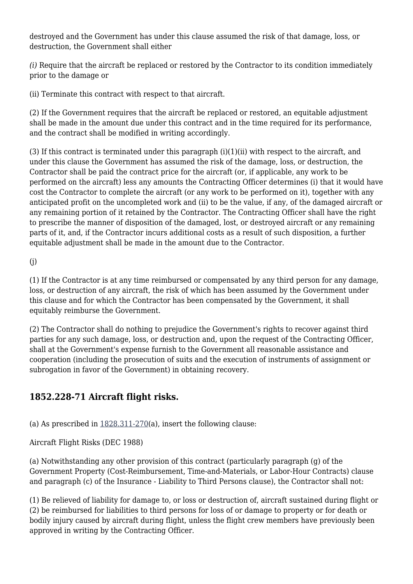destroyed and the Government has under this clause assumed the risk of that damage, loss, or destruction, the Government shall either

*(i)* Require that the aircraft be replaced or restored by the Contractor to its condition immediately prior to the damage or

(ii) Terminate this contract with respect to that aircraft.

(2) If the Government requires that the aircraft be replaced or restored, an equitable adjustment shall be made in the amount due under this contract and in the time required for its performance, and the contract shall be modified in writing accordingly.

(3) If this contract is terminated under this paragraph (i)(1)(ii) with respect to the aircraft, and under this clause the Government has assumed the risk of the damage, loss, or destruction, the Contractor shall be paid the contract price for the aircraft (or, if applicable, any work to be performed on the aircraft) less any amounts the Contracting Officer determines (i) that it would have cost the Contractor to complete the aircraft (or any work to be performed on it), together with any anticipated profit on the uncompleted work and (ii) to be the value, if any, of the damaged aircraft or any remaining portion of it retained by the Contractor. The Contracting Officer shall have the right to prescribe the manner of disposition of the damaged, lost, or destroyed aircraft or any remaining parts of it, and, if the Contractor incurs additional costs as a result of such disposition, a further equitable adjustment shall be made in the amount due to the Contractor.

(j)

(1) If the Contractor is at any time reimbursed or compensated by any third person for any damage, loss, or destruction of any aircraft, the risk of which has been assumed by the Government under this clause and for which the Contractor has been compensated by the Government, it shall equitably reimburse the Government.

(2) The Contractor shall do nothing to prejudice the Government's rights to recover against third parties for any such damage, loss, or destruction and, upon the request of the Contracting Officer, shall at the Government's expense furnish to the Government all reasonable assistance and cooperation (including the prosecution of suits and the execution of instruments of assignment or subrogation in favor of the Government) in obtaining recovery.

# **1852.228-71 Aircraft flight risks.**

(a) As prescribed in  $1828.311-270$ (a), insert the following clause:

Aircraft Flight Risks (DEC 1988)

(a) Notwithstanding any other provision of this contract (particularly paragraph (g) of the Government Property (Cost-Reimbursement, Time-and-Materials, or Labor-Hour Contracts) clause and paragraph (c) of the Insurance - Liability to Third Persons clause), the Contractor shall not:

(1) Be relieved of liability for damage to, or loss or destruction of, aircraft sustained during flight or (2) be reimbursed for liabilities to third persons for loss of or damage to property or for death or bodily injury caused by aircraft during flight, unless the flight crew members have previously been approved in writing by the Contracting Officer.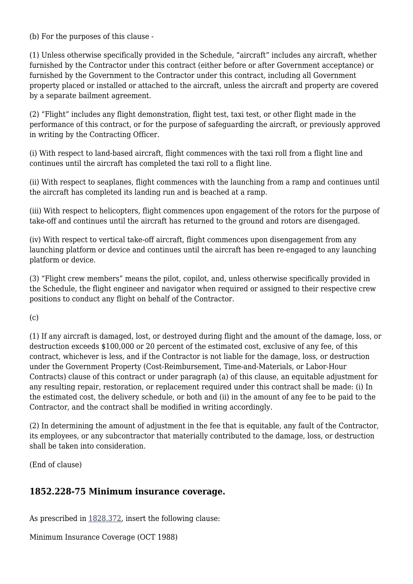(b) For the purposes of this clause -

(1) Unless otherwise specifically provided in the Schedule, "aircraft" includes any aircraft, whether furnished by the Contractor under this contract (either before or after Government acceptance) or furnished by the Government to the Contractor under this contract, including all Government property placed or installed or attached to the aircraft, unless the aircraft and property are covered by a separate bailment agreement.

(2) "Flight" includes any flight demonstration, flight test, taxi test, or other flight made in the performance of this contract, or for the purpose of safeguarding the aircraft, or previously approved in writing by the Contracting Officer.

(i) With respect to land-based aircraft, flight commences with the taxi roll from a flight line and continues until the aircraft has completed the taxi roll to a flight line.

(ii) With respect to seaplanes, flight commences with the launching from a ramp and continues until the aircraft has completed its landing run and is beached at a ramp.

(iii) With respect to helicopters, flight commences upon engagement of the rotors for the purpose of take-off and continues until the aircraft has returned to the ground and rotors are disengaged.

(iv) With respect to vertical take-off aircraft, flight commences upon disengagement from any launching platform or device and continues until the aircraft has been re-engaged to any launching platform or device.

(3) "Flight crew members" means the pilot, copilot, and, unless otherwise specifically provided in the Schedule, the flight engineer and navigator when required or assigned to their respective crew positions to conduct any flight on behalf of the Contractor.

 $(c)$ 

(1) If any aircraft is damaged, lost, or destroyed during flight and the amount of the damage, loss, or destruction exceeds \$100,000 or 20 percent of the estimated cost, exclusive of any fee, of this contract, whichever is less, and if the Contractor is not liable for the damage, loss, or destruction under the Government Property (Cost-Reimbursement, Time-and-Materials, or Labor-Hour Contracts) clause of this contract or under paragraph (a) of this clause, an equitable adjustment for any resulting repair, restoration, or replacement required under this contract shall be made: (i) In the estimated cost, the delivery schedule, or both and (ii) in the amount of any fee to be paid to the Contractor, and the contract shall be modified in writing accordingly.

(2) In determining the amount of adjustment in the fee that is equitable, any fault of the Contractor, its employees, or any subcontractor that materially contributed to the damage, loss, or destruction shall be taken into consideration.

(End of clause)

#### **1852.228-75 Minimum insurance coverage.**

As prescribed in [1828.372,](https://login.acquisition.gov/%5Brp:link:nfs-part-1828%5D#Section_1828_372_T48_6042023117) insert the following clause:

Minimum Insurance Coverage (OCT 1988)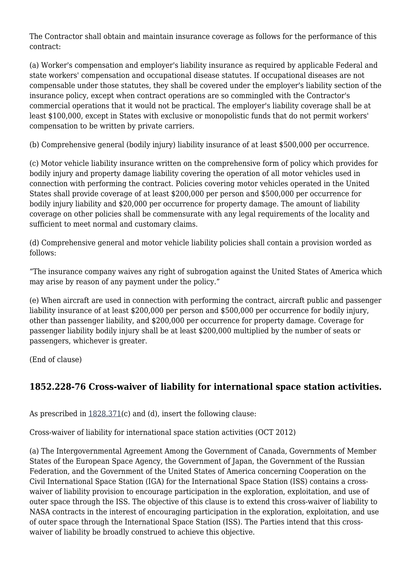The Contractor shall obtain and maintain insurance coverage as follows for the performance of this contract:

(a) Worker's compensation and employer's liability insurance as required by applicable Federal and state workers' compensation and occupational disease statutes. If occupational diseases are not compensable under those statutes, they shall be covered under the employer's liability section of the insurance policy, except when contract operations are so commingled with the Contractor's commercial operations that it would not be practical. The employer's liability coverage shall be at least \$100,000, except in States with exclusive or monopolistic funds that do not permit workers' compensation to be written by private carriers.

(b) Comprehensive general (bodily injury) liability insurance of at least \$500,000 per occurrence.

(c) Motor vehicle liability insurance written on the comprehensive form of policy which provides for bodily injury and property damage liability covering the operation of all motor vehicles used in connection with performing the contract. Policies covering motor vehicles operated in the United States shall provide coverage of at least \$200,000 per person and \$500,000 per occurrence for bodily injury liability and \$20,000 per occurrence for property damage. The amount of liability coverage on other policies shall be commensurate with any legal requirements of the locality and sufficient to meet normal and customary claims.

(d) Comprehensive general and motor vehicle liability policies shall contain a provision worded as follows:

"The insurance company waives any right of subrogation against the United States of America which may arise by reason of any payment under the policy."

(e) When aircraft are used in connection with performing the contract, aircraft public and passenger liability insurance of at least \$200,000 per person and \$500,000 per occurrence for bodily injury, other than passenger liability, and \$200,000 per occurrence for property damage. Coverage for passenger liability bodily injury shall be at least \$200,000 multiplied by the number of seats or passengers, whichever is greater.

(End of clause)

## **1852.228-76 Cross-waiver of liability for international space station activities.**

As prescribed in [1828.371\(](https://login.acquisition.gov/%5Brp:link:nfs-part-1828%5D#Section_1828_371_T48_6042023116)c) and (d), insert the following clause:

Cross-waiver of liability for international space station activities (OCT 2012)

(a) The Intergovernmental Agreement Among the Government of Canada, Governments of Member States of the European Space Agency, the Government of Japan, the Government of the Russian Federation, and the Government of the United States of America concerning Cooperation on the Civil International Space Station (IGA) for the International Space Station (ISS) contains a crosswaiver of liability provision to encourage participation in the exploration, exploitation, and use of outer space through the ISS. The objective of this clause is to extend this cross-waiver of liability to NASA contracts in the interest of encouraging participation in the exploration, exploitation, and use of outer space through the International Space Station (ISS). The Parties intend that this crosswaiver of liability be broadly construed to achieve this objective.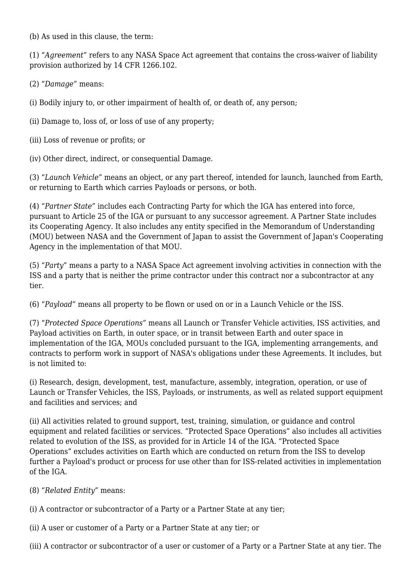(b) As used in this clause, the term:

(1) "*Agreement"* refers to any NASA Space Act agreement that contains the cross-waiver of liability provision authorized by 14 CFR 1266.102.

(2) "*Damage"* means:

(i) Bodily injury to, or other impairment of health of, or death of, any person;

(ii) Damage to, loss of, or loss of use of any property;

(iii) Loss of revenue or profits; or

(iv) Other direct, indirect, or consequential Damage.

(3) "*Launch Vehicle"* means an object, or any part thereof, intended for launch, launched from Earth, or returning to Earth which carries Payloads or persons, or both.

(4) "*Partner State"* includes each Contracting Party for which the IGA has entered into force, pursuant to Article 25 of the IGA or pursuant to any successor agreement. A Partner State includes its Cooperating Agency. It also includes any entity specified in the Memorandum of Understanding (MOU) between NASA and the Government of Japan to assist the Government of Japan's Cooperating Agency in the implementation of that MOU.

(5) "*Party"* means a party to a NASA Space Act agreement involving activities in connection with the ISS and a party that is neither the prime contractor under this contract nor a subcontractor at any tier.

(6) "*Payload"* means all property to be flown or used on or in a Launch Vehicle or the ISS.

(7) "*Protected Space Operations"* means all Launch or Transfer Vehicle activities, ISS activities, and Payload activities on Earth, in outer space, or in transit between Earth and outer space in implementation of the IGA, MOUs concluded pursuant to the IGA, implementing arrangements, and contracts to perform work in support of NASA's obligations under these Agreements. It includes, but is not limited to:

(i) Research, design, development, test, manufacture, assembly, integration, operation, or use of Launch or Transfer Vehicles, the ISS, Payloads, or instruments, as well as related support equipment and facilities and services; and

(ii) All activities related to ground support, test, training, simulation, or guidance and control equipment and related facilities or services. "Protected Space Operations" also includes all activities related to evolution of the ISS, as provided for in Article 14 of the IGA. "Protected Space Operations" excludes activities on Earth which are conducted on return from the ISS to develop further a Payload's product or process for use other than for ISS-related activities in implementation of the IGA.

(8) "*Related Entity"* means:

(i) A contractor or subcontractor of a Party or a Partner State at any tier;

(ii) A user or customer of a Party or a Partner State at any tier; or

(iii) A contractor or subcontractor of a user or customer of a Party or a Partner State at any tier. The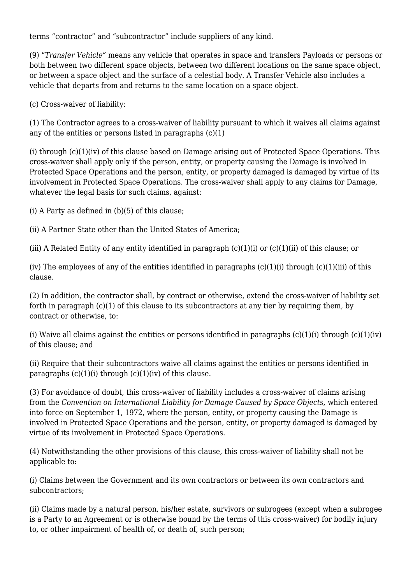terms "contractor" and "subcontractor" include suppliers of any kind.

(9) "*Transfer Vehicle"* means any vehicle that operates in space and transfers Payloads or persons or both between two different space objects, between two different locations on the same space object, or between a space object and the surface of a celestial body. A Transfer Vehicle also includes a vehicle that departs from and returns to the same location on a space object.

(c) Cross-waiver of liability:

(1) The Contractor agrees to a cross-waiver of liability pursuant to which it waives all claims against any of the entities or persons listed in paragraphs  $(c)(1)$ 

(i) through (c)(1)(iv) of this clause based on Damage arising out of Protected Space Operations. This cross-waiver shall apply only if the person, entity, or property causing the Damage is involved in Protected Space Operations and the person, entity, or property damaged is damaged by virtue of its involvement in Protected Space Operations. The cross-waiver shall apply to any claims for Damage, whatever the legal basis for such claims, against:

(i) A Party as defined in  $(b)(5)$  of this clause;

(ii) A Partner State other than the United States of America;

(iii) A Related Entity of any entity identified in paragraph  $(c)(1)(i)$  or  $(c)(1)(ii)$  of this clause; or

(iv) The employees of any of the entities identified in paragraphs  $(c)(1)(i)$  through  $(c)(1)(iii)$  of this clause.

(2) In addition, the contractor shall, by contract or otherwise, extend the cross-waiver of liability set forth in paragraph (c)(1) of this clause to its subcontractors at any tier by requiring them, by contract or otherwise, to:

(i) Waive all claims against the entities or persons identified in paragraphs  $(c)(1)(i)$  through  $(c)(1)(iv)$ of this clause; and

(ii) Require that their subcontractors waive all claims against the entities or persons identified in paragraphs  $(c)(1)(i)$  through  $(c)(1)(iv)$  of this clause.

(3) For avoidance of doubt, this cross-waiver of liability includes a cross-waiver of claims arising from the *Convention on International Liability for Damage Caused by Space Objects,* which entered into force on September 1, 1972, where the person, entity, or property causing the Damage is involved in Protected Space Operations and the person, entity, or property damaged is damaged by virtue of its involvement in Protected Space Operations.

(4) Notwithstanding the other provisions of this clause, this cross-waiver of liability shall not be applicable to:

(i) Claims between the Government and its own contractors or between its own contractors and subcontractors;

(ii) Claims made by a natural person, his/her estate, survivors or subrogees (except when a subrogee is a Party to an Agreement or is otherwise bound by the terms of this cross-waiver) for bodily injury to, or other impairment of health of, or death of, such person;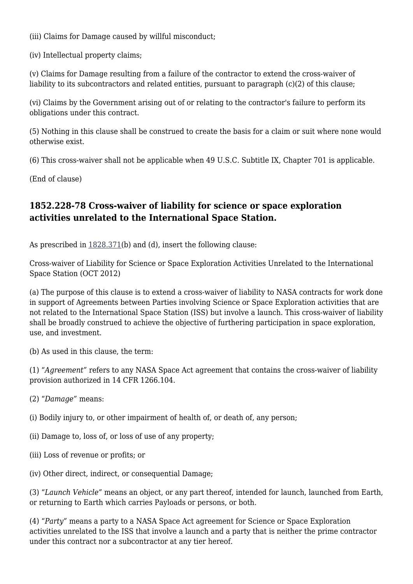(iii) Claims for Damage caused by willful misconduct;

(iv) Intellectual property claims;

(v) Claims for Damage resulting from a failure of the contractor to extend the cross-waiver of liability to its subcontractors and related entities, pursuant to paragraph (c)(2) of this clause;

(vi) Claims by the Government arising out of or relating to the contractor's failure to perform its obligations under this contract.

(5) Nothing in this clause shall be construed to create the basis for a claim or suit where none would otherwise exist.

(6) This cross-waiver shall not be applicable when 49 U.S.C. Subtitle IX, Chapter 701 is applicable.

(End of clause)

## **1852.228-78 Cross-waiver of liability for science or space exploration activities unrelated to the International Space Station.**

As prescribed in [1828.371\(](https://login.acquisition.gov/%5Brp:link:nfs-part-1828%5D#Section_1828_371_T48_6042023116)b) and (d), insert the following clause:

Cross-waiver of Liability for Science or Space Exploration Activities Unrelated to the International Space Station (OCT 2012)

(a) The purpose of this clause is to extend a cross-waiver of liability to NASA contracts for work done in support of Agreements between Parties involving Science or Space Exploration activities that are not related to the International Space Station (ISS) but involve a launch. This cross-waiver of liability shall be broadly construed to achieve the objective of furthering participation in space exploration, use, and investment.

(b) As used in this clause, the term:

(1) "*Agreement"* refers to any NASA Space Act agreement that contains the cross-waiver of liability provision authorized in 14 CFR 1266.104.

(2) "*Damage"* means:

(i) Bodily injury to, or other impairment of health of, or death of, any person;

- (ii) Damage to, loss of, or loss of use of any property;
- (iii) Loss of revenue or profits; or

(iv) Other direct, indirect, or consequential Damage;

(3) "*Launch Vehicle"* means an object, or any part thereof, intended for launch, launched from Earth, or returning to Earth which carries Payloads or persons, or both.

(4) "*Party"* means a party to a NASA Space Act agreement for Science or Space Exploration activities unrelated to the ISS that involve a launch and a party that is neither the prime contractor under this contract nor a subcontractor at any tier hereof.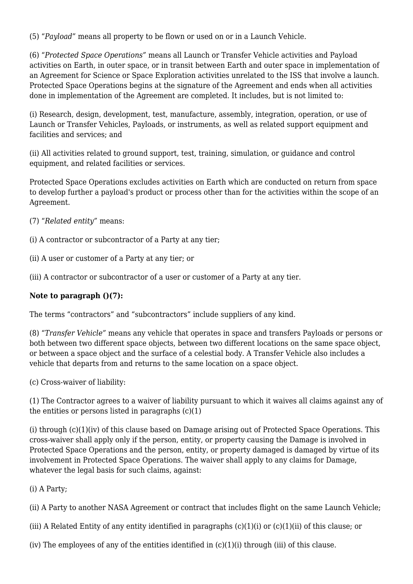(5) "*Payload"* means all property to be flown or used on or in a Launch Vehicle.

(6) "*Protected Space Operations"* means all Launch or Transfer Vehicle activities and Payload activities on Earth, in outer space, or in transit between Earth and outer space in implementation of an Agreement for Science or Space Exploration activities unrelated to the ISS that involve a launch. Protected Space Operations begins at the signature of the Agreement and ends when all activities done in implementation of the Agreement are completed. It includes, but is not limited to:

(i) Research, design, development, test, manufacture, assembly, integration, operation, or use of Launch or Transfer Vehicles, Payloads, or instruments, as well as related support equipment and facilities and services; and

(ii) All activities related to ground support, test, training, simulation, or guidance and control equipment, and related facilities or services.

Protected Space Operations excludes activities on Earth which are conducted on return from space to develop further a payload's product or process other than for the activities within the scope of an Agreement.

- (7) "*Related entity"* means:
- (i) A contractor or subcontractor of a Party at any tier;
- (ii) A user or customer of a Party at any tier; or
- (iii) A contractor or subcontractor of a user or customer of a Party at any tier.

#### **Note to paragraph ()(7):**

The terms "contractors" and "subcontractors" include suppliers of any kind.

(8) "*Transfer Vehicle"* means any vehicle that operates in space and transfers Payloads or persons or both between two different space objects, between two different locations on the same space object, or between a space object and the surface of a celestial body. A Transfer Vehicle also includes a vehicle that departs from and returns to the same location on a space object.

(c) Cross-waiver of liability:

(1) The Contractor agrees to a waiver of liability pursuant to which it waives all claims against any of the entities or persons listed in paragraphs  $(c)(1)$ 

(i) through (c)(1)(iv) of this clause based on Damage arising out of Protected Space Operations. This cross-waiver shall apply only if the person, entity, or property causing the Damage is involved in Protected Space Operations and the person, entity, or property damaged is damaged by virtue of its involvement in Protected Space Operations. The waiver shall apply to any claims for Damage, whatever the legal basis for such claims, against:

(i) A Party;

(ii) A Party to another NASA Agreement or contract that includes flight on the same Launch Vehicle;

(iii) A Related Entity of any entity identified in paragraphs (c)(1)(i) or (c)(1)(ii) of this clause; or

(iv) The employees of any of the entities identified in  $(c)(1)(i)$  through (iii) of this clause.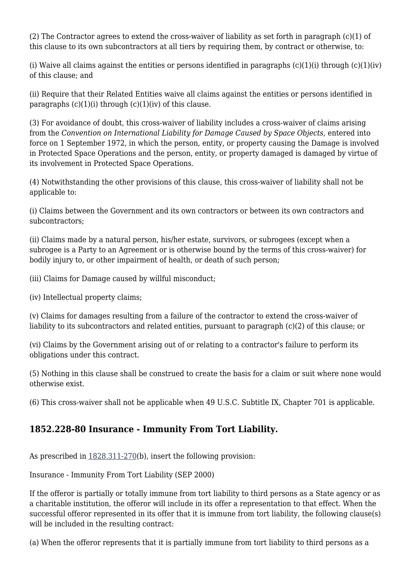(2) The Contractor agrees to extend the cross-waiver of liability as set forth in paragraph (c)(1) of this clause to its own subcontractors at all tiers by requiring them, by contract or otherwise, to:

(i) Waive all claims against the entities or persons identified in paragraphs  $(c)(1)(i)$  through  $(c)(1)(iv)$ of this clause; and

(ii) Require that their Related Entities waive all claims against the entities or persons identified in paragraphs  $(c)(1)(i)$  through  $(c)(1)(iv)$  of this clause.

(3) For avoidance of doubt, this cross-waiver of liability includes a cross-waiver of claims arising from the *Convention on International Liability for Damage Caused by Space Objects,* entered into force on 1 September 1972, in which the person, entity, or property causing the Damage is involved in Protected Space Operations and the person, entity, or property damaged is damaged by virtue of its involvement in Protected Space Operations.

(4) Notwithstanding the other provisions of this clause, this cross-waiver of liability shall not be applicable to:

(i) Claims between the Government and its own contractors or between its own contractors and subcontractors;

(ii) Claims made by a natural person, his/her estate, survivors, or subrogees (except when a subrogee is a Party to an Agreement or is otherwise bound by the terms of this cross-waiver) for bodily injury to, or other impairment of health, or death of such person;

(iii) Claims for Damage caused by willful misconduct;

(iv) Intellectual property claims;

(v) Claims for damages resulting from a failure of the contractor to extend the cross-waiver of liability to its subcontractors and related entities, pursuant to paragraph (c)(2) of this clause; or

(vi) Claims by the Government arising out of or relating to a contractor's failure to perform its obligations under this contract.

(5) Nothing in this clause shall be construed to create the basis for a claim or suit where none would otherwise exist.

(6) This cross-waiver shall not be applicable when 49 U.S.C. Subtitle IX, Chapter 701 is applicable.

## **1852.228-80 Insurance - Immunity From Tort Liability.**

As prescribed in [1828.311-270](https://login.acquisition.gov/%5Brp:link:nfs-part-1828%5D#Section_1828_311_270_T48_6042023114)(b), insert the following provision:

Insurance - Immunity From Tort Liability (SEP 2000)

If the offeror is partially or totally immune from tort liability to third persons as a State agency or as a charitable institution, the offeror will include in its offer a representation to that effect. When the successful offeror represented in its offer that it is immune from tort liability, the following clause(s) will be included in the resulting contract:

(a) When the offeror represents that it is partially immune from tort liability to third persons as a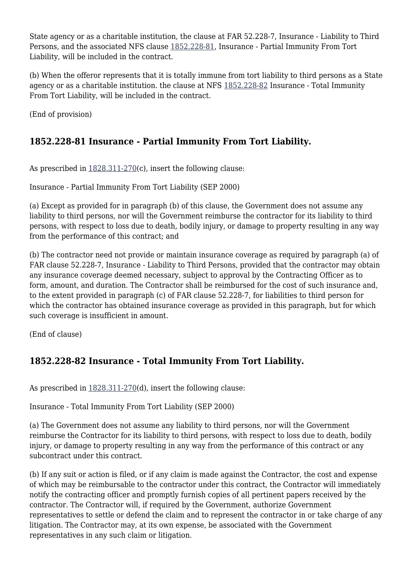State agency or as a charitable institution, the clause at FAR 52.228-7, Insurance - Liability to Third Persons, and the associated NFS clause [1852.228-81](https://login.acquisition.gov/%5Brp:link:nfs-part-1852%5D#Section_1852_228_81_T48_60423441181), Insurance - Partial Immunity From Tort Liability, will be included in the contract.

(b) When the offeror represents that it is totally immune from tort liability to third persons as a State agency or as a charitable institution. the clause at NFS [1852.228-82](https://login.acquisition.gov/%5Brp:link:nfs-part-1852%5D#Section_1852_228_82_T48_60423441182) Insurance - Total Immunity From Tort Liability, will be included in the contract.

(End of provision)

## **1852.228-81 Insurance - Partial Immunity From Tort Liability.**

As prescribed in [1828.311-270](https://login.acquisition.gov/%5Brp:link:nfs-part-1828%5D#Section_1828_311_270_T48_6042023114)(c), insert the following clause:

Insurance - Partial Immunity From Tort Liability (SEP 2000)

(a) Except as provided for in paragraph (b) of this clause, the Government does not assume any liability to third persons, nor will the Government reimburse the contractor for its liability to third persons, with respect to loss due to death, bodily injury, or damage to property resulting in any way from the performance of this contract; and

(b) The contractor need not provide or maintain insurance coverage as required by paragraph (a) of FAR clause 52.228-7, Insurance - Liability to Third Persons, provided that the contractor may obtain any insurance coverage deemed necessary, subject to approval by the Contracting Officer as to form, amount, and duration. The Contractor shall be reimbursed for the cost of such insurance and, to the extent provided in paragraph (c) of FAR clause 52.228-7, for liabilities to third person for which the contractor has obtained insurance coverage as provided in this paragraph, but for which such coverage is insufficient in amount.

(End of clause)

# **1852.228-82 Insurance - Total Immunity From Tort Liability.**

As prescribed in [1828.311-270](https://login.acquisition.gov/%5Brp:link:nfs-part-1828%5D#Section_1828_311_270_T48_6042023114)(d), insert the following clause:

Insurance - Total Immunity From Tort Liability (SEP 2000)

(a) The Government does not assume any liability to third persons, nor will the Government reimburse the Contractor for its liability to third persons, with respect to loss due to death, bodily injury, or damage to property resulting in any way from the performance of this contract or any subcontract under this contract.

(b) If any suit or action is filed, or if any claim is made against the Contractor, the cost and expense of which may be reimbursable to the contractor under this contract, the Contractor will immediately notify the contracting officer and promptly furnish copies of all pertinent papers received by the contractor. The Contractor will, if required by the Government, authorize Government representatives to settle or defend the claim and to represent the contractor in or take charge of any litigation. The Contractor may, at its own expense, be associated with the Government representatives in any such claim or litigation.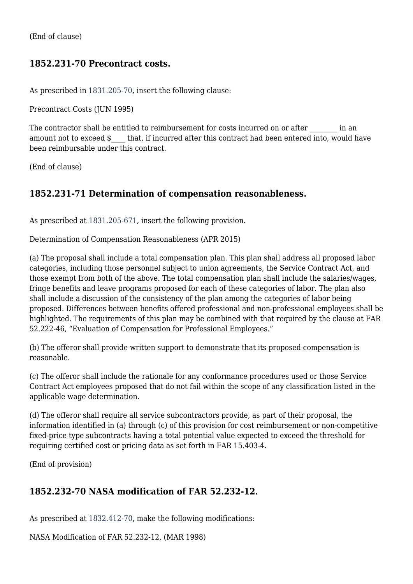(End of clause)

## **1852.231-70 Precontract costs.**

As prescribed in [1831.205-70,](https://login.acquisition.gov/%5Brp:link:nfs-part-1831%5D#Section_1831_205_70_T48_6042025112) insert the following clause:

Precontract Costs (JUN 1995)

The contractor shall be entitled to reimbursement for costs incurred on or after  $\qquad \qquad$  in an amount not to exceed  $\sin \theta$  that, if incurred after this contract had been entered into, would have been reimbursable under this contract.

(End of clause)

## **1852.231-71 Determination of compensation reasonableness.**

As prescribed at  $1831.205-671$ , insert the following provision.

Determination of Compensation Reasonableness (APR 2015)

(a) The proposal shall include a total compensation plan. This plan shall address all proposed labor categories, including those personnel subject to union agreements, the Service Contract Act, and those exempt from both of the above. The total compensation plan shall include the salaries/wages, fringe benefits and leave programs proposed for each of these categories of labor. The plan also shall include a discussion of the consistency of the plan among the categories of labor being proposed. Differences between benefits offered professional and non-professional employees shall be highlighted. The requirements of this plan may be combined with that required by the clause at FAR 52.222-46, "Evaluation of Compensation for Professional Employees."

(b) The offeror shall provide written support to demonstrate that its proposed compensation is reasonable.

(c) The offeror shall include the rationale for any conformance procedures used or those Service Contract Act employees proposed that do not fail within the scope of any classification listed in the applicable wage determination.

(d) The offeror shall require all service subcontractors provide, as part of their proposal, the information identified in (a) through (c) of this provision for cost reimbursement or non-competitive fixed-price type subcontracts having a total potential value expected to exceed the threshold for requiring certified cost or pricing data as set forth in FAR 15.403-4.

(End of provision)

## **1852.232-70 NASA modification of FAR 52.232-12.**

As prescribed at [1832.412-70](https://login.acquisition.gov/%5Brp:link:nfs-part-1832%5D#Section_1832_412_70_T48_6042026312), make the following modifications:

NASA Modification of FAR 52.232-12, (MAR 1998)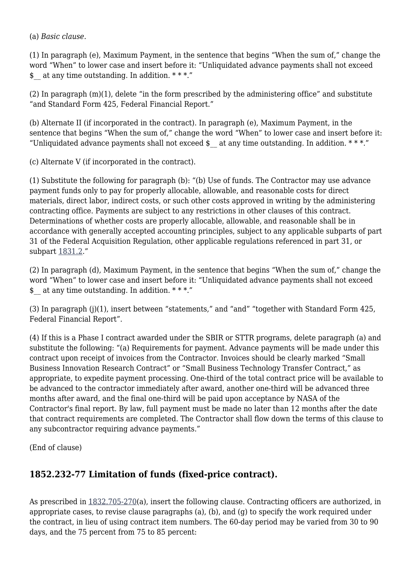(a) *Basic clause.*

(1) In paragraph (e), Maximum Payment, in the sentence that begins "When the sum of," change the word "When" to lower case and insert before it: "Unliquidated advance payments shall not exceed  $\frac{1}{2}$  at any time outstanding. In addition. \*\*\*."

(2) In paragraph (m)(1), delete "in the form prescribed by the administering office" and substitute "and Standard Form 425, Federal Financial Report."

(b) Alternate II (if incorporated in the contract). In paragraph (e), Maximum Payment, in the sentence that begins "When the sum of," change the word "When" to lower case and insert before it: "Unliquidated advance payments shall not exceed  $\frac{1}{2}$  at any time outstanding. In addition. \*\*\*."

(c) Alternate V (if incorporated in the contract).

(1) Substitute the following for paragraph (b): "(b) Use of funds. The Contractor may use advance payment funds only to pay for properly allocable, allowable, and reasonable costs for direct materials, direct labor, indirect costs, or such other costs approved in writing by the administering contracting office. Payments are subject to any restrictions in other clauses of this contract. Determinations of whether costs are properly allocable, allowable, and reasonable shall be in accordance with generally accepted accounting principles, subject to any applicable subparts of part 31 of the Federal Acquisition Regulation, other applicable regulations referenced in part 31, or subpart [1831.2.](https://login.acquisition.gov/%5Brp:link:nfs-part-1831%5D#Subpart_1831_2_T48_60420251)"

(2) In paragraph (d), Maximum Payment, in the sentence that begins "When the sum of," change the word "When" to lower case and insert before it: "Unliquidated advance payments shall not exceed \$ at any time outstanding. In addition. \*\*\*."

(3) In paragraph (j)(1), insert between "statements," and "and" "together with Standard Form 425, Federal Financial Report".

(4) If this is a Phase I contract awarded under the SBIR or STTR programs, delete paragraph (a) and substitute the following: "(a) Requirements for payment. Advance payments will be made under this contract upon receipt of invoices from the Contractor. Invoices should be clearly marked "Small Business Innovation Research Contract" or "Small Business Technology Transfer Contract," as appropriate, to expedite payment processing. One-third of the total contract price will be available to be advanced to the contractor immediately after award, another one-third will be advanced three months after award, and the final one-third will be paid upon acceptance by NASA of the Contractor's final report. By law, full payment must be made no later than 12 months after the date that contract requirements are completed. The Contractor shall flow down the terms of this clause to any subcontractor requiring advance payments."

(End of clause)

## **1852.232-77 Limitation of funds (fixed-price contract).**

As prescribed in  $1832.705-270(a)$  $1832.705-270(a)$ , insert the following clause. Contracting officers are authorized, in appropriate cases, to revise clause paragraphs (a), (b), and (g) to specify the work required under the contract, in lieu of using contract item numbers. The 60-day period may be varied from 30 to 90 days, and the 75 percent from 75 to 85 percent: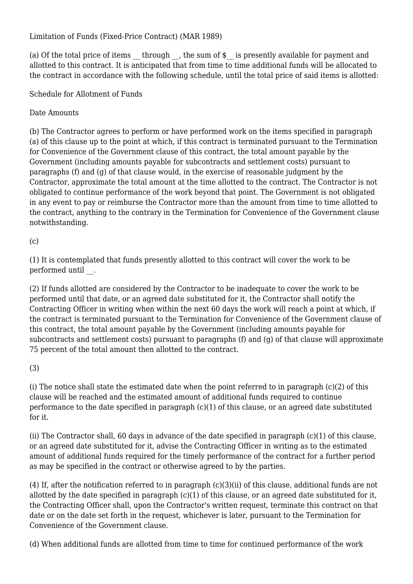Limitation of Funds (Fixed-Price Contract) (MAR 1989)

(a) Of the total price of items through , the sum of  $\frac{1}{2}$  is presently available for payment and allotted to this contract. It is anticipated that from time to time additional funds will be allocated to the contract in accordance with the following schedule, until the total price of said items is allotted:

Schedule for Allotment of Funds

Date Amounts

(b) The Contractor agrees to perform or have performed work on the items specified in paragraph (a) of this clause up to the point at which, if this contract is terminated pursuant to the Termination for Convenience of the Government clause of this contract, the total amount payable by the Government (including amounts payable for subcontracts and settlement costs) pursuant to paragraphs (f) and (g) of that clause would, in the exercise of reasonable judgment by the Contractor, approximate the total amount at the time allotted to the contract. The Contractor is not obligated to continue performance of the work beyond that point. The Government is not obligated in any event to pay or reimburse the Contractor more than the amount from time to time allotted to the contract, anything to the contrary in the Termination for Convenience of the Government clause notwithstanding.

 $(c)$ 

(1) It is contemplated that funds presently allotted to this contract will cover the work to be performed until .

(2) If funds allotted are considered by the Contractor to be inadequate to cover the work to be performed until that date, or an agreed date substituted for it, the Contractor shall notify the Contracting Officer in writing when within the next 60 days the work will reach a point at which, if the contract is terminated pursuant to the Termination for Convenience of the Government clause of this contract, the total amount payable by the Government (including amounts payable for subcontracts and settlement costs) pursuant to paragraphs (f) and (g) of that clause will approximate 75 percent of the total amount then allotted to the contract.

(3)

(i) The notice shall state the estimated date when the point referred to in paragraph (c)(2) of this clause will be reached and the estimated amount of additional funds required to continue performance to the date specified in paragraph  $(c)(1)$  of this clause, or an agreed date substituted for it.

(ii) The Contractor shall, 60 days in advance of the date specified in paragraph (c)(1) of this clause, or an agreed date substituted for it, advise the Contracting Officer in writing as to the estimated amount of additional funds required for the timely performance of the contract for a further period as may be specified in the contract or otherwise agreed to by the parties.

(4) If, after the notification referred to in paragraph (c)(3)(ii) of this clause, additional funds are not allotted by the date specified in paragraph (c)(1) of this clause, or an agreed date substituted for it, the Contracting Officer shall, upon the Contractor's written request, terminate this contract on that date or on the date set forth in the request, whichever is later, pursuant to the Termination for Convenience of the Government clause.

(d) When additional funds are allotted from time to time for continued performance of the work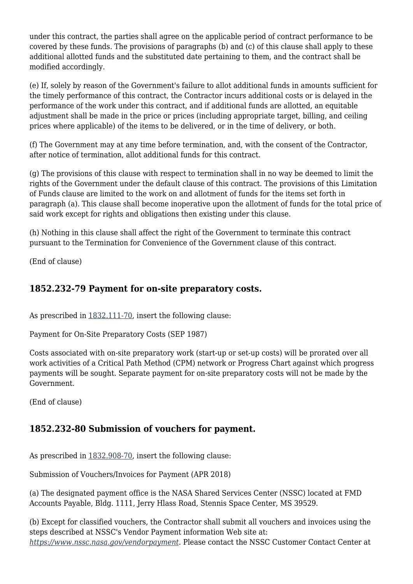under this contract, the parties shall agree on the applicable period of contract performance to be covered by these funds. The provisions of paragraphs (b) and (c) of this clause shall apply to these additional allotted funds and the substituted date pertaining to them, and the contract shall be modified accordingly.

(e) If, solely by reason of the Government's failure to allot additional funds in amounts sufficient for the timely performance of this contract, the Contractor incurs additional costs or is delayed in the performance of the work under this contract, and if additional funds are allotted, an equitable adjustment shall be made in the price or prices (including appropriate target, billing, and ceiling prices where applicable) of the items to be delivered, or in the time of delivery, or both.

(f) The Government may at any time before termination, and, with the consent of the Contractor, after notice of termination, allot additional funds for this contract.

(g) The provisions of this clause with respect to termination shall in no way be deemed to limit the rights of the Government under the default clause of this contract. The provisions of this Limitation of Funds clause are limited to the work on and allotment of funds for the items set forth in paragraph (a). This clause shall become inoperative upon the allotment of funds for the total price of said work except for rights and obligations then existing under this clause.

(h) Nothing in this clause shall affect the right of the Government to terminate this contract pursuant to the Termination for Convenience of the Government clause of this contract.

(End of clause)

### **1852.232-79 Payment for on-site preparatory costs.**

As prescribed in [1832.111-70,](https://login.acquisition.gov/%5Brp:link:nfs-part-1832%5D#Section_1832_111_70_T48_6042026112) insert the following clause:

Payment for On-Site Preparatory Costs (SEP 1987)

Costs associated with on-site preparatory work (start-up or set-up costs) will be prorated over all work activities of a Critical Path Method (CPM) network or Progress Chart against which progress payments will be sought. Separate payment for on-site preparatory costs will not be made by the Government.

(End of clause)

## **1852.232-80 Submission of vouchers for payment.**

As prescribed in [1832.908-70,](https://login.acquisition.gov/%5Brp:link:nfs-part-1832%5D#Section_1832_908_70_T48_6042026612) insert the following clause:

Submission of Vouchers/Invoices for Payment (APR 2018)

(a) The designated payment office is the NASA Shared Services Center (NSSC) located at FMD Accounts Payable, Bldg. 1111, Jerry Hlass Road, Stennis Space Center, MS 39529.

(b) Except for classified vouchers, the Contractor shall submit all vouchers and invoices using the steps described at NSSC's Vendor Payment information Web site at: *[https://www.nssc.nasa.gov/vendorpayment.](https://www.nssc.nasa.gov/vendorpayment)* Please contact the NSSC Customer Contact Center at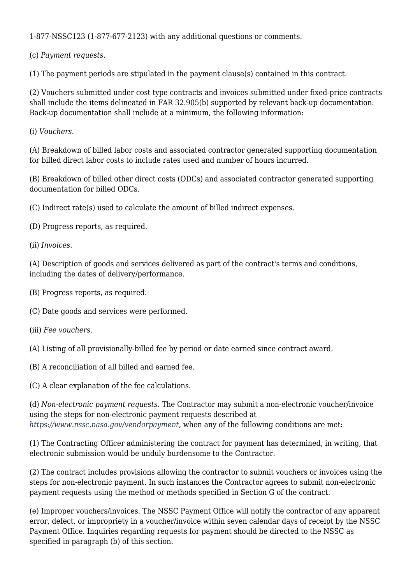1-877-NSSC123 (1-877-677-2123) with any additional questions or comments.

(c) *Payment requests.*

(1) The payment periods are stipulated in the payment clause(s) contained in this contract.

(2) Vouchers submitted under cost type contracts and invoices submitted under fixed-price contracts shall include the items delineated in FAR 32.905(b) supported by relevant back-up documentation. Back-up documentation shall include at a minimum, the following information:

(i) *Vouchers.*

(A) Breakdown of billed labor costs and associated contractor generated supporting documentation for billed direct labor costs to include rates used and number of hours incurred.

(B) Breakdown of billed other direct costs (ODCs) and associated contractor generated supporting documentation for billed ODCs.

(C) Indirect rate(s) used to calculate the amount of billed indirect expenses.

(D) Progress reports, as required.

(ii) *Invoices.*

(A) Description of goods and services delivered as part of the contract's terms and conditions, including the dates of delivery/performance.

(B) Progress reports, as required.

(C) Date goods and services were performed.

- (iii) *Fee vouchers.*
- (A) Listing of all provisionally-billed fee by period or date earned since contract award.
- (B) A reconciliation of all billed and earned fee.

(C) A clear explanation of the fee calculations.

(d) *Non-electronic payment requests.* The Contractor may submit a non-electronic voucher/invoice using the steps for non-electronic payment requests described at *[https://www.nssc.nasa.gov/vendorpayment,](https://www.nssc.nasa.gov/vendorpayment)* when any of the following conditions are met:

(1) The Contracting Officer administering the contract for payment has determined, in writing, that electronic submission would be unduly burdensome to the Contractor.

(2) The contract includes provisions allowing the contractor to submit vouchers or invoices using the steps for non-electronic payment. In such instances the Contractor agrees to submit non-electronic payment requests using the method or methods specified in Section G of the contract.

(e) Improper vouchers/invoices. The NSSC Payment Office will notify the contractor of any apparent error, defect, or impropriety in a voucher/invoice within seven calendar days of receipt by the NSSC Payment Office. Inquiries regarding requests for payment should be directed to the NSSC as specified in paragraph (b) of this section.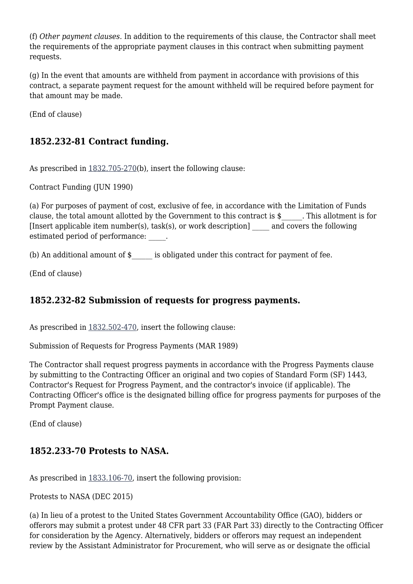(f) *Other payment clauses.* In addition to the requirements of this clause, the Contractor shall meet the requirements of the appropriate payment clauses in this contract when submitting payment requests.

(g) In the event that amounts are withheld from payment in accordance with provisions of this contract, a separate payment request for the amount withheld will be required before payment for that amount may be made.

(End of clause)

## **1852.232-81 Contract funding.**

As prescribed in [1832.705-270](https://login.acquisition.gov/%5Brp:link:nfs-part-1832%5D#Section_1832_705_270_T48_6042026513)(b), insert the following clause:

Contract Funding (JUN 1990)

(a) For purposes of payment of cost, exclusive of fee, in accordance with the Limitation of Funds clause, the total amount allotted by the Government to this contract is \$\_\_\_\_\_\_. This allotment is for [Insert applicable item number(s), task(s), or work description] \_\_\_\_\_ and covers the following estimated period of performance:  $\qquad \qquad$ 

(b) An additional amount of  $\sin \theta$  is obligated under this contract for payment of fee.

(End of clause)

## **1852.232-82 Submission of requests for progress payments.**

As prescribed in [1832.502-470](https://login.acquisition.gov/%5Brp:link:nfs-part-1832%5D#Section_1832_502_470_T48_6042026414), insert the following clause:

Submission of Requests for Progress Payments (MAR 1989)

The Contractor shall request progress payments in accordance with the Progress Payments clause by submitting to the Contracting Officer an original and two copies of Standard Form (SF) 1443, Contractor's Request for Progress Payment, and the contractor's invoice (if applicable). The Contracting Officer's office is the designated billing office for progress payments for purposes of the Prompt Payment clause.

(End of clause)

## **1852.233-70 Protests to NASA.**

As prescribed in [1833.106-70,](https://login.acquisition.gov/%5Brp:link:nfs-part-1833%5D#Section_1833_106_70_T48_6042027112) insert the following provision:

Protests to NASA (DEC 2015)

(a) In lieu of a protest to the United States Government Accountability Office (GAO), bidders or offerors may submit a protest under 48 CFR part 33 (FAR Part 33) directly to the Contracting Officer for consideration by the Agency. Alternatively, bidders or offerors may request an independent review by the Assistant Administrator for Procurement, who will serve as or designate the official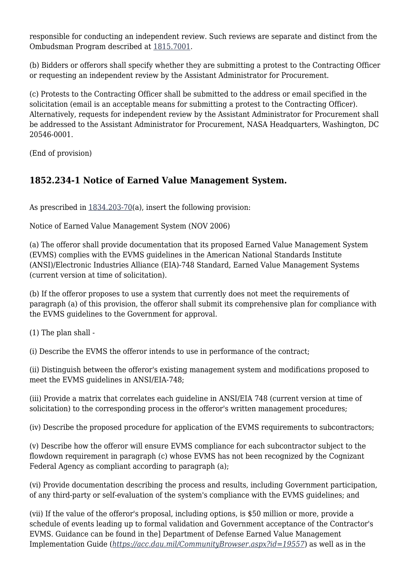responsible for conducting an independent review. Such reviews are separate and distinct from the Ombudsman Program described at [1815.7001.](https://login.acquisition.gov/%5Brp:link:nfs-part-1815%5D#Section_1815_7001_T48_6041814611)

(b) Bidders or offerors shall specify whether they are submitting a protest to the Contracting Officer or requesting an independent review by the Assistant Administrator for Procurement.

(c) Protests to the Contracting Officer shall be submitted to the address or email specified in the solicitation (email is an acceptable means for submitting a protest to the Contracting Officer). Alternatively, requests for independent review by the Assistant Administrator for Procurement shall be addressed to the Assistant Administrator for Procurement, NASA Headquarters, Washington, DC 20546-0001.

(End of provision)

# **1852.234-1 Notice of Earned Value Management System.**

As prescribed in [1834.203-70\(](https://login.acquisition.gov/%5Brp:link:nfs-part-1834%5D#Section_1834_203_70_T48_6042128113)a), insert the following provision:

Notice of Earned Value Management System (NOV 2006)

(a) The offeror shall provide documentation that its proposed Earned Value Management System (EVMS) complies with the EVMS guidelines in the American National Standards Institute (ANSI)/Electronic Industries Alliance (EIA)-748 Standard, Earned Value Management Systems (current version at time of solicitation).

(b) If the offeror proposes to use a system that currently does not meet the requirements of paragraph (a) of this provision, the offeror shall submit its comprehensive plan for compliance with the EVMS guidelines to the Government for approval.

(1) The plan shall -

(i) Describe the EVMS the offeror intends to use in performance of the contract;

(ii) Distinguish between the offeror's existing management system and modifications proposed to meet the EVMS guidelines in ANSI/EIA-748;

(iii) Provide a matrix that correlates each guideline in ANSI/EIA 748 (current version at time of solicitation) to the corresponding process in the offeror's written management procedures;

(iv) Describe the proposed procedure for application of the EVMS requirements to subcontractors;

(v) Describe how the offeror will ensure EVMS compliance for each subcontractor subject to the flowdown requirement in paragraph (c) whose EVMS has not been recognized by the Cognizant Federal Agency as compliant according to paragraph (a);

(vi) Provide documentation describing the process and results, including Government participation, of any third-party or self-evaluation of the system's compliance with the EVMS guidelines; and

(vii) If the value of the offeror's proposal, including options, is \$50 million or more, provide a schedule of events leading up to formal validation and Government acceptance of the Contractor's EVMS. Guidance can be found in the] Department of Defense Earned Value Management Implementation Guide (*<https://acc.dau.mil/CommunityBrowser.aspx?id=19557>*) as well as in the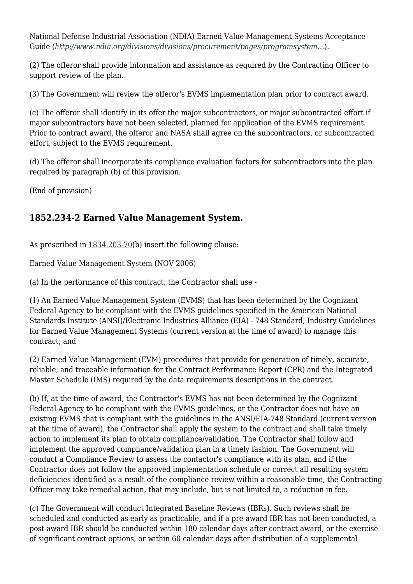National Defense Industrial Association (NDIA) Earned Value Management Systems Acceptance Guide (*[http://www.ndia.org/divisions/divisions/procurement/pages/programsystem…](http://www.ndia.org/divisions/divisions/procurement/pages/programsystemcommittee.aspx)*).

(2) The offeror shall provide information and assistance as required by the Contracting Officer to support review of the plan.

(3) The Government will review the offeror's EVMS implementation plan prior to contract award.

(c) The offeror shall identify in its offer the major subcontractors, or major subcontracted effort if major subcontractors have not been selected, planned for application of the EVMS requirement. Prior to contract award, the offeror and NASA shall agree on the subcontractors, or subcontracted effort, subject to the EVMS requirement.

(d) The offeror shall incorporate its compliance evaluation factors for subcontractors into the plan required by paragraph (b) of this provision.

(End of provision)

# **1852.234-2 Earned Value Management System.**

As prescribed in [1834.203-70\(](https://login.acquisition.gov/%5Brp:link:nfs-part-1834%5D#Section_1834_203_70_T48_6042128113)b) insert the following clause:

Earned Value Management System (NOV 2006)

(a) In the performance of this contract, the Contractor shall use -

(1) An Earned Value Management System (EVMS) that has been determined by the Cognizant Federal Agency to be compliant with the EVMS guidelines specified in the American National Standards Institute (ANSI)/Electronic Industries Alliance (EIA) - 748 Standard, Industry Guidelines for Earned Value Management Systems (current version at the time of award) to manage this contract; and

(2) Earned Value Management (EVM) procedures that provide for generation of timely, accurate, reliable, and traceable information for the Contract Performance Report (CPR) and the Integrated Master Schedule (IMS) required by the data requirements descriptions in the contract.

(b) If, at the time of award, the Contractor's EVMS has not been determined by the Cognizant Federal Agency to be compliant with the EVMS guidelines, or the Contractor does not have an existing EVMS that is compliant with the guidelines in the ANSI/EIA-748 Standard (current version at the time of award), the Contractor shall apply the system to the contract and shall take timely action to implement its plan to obtain compliance/validation. The Contractor shall follow and implement the approved compliance/validation plan in a timely fashion. The Government will conduct a Compliance Review to assess the contactor's compliance with its plan, and if the Contractor does not follow the approved implementation schedule or correct all resulting system deficiencies identified as a result of the compliance review within a reasonable time, the Contracting Officer may take remedial action, that may include, but is not limited to, a reduction in fee.

(c) The Government will conduct Integrated Baseline Reviews (IBRs). Such reviews shall be scheduled and conducted as early as practicable, and if a pre-award IBR has not been conducted, a post-award IBR should be conducted within 180 calendar days after contract award, or the exercise of significant contract options, or within 60 calendar days after distribution of a supplemental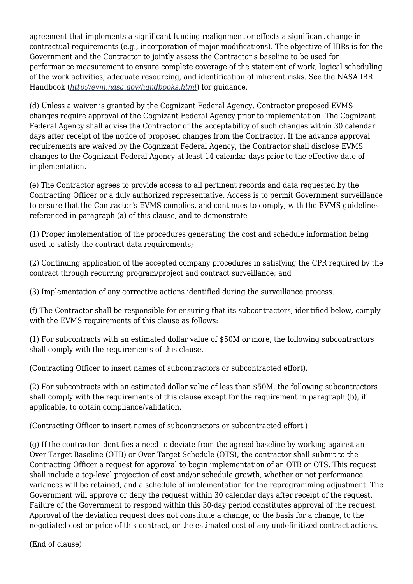agreement that implements a significant funding realignment or effects a significant change in contractual requirements (e.g., incorporation of major modifications). The objective of IBRs is for the Government and the Contractor to jointly assess the Contractor's baseline to be used for performance measurement to ensure complete coverage of the statement of work, logical scheduling of the work activities, adequate resourcing, and identification of inherent risks. See the NASA IBR Handbook (*<http://evm.nasa.gov/handbooks.html>*) for guidance.

(d) Unless a waiver is granted by the Cognizant Federal Agency, Contractor proposed EVMS changes require approval of the Cognizant Federal Agency prior to implementation. The Cognizant Federal Agency shall advise the Contractor of the acceptability of such changes within 30 calendar days after receipt of the notice of proposed changes from the Contractor. If the advance approval requirements are waived by the Cognizant Federal Agency, the Contractor shall disclose EVMS changes to the Cognizant Federal Agency at least 14 calendar days prior to the effective date of implementation.

(e) The Contractor agrees to provide access to all pertinent records and data requested by the Contracting Officer or a duly authorized representative. Access is to permit Government surveillance to ensure that the Contractor's EVMS complies, and continues to comply, with the EVMS guidelines referenced in paragraph (a) of this clause, and to demonstrate -

(1) Proper implementation of the procedures generating the cost and schedule information being used to satisfy the contract data requirements;

(2) Continuing application of the accepted company procedures in satisfying the CPR required by the contract through recurring program/project and contract surveillance; and

(3) Implementation of any corrective actions identified during the surveillance process.

(f) The Contractor shall be responsible for ensuring that its subcontractors, identified below, comply with the EVMS requirements of this clause as follows:

(1) For subcontracts with an estimated dollar value of \$50M or more, the following subcontractors shall comply with the requirements of this clause.

(Contracting Officer to insert names of subcontractors or subcontracted effort).

(2) For subcontracts with an estimated dollar value of less than \$50M, the following subcontractors shall comply with the requirements of this clause except for the requirement in paragraph (b), if applicable, to obtain compliance/validation.

(Contracting Officer to insert names of subcontractors or subcontracted effort.)

(g) If the contractor identifies a need to deviate from the agreed baseline by working against an Over Target Baseline (OTB) or Over Target Schedule (OTS), the contractor shall submit to the Contracting Officer a request for approval to begin implementation of an OTB or OTS. This request shall include a top-level projection of cost and/or schedule growth, whether or not performance variances will be retained, and a schedule of implementation for the reprogramming adjustment. The Government will approve or deny the request within 30 calendar days after receipt of the request. Failure of the Government to respond within this 30-day period constitutes approval of the request. Approval of the deviation request does not constitute a change, or the basis for a change, to the negotiated cost or price of this contract, or the estimated cost of any undefinitized contract actions.

(End of clause)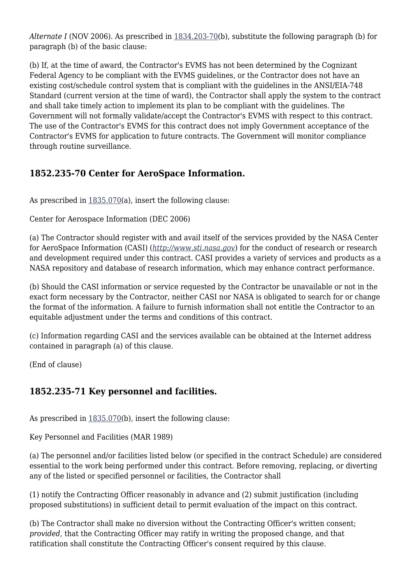*Alternate I* (NOV 2006). As prescribed in [1834.203-70](https://login.acquisition.gov/%5Brp:link:nfs-part-1834%5D#Section_1834_203_70_T48_6042128113)(b), substitute the following paragraph (b) for paragraph (b) of the basic clause:

(b) If, at the time of award, the Contractor's EVMS has not been determined by the Cognizant Federal Agency to be compliant with the EVMS guidelines, or the Contractor does not have an existing cost/schedule control system that is compliant with the guidelines in the ANSI/EIA-748 Standard (current version at the time of ward), the Contractor shall apply the system to the contract and shall take timely action to implement its plan to be compliant with the guidelines. The Government will not formally validate/accept the Contractor's EVMS with respect to this contract. The use of the Contractor's EVMS for this contract does not imply Government acceptance of the Contractor's EVMS for application to future contracts. The Government will monitor compliance through routine surveillance.

## **1852.235-70 Center for AeroSpace Information.**

As prescribed in  $1835.070(a)$  $1835.070(a)$ , insert the following clause:

Center for Aerospace Information (DEC 2006)

(a) The Contractor should register with and avail itself of the services provided by the NASA Center for AeroSpace Information (CASI) (*<http://www.sti.nasa.gov>*) for the conduct of research or research and development required under this contract. CASI provides a variety of services and products as a NASA repository and database of research information, which may enhance contract performance.

(b) Should the CASI information or service requested by the Contractor be unavailable or not in the exact form necessary by the Contractor, neither CASI nor NASA is obligated to search for or change the format of the information. A failure to furnish information shall not entitle the Contractor to an equitable adjustment under the terms and conditions of this contract.

(c) Information regarding CASI and the services available can be obtained at the Internet address contained in paragraph (a) of this clause.

(End of clause)

## **1852.235-71 Key personnel and facilities.**

As prescribed in  $1835.070(b)$  $1835.070(b)$ , insert the following clause:

Key Personnel and Facilities (MAR 1989)

(a) The personnel and/or facilities listed below (or specified in the contract Schedule) are considered essential to the work being performed under this contract. Before removing, replacing, or diverting any of the listed or specified personnel or facilities, the Contractor shall

(1) notify the Contracting Officer reasonably in advance and (2) submit justification (including proposed substitutions) in sufficient detail to permit evaluation of the impact on this contract.

(b) The Contractor shall make no diversion without the Contracting Officer's written consent; *provided,* that the Contracting Officer may ratify in writing the proposed change, and that ratification shall constitute the Contracting Officer's consent required by this clause.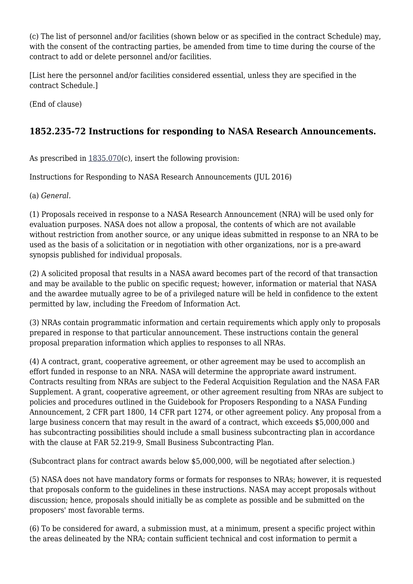(c) The list of personnel and/or facilities (shown below or as specified in the contract Schedule) may, with the consent of the contracting parties, be amended from time to time during the course of the contract to add or delete personnel and/or facilities.

[List here the personnel and/or facilities considered essential, unless they are specified in the contract Schedule.]

(End of clause)

# **1852.235-72 Instructions for responding to NASA Research Announcements.**

As prescribed in  $1835.070(c)$  $1835.070(c)$ , insert the following provision:

Instructions for Responding to NASA Research Announcements (JUL 2016)

(a) *General.*

(1) Proposals received in response to a NASA Research Announcement (NRA) will be used only for evaluation purposes. NASA does not allow a proposal, the contents of which are not available without restriction from another source, or any unique ideas submitted in response to an NRA to be used as the basis of a solicitation or in negotiation with other organizations, nor is a pre-award synopsis published for individual proposals.

(2) A solicited proposal that results in a NASA award becomes part of the record of that transaction and may be available to the public on specific request; however, information or material that NASA and the awardee mutually agree to be of a privileged nature will be held in confidence to the extent permitted by law, including the Freedom of Information Act.

(3) NRAs contain programmatic information and certain requirements which apply only to proposals prepared in response to that particular announcement. These instructions contain the general proposal preparation information which applies to responses to all NRAs.

(4) A contract, grant, cooperative agreement, or other agreement may be used to accomplish an effort funded in response to an NRA. NASA will determine the appropriate award instrument. Contracts resulting from NRAs are subject to the Federal Acquisition Regulation and the NASA FAR Supplement. A grant, cooperative agreement, or other agreement resulting from NRAs are subject to policies and procedures outlined in the Guidebook for Proposers Responding to a NASA Funding Announcement, 2 CFR part 1800, 14 CFR part 1274, or other agreement policy. Any proposal from a large business concern that may result in the award of a contract, which exceeds \$5,000,000 and has subcontracting possibilities should include a small business subcontracting plan in accordance with the clause at FAR 52.219-9, Small Business Subcontracting Plan.

(Subcontract plans for contract awards below \$5,000,000, will be negotiated after selection.)

(5) NASA does not have mandatory forms or formats for responses to NRAs; however, it is requested that proposals conform to the guidelines in these instructions. NASA may accept proposals without discussion; hence, proposals should initially be as complete as possible and be submitted on the proposers' most favorable terms.

(6) To be considered for award, a submission must, at a minimum, present a specific project within the areas delineated by the NRA; contain sufficient technical and cost information to permit a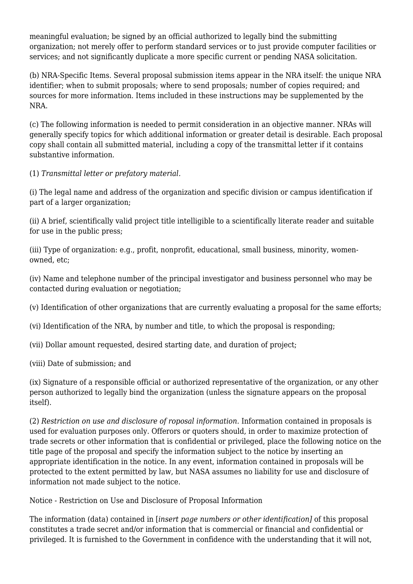meaningful evaluation; be signed by an official authorized to legally bind the submitting organization; not merely offer to perform standard services or to just provide computer facilities or services; and not significantly duplicate a more specific current or pending NASA solicitation.

(b) NRA-Specific Items. Several proposal submission items appear in the NRA itself: the unique NRA identifier; when to submit proposals; where to send proposals; number of copies required; and sources for more information. Items included in these instructions may be supplemented by the NRA.

(c) The following information is needed to permit consideration in an objective manner. NRAs will generally specify topics for which additional information or greater detail is desirable. Each proposal copy shall contain all submitted material, including a copy of the transmittal letter if it contains substantive information.

(1) *Transmittal letter or prefatory material.*

(i) The legal name and address of the organization and specific division or campus identification if part of a larger organization;

(ii) A brief, scientifically valid project title intelligible to a scientifically literate reader and suitable for use in the public press;

(iii) Type of organization: e.g., profit, nonprofit, educational, small business, minority, womenowned, etc;

(iv) Name and telephone number of the principal investigator and business personnel who may be contacted during evaluation or negotiation;

(v) Identification of other organizations that are currently evaluating a proposal for the same efforts;

(vi) Identification of the NRA, by number and title, to which the proposal is responding;

(vii) Dollar amount requested, desired starting date, and duration of project;

(viii) Date of submission; and

(ix) Signature of a responsible official or authorized representative of the organization, or any other person authorized to legally bind the organization (unless the signature appears on the proposal itself).

(2) *Restriction on use and disclosure of roposal information.* Information contained in proposals is used for evaluation purposes only. Offerors or quoters should, in order to maximize protection of trade secrets or other information that is confidential or privileged, place the following notice on the title page of the proposal and specify the information subject to the notice by inserting an appropriate identification in the notice. In any event, information contained in proposals will be protected to the extent permitted by law, but NASA assumes no liability for use and disclosure of information not made subject to the notice.

Notice - Restriction on Use and Disclosure of Proposal Information

The information (data) contained in [*insert page numbers or other identification]* of this proposal constitutes a trade secret and/or information that is commercial or financial and confidential or privileged. It is furnished to the Government in confidence with the understanding that it will not,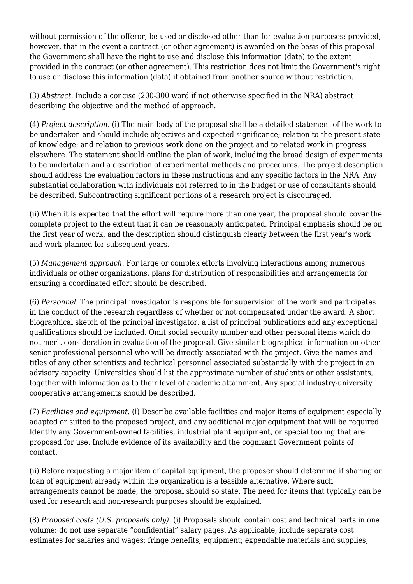without permission of the offeror, be used or disclosed other than for evaluation purposes; provided, however, that in the event a contract (or other agreement) is awarded on the basis of this proposal the Government shall have the right to use and disclose this information (data) to the extent provided in the contract (or other agreement). This restriction does not limit the Government's right to use or disclose this information (data) if obtained from another source without restriction.

(3) *Abstract.* Include a concise (200-300 word if not otherwise specified in the NRA) abstract describing the objective and the method of approach.

(4) *Project description.* (i) The main body of the proposal shall be a detailed statement of the work to be undertaken and should include objectives and expected significance; relation to the present state of knowledge; and relation to previous work done on the project and to related work in progress elsewhere. The statement should outline the plan of work, including the broad design of experiments to be undertaken and a description of experimental methods and procedures. The project description should address the evaluation factors in these instructions and any specific factors in the NRA. Any substantial collaboration with individuals not referred to in the budget or use of consultants should be described. Subcontracting significant portions of a research project is discouraged.

(ii) When it is expected that the effort will require more than one year, the proposal should cover the complete project to the extent that it can be reasonably anticipated. Principal emphasis should be on the first year of work, and the description should distinguish clearly between the first year's work and work planned for subsequent years.

(5) *Management approach.* For large or complex efforts involving interactions among numerous individuals or other organizations, plans for distribution of responsibilities and arrangements for ensuring a coordinated effort should be described.

(6) *Personnel.* The principal investigator is responsible for supervision of the work and participates in the conduct of the research regardless of whether or not compensated under the award. A short biographical sketch of the principal investigator, a list of principal publications and any exceptional qualifications should be included. Omit social security number and other personal items which do not merit consideration in evaluation of the proposal. Give similar biographical information on other senior professional personnel who will be directly associated with the project. Give the names and titles of any other scientists and technical personnel associated substantially with the project in an advisory capacity. Universities should list the approximate number of students or other assistants, together with information as to their level of academic attainment. Any special industry-university cooperative arrangements should be described.

(7) *Facilities and equipment.* (i) Describe available facilities and major items of equipment especially adapted or suited to the proposed project, and any additional major equipment that will be required. Identify any Government-owned facilities, industrial plant equipment, or special tooling that are proposed for use. Include evidence of its availability and the cognizant Government points of contact.

(ii) Before requesting a major item of capital equipment, the proposer should determine if sharing or loan of equipment already within the organization is a feasible alternative. Where such arrangements cannot be made, the proposal should so state. The need for items that typically can be used for research and non-research purposes should be explained.

(8) *Proposed costs (U.S. proposals only).* (i) Proposals should contain cost and technical parts in one volume: do not use separate "confidential" salary pages. As applicable, include separate cost estimates for salaries and wages; fringe benefits; equipment; expendable materials and supplies;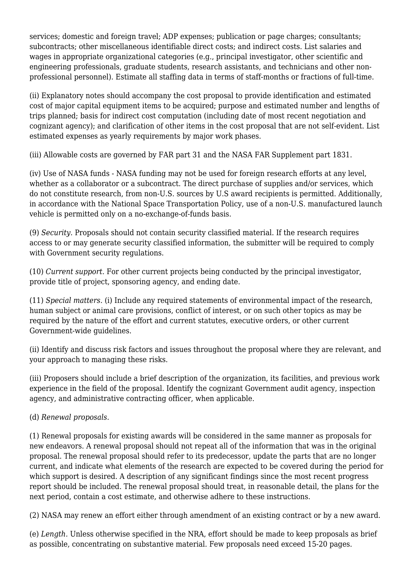services; domestic and foreign travel; ADP expenses; publication or page charges; consultants; subcontracts; other miscellaneous identifiable direct costs; and indirect costs. List salaries and wages in appropriate organizational categories (e.g., principal investigator, other scientific and engineering professionals, graduate students, research assistants, and technicians and other nonprofessional personnel). Estimate all staffing data in terms of staff-months or fractions of full-time.

(ii) Explanatory notes should accompany the cost proposal to provide identification and estimated cost of major capital equipment items to be acquired; purpose and estimated number and lengths of trips planned; basis for indirect cost computation (including date of most recent negotiation and cognizant agency); and clarification of other items in the cost proposal that are not self-evident. List estimated expenses as yearly requirements by major work phases.

(iii) Allowable costs are governed by FAR part 31 and the NASA FAR Supplement part 1831.

(iv) Use of NASA funds - NASA funding may not be used for foreign research efforts at any level, whether as a collaborator or a subcontract. The direct purchase of supplies and/or services, which do not constitute research, from non-U.S. sources by U.S award recipients is permitted. Additionally, in accordance with the National Space Transportation Policy, use of a non-U.S. manufactured launch vehicle is permitted only on a no-exchange-of-funds basis.

(9) *Security.* Proposals should not contain security classified material. If the research requires access to or may generate security classified information, the submitter will be required to comply with Government security regulations.

(10) *Current support.* For other current projects being conducted by the principal investigator, provide title of project, sponsoring agency, and ending date.

(11) *Special matters.* (i) Include any required statements of environmental impact of the research, human subject or animal care provisions, conflict of interest, or on such other topics as may be required by the nature of the effort and current statutes, executive orders, or other current Government-wide guidelines.

(ii) Identify and discuss risk factors and issues throughout the proposal where they are relevant, and your approach to managing these risks.

(iii) Proposers should include a brief description of the organization, its facilities, and previous work experience in the field of the proposal. Identify the cognizant Government audit agency, inspection agency, and administrative contracting officer, when applicable.

(d) *Renewal proposals.*

(1) Renewal proposals for existing awards will be considered in the same manner as proposals for new endeavors. A renewal proposal should not repeat all of the information that was in the original proposal. The renewal proposal should refer to its predecessor, update the parts that are no longer current, and indicate what elements of the research are expected to be covered during the period for which support is desired. A description of any significant findings since the most recent progress report should be included. The renewal proposal should treat, in reasonable detail, the plans for the next period, contain a cost estimate, and otherwise adhere to these instructions.

(2) NASA may renew an effort either through amendment of an existing contract or by a new award.

(e) *Length.* Unless otherwise specified in the NRA, effort should be made to keep proposals as brief as possible, concentrating on substantive material. Few proposals need exceed 15-20 pages.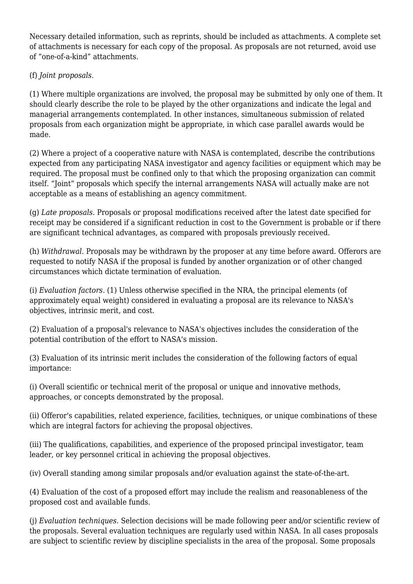Necessary detailed information, such as reprints, should be included as attachments. A complete set of attachments is necessary for each copy of the proposal. As proposals are not returned, avoid use of "one-of-a-kind" attachments.

#### (f) *Joint proposals.*

(1) Where multiple organizations are involved, the proposal may be submitted by only one of them. It should clearly describe the role to be played by the other organizations and indicate the legal and managerial arrangements contemplated. In other instances, simultaneous submission of related proposals from each organization might be appropriate, in which case parallel awards would be made.

(2) Where a project of a cooperative nature with NASA is contemplated, describe the contributions expected from any participating NASA investigator and agency facilities or equipment which may be required. The proposal must be confined only to that which the proposing organization can commit itself. "Joint" proposals which specify the internal arrangements NASA will actually make are not acceptable as a means of establishing an agency commitment.

(g) *Late proposals.* Proposals or proposal modifications received after the latest date specified for receipt may be considered if a significant reduction in cost to the Government is probable or if there are significant technical advantages, as compared with proposals previously received.

(h) *Withdrawal.* Proposals may be withdrawn by the proposer at any time before award. Offerors are requested to notify NASA if the proposal is funded by another organization or of other changed circumstances which dictate termination of evaluation.

(i) *Evaluation factors.* (1) Unless otherwise specified in the NRA, the principal elements (of approximately equal weight) considered in evaluating a proposal are its relevance to NASA's objectives, intrinsic merit, and cost.

(2) Evaluation of a proposal's relevance to NASA's objectives includes the consideration of the potential contribution of the effort to NASA's mission.

(3) Evaluation of its intrinsic merit includes the consideration of the following factors of equal importance:

(i) Overall scientific or technical merit of the proposal or unique and innovative methods, approaches, or concepts demonstrated by the proposal.

(ii) Offeror's capabilities, related experience, facilities, techniques, or unique combinations of these which are integral factors for achieving the proposal objectives.

(iii) The qualifications, capabilities, and experience of the proposed principal investigator, team leader, or key personnel critical in achieving the proposal objectives.

(iv) Overall standing among similar proposals and/or evaluation against the state-of-the-art.

(4) Evaluation of the cost of a proposed effort may include the realism and reasonableness of the proposed cost and available funds.

(j) *Evaluation techniques.* Selection decisions will be made following peer and/or scientific review of the proposals. Several evaluation techniques are regularly used within NASA. In all cases proposals are subject to scientific review by discipline specialists in the area of the proposal. Some proposals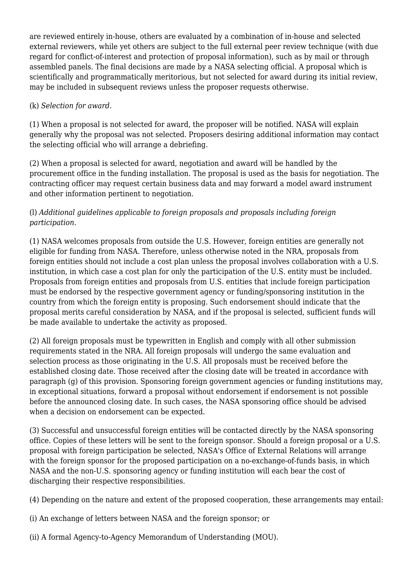are reviewed entirely in-house, others are evaluated by a combination of in-house and selected external reviewers, while yet others are subject to the full external peer review technique (with due regard for conflict-of-interest and protection of proposal information), such as by mail or through assembled panels. The final decisions are made by a NASA selecting official. A proposal which is scientifically and programmatically meritorious, but not selected for award during its initial review, may be included in subsequent reviews unless the proposer requests otherwise.

#### (k) *Selection for award.*

(1) When a proposal is not selected for award, the proposer will be notified. NASA will explain generally why the proposal was not selected. Proposers desiring additional information may contact the selecting official who will arrange a debriefing.

(2) When a proposal is selected for award, negotiation and award will be handled by the procurement office in the funding installation. The proposal is used as the basis for negotiation. The contracting officer may request certain business data and may forward a model award instrument and other information pertinent to negotiation.

#### (l) *Additional guidelines applicable to foreign proposals and proposals including foreign participation.*

(1) NASA welcomes proposals from outside the U.S. However, foreign entities are generally not eligible for funding from NASA. Therefore, unless otherwise noted in the NRA, proposals from foreign entities should not include a cost plan unless the proposal involves collaboration with a U.S. institution, in which case a cost plan for only the participation of the U.S. entity must be included. Proposals from foreign entities and proposals from U.S. entities that include foreign participation must be endorsed by the respective government agency or funding/sponsoring institution in the country from which the foreign entity is proposing. Such endorsement should indicate that the proposal merits careful consideration by NASA, and if the proposal is selected, sufficient funds will be made available to undertake the activity as proposed.

(2) All foreign proposals must be typewritten in English and comply with all other submission requirements stated in the NRA. All foreign proposals will undergo the same evaluation and selection process as those originating in the U.S. All proposals must be received before the established closing date. Those received after the closing date will be treated in accordance with paragraph (g) of this provision. Sponsoring foreign government agencies or funding institutions may, in exceptional situations, forward a proposal without endorsement if endorsement is not possible before the announced closing date. In such cases, the NASA sponsoring office should be advised when a decision on endorsement can be expected.

(3) Successful and unsuccessful foreign entities will be contacted directly by the NASA sponsoring office. Copies of these letters will be sent to the foreign sponsor. Should a foreign proposal or a U.S. proposal with foreign participation be selected, NASA's Office of External Relations will arrange with the foreign sponsor for the proposed participation on a no-exchange-of-funds basis, in which NASA and the non-U.S. sponsoring agency or funding institution will each bear the cost of discharging their respective responsibilities.

(4) Depending on the nature and extent of the proposed cooperation, these arrangements may entail:

- (i) An exchange of letters between NASA and the foreign sponsor; or
- (ii) A formal Agency-to-Agency Memorandum of Understanding (MOU).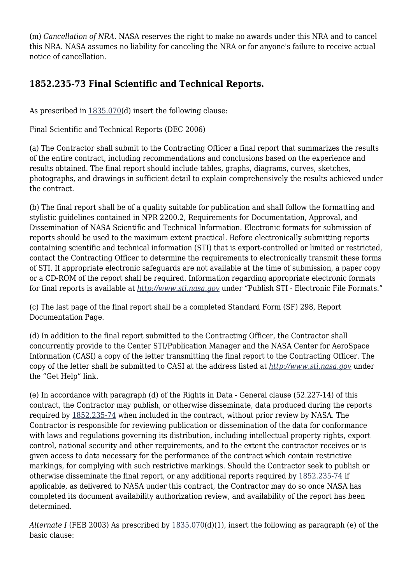(m) *Cancellation of NRA.* NASA reserves the right to make no awards under this NRA and to cancel this NRA. NASA assumes no liability for canceling the NRA or for anyone's failure to receive actual notice of cancellation.

# **1852.235-73 Final Scientific and Technical Reports.**

As prescribed in [1835.070\(](https://login.acquisition.gov/%5Brp:link:nfs-part-1835%5D#Section_1835_070_T48_6042129013)d) insert the following clause:

Final Scientific and Technical Reports (DEC 2006)

(a) The Contractor shall submit to the Contracting Officer a final report that summarizes the results of the entire contract, including recommendations and conclusions based on the experience and results obtained. The final report should include tables, graphs, diagrams, curves, sketches, photographs, and drawings in sufficient detail to explain comprehensively the results achieved under the contract.

(b) The final report shall be of a quality suitable for publication and shall follow the formatting and stylistic guidelines contained in NPR 2200.2, Requirements for Documentation, Approval, and Dissemination of NASA Scientific and Technical Information. Electronic formats for submission of reports should be used to the maximum extent practical. Before electronically submitting reports containing scientific and technical information (STI) that is export-controlled or limited or restricted, contact the Contracting Officer to determine the requirements to electronically transmit these forms of STI. If appropriate electronic safeguards are not available at the time of submission, a paper copy or a CD-ROM of the report shall be required. Information regarding appropriate electronic formats for final reports is available at *<http://www.sti.nasa.gov>* under "Publish STI - Electronic File Formats."

(c) The last page of the final report shall be a completed Standard Form (SF) 298, Report Documentation Page.

(d) In addition to the final report submitted to the Contracting Officer, the Contractor shall concurrently provide to the Center STI/Publication Manager and the NASA Center for AeroSpace Information (CASI) a copy of the letter transmitting the final report to the Contracting Officer. The copy of the letter shall be submitted to CASI at the address listed at *<http://www.sti.nasa.gov>* under the "Get Help" link.

(e) In accordance with paragraph (d) of the Rights in Data - General clause (52.227-14) of this contract, the Contractor may publish, or otherwise disseminate, data produced during the reports required by [1852.235-74](https://login.acquisition.gov/%5Brp:link:nfs-part-1852%5D#Section_1852_235_74_T48_60423441198) when included in the contract, without prior review by NASA. The Contractor is responsible for reviewing publication or dissemination of the data for conformance with laws and regulations governing its distribution, including intellectual property rights, export control, national security and other requirements, and to the extent the contractor receives or is given access to data necessary for the performance of the contract which contain restrictive markings, for complying with such restrictive markings. Should the Contractor seek to publish or otherwise disseminate the final report, or any additional reports required by [1852.235-74](https://login.acquisition.gov/%5Brp:link:nfs-part-1852%5D#Section_1852_235_74_T48_60423441198) if applicable, as delivered to NASA under this contract, the Contractor may do so once NASA has completed its document availability authorization review, and availability of the report has been determined.

*Alternate I* (FEB 2003) As prescribed by [1835.070\(](https://login.acquisition.gov/%5Brp:link:nfs-part-1835%5D#Section_1835_070_T48_6042129013)d)(1), insert the following as paragraph (e) of the basic clause: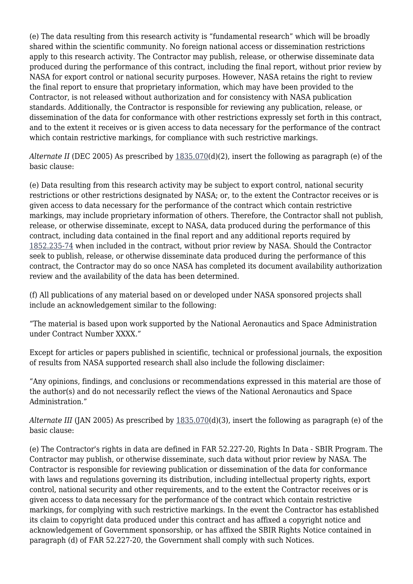(e) The data resulting from this research activity is "fundamental research" which will be broadly shared within the scientific community. No foreign national access or dissemination restrictions apply to this research activity. The Contractor may publish, release, or otherwise disseminate data produced during the performance of this contract, including the final report, without prior review by NASA for export control or national security purposes. However, NASA retains the right to review the final report to ensure that proprietary information, which may have been provided to the Contractor, is not released without authorization and for consistency with NASA publication standards. Additionally, the Contractor is responsible for reviewing any publication, release, or dissemination of the data for conformance with other restrictions expressly set forth in this contract, and to the extent it receives or is given access to data necessary for the performance of the contract which contain restrictive markings, for compliance with such restrictive markings.

*Alternate II* (DEC 2005) As prescribed by [1835.070](https://login.acquisition.gov/%5Brp:link:nfs-part-1835%5D#Section_1835_070_T48_6042129013)(d)(2), insert the following as paragraph (e) of the basic clause:

(e) Data resulting from this research activity may be subject to export control, national security restrictions or other restrictions designated by NASA; or, to the extent the Contractor receives or is given access to data necessary for the performance of the contract which contain restrictive markings, may include proprietary information of others. Therefore, the Contractor shall not publish, release, or otherwise disseminate, except to NASA, data produced during the performance of this contract, including data contained in the final report and any additional reports required by [1852.235-74](https://login.acquisition.gov/%5Brp:link:nfs-part-1852%5D#Section_1852_235_74_T48_60423441198) when included in the contract, without prior review by NASA. Should the Contractor seek to publish, release, or otherwise disseminate data produced during the performance of this contract, the Contractor may do so once NASA has completed its document availability authorization review and the availability of the data has been determined.

(f) All publications of any material based on or developed under NASA sponsored projects shall include an acknowledgement similar to the following:

"The material is based upon work supported by the National Aeronautics and Space Administration under Contract Number XXXX."

Except for articles or papers published in scientific, technical or professional journals, the exposition of results from NASA supported research shall also include the following disclaimer:

"Any opinions, findings, and conclusions or recommendations expressed in this material are those of the author(s) and do not necessarily reflect the views of the National Aeronautics and Space Administration."

*Alternate III* (JAN 2005) As prescribed by [1835.070](https://login.acquisition.gov/%5Brp:link:nfs-part-1835%5D#Section_1835_070_T48_6042129013)(d)(3), insert the following as paragraph (e) of the basic clause:

(e) The Contractor's rights in data are defined in FAR 52.227-20, Rights In Data - SBIR Program. The Contractor may publish, or otherwise disseminate, such data without prior review by NASA. The Contractor is responsible for reviewing publication or dissemination of the data for conformance with laws and regulations governing its distribution, including intellectual property rights, export control, national security and other requirements, and to the extent the Contractor receives or is given access to data necessary for the performance of the contract which contain restrictive markings, for complying with such restrictive markings. In the event the Contractor has established its claim to copyright data produced under this contract and has affixed a copyright notice and acknowledgement of Government sponsorship, or has affixed the SBIR Rights Notice contained in paragraph (d) of FAR 52.227-20, the Government shall comply with such Notices.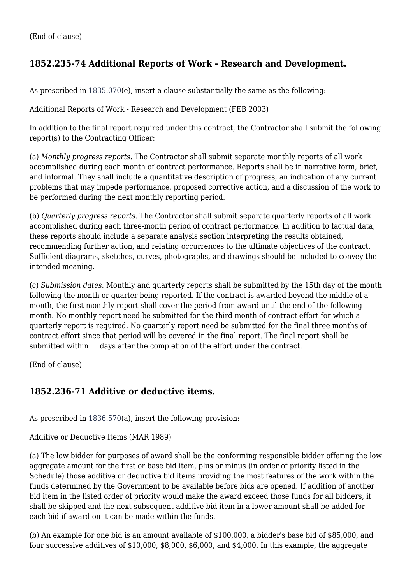# **1852.235-74 Additional Reports of Work - Research and Development.**

As prescribed in  $1835.070(e)$  $1835.070(e)$ , insert a clause substantially the same as the following:

Additional Reports of Work - Research and Development (FEB 2003)

In addition to the final report required under this contract, the Contractor shall submit the following report(s) to the Contracting Officer:

(a) *Monthly progress reports.* The Contractor shall submit separate monthly reports of all work accomplished during each month of contract performance. Reports shall be in narrative form, brief, and informal. They shall include a quantitative description of progress, an indication of any current problems that may impede performance, proposed corrective action, and a discussion of the work to be performed during the next monthly reporting period.

(b) *Quarterly progress reports.* The Contractor shall submit separate quarterly reports of all work accomplished during each three-month period of contract performance. In addition to factual data, these reports should include a separate analysis section interpreting the results obtained, recommending further action, and relating occurrences to the ultimate objectives of the contract. Sufficient diagrams, sketches, curves, photographs, and drawings should be included to convey the intended meaning.

(c) *Submission dates.* Monthly and quarterly reports shall be submitted by the 15th day of the month following the month or quarter being reported. If the contract is awarded beyond the middle of a month, the first monthly report shall cover the period from award until the end of the following month. No monthly report need be submitted for the third month of contract effort for which a quarterly report is required. No quarterly report need be submitted for the final three months of contract effort since that period will be covered in the final report. The final report shall be submitted within days after the completion of the effort under the contract.

(End of clause)

#### **1852.236-71 Additive or deductive items.**

As prescribed in  $1836.570(a)$  $1836.570(a)$ , insert the following provision:

Additive or Deductive Items (MAR 1989)

(a) The low bidder for purposes of award shall be the conforming responsible bidder offering the low aggregate amount for the first or base bid item, plus or minus (in order of priority listed in the Schedule) those additive or deductive bid items providing the most features of the work within the funds determined by the Government to be available before bids are opened. If addition of another bid item in the listed order of priority would make the award exceed those funds for all bidders, it shall be skipped and the next subsequent additive bid item in a lower amount shall be added for each bid if award on it can be made within the funds.

(b) An example for one bid is an amount available of \$100,000, a bidder's base bid of \$85,000, and four successive additives of \$10,000, \$8,000, \$6,000, and \$4,000. In this example, the aggregate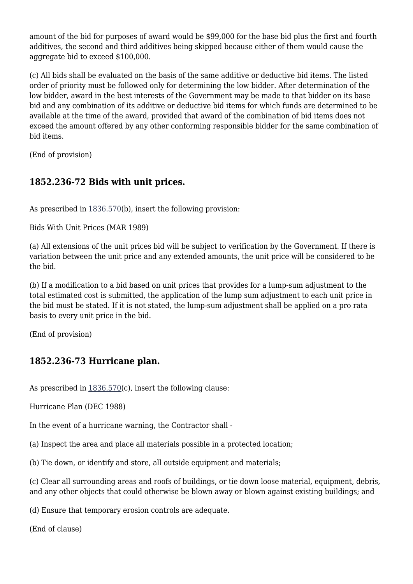amount of the bid for purposes of award would be \$99,000 for the base bid plus the first and fourth additives, the second and third additives being skipped because either of them would cause the aggregate bid to exceed \$100,000.

(c) All bids shall be evaluated on the basis of the same additive or deductive bid items. The listed order of priority must be followed only for determining the low bidder. After determination of the low bidder, award in the best interests of the Government may be made to that bidder on its base bid and any combination of its additive or deductive bid items for which funds are determined to be available at the time of the award, provided that award of the combination of bid items does not exceed the amount offered by any other conforming responsible bidder for the same combination of bid items.

(End of provision)

## **1852.236-72 Bids with unit prices.**

As prescribed in  $1836.570(b)$  $1836.570(b)$ , insert the following provision:

Bids With Unit Prices (MAR 1989)

(a) All extensions of the unit prices bid will be subject to verification by the Government. If there is variation between the unit price and any extended amounts, the unit price will be considered to be the bid.

(b) If a modification to a bid based on unit prices that provides for a lump-sum adjustment to the total estimated cost is submitted, the application of the lump sum adjustment to each unit price in the bid must be stated. If it is not stated, the lump-sum adjustment shall be applied on a pro rata basis to every unit price in the bid.

(End of provision)

#### **1852.236-73 Hurricane plan.**

As prescribed in  $1836.570(c)$  $1836.570(c)$ , insert the following clause:

Hurricane Plan (DEC 1988)

In the event of a hurricane warning, the Contractor shall -

(a) Inspect the area and place all materials possible in a protected location;

(b) Tie down, or identify and store, all outside equipment and materials;

(c) Clear all surrounding areas and roofs of buildings, or tie down loose material, equipment, debris, and any other objects that could otherwise be blown away or blown against existing buildings; and

(d) Ensure that temporary erosion controls are adequate.

(End of clause)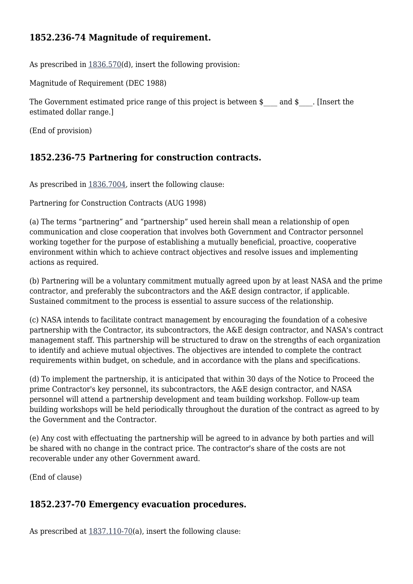## **1852.236-74 Magnitude of requirement.**

As prescribed in  $1836.570(d)$  $1836.570(d)$ , insert the following provision:

Magnitude of Requirement (DEC 1988)

The Government estimated price range of this project is between  $\sin \theta$  and  $\sin \theta$ . [Insert the estimated dollar range.]

(End of provision)

## **1852.236-75 Partnering for construction contracts.**

As prescribed in [1836.7004](https://login.acquisition.gov/%5Brp:link:nfs-part-1836%5D#Section_1836_7004_T48_6042130411), insert the following clause:

Partnering for Construction Contracts (AUG 1998)

(a) The terms "partnering" and "partnership" used herein shall mean a relationship of open communication and close cooperation that involves both Government and Contractor personnel working together for the purpose of establishing a mutually beneficial, proactive, cooperative environment within which to achieve contract objectives and resolve issues and implementing actions as required.

(b) Partnering will be a voluntary commitment mutually agreed upon by at least NASA and the prime contractor, and preferably the subcontractors and the A&E design contractor, if applicable. Sustained commitment to the process is essential to assure success of the relationship.

(c) NASA intends to facilitate contract management by encouraging the foundation of a cohesive partnership with the Contractor, its subcontractors, the A&E design contractor, and NASA's contract management staff. This partnership will be structured to draw on the strengths of each organization to identify and achieve mutual objectives. The objectives are intended to complete the contract requirements within budget, on schedule, and in accordance with the plans and specifications.

(d) To implement the partnership, it is anticipated that within 30 days of the Notice to Proceed the prime Contractor's key personnel, its subcontractors, the A&E design contractor, and NASA personnel will attend a partnership development and team building workshop. Follow-up team building workshops will be held periodically throughout the duration of the contract as agreed to by the Government and the Contractor.

(e) Any cost with effectuating the partnership will be agreed to in advance by both parties and will be shared with no change in the contract price. The contractor's share of the costs are not recoverable under any other Government award.

(End of clause)

#### **1852.237-70 Emergency evacuation procedures.**

As prescribed at  $1837.110-70$ (a), insert the following clause: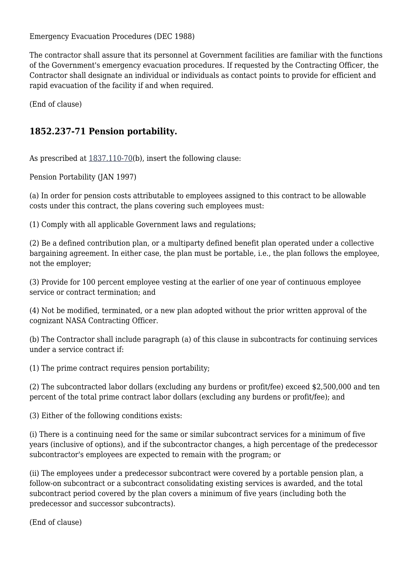Emergency Evacuation Procedures (DEC 1988)

The contractor shall assure that its personnel at Government facilities are familiar with the functions of the Government's emergency evacuation procedures. If requested by the Contracting Officer, the Contractor shall designate an individual or individuals as contact points to provide for efficient and rapid evacuation of the facility if and when required.

(End of clause)

# **1852.237-71 Pension portability.**

As prescribed at  $1837.110-70(b)$ , insert the following clause:

Pension Portability (JAN 1997)

(a) In order for pension costs attributable to employees assigned to this contract to be allowable costs under this contract, the plans covering such employees must:

(1) Comply with all applicable Government laws and regulations;

(2) Be a defined contribution plan, or a multiparty defined benefit plan operated under a collective bargaining agreement. In either case, the plan must be portable, i.e., the plan follows the employee, not the employer;

(3) Provide for 100 percent employee vesting at the earlier of one year of continuous employee service or contract termination; and

(4) Not be modified, terminated, or a new plan adopted without the prior written approval of the cognizant NASA Contracting Officer.

(b) The Contractor shall include paragraph (a) of this clause in subcontracts for continuing services under a service contract if:

(1) The prime contract requires pension portability;

(2) The subcontracted labor dollars (excluding any burdens or profit/fee) exceed \$2,500,000 and ten percent of the total prime contract labor dollars (excluding any burdens or profit/fee); and

(3) Either of the following conditions exists:

(i) There is a continuing need for the same or similar subcontract services for a minimum of five years (inclusive of options), and if the subcontractor changes, a high percentage of the predecessor subcontractor's employees are expected to remain with the program; or

(ii) The employees under a predecessor subcontract were covered by a portable pension plan, a follow-on subcontract or a subcontract consolidating existing services is awarded, and the total subcontract period covered by the plan covers a minimum of five years (including both the predecessor and successor subcontracts).

(End of clause)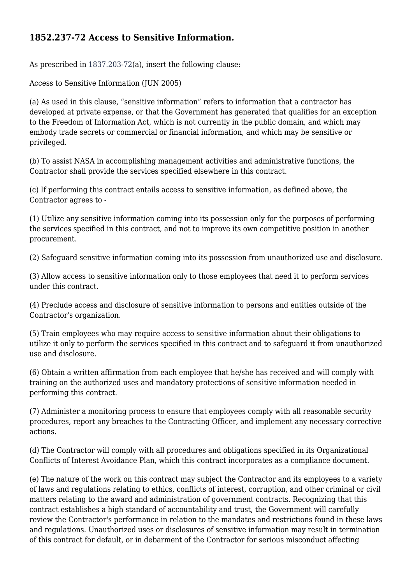## **1852.237-72 Access to Sensitive Information.**

As prescribed in [1837.203-72\(](https://login.acquisition.gov/%5Brp:link:nfs-part-1837%5D#Section_1837_203_72_T48_6042131214)a), insert the following clause:

Access to Sensitive Information (JUN 2005)

(a) As used in this clause, "sensitive information" refers to information that a contractor has developed at private expense, or that the Government has generated that qualifies for an exception to the Freedom of Information Act, which is not currently in the public domain, and which may embody trade secrets or commercial or financial information, and which may be sensitive or privileged.

(b) To assist NASA in accomplishing management activities and administrative functions, the Contractor shall provide the services specified elsewhere in this contract.

(c) If performing this contract entails access to sensitive information, as defined above, the Contractor agrees to -

(1) Utilize any sensitive information coming into its possession only for the purposes of performing the services specified in this contract, and not to improve its own competitive position in another procurement.

(2) Safeguard sensitive information coming into its possession from unauthorized use and disclosure.

(3) Allow access to sensitive information only to those employees that need it to perform services under this contract.

(4) Preclude access and disclosure of sensitive information to persons and entities outside of the Contractor's organization.

(5) Train employees who may require access to sensitive information about their obligations to utilize it only to perform the services specified in this contract and to safeguard it from unauthorized use and disclosure.

(6) Obtain a written affirmation from each employee that he/she has received and will comply with training on the authorized uses and mandatory protections of sensitive information needed in performing this contract.

(7) Administer a monitoring process to ensure that employees comply with all reasonable security procedures, report any breaches to the Contracting Officer, and implement any necessary corrective actions.

(d) The Contractor will comply with all procedures and obligations specified in its Organizational Conflicts of Interest Avoidance Plan, which this contract incorporates as a compliance document.

(e) The nature of the work on this contract may subject the Contractor and its employees to a variety of laws and regulations relating to ethics, conflicts of interest, corruption, and other criminal or civil matters relating to the award and administration of government contracts. Recognizing that this contract establishes a high standard of accountability and trust, the Government will carefully review the Contractor's performance in relation to the mandates and restrictions found in these laws and regulations. Unauthorized uses or disclosures of sensitive information may result in termination of this contract for default, or in debarment of the Contractor for serious misconduct affecting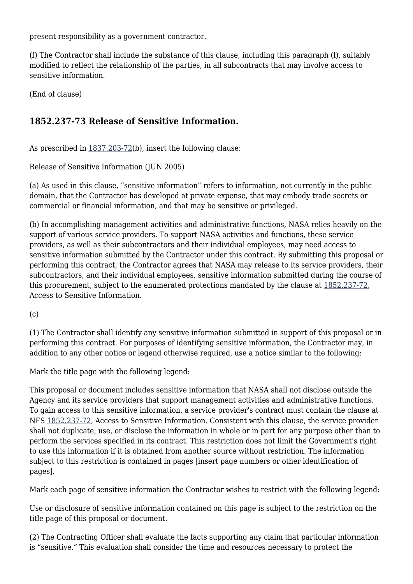present responsibility as a government contractor.

(f) The Contractor shall include the substance of this clause, including this paragraph (f), suitably modified to reflect the relationship of the parties, in all subcontracts that may involve access to sensitive information.

(End of clause)

# **1852.237-73 Release of Sensitive Information.**

As prescribed in  $1837.203-72(b)$  $1837.203-72(b)$ , insert the following clause:

Release of Sensitive Information (JUN 2005)

(a) As used in this clause, "sensitive information" refers to information, not currently in the public domain, that the Contractor has developed at private expense, that may embody trade secrets or commercial or financial information, and that may be sensitive or privileged.

(b) In accomplishing management activities and administrative functions, NASA relies heavily on the support of various service providers. To support NASA activities and functions, these service providers, as well as their subcontractors and their individual employees, may need access to sensitive information submitted by the Contractor under this contract. By submitting this proposal or performing this contract, the Contractor agrees that NASA may release to its service providers, their subcontractors, and their individual employees, sensitive information submitted during the course of this procurement, subject to the enumerated protections mandated by the clause at [1852.237-72](https://login.acquisition.gov/%5Brp:link:nfs-part-1852%5D#Section_1852_237_72_T48_604234411106), Access to Sensitive Information.

(c)

(1) The Contractor shall identify any sensitive information submitted in support of this proposal or in performing this contract. For purposes of identifying sensitive information, the Contractor may, in addition to any other notice or legend otherwise required, use a notice similar to the following:

Mark the title page with the following legend:

This proposal or document includes sensitive information that NASA shall not disclose outside the Agency and its service providers that support management activities and administrative functions. To gain access to this sensitive information, a service provider's contract must contain the clause at NFS [1852.237-72](https://login.acquisition.gov/%5Brp:link:nfs-part-1852%5D#Section_1852_237_72_T48_604234411106), Access to Sensitive Information. Consistent with this clause, the service provider shall not duplicate, use, or disclose the information in whole or in part for any purpose other than to perform the services specified in its contract. This restriction does not limit the Government's right to use this information if it is obtained from another source without restriction. The information subject to this restriction is contained in pages [insert page numbers or other identification of pages].

Mark each page of sensitive information the Contractor wishes to restrict with the following legend:

Use or disclosure of sensitive information contained on this page is subject to the restriction on the title page of this proposal or document.

(2) The Contracting Officer shall evaluate the facts supporting any claim that particular information is "sensitive." This evaluation shall consider the time and resources necessary to protect the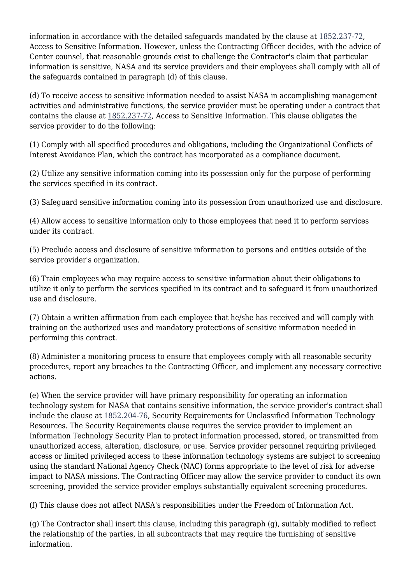information in accordance with the detailed safeguards mandated by the clause at [1852.237-72](https://login.acquisition.gov/%5Brp:link:nfs-part-1852%5D#Section_1852_237_72_T48_604234411106), Access to Sensitive Information. However, unless the Contracting Officer decides, with the advice of Center counsel, that reasonable grounds exist to challenge the Contractor's claim that particular information is sensitive, NASA and its service providers and their employees shall comply with all of the safeguards contained in paragraph (d) of this clause.

(d) To receive access to sensitive information needed to assist NASA in accomplishing management activities and administrative functions, the service provider must be operating under a contract that contains the clause at [1852.237-72,](https://login.acquisition.gov/%5Brp:link:nfs-part-1852%5D#Section_1852_237_72_T48_604234411106) Access to Sensitive Information. This clause obligates the service provider to do the following:

(1) Comply with all specified procedures and obligations, including the Organizational Conflicts of Interest Avoidance Plan, which the contract has incorporated as a compliance document.

(2) Utilize any sensitive information coming into its possession only for the purpose of performing the services specified in its contract.

(3) Safeguard sensitive information coming into its possession from unauthorized use and disclosure.

(4) Allow access to sensitive information only to those employees that need it to perform services under its contract.

(5) Preclude access and disclosure of sensitive information to persons and entities outside of the service provider's organization.

(6) Train employees who may require access to sensitive information about their obligations to utilize it only to perform the services specified in its contract and to safeguard it from unauthorized use and disclosure.

(7) Obtain a written affirmation from each employee that he/she has received and will comply with training on the authorized uses and mandatory protections of sensitive information needed in performing this contract.

(8) Administer a monitoring process to ensure that employees comply with all reasonable security procedures, report any breaches to the Contracting Officer, and implement any necessary corrective actions.

(e) When the service provider will have primary responsibility for operating an information technology system for NASA that contains sensitive information, the service provider's contract shall include the clause at [1852.204-76](https://login.acquisition.gov/%5Brp:link:nfs-part-1852%5D#Section_1852_204_76_T48_6042344114), Security Requirements for Unclassified Information Technology Resources. The Security Requirements clause requires the service provider to implement an Information Technology Security Plan to protect information processed, stored, or transmitted from unauthorized access, alteration, disclosure, or use. Service provider personnel requiring privileged access or limited privileged access to these information technology systems are subject to screening using the standard National Agency Check (NAC) forms appropriate to the level of risk for adverse impact to NASA missions. The Contracting Officer may allow the service provider to conduct its own screening, provided the service provider employs substantially equivalent screening procedures.

(f) This clause does not affect NASA's responsibilities under the Freedom of Information Act.

(g) The Contractor shall insert this clause, including this paragraph (g), suitably modified to reflect the relationship of the parties, in all subcontracts that may require the furnishing of sensitive information.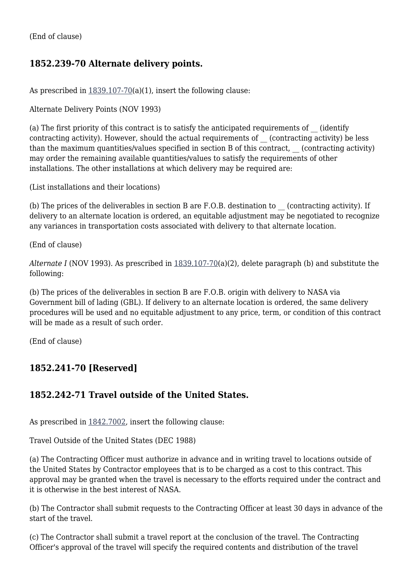(End of clause)

# **1852.239-70 Alternate delivery points.**

As prescribed in  $1839.107-70(a)(1)$  $1839.107-70(a)(1)$ , insert the following clause:

Alternate Delivery Points (NOV 1993)

(a) The first priority of this contract is to satisfy the anticipated requirements of (identify contracting activity). However, should the actual requirements of (contracting activity) be less than the maximum quantities/values specified in section B of this contract, (contracting activity) may order the remaining available quantities/values to satisfy the requirements of other installations. The other installations at which delivery may be required are:

(List installations and their locations)

(b) The prices of the deliverables in section B are F.O.B. destination to \_\_ (contracting activity). If delivery to an alternate location is ordered, an equitable adjustment may be negotiated to recognize any variances in transportation costs associated with delivery to that alternate location.

(End of clause)

*Alternate I* (NOV 1993). As prescribed in [1839.107-70](https://login.acquisition.gov/%5Brp:link:nfs-part-1839%5D#Section_1839_107_70_T48_6042132112)(a)(2), delete paragraph (b) and substitute the following:

(b) The prices of the deliverables in section B are F.O.B. origin with delivery to NASA via Government bill of lading (GBL). If delivery to an alternate location is ordered, the same delivery procedures will be used and no equitable adjustment to any price, term, or condition of this contract will be made as a result of such order.

(End of clause)

# **1852.241-70 [Reserved]**

#### **1852.242-71 Travel outside of the United States.**

As prescribed in [1842.7002](https://login.acquisition.gov/%5Brp:link:nfs-part-1842%5D#Section_1842_7002_T48_6042235112), insert the following clause:

Travel Outside of the United States (DEC 1988)

(a) The Contracting Officer must authorize in advance and in writing travel to locations outside of the United States by Contractor employees that is to be charged as a cost to this contract. This approval may be granted when the travel is necessary to the efforts required under the contract and it is otherwise in the best interest of NASA.

(b) The Contractor shall submit requests to the Contracting Officer at least 30 days in advance of the start of the travel.

(c) The Contractor shall submit a travel report at the conclusion of the travel. The Contracting Officer's approval of the travel will specify the required contents and distribution of the travel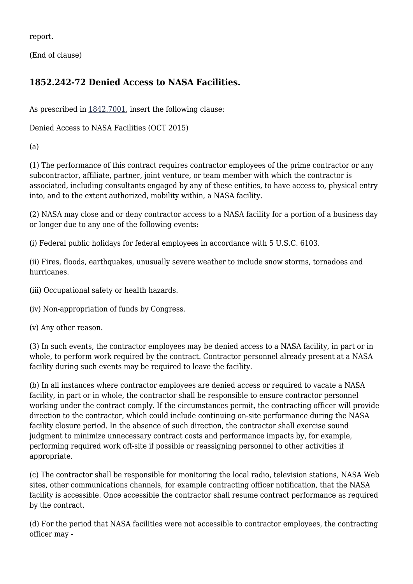report.

(End of clause)

# **1852.242-72 Denied Access to NASA Facilities.**

As prescribed in [1842.7001](https://login.acquisition.gov/%5Brp:link:nfs-part-1842%5D#Section_1842_7001_T48_6042235111), insert the following clause:

Denied Access to NASA Facilities (OCT 2015)

(a)

(1) The performance of this contract requires contractor employees of the prime contractor or any subcontractor, affiliate, partner, joint venture, or team member with which the contractor is associated, including consultants engaged by any of these entities, to have access to, physical entry into, and to the extent authorized, mobility within, a NASA facility.

(2) NASA may close and or deny contractor access to a NASA facility for a portion of a business day or longer due to any one of the following events:

(i) Federal public holidays for federal employees in accordance with 5 U.S.C. 6103.

(ii) Fires, floods, earthquakes, unusually severe weather to include snow storms, tornadoes and hurricanes.

- (iii) Occupational safety or health hazards.
- (iv) Non-appropriation of funds by Congress.
- (v) Any other reason.

(3) In such events, the contractor employees may be denied access to a NASA facility, in part or in whole, to perform work required by the contract. Contractor personnel already present at a NASA facility during such events may be required to leave the facility.

(b) In all instances where contractor employees are denied access or required to vacate a NASA facility, in part or in whole, the contractor shall be responsible to ensure contractor personnel working under the contract comply. If the circumstances permit, the contracting officer will provide direction to the contractor, which could include continuing on-site performance during the NASA facility closure period. In the absence of such direction, the contractor shall exercise sound judgment to minimize unnecessary contract costs and performance impacts by, for example, performing required work off-site if possible or reassigning personnel to other activities if appropriate.

(c) The contractor shall be responsible for monitoring the local radio, television stations, NASA Web sites, other communications channels, for example contracting officer notification, that the NASA facility is accessible. Once accessible the contractor shall resume contract performance as required by the contract.

(d) For the period that NASA facilities were not accessible to contractor employees, the contracting officer may -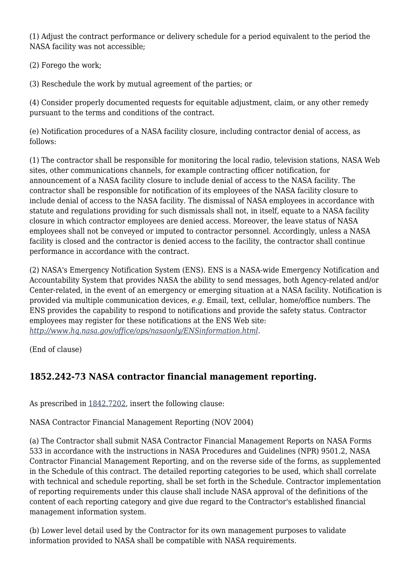(1) Adjust the contract performance or delivery schedule for a period equivalent to the period the NASA facility was not accessible;

(2) Forego the work;

(3) Reschedule the work by mutual agreement of the parties; or

(4) Consider properly documented requests for equitable adjustment, claim, or any other remedy pursuant to the terms and conditions of the contract.

(e) Notification procedures of a NASA facility closure, including contractor denial of access, as follows:

(1) The contractor shall be responsible for monitoring the local radio, television stations, NASA Web sites, other communications channels, for example contracting officer notification, for announcement of a NASA facility closure to include denial of access to the NASA facility. The contractor shall be responsible for notification of its employees of the NASA facility closure to include denial of access to the NASA facility. The dismissal of NASA employees in accordance with statute and regulations providing for such dismissals shall not, in itself, equate to a NASA facility closure in which contractor employees are denied access. Moreover, the leave status of NASA employees shall not be conveyed or imputed to contractor personnel. Accordingly, unless a NASA facility is closed and the contractor is denied access to the facility, the contractor shall continue performance in accordance with the contract.

(2) NASA's Emergency Notification System (ENS). ENS is a NASA-wide Emergency Notification and Accountability System that provides NASA the ability to send messages, both Agency-related and/or Center-related, in the event of an emergency or emerging situation at a NASA facility. Notification is provided via multiple communication devices, *e.g.* Email, text, cellular, home/office numbers. The ENS provides the capability to respond to notifications and provide the safety status. Contractor employees may register for these notifications at the ENS Web site: *<http://www.hq.nasa.gov/office/ops/nasaonly/ENSinformation.html>.*

(End of clause)

# **1852.242-73 NASA contractor financial management reporting.**

As prescribed in [1842.7202](https://login.acquisition.gov/%5Brp:link:nfs-part-1842%5D#Section_1842_7202_T48_6042235312), insert the following clause:

#### NASA Contractor Financial Management Reporting (NOV 2004)

(a) The Contractor shall submit NASA Contractor Financial Management Reports on NASA Forms 533 in accordance with the instructions in NASA Procedures and Guidelines (NPR) 9501.2, NASA Contractor Financial Management Reporting, and on the reverse side of the forms, as supplemented in the Schedule of this contract. The detailed reporting categories to be used, which shall correlate with technical and schedule reporting, shall be set forth in the Schedule. Contractor implementation of reporting requirements under this clause shall include NASA approval of the definitions of the content of each reporting category and give due regard to the Contractor's established financial management information system.

(b) Lower level detail used by the Contractor for its own management purposes to validate information provided to NASA shall be compatible with NASA requirements.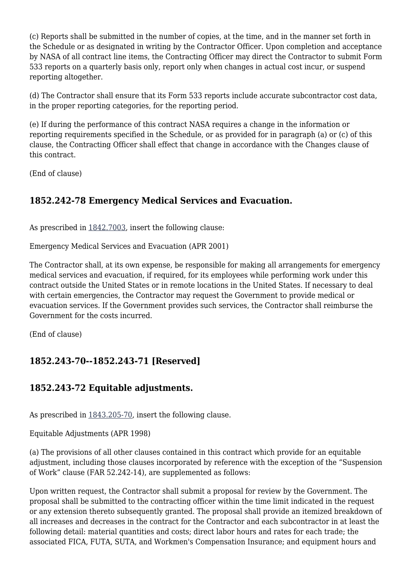(c) Reports shall be submitted in the number of copies, at the time, and in the manner set forth in the Schedule or as designated in writing by the Contractor Officer. Upon completion and acceptance by NASA of all contract line items, the Contracting Officer may direct the Contractor to submit Form 533 reports on a quarterly basis only, report only when changes in actual cost incur, or suspend reporting altogether.

(d) The Contractor shall ensure that its Form 533 reports include accurate subcontractor cost data, in the proper reporting categories, for the reporting period.

(e) If during the performance of this contract NASA requires a change in the information or reporting requirements specified in the Schedule, or as provided for in paragraph (a) or (c) of this clause, the Contracting Officer shall effect that change in accordance with the Changes clause of this contract.

(End of clause)

## **1852.242-78 Emergency Medical Services and Evacuation.**

As prescribed in [1842.7003](https://login.acquisition.gov/%5Brp:link:nfs-part-1842%5D#Section_1842_7003_T48_6042235113), insert the following clause:

Emergency Medical Services and Evacuation (APR 2001)

The Contractor shall, at its own expense, be responsible for making all arrangements for emergency medical services and evacuation, if required, for its employees while performing work under this contract outside the United States or in remote locations in the United States. If necessary to deal with certain emergencies, the Contractor may request the Government to provide medical or evacuation services. If the Government provides such services, the Contractor shall reimburse the Government for the costs incurred.

(End of clause)

# **1852.243-70--1852.243-71 [Reserved]**

#### **1852.243-72 Equitable adjustments.**

As prescribed in [1843.205-70,](https://login.acquisition.gov/%5Brp:link:nfs-part-1843%5D#Section_1843_205_70_T48_6042236112) insert the following clause.

Equitable Adjustments (APR 1998)

(a) The provisions of all other clauses contained in this contract which provide for an equitable adjustment, including those clauses incorporated by reference with the exception of the "Suspension of Work" clause (FAR 52.242-14), are supplemented as follows:

Upon written request, the Contractor shall submit a proposal for review by the Government. The proposal shall be submitted to the contracting officer within the time limit indicated in the request or any extension thereto subsequently granted. The proposal shall provide an itemized breakdown of all increases and decreases in the contract for the Contractor and each subcontractor in at least the following detail: material quantities and costs; direct labor hours and rates for each trade; the associated FICA, FUTA, SUTA, and Workmen's Compensation Insurance; and equipment hours and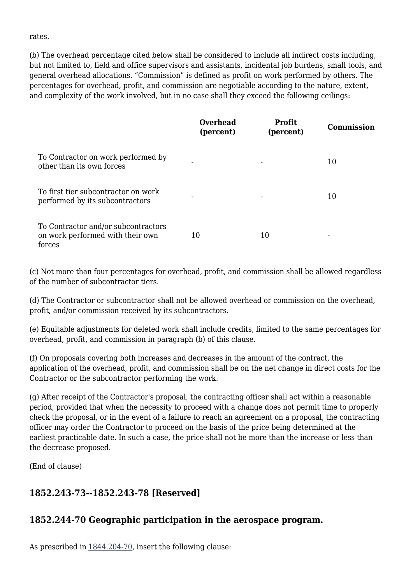rates.

(b) The overhead percentage cited below shall be considered to include all indirect costs including, but not limited to, field and office supervisors and assistants, incidental job burdens, small tools, and general overhead allocations. "Commission" is defined as profit on work performed by others. The percentages for overhead, profit, and commission are negotiable according to the nature, extent, and complexity of the work involved, but in no case shall they exceed the following ceilings:

|                                                                                   | <b>Overhead</b><br>(percent) | <b>Profit</b><br>(percent) | <b>Commission</b> |
|-----------------------------------------------------------------------------------|------------------------------|----------------------------|-------------------|
| To Contractor on work performed by<br>other than its own forces                   |                              |                            | 10                |
| To first tier subcontractor on work<br>performed by its subcontractors            | $\overline{\phantom{0}}$     |                            | 10                |
| To Contractor and/or subcontractors<br>on work performed with their own<br>forces | 10                           | 10                         |                   |

(c) Not more than four percentages for overhead, profit, and commission shall be allowed regardless of the number of subcontractor tiers.

(d) The Contractor or subcontractor shall not be allowed overhead or commission on the overhead, profit, and/or commission received by its subcontractors.

(e) Equitable adjustments for deleted work shall include credits, limited to the same percentages for overhead, profit, and commission in paragraph (b) of this clause.

(f) On proposals covering both increases and decreases in the amount of the contract, the application of the overhead, profit, and commission shall be on the net change in direct costs for the Contractor or the subcontractor performing the work.

(g) After receipt of the Contractor's proposal, the contracting officer shall act within a reasonable period, provided that when the necessity to proceed with a change does not permit time to properly check the proposal, or in the event of a failure to reach an agreement on a proposal, the contracting officer may order the Contractor to proceed on the basis of the price being determined at the earliest practicable date. In such a case, the price shall not be more than the increase or less than the decrease proposed.

(End of clause)

#### **1852.243-73--1852.243-78 [Reserved]**

#### **1852.244-70 Geographic participation in the aerospace program.**

As prescribed in [1844.204-70,](https://login.acquisition.gov/%5Brp:link:nfs-part-1844%5D#Section_1844_204_70_T48_6042237112) insert the following clause: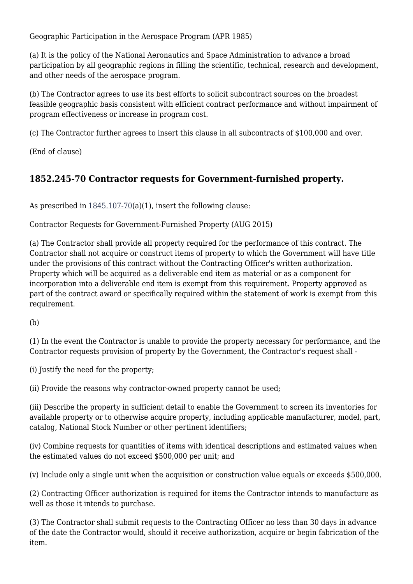Geographic Participation in the Aerospace Program (APR 1985)

(a) It is the policy of the National Aeronautics and Space Administration to advance a broad participation by all geographic regions in filling the scientific, technical, research and development, and other needs of the aerospace program.

(b) The Contractor agrees to use its best efforts to solicit subcontract sources on the broadest feasible geographic basis consistent with efficient contract performance and without impairment of program effectiveness or increase in program cost.

(c) The Contractor further agrees to insert this clause in all subcontracts of \$100,000 and over.

(End of clause)

# **1852.245-70 Contractor requests for Government-furnished property.**

As prescribed in  $1845.107-70(a)(1)$  $1845.107-70(a)(1)$ , insert the following clause:

Contractor Requests for Government-Furnished Property (AUG 2015)

(a) The Contractor shall provide all property required for the performance of this contract. The Contractor shall not acquire or construct items of property to which the Government will have title under the provisions of this contract without the Contracting Officer's written authorization. Property which will be acquired as a deliverable end item as material or as a component for incorporation into a deliverable end item is exempt from this requirement. Property approved as part of the contract award or specifically required within the statement of work is exempt from this requirement.

(b)

(1) In the event the Contractor is unable to provide the property necessary for performance, and the Contractor requests provision of property by the Government, the Contractor's request shall -

(i) Justify the need for the property;

(ii) Provide the reasons why contractor-owned property cannot be used;

(iii) Describe the property in sufficient detail to enable the Government to screen its inventories for available property or to otherwise acquire property, including applicable manufacturer, model, part, catalog, National Stock Number or other pertinent identifiers;

(iv) Combine requests for quantities of items with identical descriptions and estimated values when the estimated values do not exceed \$500,000 per unit; and

(v) Include only a single unit when the acquisition or construction value equals or exceeds \$500,000.

(2) Contracting Officer authorization is required for items the Contractor intends to manufacture as well as those it intends to purchase.

(3) The Contractor shall submit requests to the Contracting Officer no less than 30 days in advance of the date the Contractor would, should it receive authorization, acquire or begin fabrication of the item.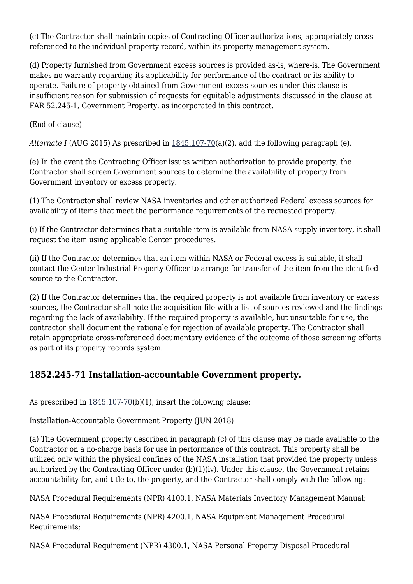(c) The Contractor shall maintain copies of Contracting Officer authorizations, appropriately crossreferenced to the individual property record, within its property management system.

(d) Property furnished from Government excess sources is provided as-is, where-is. The Government makes no warranty regarding its applicability for performance of the contract or its ability to operate. Failure of property obtained from Government excess sources under this clause is insufficient reason for submission of requests for equitable adjustments discussed in the clause at FAR 52.245-1, Government Property, as incorporated in this contract.

(End of clause)

*Alternate I* (AUG 2015) As prescribed in [1845.107-70\(](https://login.acquisition.gov/%5Brp:link:nfs-part-1845%5D#Section_1845_107_70_T48_6042238112)a)(2), add the following paragraph (e).

(e) In the event the Contracting Officer issues written authorization to provide property, the Contractor shall screen Government sources to determine the availability of property from Government inventory or excess property.

(1) The Contractor shall review NASA inventories and other authorized Federal excess sources for availability of items that meet the performance requirements of the requested property.

(i) If the Contractor determines that a suitable item is available from NASA supply inventory, it shall request the item using applicable Center procedures.

(ii) If the Contractor determines that an item within NASA or Federal excess is suitable, it shall contact the Center Industrial Property Officer to arrange for transfer of the item from the identified source to the Contractor.

(2) If the Contractor determines that the required property is not available from inventory or excess sources, the Contractor shall note the acquisition file with a list of sources reviewed and the findings regarding the lack of availability. If the required property is available, but unsuitable for use, the contractor shall document the rationale for rejection of available property. The Contractor shall retain appropriate cross-referenced documentary evidence of the outcome of those screening efforts as part of its property records system.

# **1852.245-71 Installation-accountable Government property.**

As prescribed in  $1845.107-70(b)(1)$  $1845.107-70(b)(1)$ , insert the following clause:

Installation-Accountable Government Property (JUN 2018)

(a) The Government property described in paragraph (c) of this clause may be made available to the Contractor on a no-charge basis for use in performance of this contract. This property shall be utilized only within the physical confines of the NASA installation that provided the property unless authorized by the Contracting Officer under (b)(1)(iv). Under this clause, the Government retains accountability for, and title to, the property, and the Contractor shall comply with the following:

NASA Procedural Requirements (NPR) 4100.1, NASA Materials Inventory Management Manual;

NASA Procedural Requirements (NPR) 4200.1, NASA Equipment Management Procedural Requirements;

NASA Procedural Requirement (NPR) 4300.1, NASA Personal Property Disposal Procedural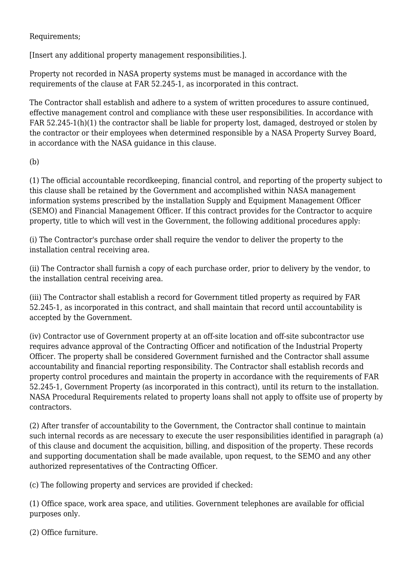Requirements;

[Insert any additional property management responsibilities.].

Property not recorded in NASA property systems must be managed in accordance with the requirements of the clause at FAR 52.245-1, as incorporated in this contract.

The Contractor shall establish and adhere to a system of written procedures to assure continued, effective management control and compliance with these user responsibilities. In accordance with FAR 52.245-1(h)(1) the contractor shall be liable for property lost, damaged, destroyed or stolen by the contractor or their employees when determined responsible by a NASA Property Survey Board, in accordance with the NASA guidance in this clause.

(b)

(1) The official accountable recordkeeping, financial control, and reporting of the property subject to this clause shall be retained by the Government and accomplished within NASA management information systems prescribed by the installation Supply and Equipment Management Officer (SEMO) and Financial Management Officer. If this contract provides for the Contractor to acquire property, title to which will vest in the Government, the following additional procedures apply:

(i) The Contractor's purchase order shall require the vendor to deliver the property to the installation central receiving area.

(ii) The Contractor shall furnish a copy of each purchase order, prior to delivery by the vendor, to the installation central receiving area.

(iii) The Contractor shall establish a record for Government titled property as required by FAR 52.245-1, as incorporated in this contract, and shall maintain that record until accountability is accepted by the Government.

(iv) Contractor use of Government property at an off-site location and off-site subcontractor use requires advance approval of the Contracting Officer and notification of the Industrial Property Officer. The property shall be considered Government furnished and the Contractor shall assume accountability and financial reporting responsibility. The Contractor shall establish records and property control procedures and maintain the property in accordance with the requirements of FAR 52.245-1, Government Property (as incorporated in this contract), until its return to the installation. NASA Procedural Requirements related to property loans shall not apply to offsite use of property by contractors.

(2) After transfer of accountability to the Government, the Contractor shall continue to maintain such internal records as are necessary to execute the user responsibilities identified in paragraph (a) of this clause and document the acquisition, billing, and disposition of the property. These records and supporting documentation shall be made available, upon request, to the SEMO and any other authorized representatives of the Contracting Officer.

(c) The following property and services are provided if checked:

(1) Office space, work area space, and utilities. Government telephones are available for official purposes only.

(2) Office furniture.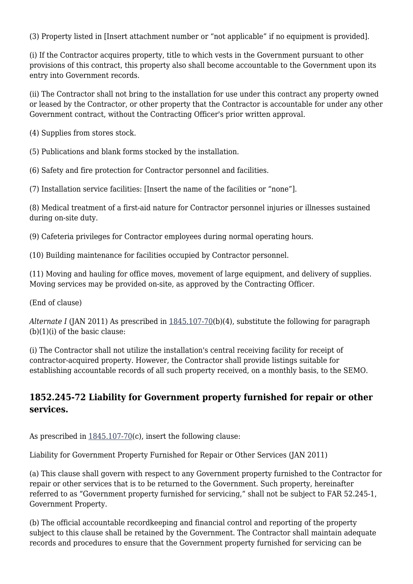(3) Property listed in [Insert attachment number or "not applicable" if no equipment is provided].

(i) If the Contractor acquires property, title to which vests in the Government pursuant to other provisions of this contract, this property also shall become accountable to the Government upon its entry into Government records.

(ii) The Contractor shall not bring to the installation for use under this contract any property owned or leased by the Contractor, or other property that the Contractor is accountable for under any other Government contract, without the Contracting Officer's prior written approval.

(4) Supplies from stores stock.

(5) Publications and blank forms stocked by the installation.

(6) Safety and fire protection for Contractor personnel and facilities.

(7) Installation service facilities: [Insert the name of the facilities or "none"].

(8) Medical treatment of a first-aid nature for Contractor personnel injuries or illnesses sustained during on-site duty.

(9) Cafeteria privileges for Contractor employees during normal operating hours.

(10) Building maintenance for facilities occupied by Contractor personnel.

(11) Moving and hauling for office moves, movement of large equipment, and delivery of supplies. Moving services may be provided on-site, as approved by the Contracting Officer.

(End of clause)

*Alternate I* (JAN 2011) As prescribed in [1845.107-70\(](https://login.acquisition.gov/%5Brp:link:nfs-part-1845%5D#Section_1845_107_70_T48_6042238112)b)(4), substitute the following for paragraph (b)(1)(i) of the basic clause:

(i) The Contractor shall not utilize the installation's central receiving facility for receipt of contractor-acquired property. However, the Contractor shall provide listings suitable for establishing accountable records of all such property received, on a monthly basis, to the SEMO.

#### **1852.245-72 Liability for Government property furnished for repair or other services.**

As prescribed in  $1845.107-70(c)$  $1845.107-70(c)$ , insert the following clause:

Liability for Government Property Furnished for Repair or Other Services (JAN 2011)

(a) This clause shall govern with respect to any Government property furnished to the Contractor for repair or other services that is to be returned to the Government. Such property, hereinafter referred to as "Government property furnished for servicing," shall not be subject to FAR 52.245-1, Government Property.

(b) The official accountable recordkeeping and financial control and reporting of the property subject to this clause shall be retained by the Government. The Contractor shall maintain adequate records and procedures to ensure that the Government property furnished for servicing can be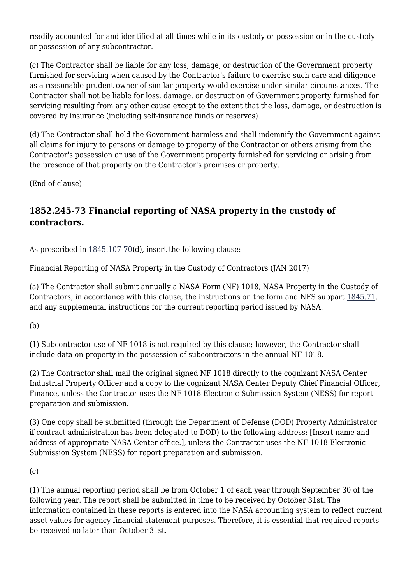readily accounted for and identified at all times while in its custody or possession or in the custody or possession of any subcontractor.

(c) The Contractor shall be liable for any loss, damage, or destruction of the Government property furnished for servicing when caused by the Contractor's failure to exercise such care and diligence as a reasonable prudent owner of similar property would exercise under similar circumstances. The Contractor shall not be liable for loss, damage, or destruction of Government property furnished for servicing resulting from any other cause except to the extent that the loss, damage, or destruction is covered by insurance (including self-insurance funds or reserves).

(d) The Contractor shall hold the Government harmless and shall indemnify the Government against all claims for injury to persons or damage to property of the Contractor or others arising from the Contractor's possession or use of the Government property furnished for servicing or arising from the presence of that property on the Contractor's premises or property.

(End of clause)

# **1852.245-73 Financial reporting of NASA property in the custody of contractors.**

As prescribed in  $1845.107-70(d)$  $1845.107-70(d)$ , insert the following clause:

Financial Reporting of NASA Property in the Custody of Contractors (JAN 2017)

(a) The Contractor shall submit annually a NASA Form (NF) 1018, NASA Property in the Custody of Contractors, in accordance with this clause, the instructions on the form and NFS subpart [1845.71](https://login.acquisition.gov/%5Brp:link:nfs-part-1845%5D#Subpart_1845_71_T48_60422386), and any supplemental instructions for the current reporting period issued by NASA.

(b)

(1) Subcontractor use of NF 1018 is not required by this clause; however, the Contractor shall include data on property in the possession of subcontractors in the annual NF 1018.

(2) The Contractor shall mail the original signed NF 1018 directly to the cognizant NASA Center Industrial Property Officer and a copy to the cognizant NASA Center Deputy Chief Financial Officer, Finance, unless the Contractor uses the NF 1018 Electronic Submission System (NESS) for report preparation and submission.

(3) One copy shall be submitted (through the Department of Defense (DOD) Property Administrator if contract administration has been delegated to DOD) to the following address: [Insert name and address of appropriate NASA Center office.], unless the Contractor uses the NF 1018 Electronic Submission System (NESS) for report preparation and submission.

(c)

(1) The annual reporting period shall be from October 1 of each year through September 30 of the following year. The report shall be submitted in time to be received by October 31st. The information contained in these reports is entered into the NASA accounting system to reflect current asset values for agency financial statement purposes. Therefore, it is essential that required reports be received no later than October 31st.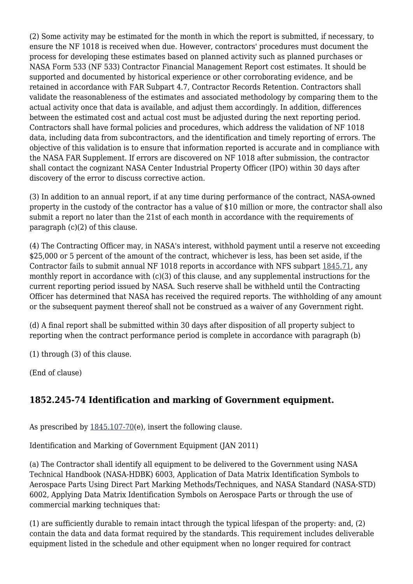(2) Some activity may be estimated for the month in which the report is submitted, if necessary, to ensure the NF 1018 is received when due. However, contractors' procedures must document the process for developing these estimates based on planned activity such as planned purchases or NASA Form 533 (NF 533) Contractor Financial Management Report cost estimates. It should be supported and documented by historical experience or other corroborating evidence, and be retained in accordance with FAR Subpart 4.7, Contractor Records Retention. Contractors shall validate the reasonableness of the estimates and associated methodology by comparing them to the actual activity once that data is available, and adjust them accordingly. In addition, differences between the estimated cost and actual cost must be adjusted during the next reporting period. Contractors shall have formal policies and procedures, which address the validation of NF 1018 data, including data from subcontractors, and the identification and timely reporting of errors. The objective of this validation is to ensure that information reported is accurate and in compliance with the NASA FAR Supplement. If errors are discovered on NF 1018 after submission, the contractor shall contact the cognizant NASA Center Industrial Property Officer (IPO) within 30 days after discovery of the error to discuss corrective action.

(3) In addition to an annual report, if at any time during performance of the contract, NASA-owned property in the custody of the contractor has a value of \$10 million or more, the contractor shall also submit a report no later than the 21st of each month in accordance with the requirements of paragraph (c)(2) of this clause.

(4) The Contracting Officer may, in NASA's interest, withhold payment until a reserve not exceeding \$25,000 or 5 percent of the amount of the contract, whichever is less, has been set aside, if the Contractor fails to submit annual NF 1018 reports in accordance with NFS subpart [1845.71,](https://login.acquisition.gov/%5Brp:link:nfs-part-1845%5D#Subpart_1845_71_T48_60422386) any monthly report in accordance with (c)(3) of this clause, and any supplemental instructions for the current reporting period issued by NASA. Such reserve shall be withheld until the Contracting Officer has determined that NASA has received the required reports. The withholding of any amount or the subsequent payment thereof shall not be construed as a waiver of any Government right.

(d) A final report shall be submitted within 30 days after disposition of all property subject to reporting when the contract performance period is complete in accordance with paragraph (b)

(1) through (3) of this clause.

(End of clause)

# **1852.245-74 Identification and marking of Government equipment.**

As prescribed by  $1845.107-70(e)$ , insert the following clause.

Identification and Marking of Government Equipment (JAN 2011)

(a) The Contractor shall identify all equipment to be delivered to the Government using NASA Technical Handbook (NASA-HDBK) 6003, Application of Data Matrix Identification Symbols to Aerospace Parts Using Direct Part Marking Methods/Techniques, and NASA Standard (NASA-STD) 6002, Applying Data Matrix Identification Symbols on Aerospace Parts or through the use of commercial marking techniques that:

(1) are sufficiently durable to remain intact through the typical lifespan of the property: and, (2) contain the data and data format required by the standards. This requirement includes deliverable equipment listed in the schedule and other equipment when no longer required for contract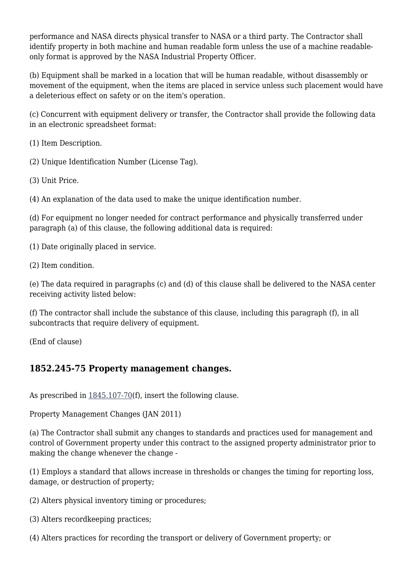performance and NASA directs physical transfer to NASA or a third party. The Contractor shall identify property in both machine and human readable form unless the use of a machine readableonly format is approved by the NASA Industrial Property Officer.

(b) Equipment shall be marked in a location that will be human readable, without disassembly or movement of the equipment, when the items are placed in service unless such placement would have a deleterious effect on safety or on the item's operation.

(c) Concurrent with equipment delivery or transfer, the Contractor shall provide the following data in an electronic spreadsheet format:

(1) Item Description.

(2) Unique Identification Number (License Tag).

(3) Unit Price.

(4) An explanation of the data used to make the unique identification number.

(d) For equipment no longer needed for contract performance and physically transferred under paragraph (a) of this clause, the following additional data is required:

(1) Date originally placed in service.

(2) Item condition.

(e) The data required in paragraphs (c) and (d) of this clause shall be delivered to the NASA center receiving activity listed below:

(f) The contractor shall include the substance of this clause, including this paragraph (f), in all subcontracts that require delivery of equipment.

(End of clause)

#### **1852.245-75 Property management changes.**

As prescribed in  $1845.107-70(f)$  $1845.107-70(f)$ , insert the following clause.

Property Management Changes (JAN 2011)

(a) The Contractor shall submit any changes to standards and practices used for management and control of Government property under this contract to the assigned property administrator prior to making the change whenever the change -

(1) Employs a standard that allows increase in thresholds or changes the timing for reporting loss, damage, or destruction of property;

(2) Alters physical inventory timing or procedures;

(3) Alters recordkeeping practices;

(4) Alters practices for recording the transport or delivery of Government property; or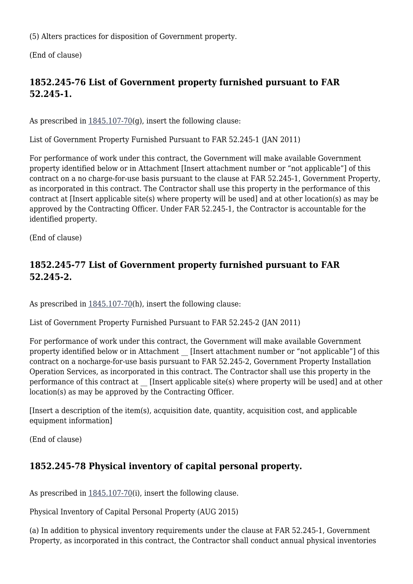(5) Alters practices for disposition of Government property.

(End of clause)

# **1852.245-76 List of Government property furnished pursuant to FAR 52.245-1.**

As prescribed in  $1845.107-70(q)$  $1845.107-70(q)$ , insert the following clause:

List of Government Property Furnished Pursuant to FAR 52.245-1 (JAN 2011)

For performance of work under this contract, the Government will make available Government property identified below or in Attachment [Insert attachment number or "not applicable"] of this contract on a no charge-for-use basis pursuant to the clause at FAR 52.245-1, Government Property, as incorporated in this contract. The Contractor shall use this property in the performance of this contract at [Insert applicable site(s) where property will be used] and at other location(s) as may be approved by the Contracting Officer. Under FAR 52.245-1, the Contractor is accountable for the identified property.

(End of clause)

# **1852.245-77 List of Government property furnished pursuant to FAR 52.245-2.**

As prescribed in [1845.107-70\(](https://login.acquisition.gov/%5Brp:link:nfs-part-1845%5D#Section_1845_107_70_T48_6042238112)h), insert the following clause:

List of Government Property Furnished Pursuant to FAR 52.245-2 (JAN 2011)

For performance of work under this contract, the Government will make available Government property identified below or in Attachment [Insert attachment number or "not applicable"] of this contract on a nocharge-for-use basis pursuant to FAR 52.245-2, Government Property Installation Operation Services, as incorporated in this contract. The Contractor shall use this property in the performance of this contract at [Insert applicable site(s) where property will be used] and at other location(s) as may be approved by the Contracting Officer.

[Insert a description of the item(s), acquisition date, quantity, acquisition cost, and applicable equipment information]

(End of clause)

# **1852.245-78 Physical inventory of capital personal property.**

As prescribed in  $1845.107-70(i)$  $1845.107-70(i)$ , insert the following clause.

Physical Inventory of Capital Personal Property (AUG 2015)

(a) In addition to physical inventory requirements under the clause at FAR 52.245-1, Government Property, as incorporated in this contract, the Contractor shall conduct annual physical inventories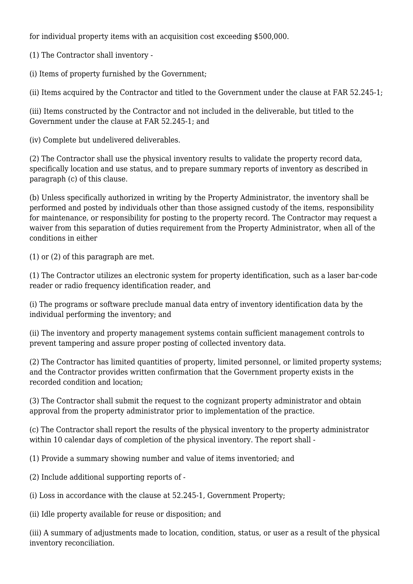for individual property items with an acquisition cost exceeding \$500,000.

(1) The Contractor shall inventory -

(i) Items of property furnished by the Government;

(ii) Items acquired by the Contractor and titled to the Government under the clause at FAR 52.245-1;

(iii) Items constructed by the Contractor and not included in the deliverable, but titled to the Government under the clause at FAR 52.245-1; and

(iv) Complete but undelivered deliverables.

(2) The Contractor shall use the physical inventory results to validate the property record data, specifically location and use status, and to prepare summary reports of inventory as described in paragraph (c) of this clause.

(b) Unless specifically authorized in writing by the Property Administrator, the inventory shall be performed and posted by individuals other than those assigned custody of the items, responsibility for maintenance, or responsibility for posting to the property record. The Contractor may request a waiver from this separation of duties requirement from the Property Administrator, when all of the conditions in either

(1) or (2) of this paragraph are met.

(1) The Contractor utilizes an electronic system for property identification, such as a laser bar-code reader or radio frequency identification reader, and

(i) The programs or software preclude manual data entry of inventory identification data by the individual performing the inventory; and

(ii) The inventory and property management systems contain sufficient management controls to prevent tampering and assure proper posting of collected inventory data.

(2) The Contractor has limited quantities of property, limited personnel, or limited property systems; and the Contractor provides written confirmation that the Government property exists in the recorded condition and location;

(3) The Contractor shall submit the request to the cognizant property administrator and obtain approval from the property administrator prior to implementation of the practice.

(c) The Contractor shall report the results of the physical inventory to the property administrator within 10 calendar days of completion of the physical inventory. The report shall -

(1) Provide a summary showing number and value of items inventoried; and

(2) Include additional supporting reports of -

(i) Loss in accordance with the clause at 52.245-1, Government Property;

(ii) Idle property available for reuse or disposition; and

(iii) A summary of adjustments made to location, condition, status, or user as a result of the physical inventory reconciliation.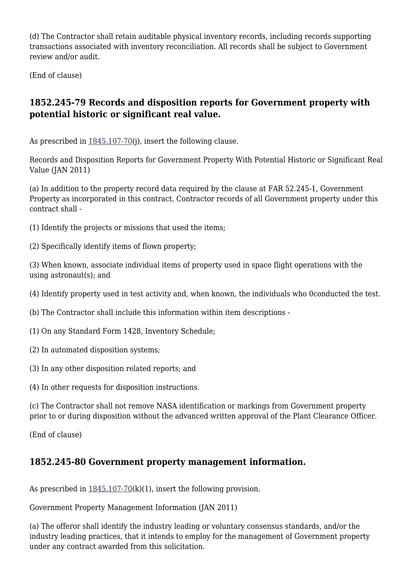(d) The Contractor shall retain auditable physical inventory records, including records supporting transactions associated with inventory reconciliation. All records shall be subject to Government review and/or audit.

(End of clause)

## **1852.245-79 Records and disposition reports for Government property with potential historic or significant real value.**

As prescribed in  $1845.107-70(i)$  $1845.107-70(i)$ , insert the following clause.

Records and Disposition Reports for Government Property With Potential Historic or Significant Real Value (JAN 2011)

(a) In addition to the property record data required by the clause at FAR 52.245-1, Government Property as incorporated in this contract, Contractor records of all Government property under this contract shall -

- (1) Identify the projects or missions that used the items;
- (2) Specifically identify items of flown property;

(3) When known, associate individual items of property used in space flight operations with the using astronaut(s); and

- (4) Identify property used in test activity and, when known, the individuals who 0conducted the test.
- (b) The Contractor shall include this information within item descriptions -
- (1) On any Standard Form 1428, Inventory Schedule;
- (2) In automated disposition systems;
- (3) In any other disposition related reports; and
- (4) In other requests for disposition instructions.

(c) The Contractor shall not remove NASA identification or markings from Government property prior to or during disposition without the advanced written approval of the Plant Clearance Officer.

(End of clause)

#### **1852.245-80 Government property management information.**

As prescribed in  $1845.107-70(k)(1)$  $1845.107-70(k)(1)$ , insert the following provision.

Government Property Management Information (JAN 2011)

(a) The offeror shall identify the industry leading or voluntary consensus standards, and/or the industry leading practices, that it intends to employ for the management of Government property under any contract awarded from this solicitation.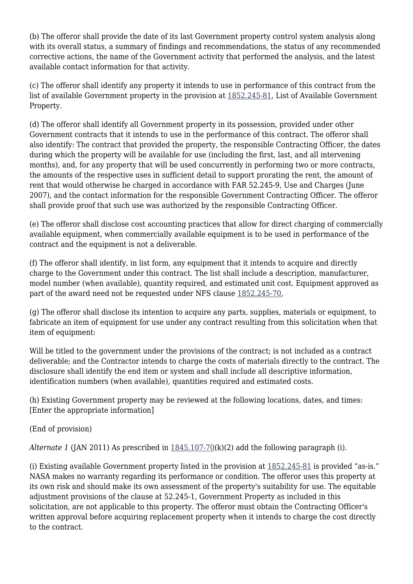(b) The offeror shall provide the date of its last Government property control system analysis along with its overall status, a summary of findings and recommendations, the status of any recommended corrective actions, the name of the Government activity that performed the analysis, and the latest available contact information for that activity.

(c) The offeror shall identify any property it intends to use in performance of this contract from the list of available Government property in the provision at [1852.245-81](https://login.acquisition.gov/%5Brp:link:nfs-part-1852%5D#Section_1852_245_81_T48_604234411129), List of Available Government Property.

(d) The offeror shall identify all Government property in its possession, provided under other Government contracts that it intends to use in the performance of this contract. The offeror shall also identify: The contract that provided the property, the responsible Contracting Officer, the dates during which the property will be available for use (including the first, last, and all intervening months), and, for any property that will be used concurrently in performing two or more contracts, the amounts of the respective uses in sufficient detail to support prorating the rent, the amount of rent that would otherwise be charged in accordance with FAR 52.245-9, Use and Charges (June 2007), and the contact information for the responsible Government Contracting Officer. The offeror shall provide proof that such use was authorized by the responsible Contracting Officer.

(e) The offeror shall disclose cost accounting practices that allow for direct charging of commercially available equipment, when commercially available equipment is to be used in performance of the contract and the equipment is not a deliverable.

(f) The offeror shall identify, in list form, any equipment that it intends to acquire and directly charge to the Government under this contract. The list shall include a description, manufacturer, model number (when available), quantity required, and estimated unit cost. Equipment approved as part of the award need not be requested under NFS clause [1852.245-70,](https://login.acquisition.gov/%5Brp:link:nfs-part-1852%5D#Section_1852_245_70_T48_604234411118)

(g) The offeror shall disclose its intention to acquire any parts, supplies, materials or equipment, to fabricate an item of equipment for use under any contract resulting from this solicitation when that item of equipment:

Will be titled to the government under the provisions of the contract; is not included as a contract deliverable; and the Contractor intends to charge the costs of materials directly to the contract. The disclosure shall identify the end item or system and shall include all descriptive information, identification numbers (when available), quantities required and estimated costs.

(h) Existing Government property may be reviewed at the following locations, dates, and times: [Enter the appropriate information]

(End of provision)

*Alternate 1* (JAN 2011) As prescribed in [1845.107-70](https://login.acquisition.gov/%5Brp:link:nfs-part-1845%5D#Section_1845_107_70_T48_6042238112)(k)(2) add the following paragraph (i).

(i) Existing available Government property listed in the provision at [1852.245-81](https://login.acquisition.gov/%5Brp:link:nfs-part-1852%5D#Section_1852_245_81_T48_604234411129) is provided "as-is." NASA makes no warranty regarding its performance or condition. The offeror uses this property at its own risk and should make its own assessment of the property's suitability for use. The equitable adjustment provisions of the clause at 52.245-1, Government Property as included in this solicitation, are not applicable to this property. The offeror must obtain the Contracting Officer's written approval before acquiring replacement property when it intends to charge the cost directly to the contract.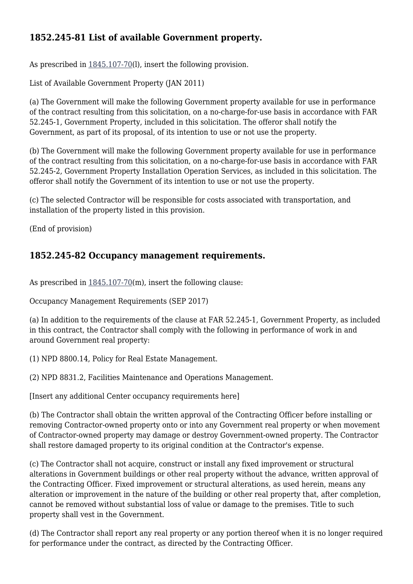## **1852.245-81 List of available Government property.**

As prescribed in  $1845.107-70(1)$  $1845.107-70(1)$ , insert the following provision.

List of Available Government Property (JAN 2011)

(a) The Government will make the following Government property available for use in performance of the contract resulting from this solicitation, on a no-charge-for-use basis in accordance with FAR 52.245-1, Government Property, included in this solicitation. The offeror shall notify the Government, as part of its proposal, of its intention to use or not use the property.

(b) The Government will make the following Government property available for use in performance of the contract resulting from this solicitation, on a no-charge-for-use basis in accordance with FAR 52.245-2, Government Property Installation Operation Services, as included in this solicitation. The offeror shall notify the Government of its intention to use or not use the property.

(c) The selected Contractor will be responsible for costs associated with transportation, and installation of the property listed in this provision.

(End of provision)

#### **1852.245-82 Occupancy management requirements.**

As prescribed in  $1845.107-70(m)$  $1845.107-70(m)$ , insert the following clause:

Occupancy Management Requirements (SEP 2017)

(a) In addition to the requirements of the clause at FAR 52.245-1, Government Property, as included in this contract, the Contractor shall comply with the following in performance of work in and around Government real property:

(1) NPD 8800.14, Policy for Real Estate Management.

(2) NPD 8831.2, Facilities Maintenance and Operations Management.

[Insert any additional Center occupancy requirements here]

(b) The Contractor shall obtain the written approval of the Contracting Officer before installing or removing Contractor-owned property onto or into any Government real property or when movement of Contractor-owned property may damage or destroy Government-owned property. The Contractor shall restore damaged property to its original condition at the Contractor's expense.

(c) The Contractor shall not acquire, construct or install any fixed improvement or structural alterations in Government buildings or other real property without the advance, written approval of the Contracting Officer. Fixed improvement or structural alterations, as used herein, means any alteration or improvement in the nature of the building or other real property that, after completion, cannot be removed without substantial loss of value or damage to the premises. Title to such property shall vest in the Government.

(d) The Contractor shall report any real property or any portion thereof when it is no longer required for performance under the contract, as directed by the Contracting Officer.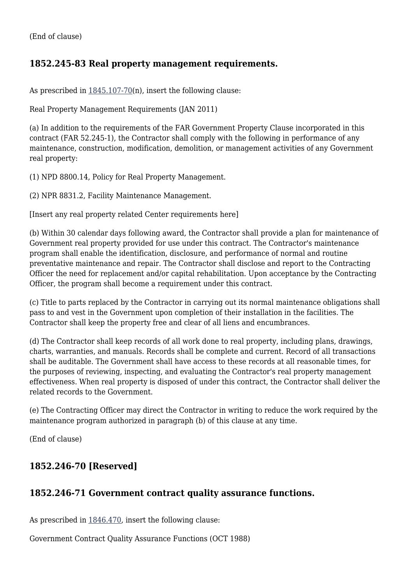# **1852.245-83 Real property management requirements.**

As prescribed in  $1845.107-70(n)$  $1845.107-70(n)$ , insert the following clause:

Real Property Management Requirements (JAN 2011)

(a) In addition to the requirements of the FAR Government Property Clause incorporated in this contract (FAR 52.245-1), the Contractor shall comply with the following in performance of any maintenance, construction, modification, demolition, or management activities of any Government real property:

(1) NPD 8800.14, Policy for Real Property Management.

(2) NPR 8831.2, Facility Maintenance Management.

[Insert any real property related Center requirements here]

(b) Within 30 calendar days following award, the Contractor shall provide a plan for maintenance of Government real property provided for use under this contract. The Contractor's maintenance program shall enable the identification, disclosure, and performance of normal and routine preventative maintenance and repair. The Contractor shall disclose and report to the Contracting Officer the need for replacement and/or capital rehabilitation. Upon acceptance by the Contracting Officer, the program shall become a requirement under this contract.

(c) Title to parts replaced by the Contractor in carrying out its normal maintenance obligations shall pass to and vest in the Government upon completion of their installation in the facilities. The Contractor shall keep the property free and clear of all liens and encumbrances.

(d) The Contractor shall keep records of all work done to real property, including plans, drawings, charts, warranties, and manuals. Records shall be complete and current. Record of all transactions shall be auditable. The Government shall have access to these records at all reasonable times, for the purposes of reviewing, inspecting, and evaluating the Contractor's real property management effectiveness. When real property is disposed of under this contract, the Contractor shall deliver the related records to the Government.

(e) The Contracting Officer may direct the Contractor in writing to reduce the work required by the maintenance program authorized in paragraph (b) of this clause at any time.

(End of clause)

# **1852.246-70 [Reserved]**

# **1852.246-71 Government contract quality assurance functions.**

As prescribed in [1846.470,](https://login.acquisition.gov/%5Brp:link:nfs-part-1846%5D#Section_1846_470_T48_6042239311) insert the following clause:

Government Contract Quality Assurance Functions (OCT 1988)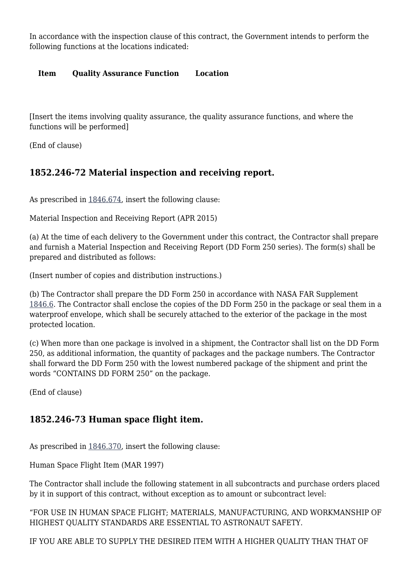In accordance with the inspection clause of this contract, the Government intends to perform the following functions at the locations indicated:

#### **Item Quality Assurance Function Location**

[Insert the items involving quality assurance, the quality assurance functions, and where the functions will be performed]

(End of clause)

#### **1852.246-72 Material inspection and receiving report.**

As prescribed in [1846.674,](https://login.acquisition.gov/%5Brp:link:nfs-part-1846%5D#Section_1846_674_T48_60422394116) insert the following clause:

Material Inspection and Receiving Report (APR 2015)

(a) At the time of each delivery to the Government under this contract, the Contractor shall prepare and furnish a Material Inspection and Receiving Report (DD Form 250 series). The form(s) shall be prepared and distributed as follows:

(Insert number of copies and distribution instructions.)

(b) The Contractor shall prepare the DD Form 250 in accordance with NASA FAR Supplement [1846.6](https://login.acquisition.gov/%5Brp:link:nfs-part-1846%5D#Subpart_1846_6_T48_60422394). The Contractor shall enclose the copies of the DD Form 250 in the package or seal them in a waterproof envelope, which shall be securely attached to the exterior of the package in the most protected location.

(c) When more than one package is involved in a shipment, the Contractor shall list on the DD Form 250, as additional information, the quantity of packages and the package numbers. The Contractor shall forward the DD Form 250 with the lowest numbered package of the shipment and print the words "CONTAINS DD FORM 250" on the package.

(End of clause)

#### **1852.246-73 Human space flight item.**

As prescribed in [1846.370,](https://login.acquisition.gov/%5Brp:link:nfs-part-1846%5D#Section_1846_370_T48_6042239211) insert the following clause:

Human Space Flight Item (MAR 1997)

The Contractor shall include the following statement in all subcontracts and purchase orders placed by it in support of this contract, without exception as to amount or subcontract level:

"FOR USE IN HUMAN SPACE FLIGHT; MATERIALS, MANUFACTURING, AND WORKMANSHIP OF HIGHEST QUALITY STANDARDS ARE ESSENTIAL TO ASTRONAUT SAFETY.

IF YOU ARE ABLE TO SUPPLY THE DESIRED ITEM WITH A HIGHER QUALITY THAN THAT OF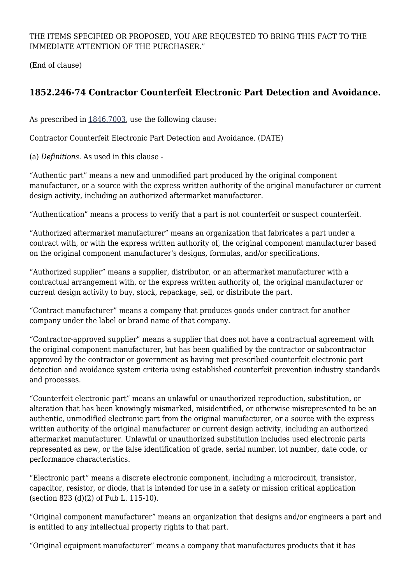THE ITEMS SPECIFIED OR PROPOSED, YOU ARE REQUESTED TO BRING THIS FACT TO THE IMMEDIATE ATTENTION OF THE PURCHASER."

(End of clause)

# **1852.246-74 Contractor Counterfeit Electronic Part Detection and Avoidance.**

As prescribed in [1846.7003](https://login.acquisition.gov/%5Brp:link:nfs-part-1846%5D#Section_1846_7003_T48_6042239514), use the following clause:

Contractor Counterfeit Electronic Part Detection and Avoidance. (DATE)

(a) *Definitions.* As used in this clause -

"Authentic part" means a new and unmodified part produced by the original component manufacturer, or a source with the express written authority of the original manufacturer or current design activity, including an authorized aftermarket manufacturer.

"Authentication" means a process to verify that a part is not counterfeit or suspect counterfeit.

"Authorized aftermarket manufacturer" means an organization that fabricates a part under a contract with, or with the express written authority of, the original component manufacturer based on the original component manufacturer's designs, formulas, and/or specifications.

"Authorized supplier" means a supplier, distributor, or an aftermarket manufacturer with a contractual arrangement with, or the express written authority of, the original manufacturer or current design activity to buy, stock, repackage, sell, or distribute the part.

"Contract manufacturer" means a company that produces goods under contract for another company under the label or brand name of that company.

"Contractor-approved supplier" means a supplier that does not have a contractual agreement with the original component manufacturer, but has been qualified by the contractor or subcontractor approved by the contractor or government as having met prescribed counterfeit electronic part detection and avoidance system criteria using established counterfeit prevention industry standards and processes.

"Counterfeit electronic part" means an unlawful or unauthorized reproduction, substitution, or alteration that has been knowingly mismarked, misidentified, or otherwise misrepresented to be an authentic, unmodified electronic part from the original manufacturer, or a source with the express written authority of the original manufacturer or current design activity, including an authorized aftermarket manufacturer. Unlawful or unauthorized substitution includes used electronic parts represented as new, or the false identification of grade, serial number, lot number, date code, or performance characteristics.

"Electronic part" means a discrete electronic component, including a microcircuit, transistor, capacitor, resistor, or diode, that is intended for use in a safety or mission critical application (section 823 (d)(2) of Pub L. 115-10).

"Original component manufacturer" means an organization that designs and/or engineers a part and is entitled to any intellectual property rights to that part.

"Original equipment manufacturer" means a company that manufactures products that it has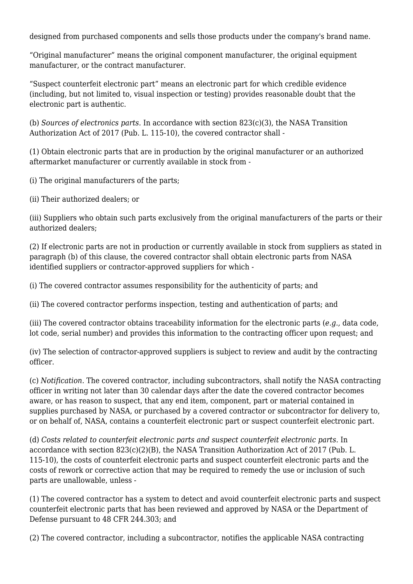designed from purchased components and sells those products under the company's brand name.

"Original manufacturer" means the original component manufacturer, the original equipment manufacturer, or the contract manufacturer.

"Suspect counterfeit electronic part" means an electronic part for which credible evidence (including, but not limited to, visual inspection or testing) provides reasonable doubt that the electronic part is authentic.

(b) *Sources of electronics parts.* In accordance with section 823(c)(3), the NASA Transition Authorization Act of 2017 (Pub. L. 115-10), the covered contractor shall -

(1) Obtain electronic parts that are in production by the original manufacturer or an authorized aftermarket manufacturer or currently available in stock from -

(i) The original manufacturers of the parts;

(ii) Their authorized dealers; or

(iii) Suppliers who obtain such parts exclusively from the original manufacturers of the parts or their authorized dealers;

(2) If electronic parts are not in production or currently available in stock from suppliers as stated in paragraph (b) of this clause, the covered contractor shall obtain electronic parts from NASA identified suppliers or contractor-approved suppliers for which -

(i) The covered contractor assumes responsibility for the authenticity of parts; and

(ii) The covered contractor performs inspection, testing and authentication of parts; and

(iii) The covered contractor obtains traceability information for the electronic parts (*e.g.,* data code, lot code, serial number) and provides this information to the contracting officer upon request; and

(iv) The selection of contractor-approved suppliers is subject to review and audit by the contracting officer.

(c) *Notification.* The covered contractor, including subcontractors, shall notify the NASA contracting officer in writing not later than 30 calendar days after the date the covered contractor becomes aware, or has reason to suspect, that any end item, component, part or material contained in supplies purchased by NASA, or purchased by a covered contractor or subcontractor for delivery to, or on behalf of, NASA, contains a counterfeit electronic part or suspect counterfeit electronic part.

(d) *Costs related to counterfeit electronic parts and suspect counterfeit electronic parts.* In accordance with section  $823(c)(2)(B)$ , the NASA Transition Authorization Act of 2017 (Pub. L. 115-10), the costs of counterfeit electronic parts and suspect counterfeit electronic parts and the costs of rework or corrective action that may be required to remedy the use or inclusion of such parts are unallowable, unless -

(1) The covered contractor has a system to detect and avoid counterfeit electronic parts and suspect counterfeit electronic parts that has been reviewed and approved by NASA or the Department of Defense pursuant to 48 CFR 244.303; and

(2) The covered contractor, including a subcontractor, notifies the applicable NASA contracting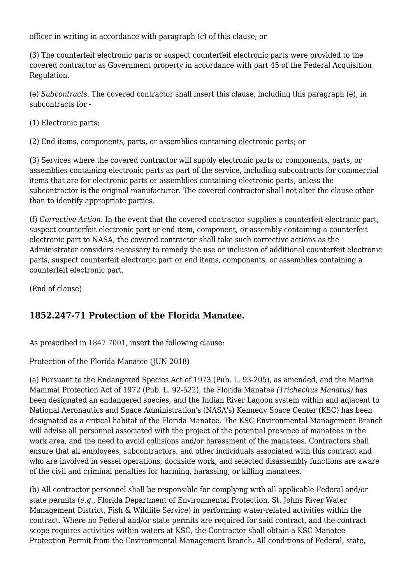officer in writing in accordance with paragraph (c) of this clause; or

(3) The counterfeit electronic parts or suspect counterfeit electronic parts were provided to the covered contractor as Government property in accordance with part 45 of the Federal Acquisition Regulation.

(e) *Subcontracts.* The covered contractor shall insert this clause, including this paragraph (e), in subcontracts for -

(1) Electronic parts;

(2) End items, components, parts, or assemblies containing electronic parts; or

(3) Services where the covered contractor will supply electronic parts or components, parts, or assemblies containing electronic parts as part of the service, including subcontracts for commercial items that are for electronic parts or assemblies containing electronic parts, unless the subcontractor is the original manufacturer. The covered contractor shall not alter the clause other than to identify appropriate parties.

(f) *Corrective Action.* In the event that the covered contractor supplies a counterfeit electronic part, suspect counterfeit electronic part or end item, component, or assembly containing a counterfeit electronic part to NASA, the covered contractor shall take such corrective actions as the Administrator considers necessary to remedy the use or inclusion of additional counterfeit electronic parts, suspect counterfeit electronic part or end items, components, or assemblies containing a counterfeit electronic part.

(End of clause)

#### **1852.247-71 Protection of the Florida Manatee.**

As prescribed in [1847.7001](https://login.acquisition.gov/%5Brp:link:nfs-part-1847%5D#Section_1847_7001_T48_6042240211), insert the following clause:

Protection of the Florida Manatee (JUN 2018)

(a) Pursuant to the Endangered Species Act of 1973 (Pub. L. 93-205), as amended, and the Marine Mammal Protection Act of 1972 (Pub. L. 92-522), the Florida Manatee *(Trichechus Manatus)* has been designated an endangered species, and the Indian River Lagoon system within and adjacent to National Aeronautics and Space Administration's (NASA's) Kennedy Space Center (KSC) has been designated as a critical habitat of the Florida Manatee. The KSC Environmental Management Branch will advise all personnel associated with the project of the potential presence of manatees in the work area, and the need to avoid collisions and/or harassment of the manatees. Contractors shall ensure that all employees, subcontractors, and other individuals associated with this contract and who are involved in vessel operations, dockside work, and selected disassembly functions are aware of the civil and criminal penalties for harming, harassing, or killing manatees.

(b) All contractor personnel shall be responsible for complying with all applicable Federal and/or state permits (*e.g.,* Florida Department of Environmental Protection, St. Johns River Water Management District, Fish & Wildlife Service) in performing water-related activities within the contract. Where no Federal and/or state permits are required for said contract, and the contract scope requires activities within waters at KSC, the Contractor shall obtain a KSC Manatee Protection Permit from the Environmental Management Branch. All conditions of Federal, state,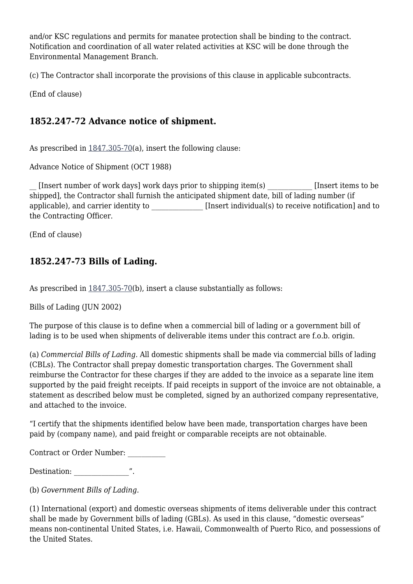and/or KSC regulations and permits for manatee protection shall be binding to the contract. Notification and coordination of all water related activities at KSC will be done through the Environmental Management Branch.

(c) The Contractor shall incorporate the provisions of this clause in applicable subcontracts.

(End of clause)

# **1852.247-72 Advance notice of shipment.**

As prescribed in  $1847.305-70(a)$  $1847.305-70(a)$ , insert the following clause:

Advance Notice of Shipment (OCT 1988)

[Insert number of work days] work days prior to shipping item(s) [Insert items to be shipped], the Contractor shall furnish the anticipated shipment date, bill of lading number (if applicable), and carrier identity to **Example 1** [Insert individual(s) to receive notification] and to the Contracting Officer.

(End of clause)

# **1852.247-73 Bills of Lading.**

As prescribed in  $1847.305-70(b)$  $1847.305-70(b)$ , insert a clause substantially as follows:

Bills of Lading (JUN 2002)

The purpose of this clause is to define when a commercial bill of lading or a government bill of lading is to be used when shipments of deliverable items under this contract are f.o.b. origin.

(a) *Commercial Bills of Lading.* All domestic shipments shall be made via commercial bills of lading (CBLs). The Contractor shall prepay domestic transportation charges. The Government shall reimburse the Contractor for these charges if they are added to the invoice as a separate line item supported by the paid freight receipts. If paid receipts in support of the invoice are not obtainable, a statement as described below must be completed, signed by an authorized company representative, and attached to the invoice.

"I certify that the shipments identified below have been made, transportation charges have been paid by (company name), and paid freight or comparable receipts are not obtainable.

Contract or Order Number: \_\_\_\_\_\_\_\_\_\_\_

Destination:  $\hspace{1.6cm}$  ".

(b) *Government Bills of Lading.*

(1) International (export) and domestic overseas shipments of items deliverable under this contract shall be made by Government bills of lading (GBLs). As used in this clause, "domestic overseas" means non-continental United States, i.e. Hawaii, Commonwealth of Puerto Rico, and possessions of the United States.